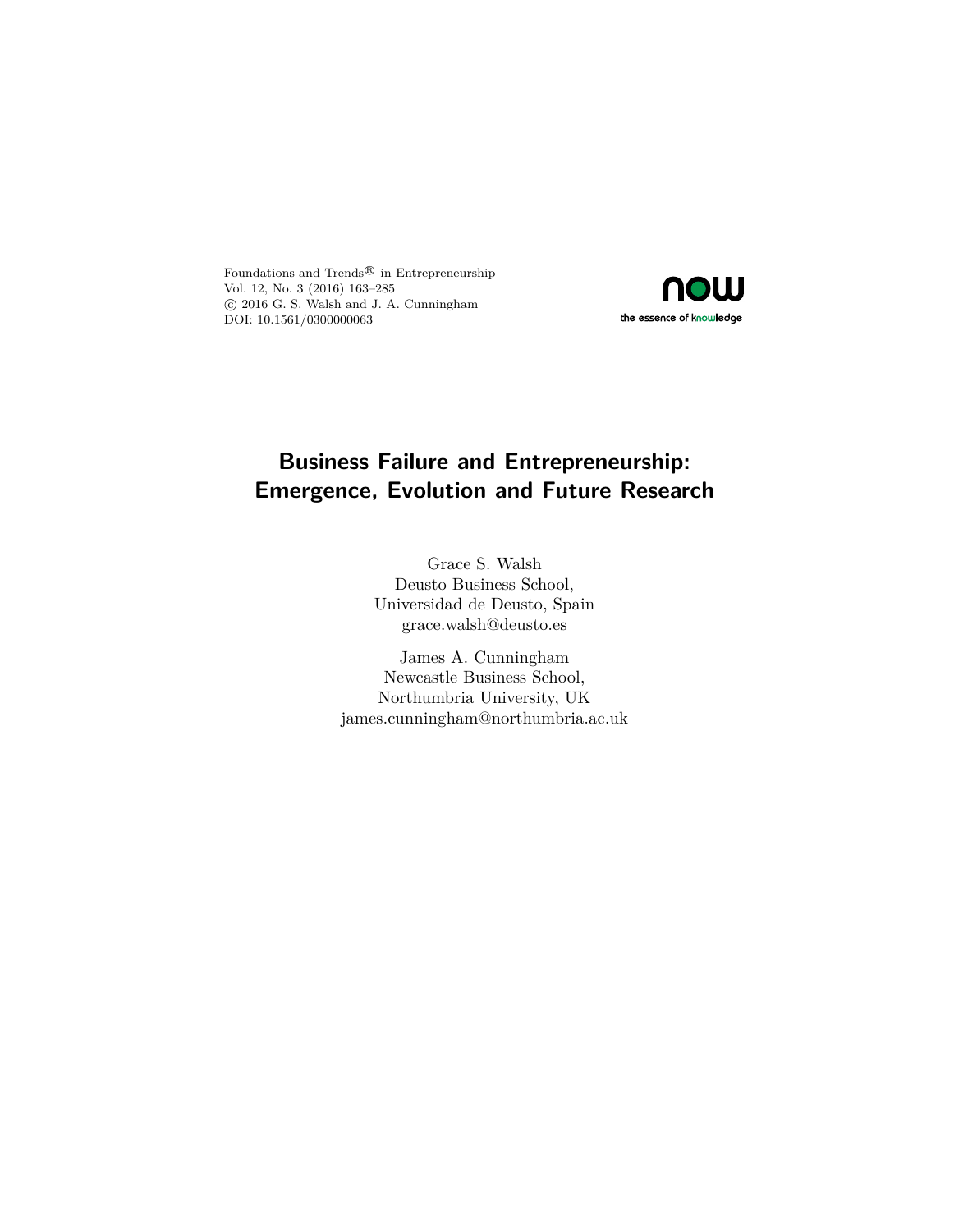Foundations and Trends $^{\textcircled{\textsc{R}}}$  in Entrepreneurship Vol. 12, No. 3 (2016) 163–285 c 2016 G. S. Walsh and J. A. Cunningham DOI: 10.1561/0300000063



## **Business Failure and Entrepreneurship: Emergence, Evolution and Future Research**

Grace S. Walsh Deusto Business School, Universidad de Deusto, Spain grace.walsh@deusto.es

James A. Cunningham Newcastle Business School, Northumbria University, UK james.cunningham@northumbria.ac.uk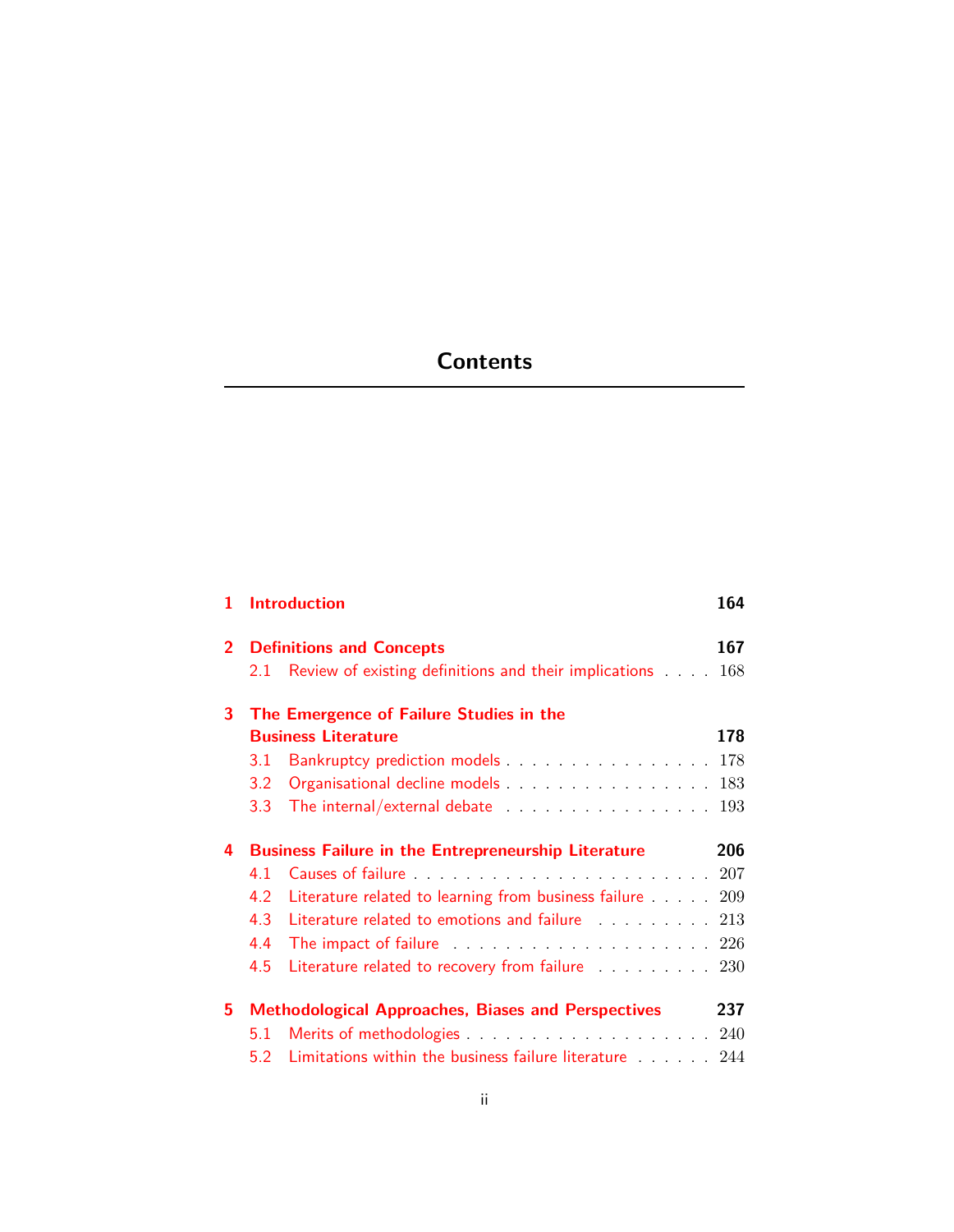# **Contents**

| 1              |                  | <b>Introduction</b>                                                                                                                                                                                                                                | 164 |
|----------------|------------------|----------------------------------------------------------------------------------------------------------------------------------------------------------------------------------------------------------------------------------------------------|-----|
| $\overline{2}$ |                  | <b>Definitions and Concepts</b>                                                                                                                                                                                                                    | 167 |
|                | 2.1              | Review of existing definitions and their implications                                                                                                                                                                                              | 168 |
| 3.             |                  | The Emergence of Failure Studies in the                                                                                                                                                                                                            |     |
|                |                  | <b>Business Literature</b>                                                                                                                                                                                                                         | 178 |
|                | 3.1              | Bankruptcy prediction models                                                                                                                                                                                                                       | 178 |
|                | 3.2              | Organisational decline models                                                                                                                                                                                                                      | 183 |
|                | 3.3 <sub>2</sub> | The internal/external debate                                                                                                                                                                                                                       | 193 |
|                |                  |                                                                                                                                                                                                                                                    |     |
| 4              |                  | <b>Business Failure in the Entrepreneurship Literature</b>                                                                                                                                                                                         | 206 |
|                | 4.1              | Causes of failure <b>Causes</b> of failure <b>Causes</b> of failure <b>Causes</b> of the <b>Causes</b> of the Cause of the Cause of the Cause of the Cause of the Cause of the Cause of the Cause of the Cause of the Cause of the Cause of the Ca | 207 |
|                | 4.2              | Literature related to learning from business failure                                                                                                                                                                                               | 209 |
|                | 4.3              | Literature related to emotions and failure                                                                                                                                                                                                         | 213 |
|                | 4.4              | The impact of failure <b>Fig. 1. Action</b> 2. Action 2. Action 2. Action 2. Action 2. Action 2. Action 2. Action 2. Action 2. Action 2. Action 2. Action 2. Action 2. Action 2. Action 2. Action 2. Action 2. Action 2. Action 2.                 | 226 |
|                | 4.5              | Literature related to recovery from failure 230                                                                                                                                                                                                    |     |
| 5              |                  | <b>Methodological Approaches, Biases and Perspectives</b>                                                                                                                                                                                          | 237 |
|                | 5.1              |                                                                                                                                                                                                                                                    |     |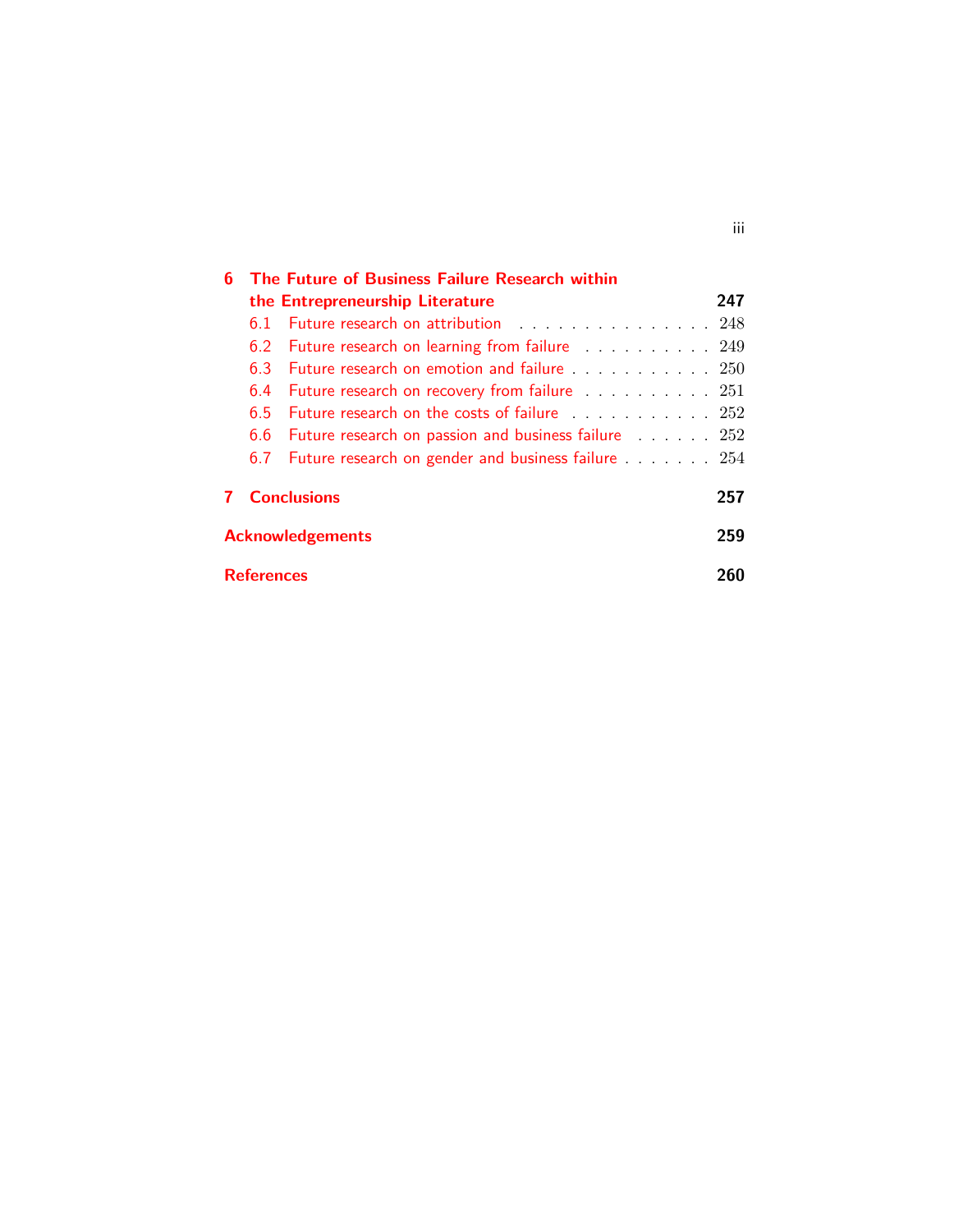| 6 | The Future of Business Failure Research within                                                                       |  |  |  |  |
|---|----------------------------------------------------------------------------------------------------------------------|--|--|--|--|
|   | the Entrepreneurship Literature                                                                                      |  |  |  |  |
|   | Future research on attribution and the set of the set of the set of the set of the set of the set of the set o<br>61 |  |  |  |  |
|   | 6.2                                                                                                                  |  |  |  |  |
|   | Future research on emotion and failure <b>Exercise 21</b> and 1250<br>6.3.                                           |  |  |  |  |
|   | 6.4                                                                                                                  |  |  |  |  |
|   | $6.5^{\circ}$<br>Future research on the costs of failure 252                                                         |  |  |  |  |
|   | Future research on passion and business failure 1996 1997 1998<br>6.6                                                |  |  |  |  |
|   | 6.7                                                                                                                  |  |  |  |  |
|   | <b>Conclusions</b>                                                                                                   |  |  |  |  |
|   | 259<br><b>Acknowledgements</b>                                                                                       |  |  |  |  |
|   | <b>References</b><br>260                                                                                             |  |  |  |  |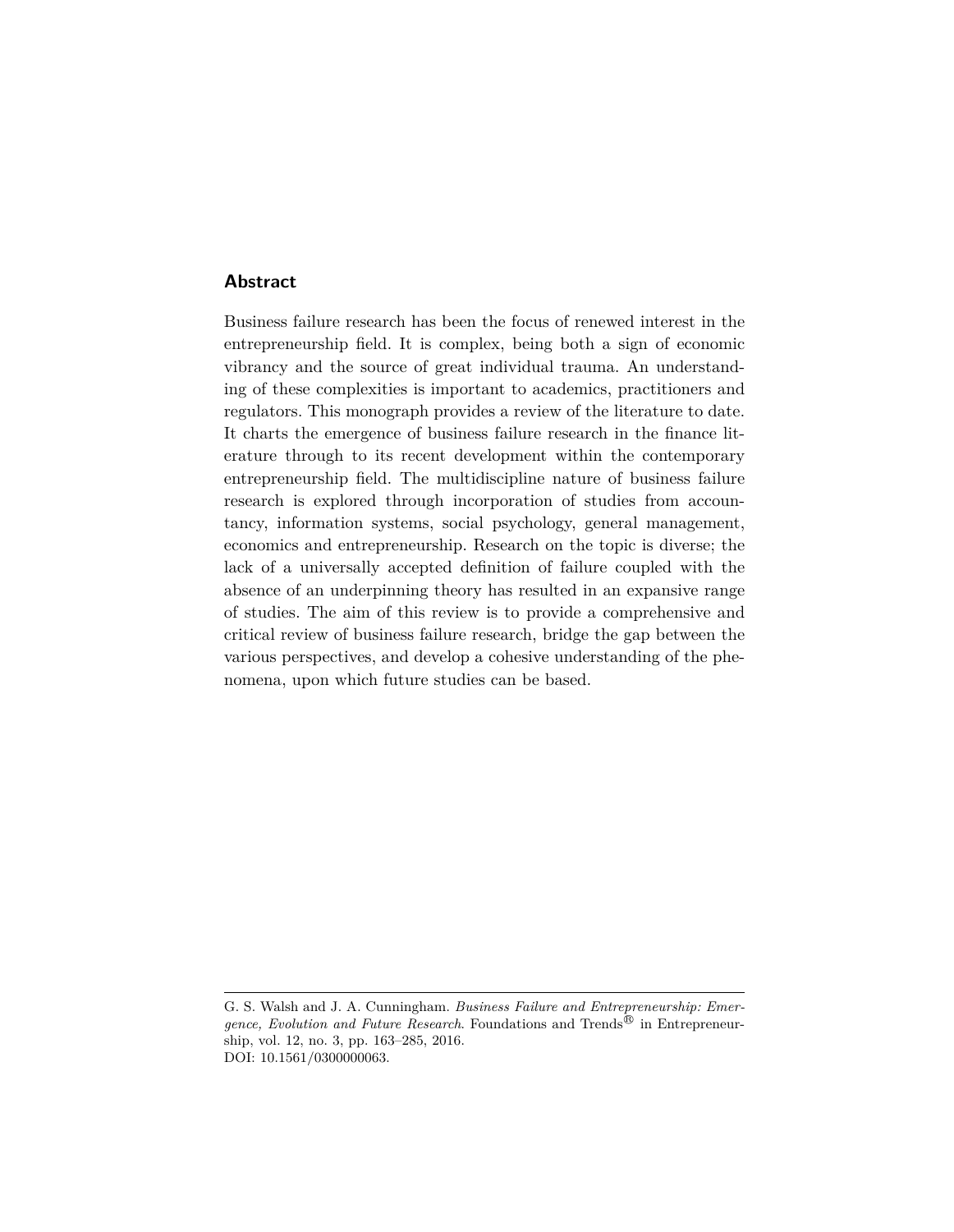## **Abstract**

Business failure research has been the focus of renewed interest in the entrepreneurship field. It is complex, being both a sign of economic vibrancy and the source of great individual trauma. An understanding of these complexities is important to academics, practitioners and regulators. This monograph provides a review of the literature to date. It charts the emergence of business failure research in the finance literature through to its recent development within the contemporary entrepreneurship field. The multidiscipline nature of business failure research is explored through incorporation of studies from accountancy, information systems, social psychology, general management, economics and entrepreneurship. Research on the topic is diverse; the lack of a universally accepted definition of failure coupled with the absence of an underpinning theory has resulted in an expansive range of studies. The aim of this review is to provide a comprehensive and critical review of business failure research, bridge the gap between the various perspectives, and develop a cohesive understanding of the phenomena, upon which future studies can be based.

G. S. Walsh and J. A. Cunningham. *Business Failure and Entrepreneurship: Emer*gence, Evolution and Future Research. Foundations and Trends<sup>®</sup> in Entrepreneurship, vol. 12, no. 3, pp. 163–285, 2016. DOI: 10.1561/0300000063.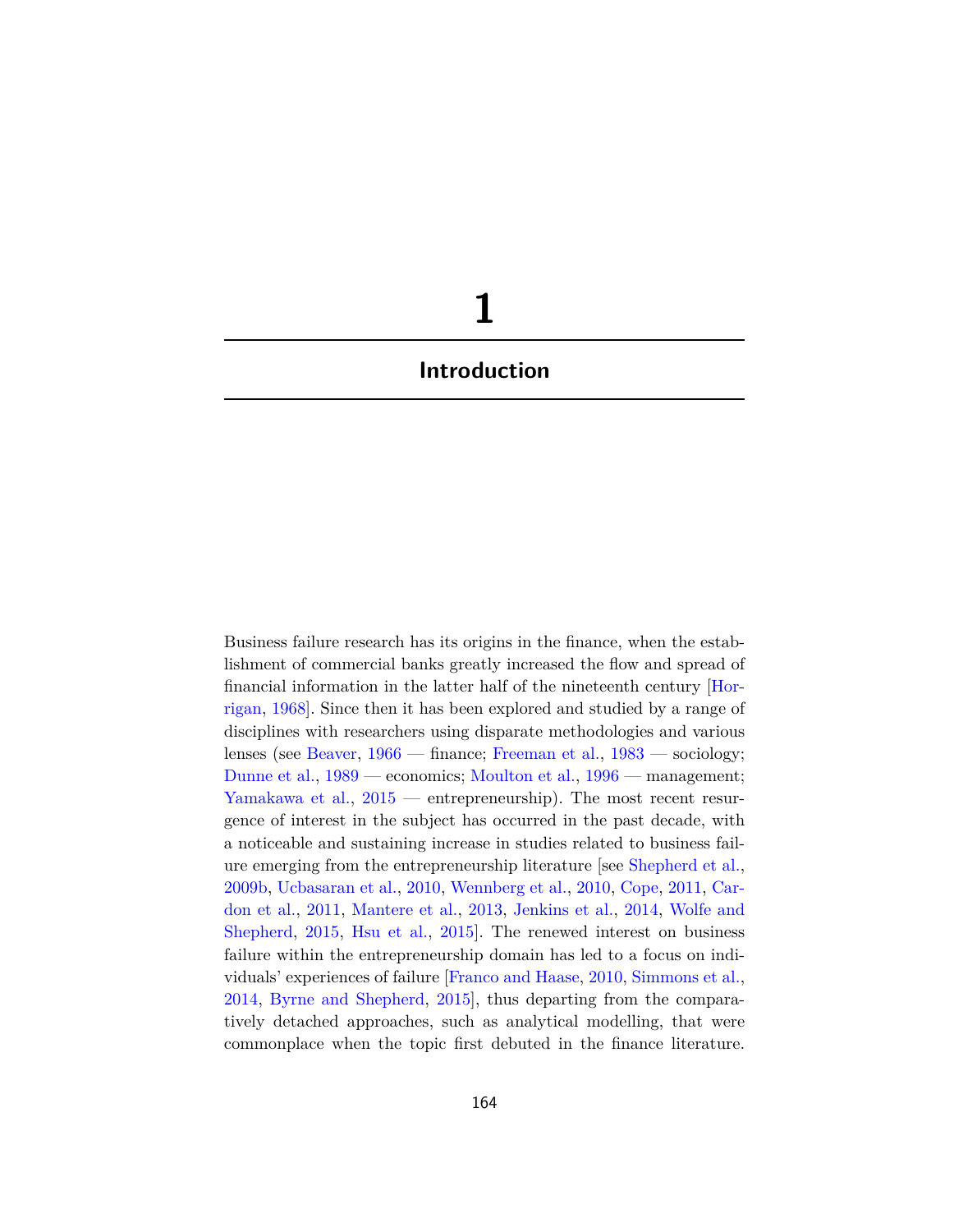# **1**

## <span id="page-4-0"></span>**Introduction**

Business failure research has its origins in the finance, when the establishment of commercial banks greatly increased the flow and spread of financial information in the latter half of the nineteenth century [\[Hor](#page-111-0)[rigan,](#page-111-0) [1968\]](#page-111-0). Since then it has been explored and studied by a range of disciplines with researchers using disparate methodologies and various lenses (see [Beaver,](#page-103-0) [1966](#page-103-0) — finance; [Freeman et al.,](#page-109-0) [1983](#page-109-0) — sociology; [Dunne et al.,](#page-108-0) [1989](#page-108-0) — economics; [Moulton et al.,](#page-116-0) [1996](#page-116-0) — management; [Yamakawa et al.,](#page-125-0) [2015](#page-125-0) — entrepreneurship). The most recent resurgence of interest in the subject has occurred in the past decade, with a noticeable and sustaining increase in studies related to business failure emerging from the entrepreneurship literature [see [Shepherd et al.,](#page-120-0) [2009b,](#page-120-0) [Ucbasaran et al.,](#page-122-0) [2010,](#page-122-0) [Wennberg et al.,](#page-124-0) [2010,](#page-124-0) [Cope,](#page-106-0) [2011,](#page-106-0) [Car](#page-105-0)[don et al.,](#page-105-0) [2011,](#page-105-0) [Mantere et al.,](#page-114-0) [2013,](#page-114-0) [Jenkins et al.,](#page-112-0) [2014,](#page-112-0) [Wolfe and](#page-124-1) [Shepherd,](#page-124-1) [2015,](#page-124-1) [Hsu et al.,](#page-111-1) [2015\]](#page-111-1). The renewed interest on business failure within the entrepreneurship domain has led to a focus on individuals' experiences of failure [\[Franco and Haase,](#page-108-1) [2010,](#page-108-1) [Simmons et al.,](#page-120-1) [2014,](#page-120-1) [Byrne and Shepherd,](#page-104-0) [2015\]](#page-104-0), thus departing from the comparatively detached approaches, such as analytical modelling, that were commonplace when the topic first debuted in the finance literature.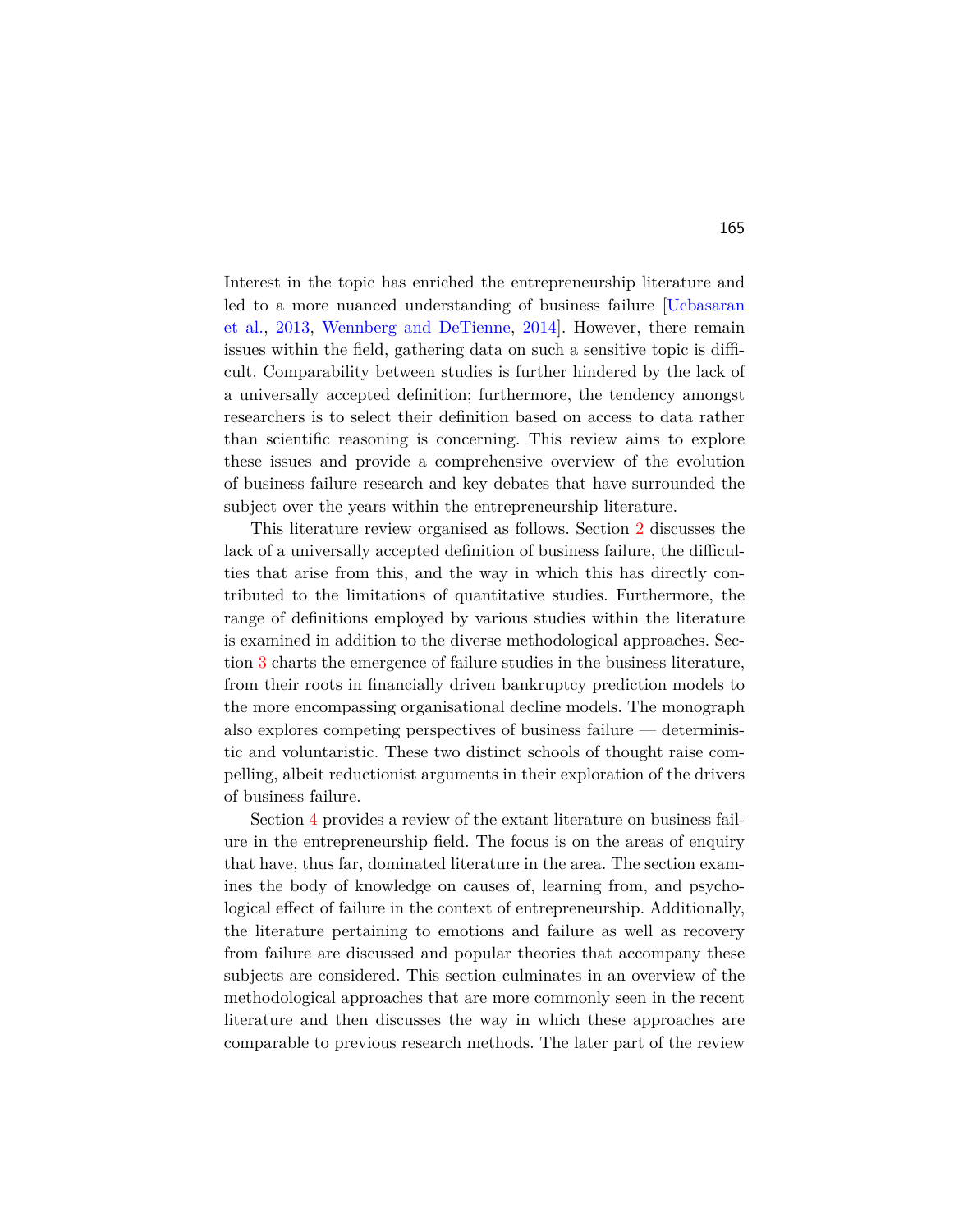Interest in the topic has enriched the entrepreneurship literature and led to a more nuanced understanding of business failure [\[Ucbasaran](#page-122-1) [et al.,](#page-122-1) [2013,](#page-122-1) [Wennberg and DeTienne,](#page-124-2) [2014\]](#page-124-2). However, there remain issues within the field, gathering data on such a sensitive topic is difficult. Comparability between studies is further hindered by the lack of a universally accepted definition; furthermore, the tendency amongst researchers is to select their definition based on access to data rather than scientific reasoning is concerning. This review aims to explore these issues and provide a comprehensive overview of the evolution of business failure research and key debates that have surrounded the subject over the years within the entrepreneurship literature.

This literature review organised as follows. Section [2](#page-7-0) discusses the lack of a universally accepted definition of business failure, the difficulties that arise from this, and the way in which this has directly contributed to the limitations of quantitative studies. Furthermore, the range of definitions employed by various studies within the literature is examined in addition to the diverse methodological approaches. Section [3](#page-18-0) charts the emergence of failure studies in the business literature, from their roots in financially driven bankruptcy prediction models to the more encompassing organisational decline models. The monograph also explores competing perspectives of business failure — deterministic and voluntaristic. These two distinct schools of thought raise compelling, albeit reductionist arguments in their exploration of the drivers of business failure.

Section [4](#page-46-0) provides a review of the extant literature on business failure in the entrepreneurship field. The focus is on the areas of enquiry that have, thus far, dominated literature in the area. The section examines the body of knowledge on causes of, learning from, and psychological effect of failure in the context of entrepreneurship. Additionally, the literature pertaining to emotions and failure as well as recovery from failure are discussed and popular theories that accompany these subjects are considered. This section culminates in an overview of the methodological approaches that are more commonly seen in the recent literature and then discusses the way in which these approaches are comparable to previous research methods. The later part of the review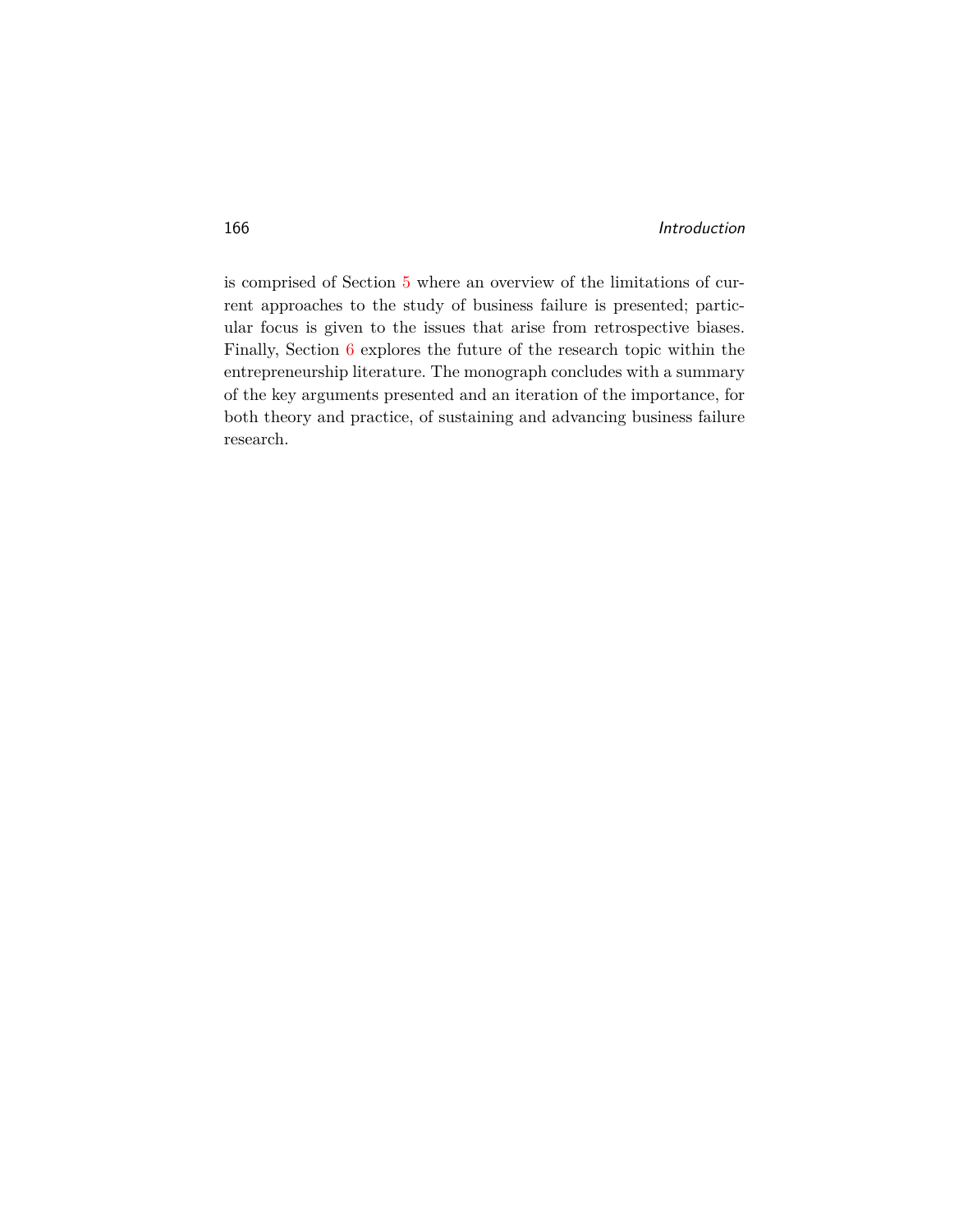is comprised of Section [5](#page-77-0) where an overview of the limitations of current approaches to the study of business failure is presented; particular focus is given to the issues that arise from retrospective biases. Finally, Section [6](#page-87-0) explores the future of the research topic within the entrepreneurship literature. The monograph concludes with a summary of the key arguments presented and an iteration of the importance, for both theory and practice, of sustaining and advancing business failure research.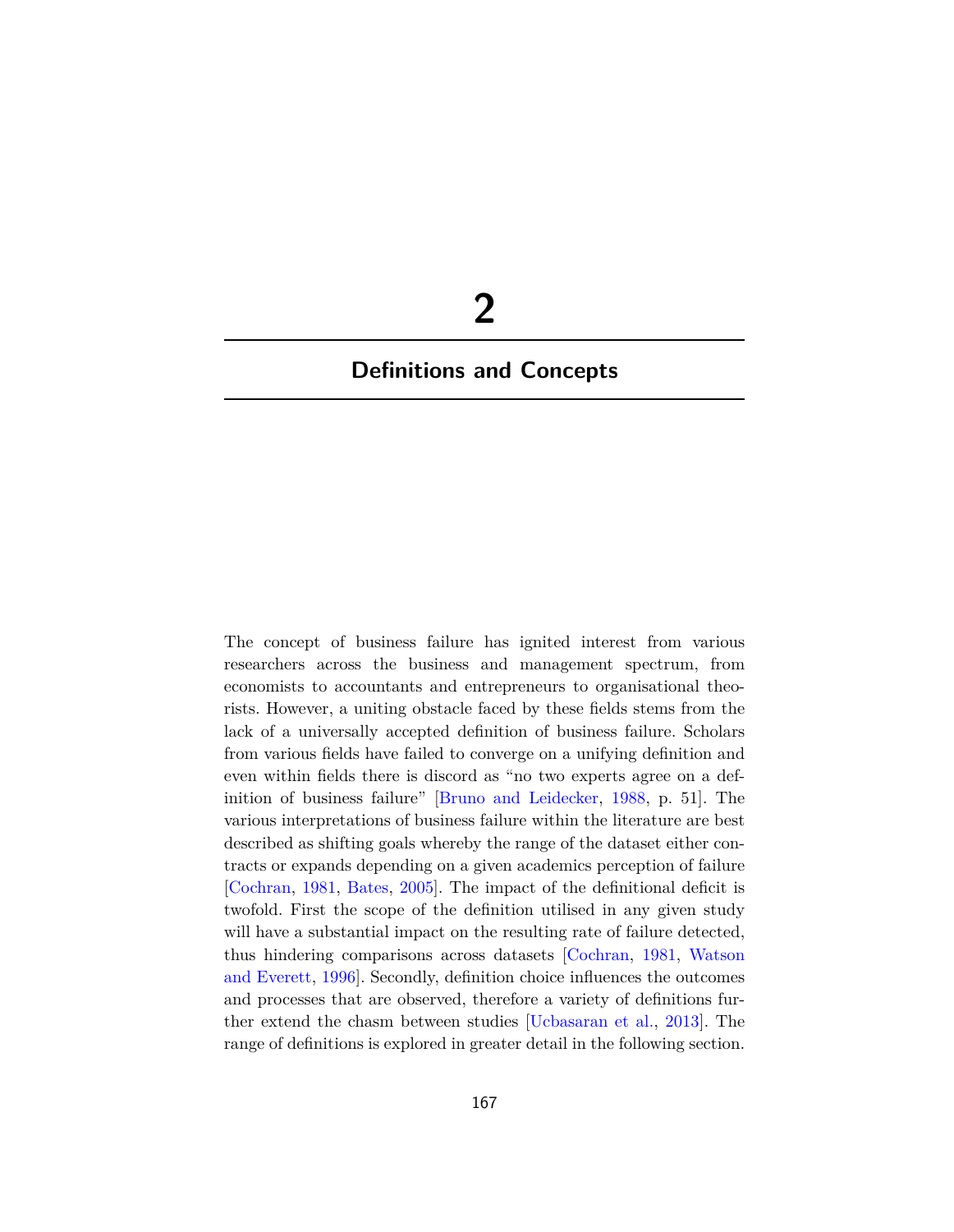# **2**

## <span id="page-7-0"></span>**Definitions and Concepts**

The concept of business failure has ignited interest from various researchers across the business and management spectrum, from economists to accountants and entrepreneurs to organisational theorists. However, a uniting obstacle faced by these fields stems from the lack of a universally accepted definition of business failure. Scholars from various fields have failed to converge on a unifying definition and even within fields there is discord as "no two experts agree on a definition of business failure" [\[Bruno and Leidecker,](#page-104-1) [1988,](#page-104-1) p. 51]. The various interpretations of business failure within the literature are best described as shifting goals whereby the range of the dataset either contracts or expands depending on a given academics perception of failure [\[Cochran,](#page-106-1) [1981,](#page-106-1) [Bates,](#page-103-1) [2005\]](#page-103-1). The impact of the definitional deficit is twofold. First the scope of the definition utilised in any given study will have a substantial impact on the resulting rate of failure detected, thus hindering comparisons across datasets [\[Cochran,](#page-106-1) [1981,](#page-106-1) [Watson](#page-123-0) [and Everett,](#page-123-0) [1996\]](#page-123-0). Secondly, definition choice influences the outcomes and processes that are observed, therefore a variety of definitions further extend the chasm between studies [\[Ucbasaran et al.,](#page-122-1) [2013\]](#page-122-1). The range of definitions is explored in greater detail in the following section.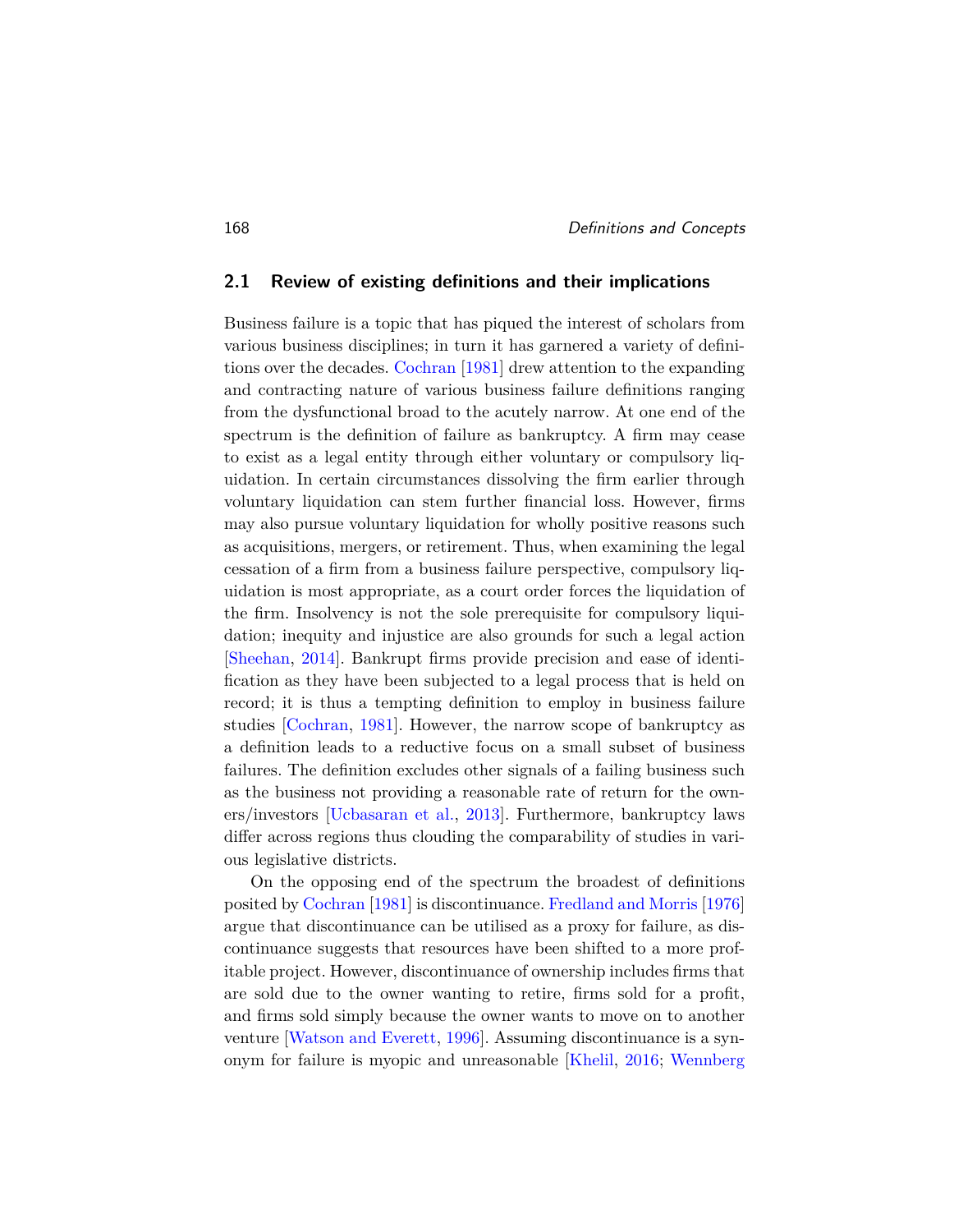## <span id="page-8-0"></span>**2.1 Review of existing definitions and their implications**

Business failure is a topic that has piqued the interest of scholars from various business disciplines; in turn it has garnered a variety of definitions over the decades. [Cochran](#page-106-1) [\[1981\]](#page-106-1) drew attention to the expanding and contracting nature of various business failure definitions ranging from the dysfunctional broad to the acutely narrow. At one end of the spectrum is the definition of failure as bankruptcy. A firm may cease to exist as a legal entity through either voluntary or compulsory liquidation. In certain circumstances dissolving the firm earlier through voluntary liquidation can stem further financial loss. However, firms may also pursue voluntary liquidation for wholly positive reasons such as acquisitions, mergers, or retirement. Thus, when examining the legal cessation of a firm from a business failure perspective, compulsory liquidation is most appropriate, as a court order forces the liquidation of the firm. Insolvency is not the sole prerequisite for compulsory liquidation; inequity and injustice are also grounds for such a legal action [\[Sheehan,](#page-119-0) [2014\]](#page-119-0). Bankrupt firms provide precision and ease of identification as they have been subjected to a legal process that is held on record; it is thus a tempting definition to employ in business failure studies [\[Cochran,](#page-106-1) [1981\]](#page-106-1). However, the narrow scope of bankruptcy as a definition leads to a reductive focus on a small subset of business failures. The definition excludes other signals of a failing business such as the business not providing a reasonable rate of return for the owners/investors [\[Ucbasaran et al.,](#page-122-1) [2013\]](#page-122-1). Furthermore, bankruptcy laws differ across regions thus clouding the comparability of studies in various legislative districts.

On the opposing end of the spectrum the broadest of definitions posited by [Cochran](#page-106-1) [\[1981\]](#page-106-1) is discontinuance. [Fredland and Morris](#page-109-1) [\[1976\]](#page-109-1) argue that discontinuance can be utilised as a proxy for failure, as discontinuance suggests that resources have been shifted to a more profitable project. However, discontinuance of ownership includes firms that are sold due to the owner wanting to retire, firms sold for a profit, and firms sold simply because the owner wants to move on to another venture [\[Watson and Everett,](#page-123-0) [1996\]](#page-123-0). Assuming discontinuance is a synonym for failure is myopic and unreasonable [\[Khelil,](#page-112-1) [2016;](#page-112-1) [Wennberg](#page-124-2)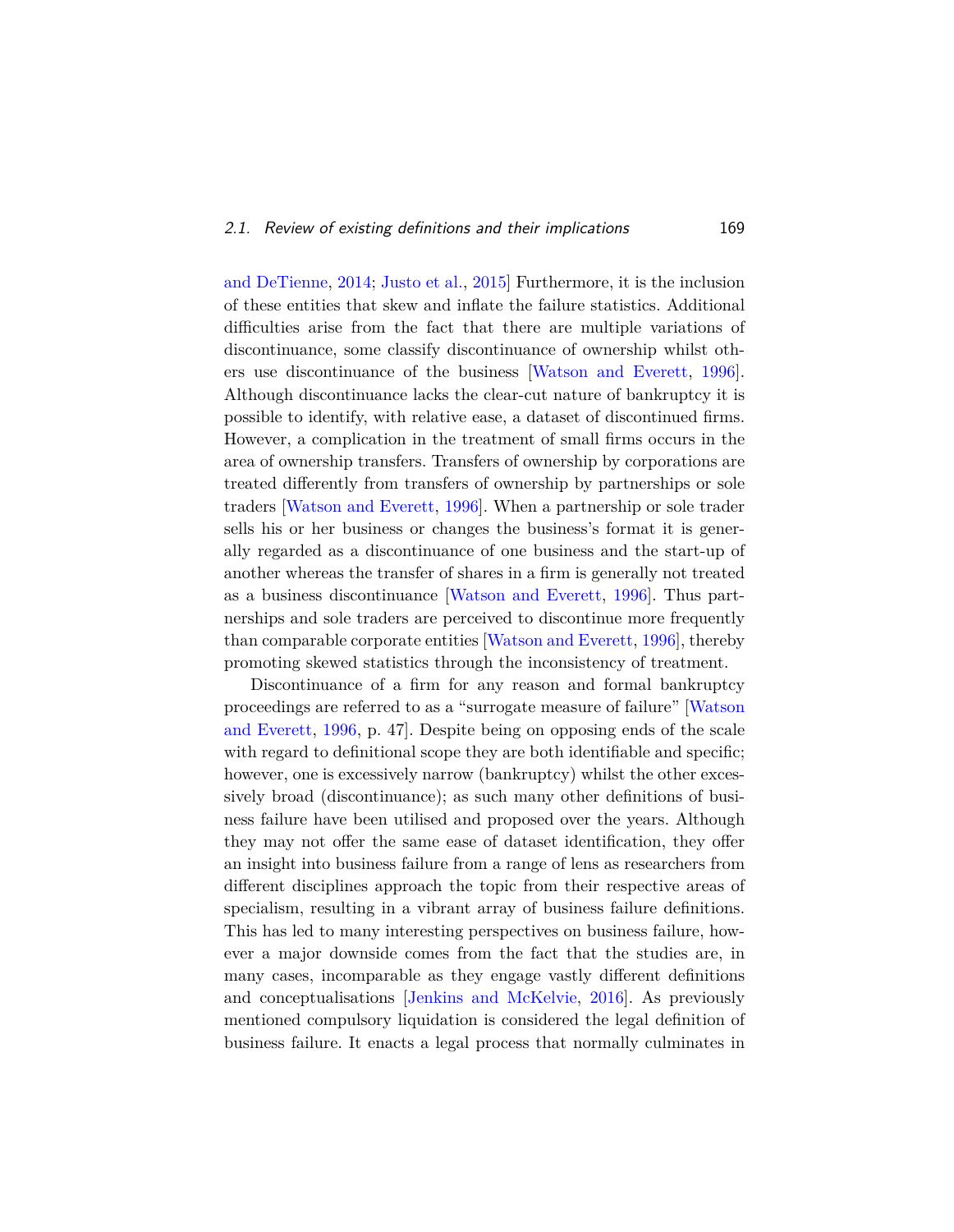[and DeTienne,](#page-124-2) [2014;](#page-124-2) [Justo et al.,](#page-112-2) [2015\]](#page-112-2) Furthermore, it is the inclusion of these entities that skew and inflate the failure statistics. Additional difficulties arise from the fact that there are multiple variations of discontinuance, some classify discontinuance of ownership whilst others use discontinuance of the business [\[Watson and Everett,](#page-123-0) [1996\]](#page-123-0). Although discontinuance lacks the clear-cut nature of bankruptcy it is possible to identify, with relative ease, a dataset of discontinued firms. However, a complication in the treatment of small firms occurs in the area of ownership transfers. Transfers of ownership by corporations are treated differently from transfers of ownership by partnerships or sole traders [\[Watson and Everett,](#page-123-0) [1996\]](#page-123-0). When a partnership or sole trader sells his or her business or changes the business's format it is generally regarded as a discontinuance of one business and the start-up of another whereas the transfer of shares in a firm is generally not treated as a business discontinuance [\[Watson and Everett,](#page-123-0) [1996\]](#page-123-0). Thus partnerships and sole traders are perceived to discontinue more frequently than comparable corporate entities [\[Watson and Everett,](#page-123-0) [1996\]](#page-123-0), thereby promoting skewed statistics through the inconsistency of treatment.

Discontinuance of a firm for any reason and formal bankruptcy proceedings are referred to as a "surrogate measure of failure" [\[Watson](#page-123-0) [and Everett,](#page-123-0) [1996,](#page-123-0) p. 47]. Despite being on opposing ends of the scale with regard to definitional scope they are both identifiable and specific; however, one is excessively narrow (bankruptcy) whilst the other excessively broad (discontinuance); as such many other definitions of business failure have been utilised and proposed over the years. Although they may not offer the same ease of dataset identification, they offer an insight into business failure from a range of lens as researchers from different disciplines approach the topic from their respective areas of specialism, resulting in a vibrant array of business failure definitions. This has led to many interesting perspectives on business failure, however a major downside comes from the fact that the studies are, in many cases, incomparable as they engage vastly different definitions and conceptualisations [\[Jenkins and McKelvie,](#page-112-3) [2016\]](#page-112-3). As previously mentioned compulsory liquidation is considered the legal definition of business failure. It enacts a legal process that normally culminates in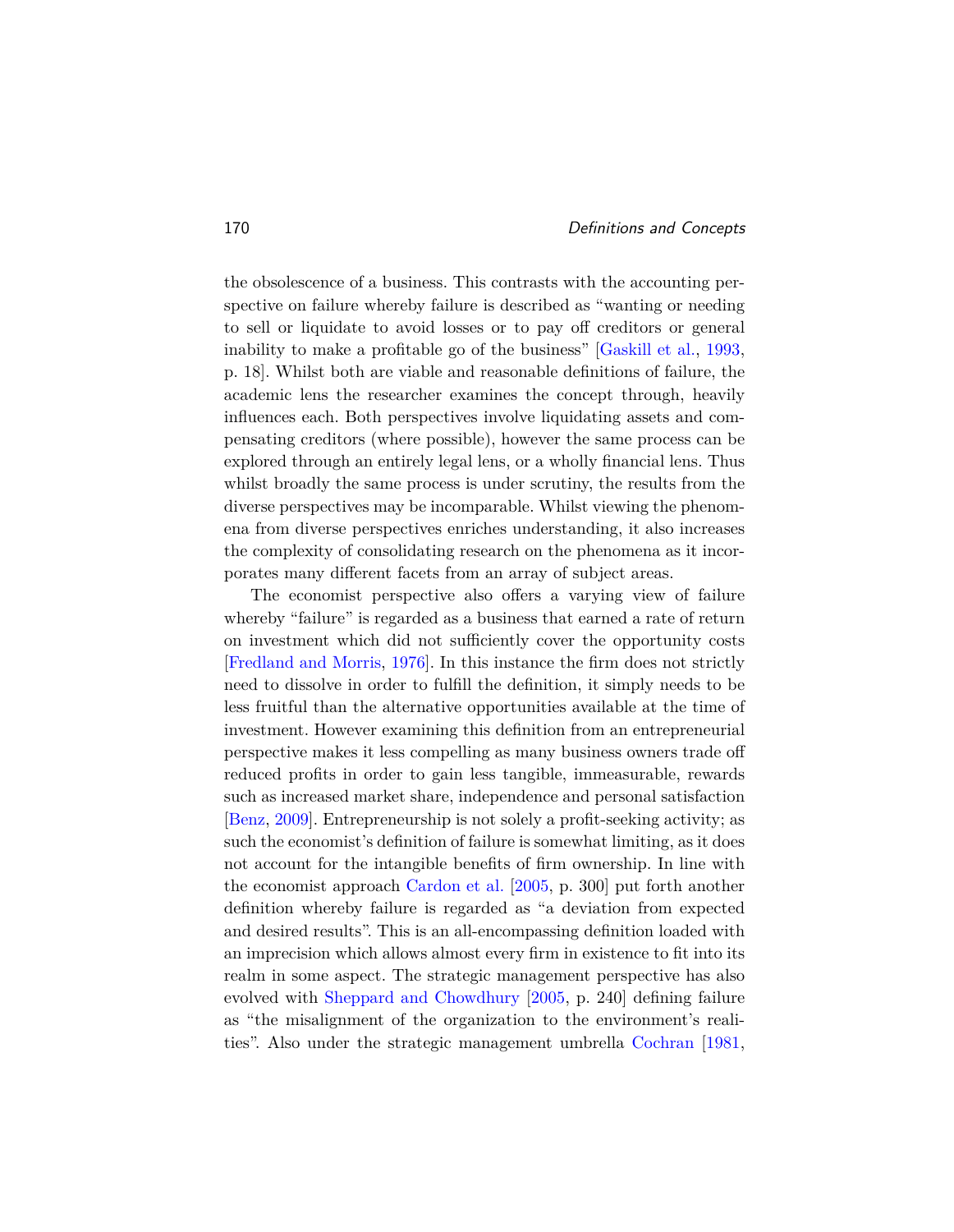the obsolescence of a business. This contrasts with the accounting perspective on failure whereby failure is described as "wanting or needing to sell or liquidate to avoid losses or to pay off creditors or general inability to make a profitable go of the business" [\[Gaskill et al.,](#page-109-2) [1993,](#page-109-2) p. 18]. Whilst both are viable and reasonable definitions of failure, the academic lens the researcher examines the concept through, heavily influences each. Both perspectives involve liquidating assets and compensating creditors (where possible), however the same process can be explored through an entirely legal lens, or a wholly financial lens. Thus whilst broadly the same process is under scrutiny, the results from the diverse perspectives may be incomparable. Whilst viewing the phenomena from diverse perspectives enriches understanding, it also increases the complexity of consolidating research on the phenomena as it incorporates many different facets from an array of subject areas.

The economist perspective also offers a varying view of failure whereby "failure" is regarded as a business that earned a rate of return on investment which did not sufficiently cover the opportunity costs [\[Fredland and Morris,](#page-109-1) [1976\]](#page-109-1). In this instance the firm does not strictly need to dissolve in order to fulfill the definition, it simply needs to be less fruitful than the alternative opportunities available at the time of investment. However examining this definition from an entrepreneurial perspective makes it less compelling as many business owners trade off reduced profits in order to gain less tangible, immeasurable, rewards such as increased market share, independence and personal satisfaction [\[Benz,](#page-103-2) [2009\]](#page-103-2). Entrepreneurship is not solely a profit-seeking activity; as such the economist's definition of failure is somewhat limiting, as it does not account for the intangible benefits of firm ownership. In line with the economist approach [Cardon et al.](#page-105-1) [\[2005,](#page-105-1) p. 300] put forth another definition whereby failure is regarded as "a deviation from expected and desired results". This is an all-encompassing definition loaded with an imprecision which allows almost every firm in existence to fit into its realm in some aspect. The strategic management perspective has also evolved with [Sheppard and Chowdhury](#page-120-2) [\[2005,](#page-120-2) p. 240] defining failure as "the misalignment of the organization to the environment's realities". Also under the strategic management umbrella [Cochran](#page-106-1) [\[1981,](#page-106-1)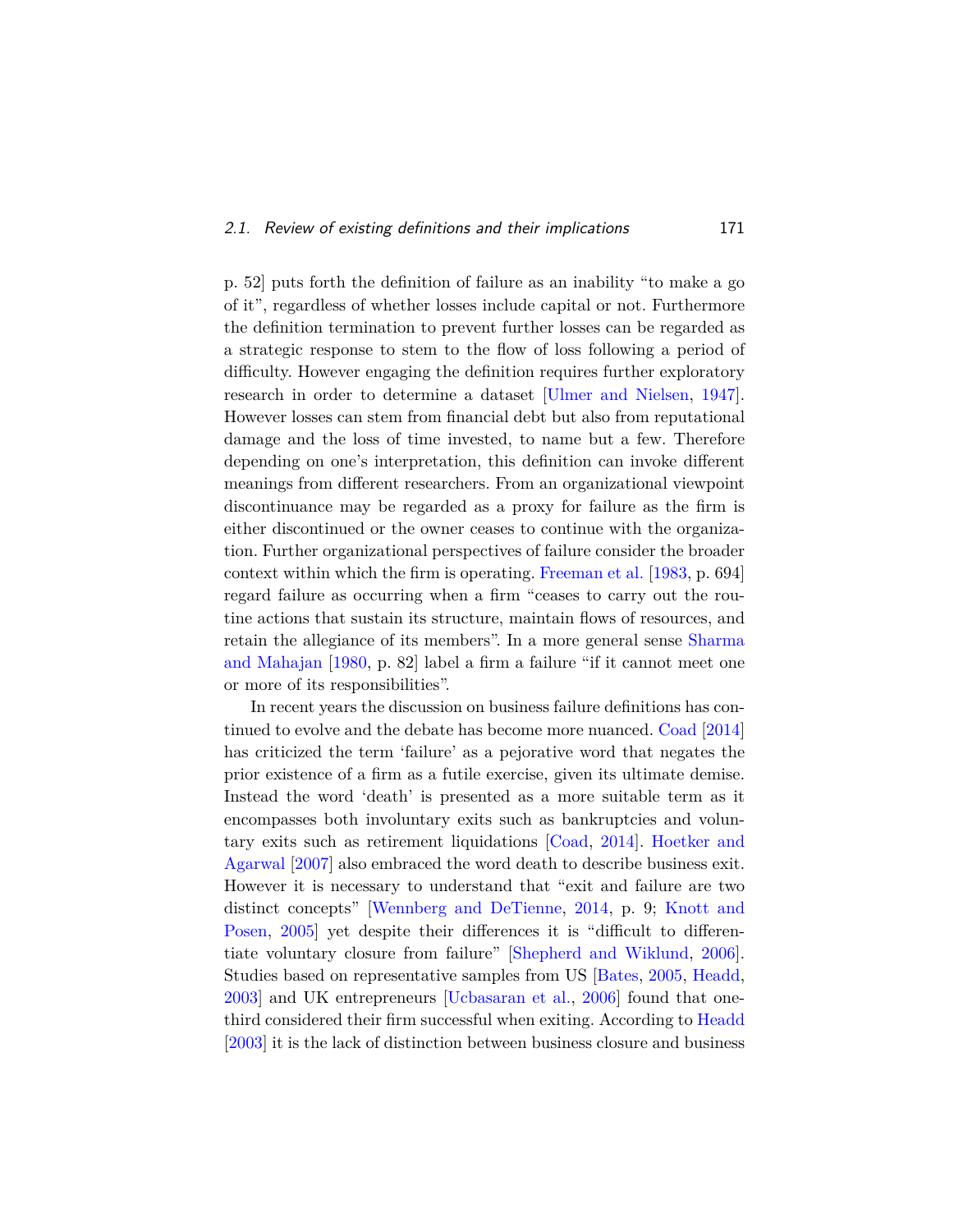p. 52] puts forth the definition of failure as an inability "to make a go of it", regardless of whether losses include capital or not. Furthermore the definition termination to prevent further losses can be regarded as a strategic response to stem to the flow of loss following a period of difficulty. However engaging the definition requires further exploratory research in order to determine a dataset [\[Ulmer and Nielsen,](#page-123-1) [1947\]](#page-123-1). However losses can stem from financial debt but also from reputational damage and the loss of time invested, to name but a few. Therefore depending on one's interpretation, this definition can invoke different meanings from different researchers. From an organizational viewpoint discontinuance may be regarded as a proxy for failure as the firm is either discontinued or the owner ceases to continue with the organization. Further organizational perspectives of failure consider the broader context within which the firm is operating. [Freeman et al.](#page-109-0) [\[1983,](#page-109-0) p. 694] regard failure as occurring when a firm "ceases to carry out the routine actions that sustain its structure, maintain flows of resources, and retain the allegiance of its members". In a more general sense [Sharma](#page-119-1) [and Mahajan](#page-119-1) [\[1980,](#page-119-1) p. 82] label a firm a failure "if it cannot meet one or more of its responsibilities".

In recent years the discussion on business failure definitions has continued to evolve and the debate has become more nuanced. [Coad](#page-106-2) [\[2014\]](#page-106-2) has criticized the term 'failure' as a pejorative word that negates the prior existence of a firm as a futile exercise, given its ultimate demise. Instead the word 'death' is presented as a more suitable term as it encompasses both involuntary exits such as bankruptcies and voluntary exits such as retirement liquidations [\[Coad,](#page-106-2) [2014\]](#page-106-2). [Hoetker and](#page-111-2) [Agarwal](#page-111-2) [\[2007\]](#page-111-2) also embraced the word death to describe business exit. However it is necessary to understand that "exit and failure are two distinct concepts" [\[Wennberg and DeTienne,](#page-124-2) [2014,](#page-124-2) p. 9; [Knott and](#page-113-0) [Posen,](#page-113-0) [2005\]](#page-113-0) yet despite their differences it is "difficult to differentiate voluntary closure from failure" [\[Shepherd and Wiklund,](#page-120-3) [2006\]](#page-120-3). Studies based on representative samples from US [\[Bates,](#page-103-1) [2005,](#page-103-1) [Headd,](#page-111-3) [2003\]](#page-111-3) and UK entrepreneurs [\[Ucbasaran et al.,](#page-122-2) [2006\]](#page-122-2) found that onethird considered their firm successful when exiting. According to [Headd](#page-111-3) [\[2003\]](#page-111-3) it is the lack of distinction between business closure and business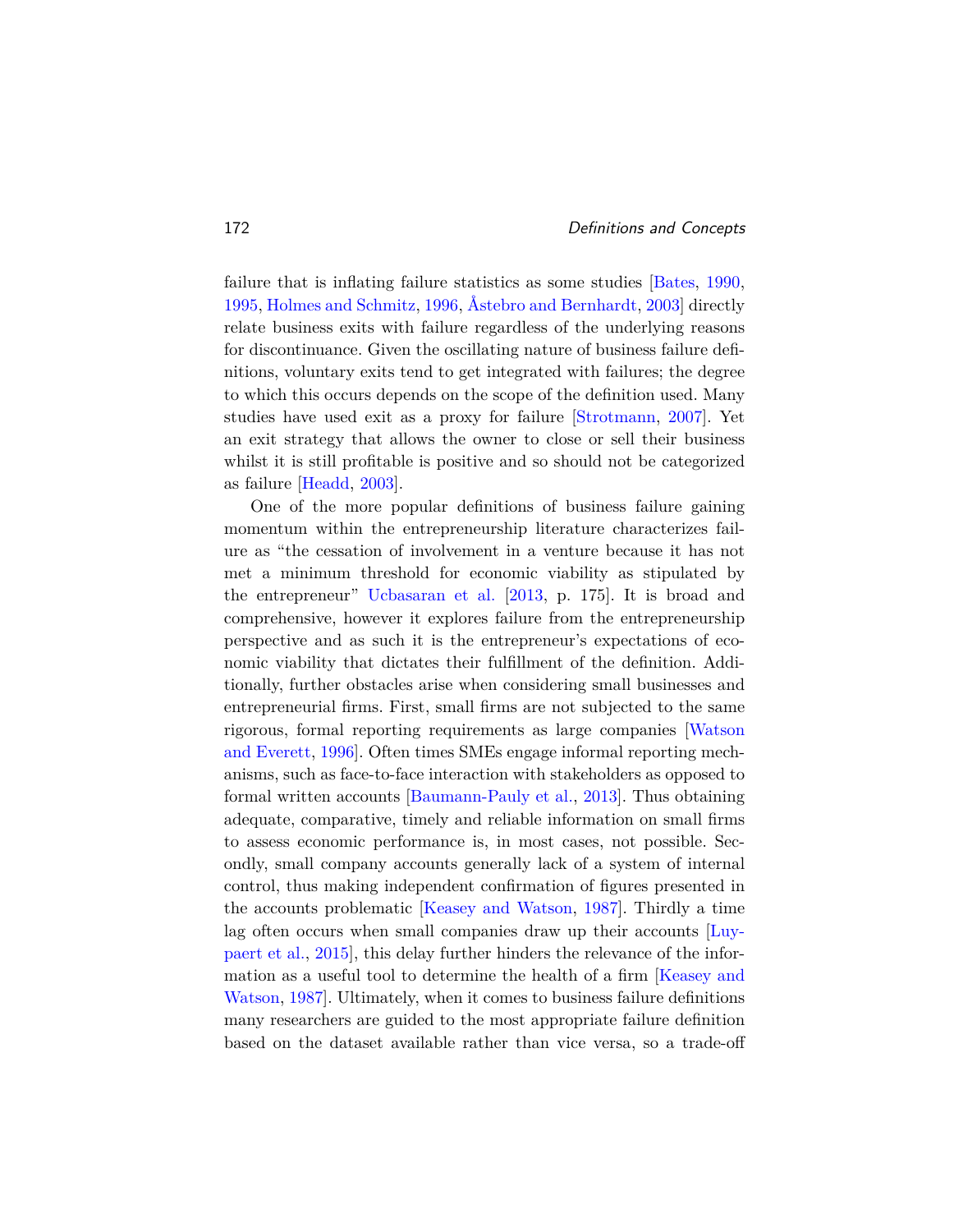failure that is inflating failure statistics as some studies [\[Bates,](#page-102-0) [1990,](#page-102-0) [1995,](#page-102-1) [Holmes and Schmitz,](#page-111-4) [1996,](#page-111-4) [Åstebro and Bernhardt,](#page-100-1) [2003\]](#page-100-1) directly relate business exits with failure regardless of the underlying reasons for discontinuance. Given the oscillating nature of business failure definitions, voluntary exits tend to get integrated with failures; the degree to which this occurs depends on the scope of the definition used. Many studies have used exit as a proxy for failure [\[Strotmann,](#page-121-0) [2007\]](#page-121-0). Yet an exit strategy that allows the owner to close or sell their business whilst it is still profitable is positive and so should not be categorized as failure [\[Headd,](#page-111-3) [2003\]](#page-111-3).

One of the more popular definitions of business failure gaining momentum within the entrepreneurship literature characterizes failure as "the cessation of involvement in a venture because it has not met a minimum threshold for economic viability as stipulated by the entrepreneur" [Ucbasaran et al.](#page-122-1) [\[2013,](#page-122-1) p. 175]. It is broad and comprehensive, however it explores failure from the entrepreneurship perspective and as such it is the entrepreneur's expectations of economic viability that dictates their fulfillment of the definition. Additionally, further obstacles arise when considering small businesses and entrepreneurial firms. First, small firms are not subjected to the same rigorous, formal reporting requirements as large companies [\[Watson](#page-123-0) [and Everett,](#page-123-0) [1996\]](#page-123-0). Often times SMEs engage informal reporting mechanisms, such as face-to-face interaction with stakeholders as opposed to formal written accounts [\[Baumann-Pauly et al.,](#page-103-3) [2013\]](#page-103-3). Thus obtaining adequate, comparative, timely and reliable information on small firms to assess economic performance is, in most cases, not possible. Secondly, small company accounts generally lack of a system of internal control, thus making independent confirmation of figures presented in the accounts problematic [\[Keasey and Watson,](#page-112-4) [1987\]](#page-112-4). Thirdly a time lag often occurs when small companies draw up their accounts [\[Luy](#page-114-1)[paert et al.,](#page-114-1) [2015\]](#page-114-1), this delay further hinders the relevance of the information as a useful tool to determine the health of a firm [\[Keasey and](#page-112-4) [Watson,](#page-112-4) [1987\]](#page-112-4). Ultimately, when it comes to business failure definitions many researchers are guided to the most appropriate failure definition based on the dataset available rather than vice versa, so a trade-off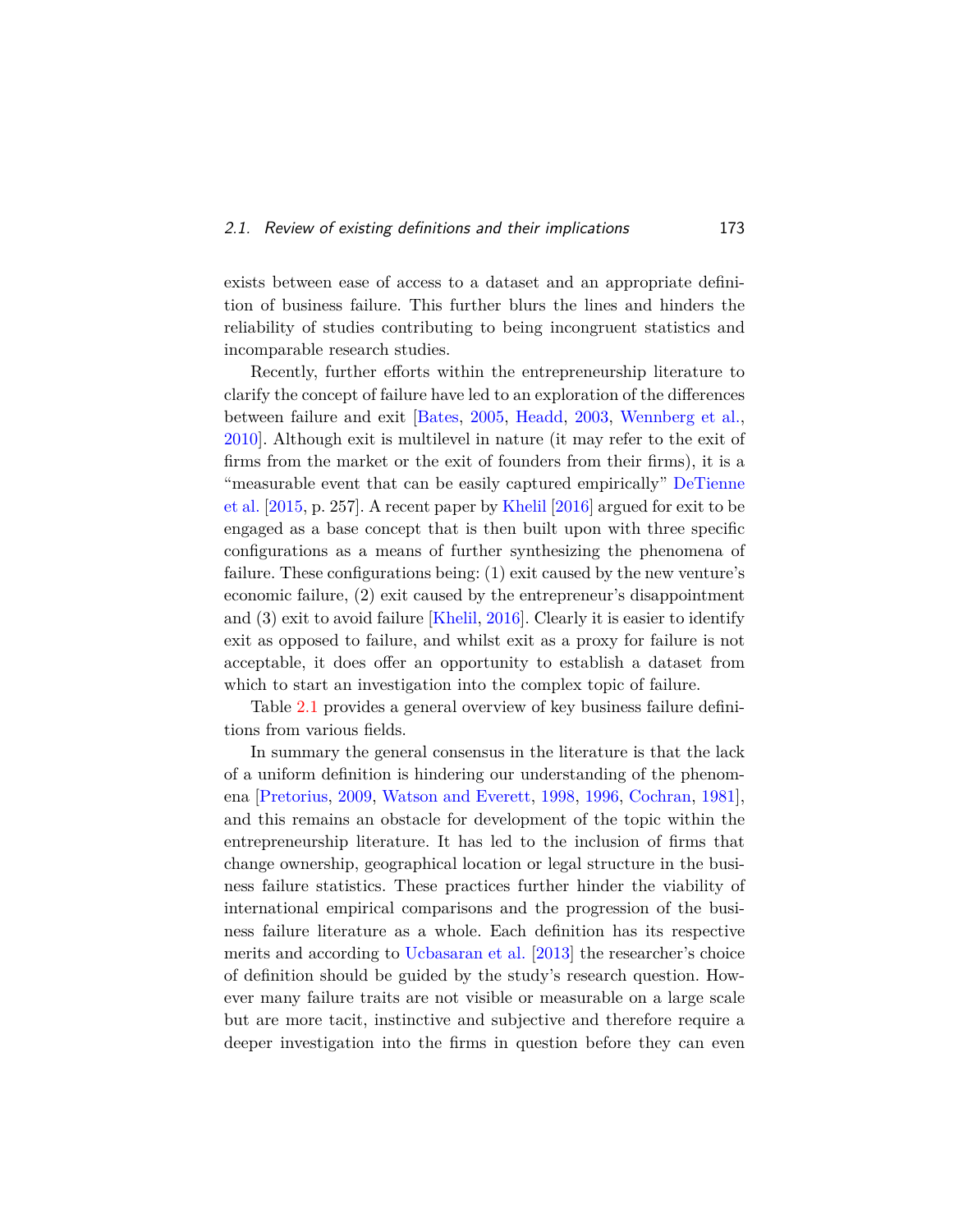exists between ease of access to a dataset and an appropriate definition of business failure. This further blurs the lines and hinders the reliability of studies contributing to being incongruent statistics and incomparable research studies.

Recently, further efforts within the entrepreneurship literature to clarify the concept of failure have led to an exploration of the differences between failure and exit [\[Bates,](#page-103-1) [2005,](#page-103-1) [Headd,](#page-111-3) [2003,](#page-111-3) [Wennberg et al.,](#page-124-0) [2010\]](#page-124-0). Although exit is multilevel in nature (it may refer to the exit of firms from the market or the exit of founders from their firms), it is a "measurable event that can be easily captured empirically" [DeTienne](#page-107-0) [et al.](#page-107-0) [\[2015,](#page-107-0) p. 257]. A recent paper by [Khelil](#page-112-1) [\[2016\]](#page-112-1) argued for exit to be engaged as a base concept that is then built upon with three specific configurations as a means of further synthesizing the phenomena of failure. These configurations being: (1) exit caused by the new venture's economic failure, (2) exit caused by the entrepreneur's disappointment and (3) exit to avoid failure [\[Khelil,](#page-112-1) [2016\]](#page-112-1). Clearly it is easier to identify exit as opposed to failure, and whilst exit as a proxy for failure is not acceptable, it does offer an opportunity to establish a dataset from which to start an investigation into the complex topic of failure.

Table [2.1](#page-14-0) provides a general overview of key business failure definitions from various fields.

In summary the general consensus in the literature is that the lack of a uniform definition is hindering our understanding of the phenomena [\[Pretorius,](#page-117-0) [2009,](#page-117-0) [Watson and Everett,](#page-123-2) [1998,](#page-123-2) [1996,](#page-123-0) [Cochran,](#page-106-1) [1981\]](#page-106-1), and this remains an obstacle for development of the topic within the entrepreneurship literature. It has led to the inclusion of firms that change ownership, geographical location or legal structure in the business failure statistics. These practices further hinder the viability of international empirical comparisons and the progression of the business failure literature as a whole. Each definition has its respective merits and according to [Ucbasaran et al.](#page-122-1) [\[2013\]](#page-122-1) the researcher's choice of definition should be guided by the study's research question. However many failure traits are not visible or measurable on a large scale but are more tacit, instinctive and subjective and therefore require a deeper investigation into the firms in question before they can even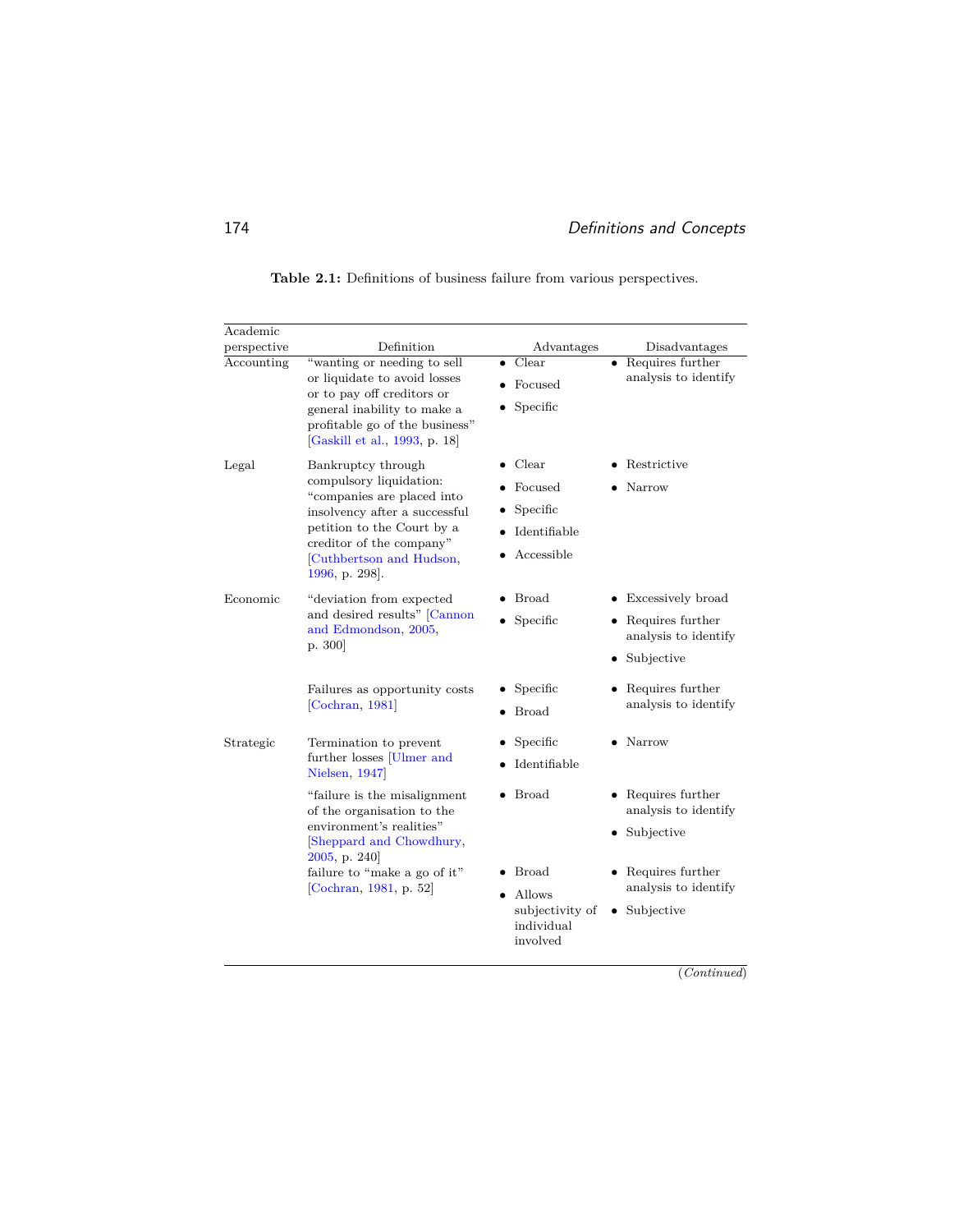| Academic<br>perspective | Definition                                                                                                                                                                                                         | Advantages                                                          | Disadvantages                                                                                     |
|-------------------------|--------------------------------------------------------------------------------------------------------------------------------------------------------------------------------------------------------------------|---------------------------------------------------------------------|---------------------------------------------------------------------------------------------------|
| Accounting              | "wanting or needing to sell                                                                                                                                                                                        | Clear                                                               | Requires further                                                                                  |
|                         | or liquidate to avoid losses<br>or to pay off creditors or<br>general inability to make a<br>profitable go of the business"<br>Gaskill et al., 1993, p. 18                                                         | Focused<br>$\bullet$ Specific                                       | analysis to identify                                                                              |
| Legal                   | Bankruptcy through<br>compulsory liquidation:<br>"companies are placed into<br>insolvency after a successful<br>petition to the Court by a<br>creditor of the company"<br>Cuthbertson and Hudson,<br>1996, p. 298. | Clear<br>Focused<br>Specific<br>Identifiable<br>Accessible          | $\bullet$ Restrictive<br>Narrow                                                                   |
| Economic                | "deviation from expected<br>and desired results" Cannon<br>and Edmondson, 2005,<br>p. 300                                                                                                                          | Broad<br>Specific                                                   | • Excessively broad<br>$\bullet$ Requires further<br>analysis to identify<br>$\bullet$ Subjective |
|                         | Failures as opportunity costs<br>[Cochran, 1981]                                                                                                                                                                   | $\bullet$ Specific<br>Broad                                         | $\bullet$ Requires further<br>analysis to identify                                                |
| Strategic               | Termination to prevent<br>further losses [Ulmer and<br>Nielsen, 1947                                                                                                                                               | Specific<br>Identifiable                                            | $\bullet$ Narrow                                                                                  |
|                         | "failure is the misalignment"<br>of the organisation to the<br>environment's realities"<br>Sheppard and Chowdhury,<br>$2005$ , p. $240$                                                                            | $\bullet$ Broad                                                     | $\bullet$ Requires further<br>analysis to identify<br>$\bullet$ Subjective                        |
|                         | failure to "make a go of it"<br>[Cochran, 1981, p. 52]                                                                                                                                                             | <b>Broad</b><br>Allows<br>subjectivity of<br>individual<br>involved | $\bullet$ Requires further<br>analysis to identify<br>$\bullet$ Subjective                        |

<span id="page-14-0"></span>**Table 2.1:** Definitions of business failure from various perspectives.

(*Continued*)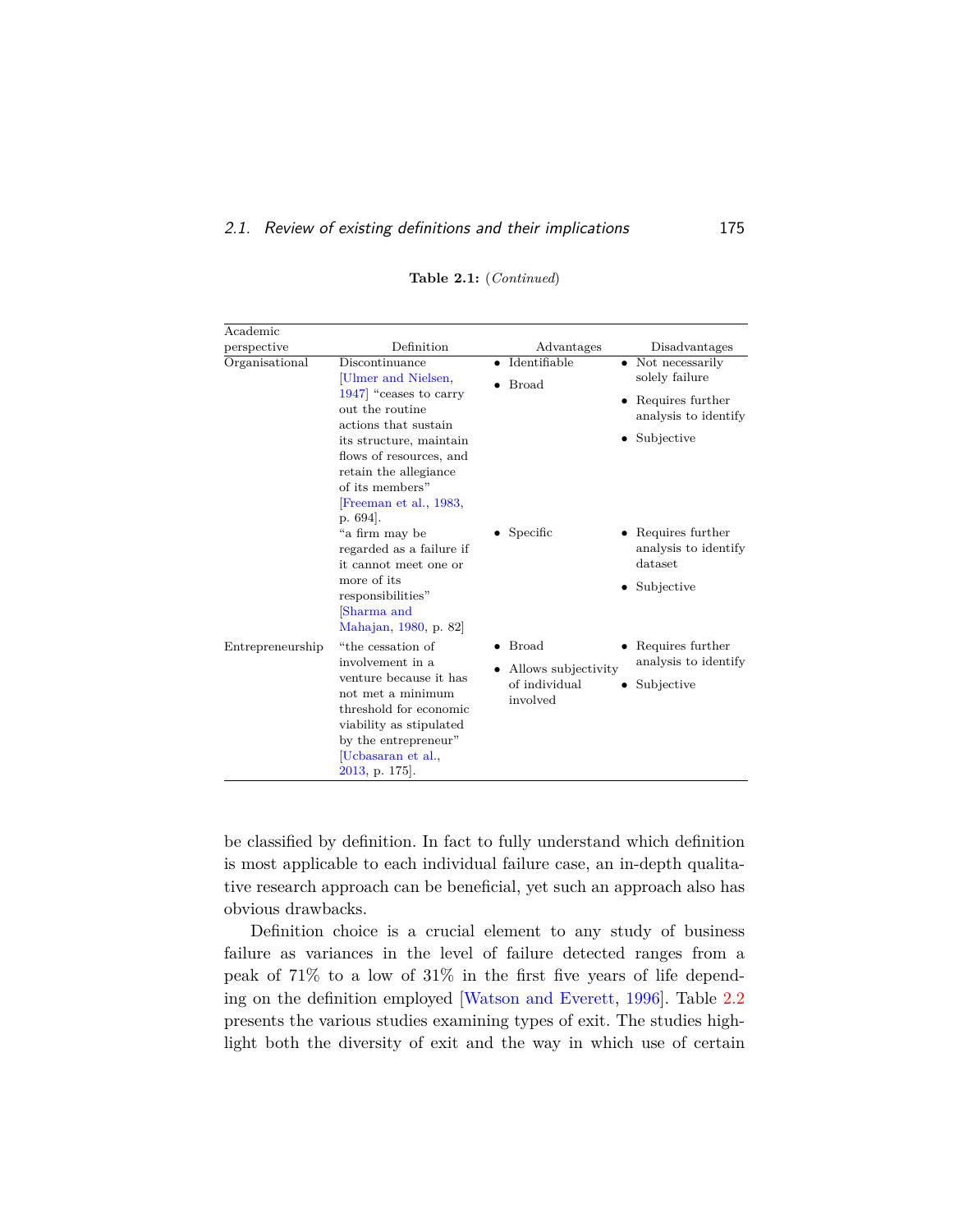| Academic         |                                                                                                                                                                                                           |                                                                  |                                                                   |
|------------------|-----------------------------------------------------------------------------------------------------------------------------------------------------------------------------------------------------------|------------------------------------------------------------------|-------------------------------------------------------------------|
| perspective      | Definition                                                                                                                                                                                                | Advantages                                                       | Disadvantages                                                     |
| Organisational   | Discontinuance<br>Ulmer and Nielsen,                                                                                                                                                                      | Identifiable<br>٠<br>Broad                                       | • Not necessarily<br>solely failure                               |
|                  | 1947 "ceases to carry"<br>out the routine                                                                                                                                                                 |                                                                  | • Requires further<br>analysis to identify                        |
|                  | actions that sustain<br>its structure, maintain<br>flows of resources, and<br>retain the allegiance<br>of its members"<br>Freeman et al., 1983,<br>p. 694.                                                |                                                                  | Subjective<br>$\bullet$                                           |
|                  | "a firm may be<br>regarded as a failure if<br>it cannot meet one or<br>more of its<br>responsibilities"<br>Sharma and<br>Mahajan, 1980, p. 82                                                             | Specific                                                         | Requires further<br>analysis to identify<br>dataset<br>Subjective |
| Entrepreneurship | "the cessation of<br>involvement in a<br>venture because it has<br>not met a minimum<br>threshold for economic<br>viability as stipulated<br>by the entrepreneur"<br>Ucbasaran et al.<br>$2013$ , p. 175. | <b>Broad</b><br>Allows subjectivity<br>of individual<br>involved | Requires further<br>analysis to identify<br>Subjective            |

#### **Table 2.1:** (*Continued*)

be classified by definition. In fact to fully understand which definition is most applicable to each individual failure case, an in-depth qualitative research approach can be beneficial, yet such an approach also has obvious drawbacks.

Definition choice is a crucial element to any study of business failure as variances in the level of failure detected ranges from a peak of 71% to a low of 31% in the first five years of life depending on the definition employed [\[Watson and Everett,](#page-123-0) [1996\]](#page-123-0). Table [2.2](#page-16-0) presents the various studies examining types of exit. The studies highlight both the diversity of exit and the way in which use of certain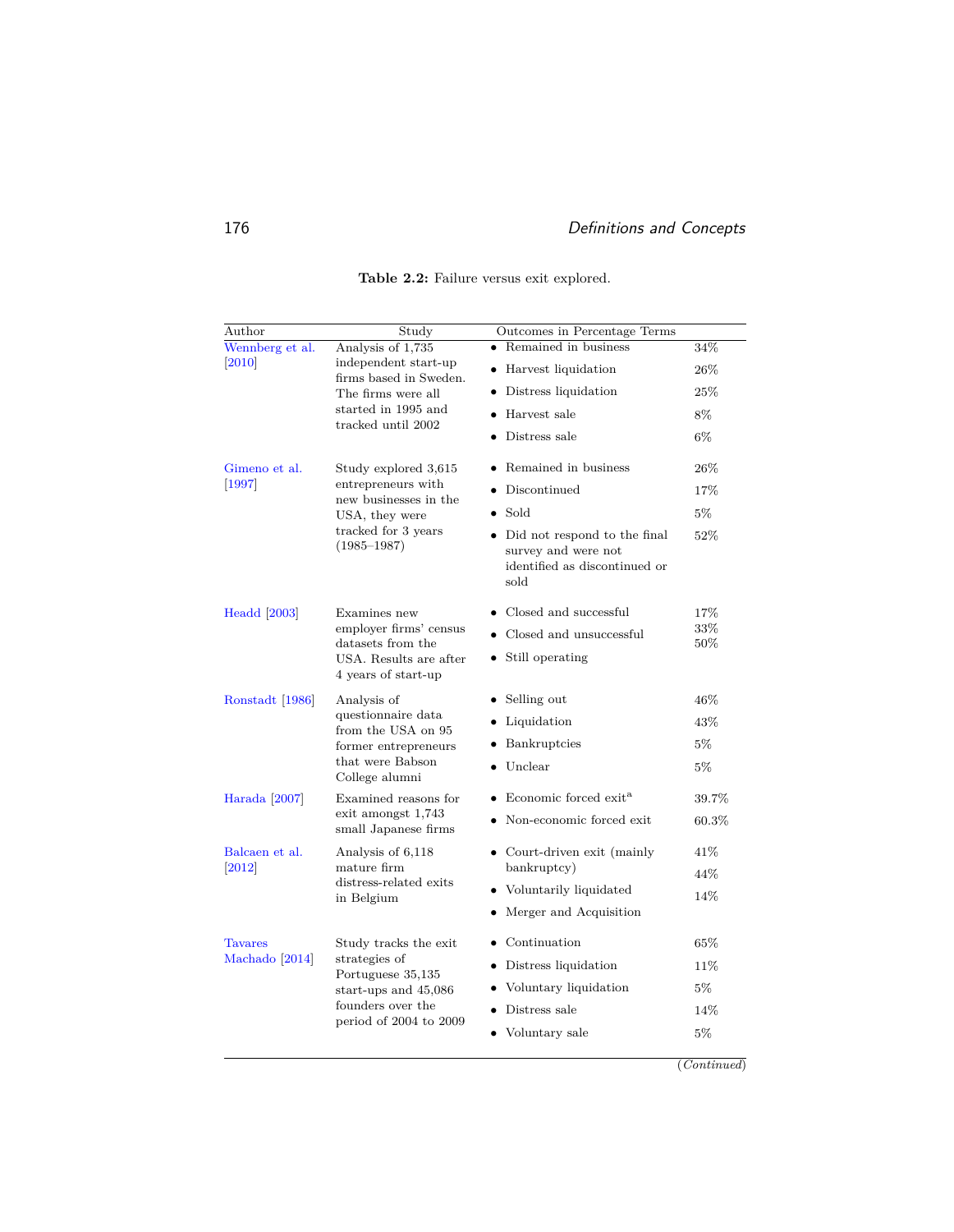<span id="page-16-0"></span>

| Author                   | Study                                                              | Outcomes in Percentage Terms                                                                   |        |
|--------------------------|--------------------------------------------------------------------|------------------------------------------------------------------------------------------------|--------|
| Wennberg et al.          | Analysis of 1,735                                                  | • Remained in business                                                                         | $34\%$ |
| 2010                     | independent start-up<br>firms based in Sweden.                     | • Harvest liquidation                                                                          | $26\%$ |
|                          | The firms were all                                                 | • Distress liquidation                                                                         | 25%    |
|                          | started in 1995 and<br>tracked until 2002                          | Harvest sale                                                                                   | 8%     |
|                          |                                                                    | $\bullet$ Distress sale                                                                        | 6%     |
| Gimeno et al.            | Study explored 3,615                                               | Remained in business                                                                           | $26\%$ |
| 1997                     | entrepreneurs with<br>new businesses in the                        | • Discontinued                                                                                 | 17%    |
|                          | USA, they were                                                     | $\bullet$ Sold                                                                                 | $5\%$  |
|                          | tracked for 3 years<br>$(1985 - 1987)$                             | • Did not respond to the final<br>survey and were not<br>identified as discontinued or<br>sold | 52%    |
| <b>Headd</b> [2003]      | Examines new                                                       | • Closed and successful                                                                        | 17%    |
|                          | employer firms' census                                             | • Closed and unsuccessful                                                                      | 33%    |
|                          | datasets from the<br>USA. Results are after<br>4 years of start-up | • Still operating                                                                              | $50\%$ |
| Ronstadt [1986]          | Analysis of                                                        | Selling out                                                                                    | $46\%$ |
|                          | questionnaire data<br>from the USA on 95                           | Liquidation                                                                                    | 43\%   |
|                          | former entrepreneurs                                               | Bankruptcies                                                                                   | $5\%$  |
|                          | that were Babson<br>College alumni                                 | $\bullet$ Unclear                                                                              | $5\%$  |
| Harada <sup>[2007]</sup> | Examined reasons for                                               | $\bullet$ Economic forced exit <sup>a</sup>                                                    | 39.7%  |
|                          | exit amongst 1,743<br>small Japanese firms                         | • Non-economic forced exit                                                                     | 60.3%  |
| Balcaen et al.           | Analysis of 6,118                                                  | • Court-driven exit (mainly                                                                    | 41\%   |
| 2012                     | mature firm<br>distress-related exits                              | bankruptcy)                                                                                    | 44%    |
|                          | in Belgium                                                         | Voluntarily liquidated                                                                         | 14%    |
|                          |                                                                    | • Merger and Acquisition                                                                       |        |
| <b>Tavares</b>           | Study tracks the exit                                              | $\bullet$ Continuation                                                                         | 65%    |
| Machado 2014             | strategies of                                                      | Distress liquidation                                                                           | 11\%   |
|                          | Portuguese 35,135<br>start-ups and 45,086                          | Voluntary liquidation                                                                          | $5\%$  |
|                          | founders over the                                                  | Distress sale                                                                                  | 14%    |
|                          | period of 2004 to 2009                                             | • Voluntary sale                                                                               | $5\%$  |

Table 2.2: Failure versus exit explored.

(*Continued*)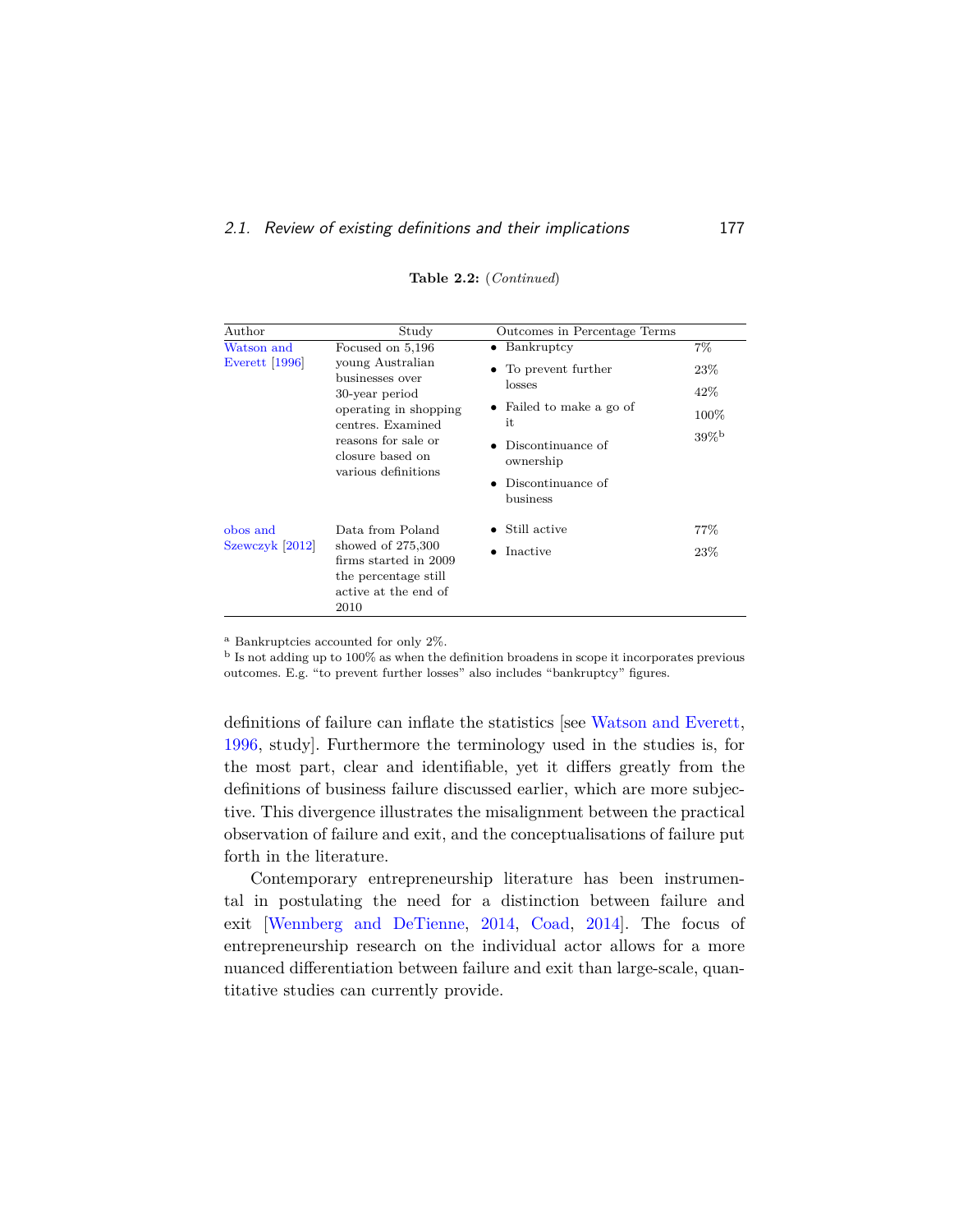| Author                      | Study                                                                                                                                                                 | Outcomes in Percentage Terms                                                                                                      |                                               |
|-----------------------------|-----------------------------------------------------------------------------------------------------------------------------------------------------------------------|-----------------------------------------------------------------------------------------------------------------------------------|-----------------------------------------------|
| Watson and                  | Focused on 5,196                                                                                                                                                      | $\bullet$ Bankruptcy                                                                                                              | 7%                                            |
| Everett $[1996]$            | young Australian<br>businesses over<br>30-year period<br>operating in shopping<br>centres. Examined<br>reasons for sale or<br>closure based on<br>various definitions | • To prevent further<br>losses<br>Failed to make a go of<br>it<br>Discontinuance of<br>ownership<br>Discontinuance of<br>business | 23\%<br>42%<br>$100\%$<br>$39\%$ <sup>b</sup> |
| obos and<br>Szewczyk [2012] | Data from Poland<br>showed of $275,300$<br>firms started in 2009<br>the percentage still<br>active at the end of<br>2010                                              | Still active<br>Inactive                                                                                                          | 77%<br>23\%                                   |

#### **Table 2.2:** (*Continued*)

<sup>a</sup> Bankruptcies accounted for only 2%.

<sup>b</sup> Is not adding up to 100% as when the definition broadens in scope it incorporates previous outcomes. E.g. "to prevent further losses" also includes "bankruptcy" figures.

definitions of failure can inflate the statistics [see [Watson and Everett,](#page-123-0) [1996,](#page-123-0) study]. Furthermore the terminology used in the studies is, for the most part, clear and identifiable, yet it differs greatly from the definitions of business failure discussed earlier, which are more subjective. This divergence illustrates the misalignment between the practical observation of failure and exit, and the conceptualisations of failure put forth in the literature.

Contemporary entrepreneurship literature has been instrumental in postulating the need for a distinction between failure and exit [\[Wennberg and DeTienne,](#page-124-2) [2014,](#page-124-2) [Coad,](#page-106-2) [2014\]](#page-106-2). The focus of entrepreneurship research on the individual actor allows for a more nuanced differentiation between failure and exit than large-scale, quantitative studies can currently provide.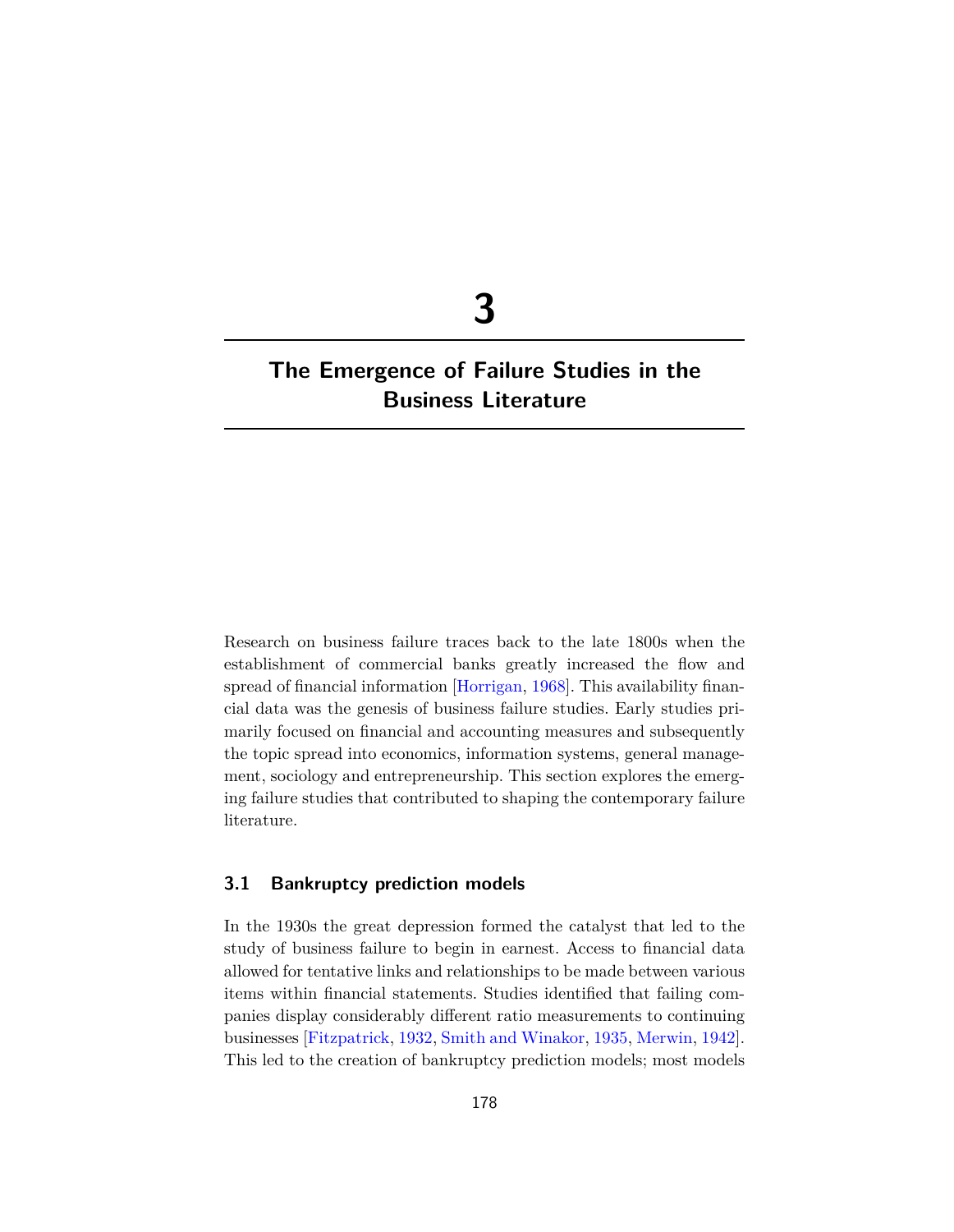# **3**

## <span id="page-18-0"></span>**The Emergence of Failure Studies in the Business Literature**

Research on business failure traces back to the late 1800s when the establishment of commercial banks greatly increased the flow and spread of financial information [\[Horrigan,](#page-111-0) [1968\]](#page-111-0). This availability financial data was the genesis of business failure studies. Early studies primarily focused on financial and accounting measures and subsequently the topic spread into economics, information systems, general management, sociology and entrepreneurship. This section explores the emerging failure studies that contributed to shaping the contemporary failure literature.

## <span id="page-18-1"></span>**3.1 Bankruptcy prediction models**

In the 1930s the great depression formed the catalyst that led to the study of business failure to begin in earnest. Access to financial data allowed for tentative links and relationships to be made between various items within financial statements. Studies identified that failing companies display considerably different ratio measurements to continuing businesses [\[Fitzpatrick,](#page-108-2) [1932,](#page-108-2) [Smith and Winakor,](#page-121-2) [1935,](#page-121-2) [Merwin,](#page-115-0) [1942\]](#page-115-0). This led to the creation of bankruptcy prediction models; most models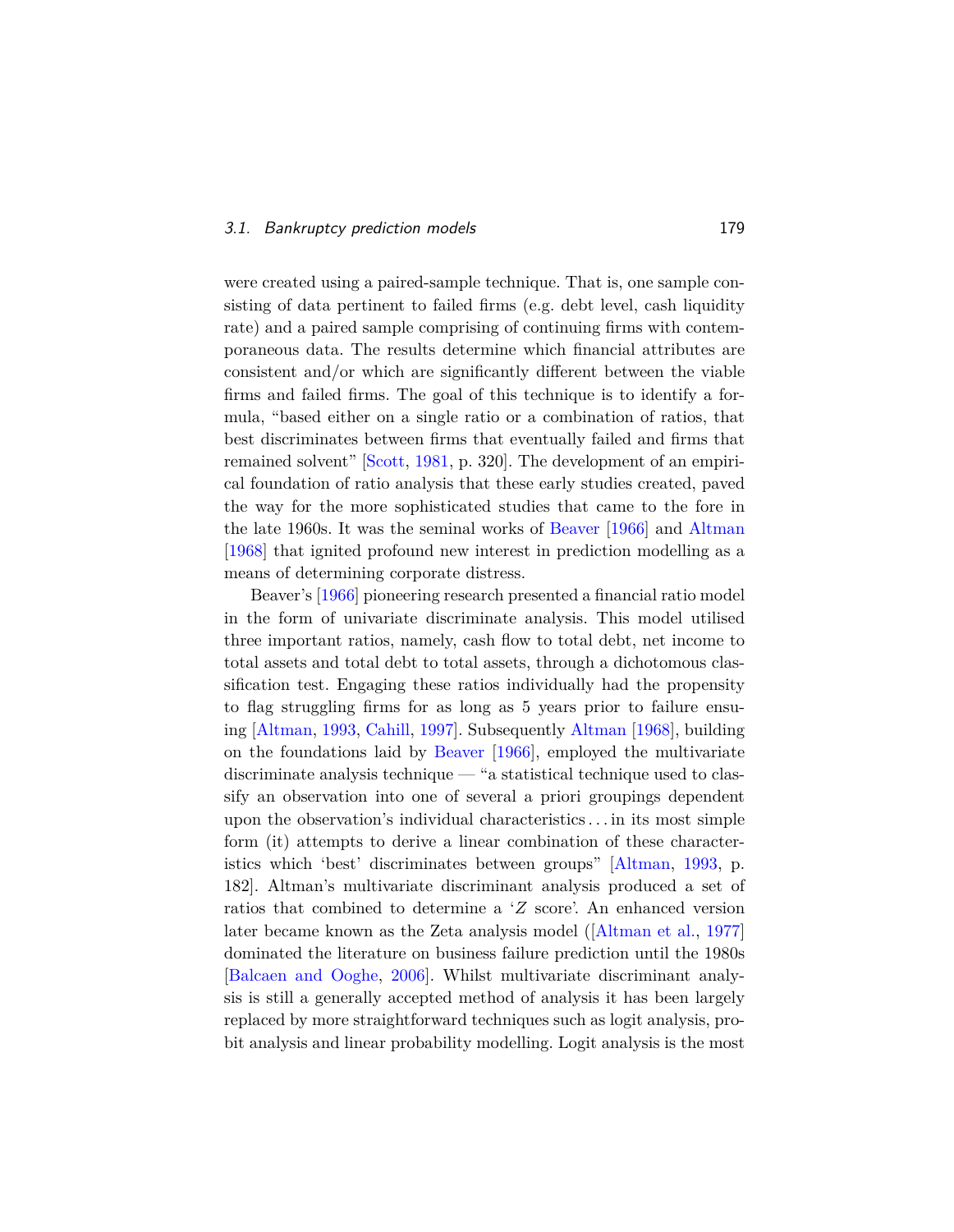### 3.1. Bankruptcy prediction models 179

were created using a paired-sample technique. That is, one sample consisting of data pertinent to failed firms (e.g. debt level, cash liquidity rate) and a paired sample comprising of continuing firms with contemporaneous data. The results determine which financial attributes are consistent and/or which are significantly different between the viable firms and failed firms. The goal of this technique is to identify a formula, "based either on a single ratio or a combination of ratios, that best discriminates between firms that eventually failed and firms that remained solvent" [\[Scott,](#page-119-2) [1981,](#page-119-2) p. 320]. The development of an empirical foundation of ratio analysis that these early studies created, paved the way for the more sophisticated studies that came to the fore in the late 1960s. It was the seminal works of [Beaver](#page-103-0) [\[1966\]](#page-103-0) and [Altman](#page-101-0) [\[1968\]](#page-101-0) that ignited profound new interest in prediction modelling as a means of determining corporate distress.

Beaver's [\[1966\]](#page-103-0) pioneering research presented a financial ratio model in the form of univariate discriminate analysis. This model utilised three important ratios, namely, cash flow to total debt, net income to total assets and total debt to total assets, through a dichotomous classification test. Engaging these ratios individually had the propensity to flag struggling firms for as long as 5 years prior to failure ensuing [\[Altman,](#page-101-1) [1993,](#page-101-1) [Cahill,](#page-104-2) [1997\]](#page-104-2). Subsequently [Altman](#page-101-0) [\[1968\]](#page-101-0), building on the foundations laid by [Beaver](#page-103-0) [\[1966\]](#page-103-0), employed the multivariate discriminate analysis technique — "a statistical technique used to classify an observation into one of several a priori groupings dependent upon the observation's individual characteristics*. . .* in its most simple form (it) attempts to derive a linear combination of these characteristics which 'best' discriminates between groups" [\[Altman,](#page-101-1) [1993,](#page-101-1) p. 182]. Altman's multivariate discriminant analysis produced a set of ratios that combined to determine a '*Z* score'. An enhanced version later became known as the Zeta analysis model ([\[Altman et al.,](#page-101-2) [1977\]](#page-101-2) dominated the literature on business failure prediction until the 1980s [\[Balcaen and Ooghe,](#page-102-3) [2006\]](#page-102-3). Whilst multivariate discriminant analysis is still a generally accepted method of analysis it has been largely replaced by more straightforward techniques such as logit analysis, probit analysis and linear probability modelling. Logit analysis is the most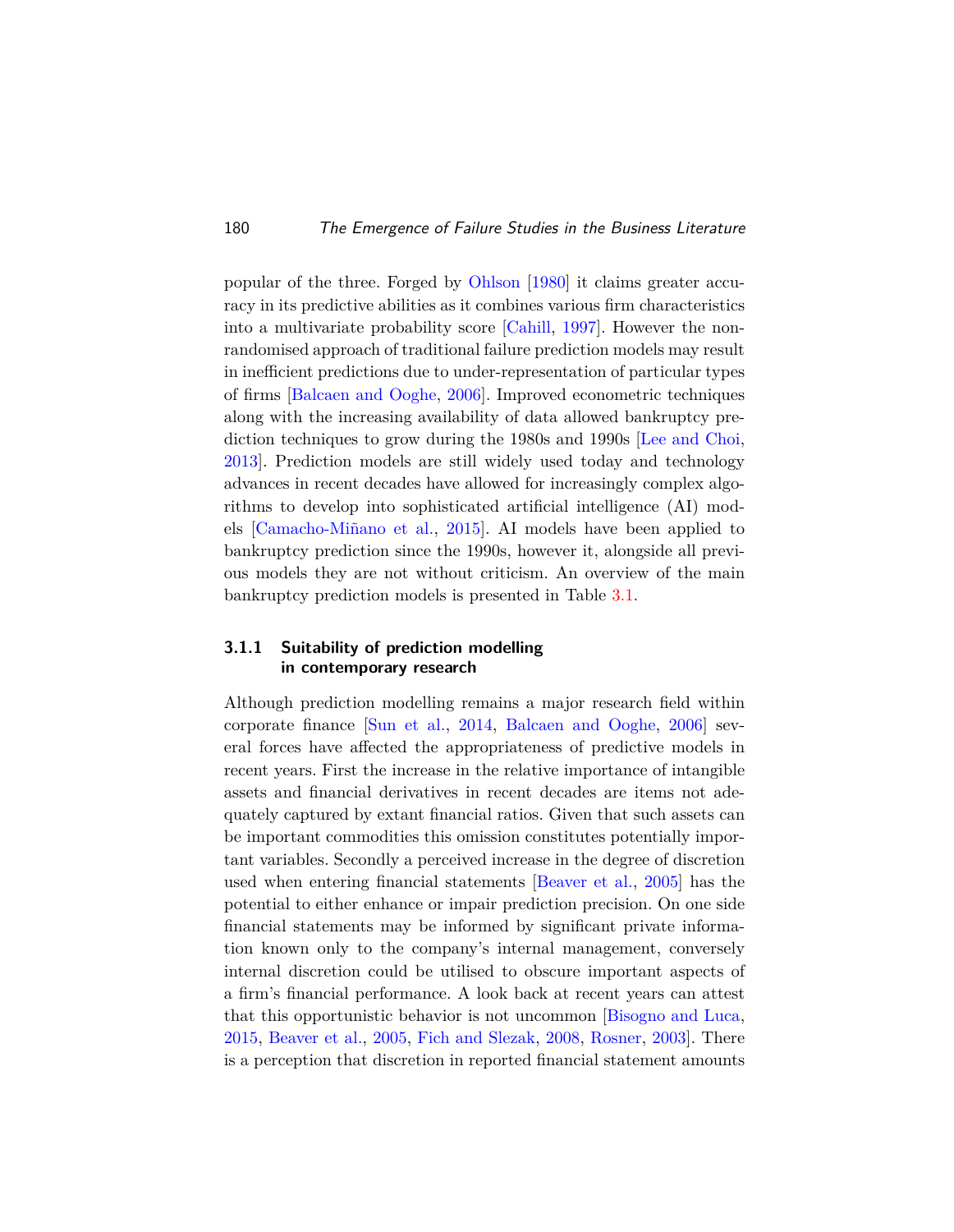popular of the three. Forged by [Ohlson](#page-116-2) [\[1980\]](#page-116-2) it claims greater accuracy in its predictive abilities as it combines various firm characteristics into a multivariate probability score [\[Cahill,](#page-104-2) [1997\]](#page-104-2). However the nonrandomised approach of traditional failure prediction models may result in inefficient predictions due to under-representation of particular types of firms [\[Balcaen and Ooghe,](#page-102-3) [2006\]](#page-102-3). Improved econometric techniques along with the increasing availability of data allowed bankruptcy prediction techniques to grow during the 1980s and 1990s [\[Lee and Choi,](#page-113-1) [2013\]](#page-113-1). Prediction models are still widely used today and technology advances in recent decades have allowed for increasingly complex algorithms to develop into sophisticated artificial intelligence (AI) models [\[Camacho-Miñano et al.,](#page-105-3) [2015\]](#page-105-3). AI models have been applied to bankruptcy prediction since the 1990s, however it, alongside all previous models they are not without criticism. An overview of the main bankruptcy prediction models is presented in Table [3.1.](#page-21-0)

## **3.1.1 Suitability of prediction modelling in contemporary research**

Although prediction modelling remains a major research field within corporate finance [\[Sun et al.,](#page-121-3) [2014,](#page-121-3) [Balcaen and Ooghe,](#page-102-3) [2006\]](#page-102-3) several forces have affected the appropriateness of predictive models in recent years. First the increase in the relative importance of intangible assets and financial derivatives in recent decades are items not adequately captured by extant financial ratios. Given that such assets can be important commodities this omission constitutes potentially important variables. Secondly a perceived increase in the degree of discretion used when entering financial statements [\[Beaver et al.,](#page-103-4) [2005\]](#page-103-4) has the potential to either enhance or impair prediction precision. On one side financial statements may be informed by significant private information known only to the company's internal management, conversely internal discretion could be utilised to obscure important aspects of a firm's financial performance. A look back at recent years can attest that this opportunistic behavior is not uncommon [\[Bisogno and Luca,](#page-103-5) [2015,](#page-103-5) [Beaver et al.,](#page-103-4) [2005,](#page-103-4) [Fich and Slezak,](#page-108-3) [2008,](#page-108-3) [Rosner,](#page-118-1) [2003\]](#page-118-1). There is a perception that discretion in reported financial statement amounts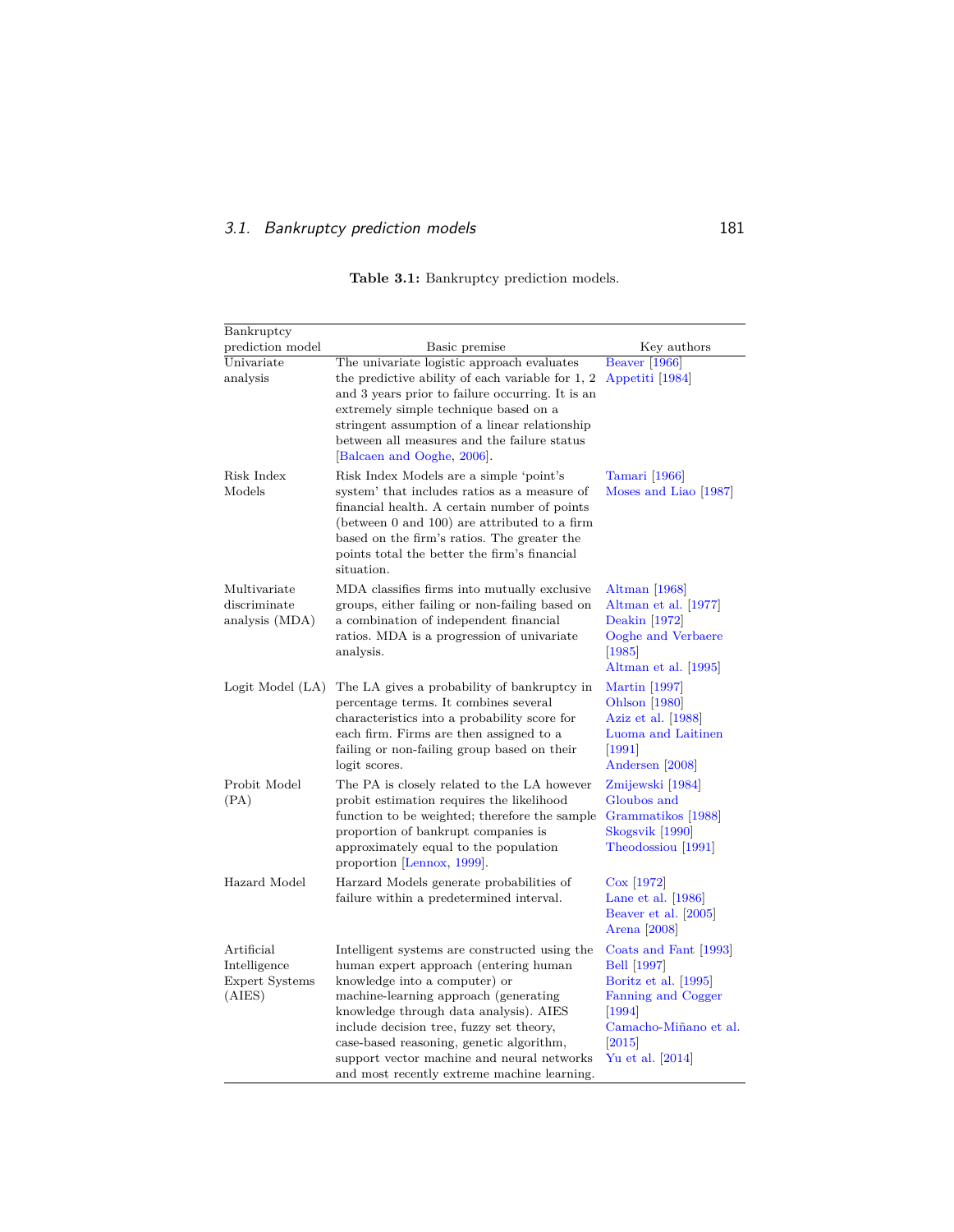## <span id="page-21-0"></span>3.1. Bankruptcy prediction models 181

Table 3.1: Bankruptcy prediction models.

| Bankruptcy                                     |                                                                                                                                                                                                                                                                                                      |                                                                                                                |
|------------------------------------------------|------------------------------------------------------------------------------------------------------------------------------------------------------------------------------------------------------------------------------------------------------------------------------------------------------|----------------------------------------------------------------------------------------------------------------|
| prediction model                               | Basic premise                                                                                                                                                                                                                                                                                        | Key authors                                                                                                    |
| Univariate                                     | The univariate logistic approach evaluates                                                                                                                                                                                                                                                           | <b>Beaver</b> [1966]                                                                                           |
| analysis                                       | the predictive ability of each variable for 1, 2<br>and 3 years prior to failure occurring. It is an<br>extremely simple technique based on a<br>stringent assumption of a linear relationship<br>between all measures and the failure status<br>[Balcaen and Ooghe, 2006].                          | Appetiti [1984]                                                                                                |
| Risk Index<br>Models                           | Risk Index Models are a simple 'point's<br>system' that includes ratios as a measure of<br>financial health. A certain number of points<br>(between 0 and 100) are attributed to a firm<br>based on the firm's ratios. The greater the<br>points total the better the firm's financial<br>situation. | Tamari   1966  <br>Moses and Liao [1987]                                                                       |
| Multivariate<br>discriminate<br>analysis (MDA) | MDA classifies firms into mutually exclusive<br>groups, either failing or non-failing based on<br>a combination of independent financial<br>ratios. MDA is a progression of univariate<br>analysis.                                                                                                  | Altman [1968]<br>Altman et al. [1977]<br>Deakin [1972]<br>Ooghe and Verbaere<br> 1985 <br>Altman et al. [1995] |
| Logit Model (LA)                               | The LA gives a probability of bankruptcy in<br>percentage terms. It combines several<br>characteristics into a probability score for<br>each firm. Firms are then assigned to a<br>failing or non-failing group based on their<br>logit scores.                                                      | <b>Martin</b> [1997]<br>Ohlson [1980]<br>Aziz et al. [1988]<br>Luoma and Laitinen<br>[1991]<br>Andersen [2008] |
| Probit Model<br>(PA)                           | The PA is closely related to the LA however<br>probit estimation requires the likelihood<br>function to be weighted; therefore the sample<br>proportion of bankrupt companies is<br>approximately equal to the population<br>proportion $\left[ \frac{\text{Lennox}}{\text{Lennox}} \right]$ .       | Zmijewski [1984]<br>Gloubos and<br>Grammatikos [1988]<br>Skogsvik [1990]<br>Theodossiou [1991]                 |
| Hazard Model                                   | Harzard Models generate probabilities of<br>failure within a predetermined interval.                                                                                                                                                                                                                 | $\cos  1972 $<br>Lane et al. $[1986]$<br>Beaver et al. [2005]<br>Arena [2008]                                  |
| Artificial                                     | Intelligent systems are constructed using the                                                                                                                                                                                                                                                        | Coats and Fant [1993]                                                                                          |
| Intelligence                                   | human expert approach (entering human                                                                                                                                                                                                                                                                | Bell [1997]                                                                                                    |
| Expert Systems<br>(AIES)                       | knowledge into a computer) or<br>machine-learning approach (generating<br>knowledge through data analysis). AIES                                                                                                                                                                                     | Boritz et al. $ 1995 $<br>Fanning and Cogger<br> 1994                                                          |
|                                                | include decision tree, fuzzy set theory,                                                                                                                                                                                                                                                             | Camacho-Miñano et al.                                                                                          |
|                                                | case-based reasoning, genetic algorithm,<br>support vector machine and neural networks                                                                                                                                                                                                               | 2015 <br>Yu et al. [2014]                                                                                      |
|                                                | and most recently extreme machine learning.                                                                                                                                                                                                                                                          |                                                                                                                |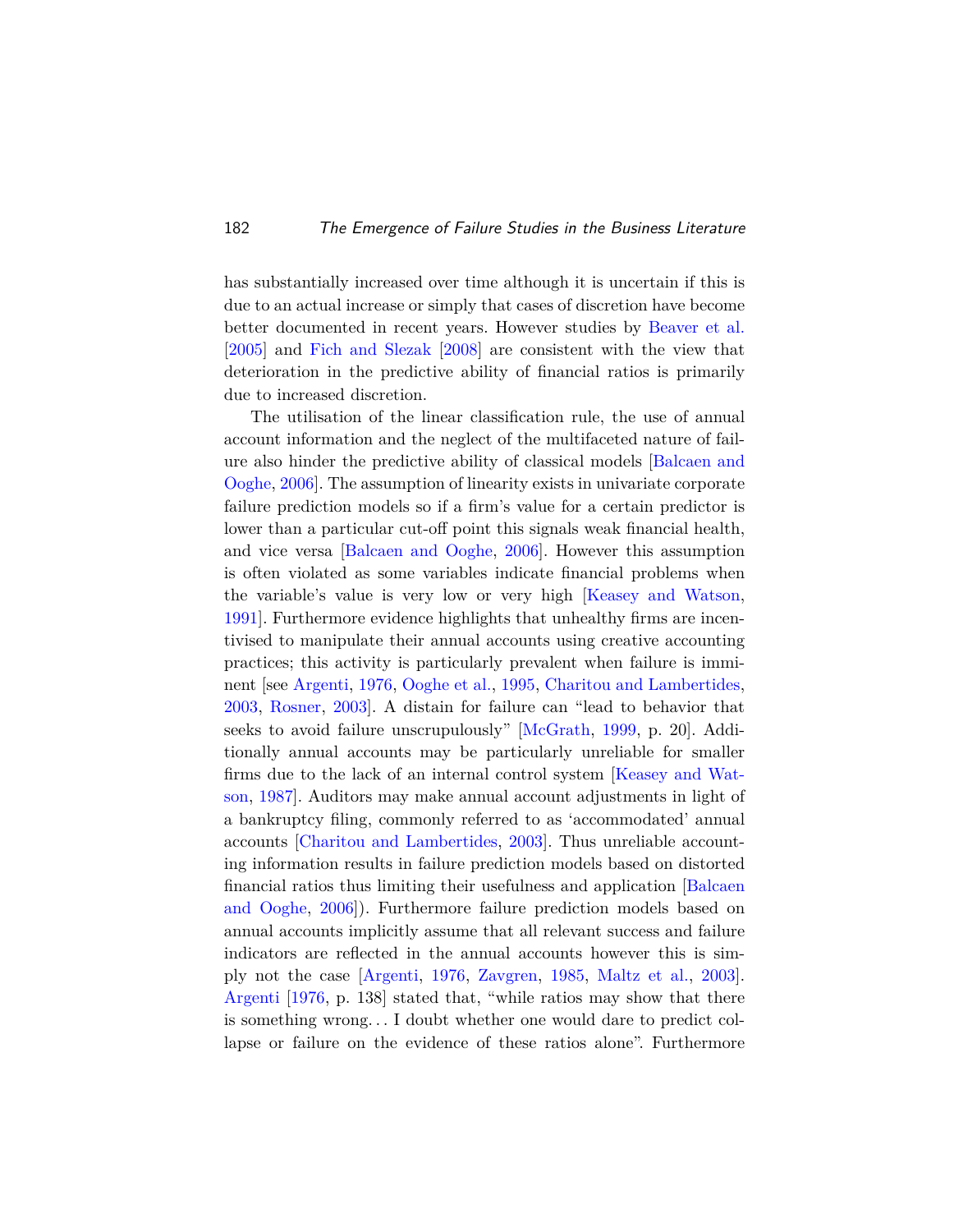has substantially increased over time although it is uncertain if this is due to an actual increase or simply that cases of discretion have become better documented in recent years. However studies by [Beaver et al.](#page-103-4) [\[2005\]](#page-103-4) and [Fich and Slezak](#page-108-3) [\[2008\]](#page-108-3) are consistent with the view that deterioration in the predictive ability of financial ratios is primarily due to increased discretion.

The utilisation of the linear classification rule, the use of annual account information and the neglect of the multifaceted nature of failure also hinder the predictive ability of classical models [\[Balcaen and](#page-102-3) [Ooghe,](#page-102-3) [2006\]](#page-102-3). The assumption of linearity exists in univariate corporate failure prediction models so if a firm's value for a certain predictor is lower than a particular cut-off point this signals weak financial health, and vice versa [\[Balcaen and Ooghe,](#page-102-3) [2006\]](#page-102-3). However this assumption is often violated as some variables indicate financial problems when the variable's value is very low or very high [\[Keasey and Watson,](#page-112-5) [1991\]](#page-112-5). Furthermore evidence highlights that unhealthy firms are incentivised to manipulate their annual accounts using creative accounting practices; this activity is particularly prevalent when failure is imminent [see [Argenti,](#page-101-7) [1976,](#page-101-7) [Ooghe et al.,](#page-117-1) [1995,](#page-117-1) [Charitou and Lambertides,](#page-105-4) [2003,](#page-105-4) [Rosner,](#page-118-1) [2003\]](#page-118-1). A distain for failure can "lead to behavior that seeks to avoid failure unscrupulously" [\[McGrath,](#page-115-1) [1999,](#page-115-1) p. 20]. Additionally annual accounts may be particularly unreliable for smaller firms due to the lack of an internal control system [\[Keasey and Wat](#page-112-4)[son,](#page-112-4) [1987\]](#page-112-4). Auditors may make annual account adjustments in light of a bankruptcy filing, commonly referred to as 'accommodated' annual accounts [\[Charitou and Lambertides,](#page-105-4) [2003\]](#page-105-4). Thus unreliable accounting information results in failure prediction models based on distorted financial ratios thus limiting their usefulness and application [\[Balcaen](#page-102-3) [and Ooghe,](#page-102-3) [2006\]](#page-102-3)). Furthermore failure prediction models based on annual accounts implicitly assume that all relevant success and failure indicators are reflected in the annual accounts however this is simply not the case [\[Argenti,](#page-101-7) [1976,](#page-101-7) [Zavgren,](#page-125-3) [1985,](#page-125-3) [Maltz et al.,](#page-114-4) [2003\]](#page-114-4). [Argenti](#page-101-7) [\[1976,](#page-101-7) p. 138] stated that, "while ratios may show that there is something wrong*. . .* I doubt whether one would dare to predict collapse or failure on the evidence of these ratios alone". Furthermore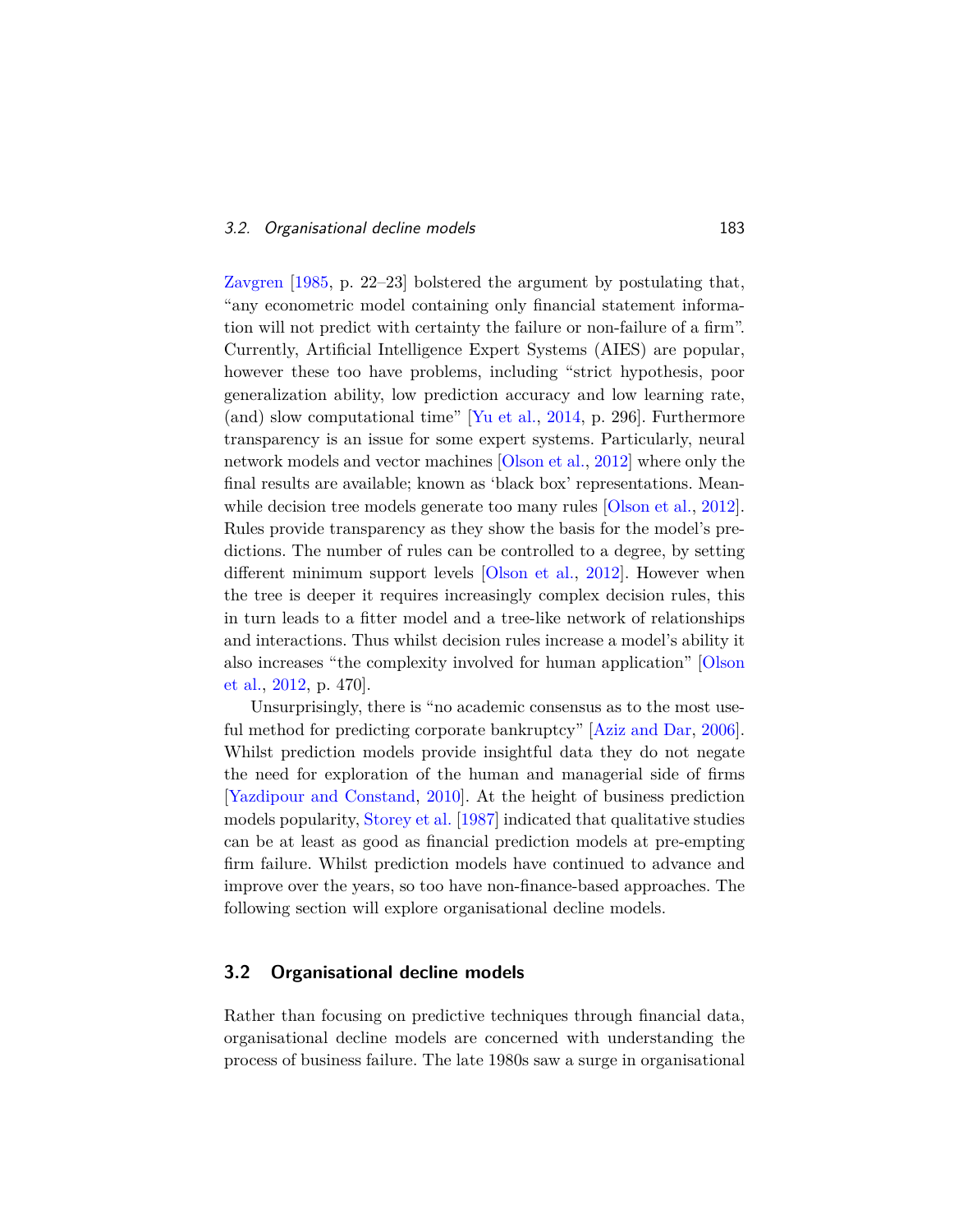### 3.2. Organisational decline models 183

[Zavgren](#page-125-3) [\[1985,](#page-125-3) p. 22–23] bolstered the argument by postulating that, "any econometric model containing only financial statement information will not predict with certainty the failure or non-failure of a firm". Currently, Artificial Intelligence Expert Systems (AIES) are popular, however these too have problems, including "strict hypothesis, poor generalization ability, low prediction accuracy and low learning rate, (and) slow computational time" [\[Yu et al.,](#page-125-2) [2014,](#page-125-2) p. 296]. Furthermore transparency is an issue for some expert systems. Particularly, neural network models and vector machines [\[Olson et al.,](#page-116-5) [2012\]](#page-116-5) where only the final results are available; known as 'black box' representations. Mean-while decision tree models generate too many rules [\[Olson et al.,](#page-116-5) [2012\]](#page-116-5). Rules provide transparency as they show the basis for the model's predictions. The number of rules can be controlled to a degree, by setting different minimum support levels [\[Olson et al.,](#page-116-5) [2012\]](#page-116-5). However when the tree is deeper it requires increasingly complex decision rules, this in turn leads to a fitter model and a tree-like network of relationships and interactions. Thus whilst decision rules increase a model's ability it also increases "the complexity involved for human application" [\[Olson](#page-116-5) [et al.,](#page-116-5) [2012,](#page-116-5) p. 470].

Unsurprisingly, there is "no academic consensus as to the most useful method for predicting corporate bankruptcy" [\[Aziz and Dar,](#page-102-5) [2006\]](#page-102-5). Whilst prediction models provide insightful data they do not negate the need for exploration of the human and managerial side of firms [\[Yazdipour and Constand,](#page-125-4) [2010\]](#page-125-4). At the height of business prediction models popularity, [Storey et al.](#page-121-6) [\[1987\]](#page-121-6) indicated that qualitative studies can be at least as good as financial prediction models at pre-empting firm failure. Whilst prediction models have continued to advance and improve over the years, so too have non-finance-based approaches. The following section will explore organisational decline models.

## <span id="page-23-0"></span>**3.2 Organisational decline models**

Rather than focusing on predictive techniques through financial data, organisational decline models are concerned with understanding the process of business failure. The late 1980s saw a surge in organisational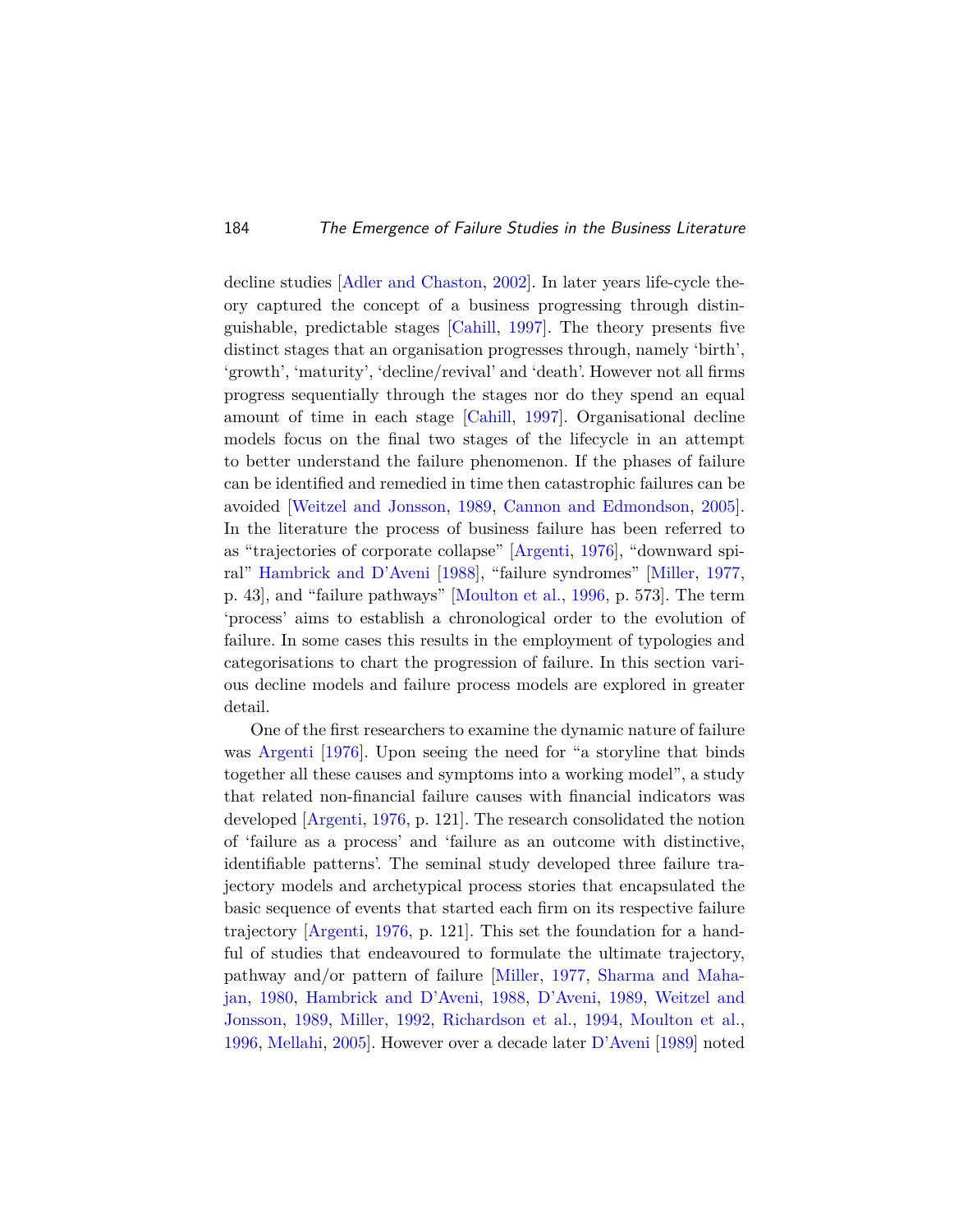decline studies [\[Adler and Chaston,](#page-100-2) [2002\]](#page-100-2). In later years life-cycle theory captured the concept of a business progressing through distinguishable, predictable stages [\[Cahill,](#page-104-2) [1997\]](#page-104-2). The theory presents five distinct stages that an organisation progresses through, namely 'birth', 'growth', 'maturity', 'decline/revival' and 'death'. However not all firms progress sequentially through the stages nor do they spend an equal amount of time in each stage [\[Cahill,](#page-104-2) [1997\]](#page-104-2). Organisational decline models focus on the final two stages of the lifecycle in an attempt to better understand the failure phenomenon. If the phases of failure can be identified and remedied in time then catastrophic failures can be avoided [\[Weitzel and Jonsson,](#page-124-3) [1989,](#page-124-3) [Cannon and Edmondson,](#page-105-2) [2005\]](#page-105-2). In the literature the process of business failure has been referred to as "trajectories of corporate collapse" [\[Argenti,](#page-101-7) [1976\]](#page-101-7), "downward spiral" [Hambrick and D'Aveni](#page-110-1) [\[1988\]](#page-110-1), "failure syndromes" [\[Miller,](#page-115-2) [1977,](#page-115-2) p. 43], and "failure pathways" [\[Moulton et al.,](#page-116-0) [1996,](#page-116-0) p. 573]. The term 'process' aims to establish a chronological order to the evolution of failure. In some cases this results in the employment of typologies and categorisations to chart the progression of failure. In this section various decline models and failure process models are explored in greater detail.

One of the first researchers to examine the dynamic nature of failure was [Argenti](#page-101-7) [\[1976\]](#page-101-7). Upon seeing the need for "a storyline that binds together all these causes and symptoms into a working model", a study that related non-financial failure causes with financial indicators was developed [\[Argenti,](#page-101-7) [1976,](#page-101-7) p. 121]. The research consolidated the notion of 'failure as a process' and 'failure as an outcome with distinctive, identifiable patterns'. The seminal study developed three failure trajectory models and archetypical process stories that encapsulated the basic sequence of events that started each firm on its respective failure trajectory [\[Argenti,](#page-101-7) [1976,](#page-101-7) p. 121]. This set the foundation for a handful of studies that endeavoured to formulate the ultimate trajectory, pathway and/or pattern of failure [\[Miller,](#page-115-2) [1977,](#page-115-2) [Sharma and Maha](#page-119-1)[jan,](#page-119-1) [1980,](#page-119-1) [Hambrick and D'Aveni,](#page-110-1) [1988,](#page-110-1) [D'Aveni,](#page-107-2) [1989,](#page-107-2) [Weitzel and](#page-124-3) [Jonsson,](#page-124-3) [1989,](#page-124-3) [Miller,](#page-115-3) [1992,](#page-115-3) [Richardson et al.,](#page-118-2) [1994,](#page-118-2) [Moulton et al.,](#page-116-0) [1996,](#page-116-0) [Mellahi,](#page-115-4) [2005\]](#page-115-4). However over a decade later [D'Aveni](#page-107-2) [\[1989\]](#page-107-2) noted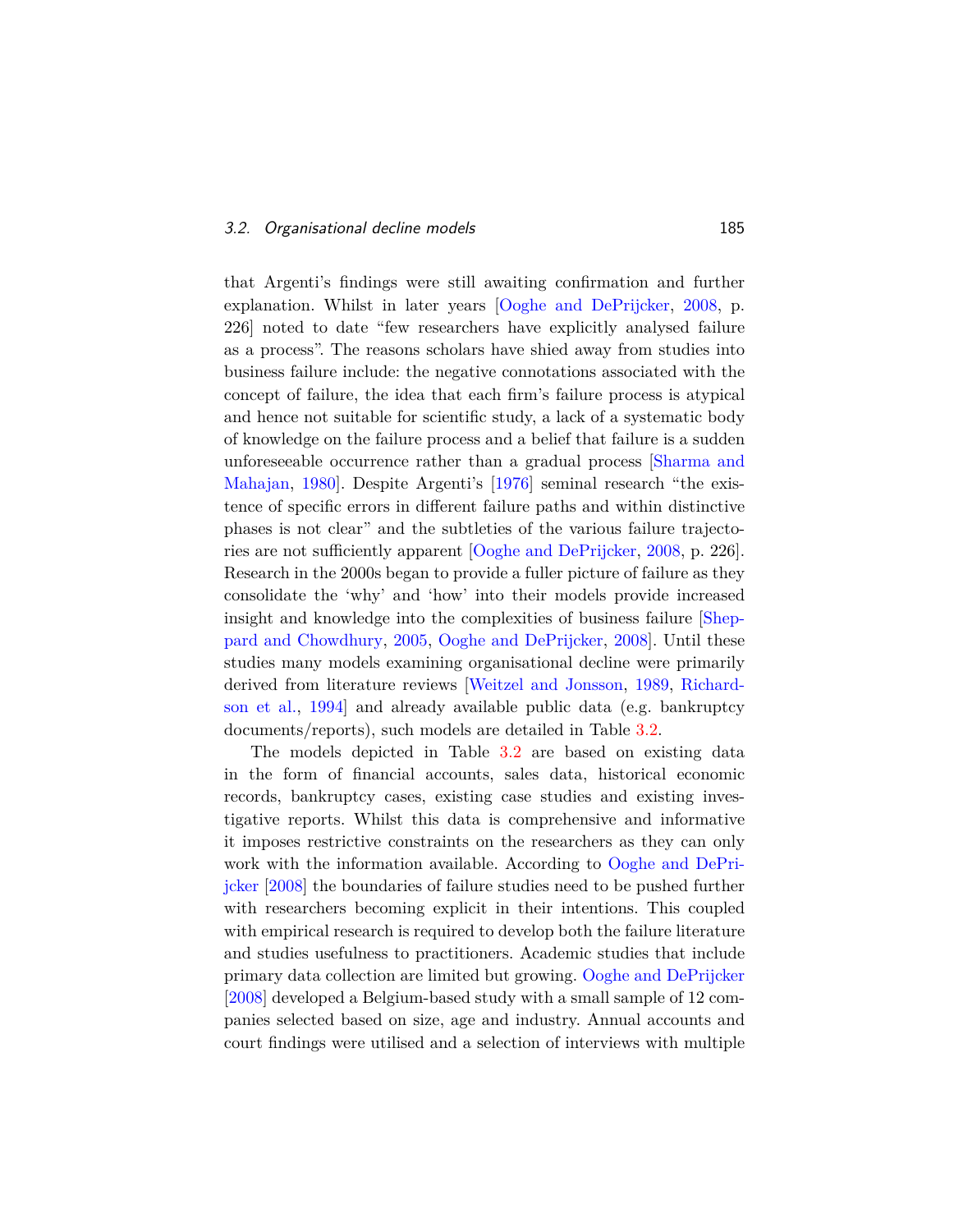#### 3.2. Organisational decline models 185

that Argenti's findings were still awaiting confirmation and further explanation. Whilst in later years [\[Ooghe and DePrijcker,](#page-116-6) [2008,](#page-116-6) p. 226] noted to date "few researchers have explicitly analysed failure as a process". The reasons scholars have shied away from studies into business failure include: the negative connotations associated with the concept of failure, the idea that each firm's failure process is atypical and hence not suitable for scientific study, a lack of a systematic body of knowledge on the failure process and a belief that failure is a sudden unforeseeable occurrence rather than a gradual process [\[Sharma and](#page-119-1) [Mahajan,](#page-119-1) [1980\]](#page-119-1). Despite Argenti's [\[1976\]](#page-101-7) seminal research "the existence of specific errors in different failure paths and within distinctive phases is not clear" and the subtleties of the various failure trajectories are not sufficiently apparent [\[Ooghe and DePrijcker,](#page-116-6) [2008,](#page-116-6) p. 226]. Research in the 2000s began to provide a fuller picture of failure as they consolidate the 'why' and 'how' into their models provide increased insight and knowledge into the complexities of business failure [\[Shep](#page-120-2)[pard and Chowdhury,](#page-120-2) [2005,](#page-120-2) [Ooghe and DePrijcker,](#page-116-6) [2008\]](#page-116-6). Until these studies many models examining organisational decline were primarily derived from literature reviews [\[Weitzel and Jonsson,](#page-124-3) [1989,](#page-124-3) [Richard](#page-118-2)[son et al.,](#page-118-2) [1994\]](#page-118-2) and already available public data (e.g. bankruptcy documents/reports), such models are detailed in Table [3.2.](#page-26-0)

The models depicted in Table [3.2](#page-26-0) are based on existing data in the form of financial accounts, sales data, historical economic records, bankruptcy cases, existing case studies and existing investigative reports. Whilst this data is comprehensive and informative it imposes restrictive constraints on the researchers as they can only work with the information available. According to [Ooghe and DePri](#page-116-6)[jcker](#page-116-6) [\[2008\]](#page-116-6) the boundaries of failure studies need to be pushed further with researchers becoming explicit in their intentions. This coupled with empirical research is required to develop both the failure literature and studies usefulness to practitioners. Academic studies that include primary data collection are limited but growing. [Ooghe and DePrijcker](#page-116-6) [\[2008\]](#page-116-6) developed a Belgium-based study with a small sample of 12 companies selected based on size, age and industry. Annual accounts and court findings were utilised and a selection of interviews with multiple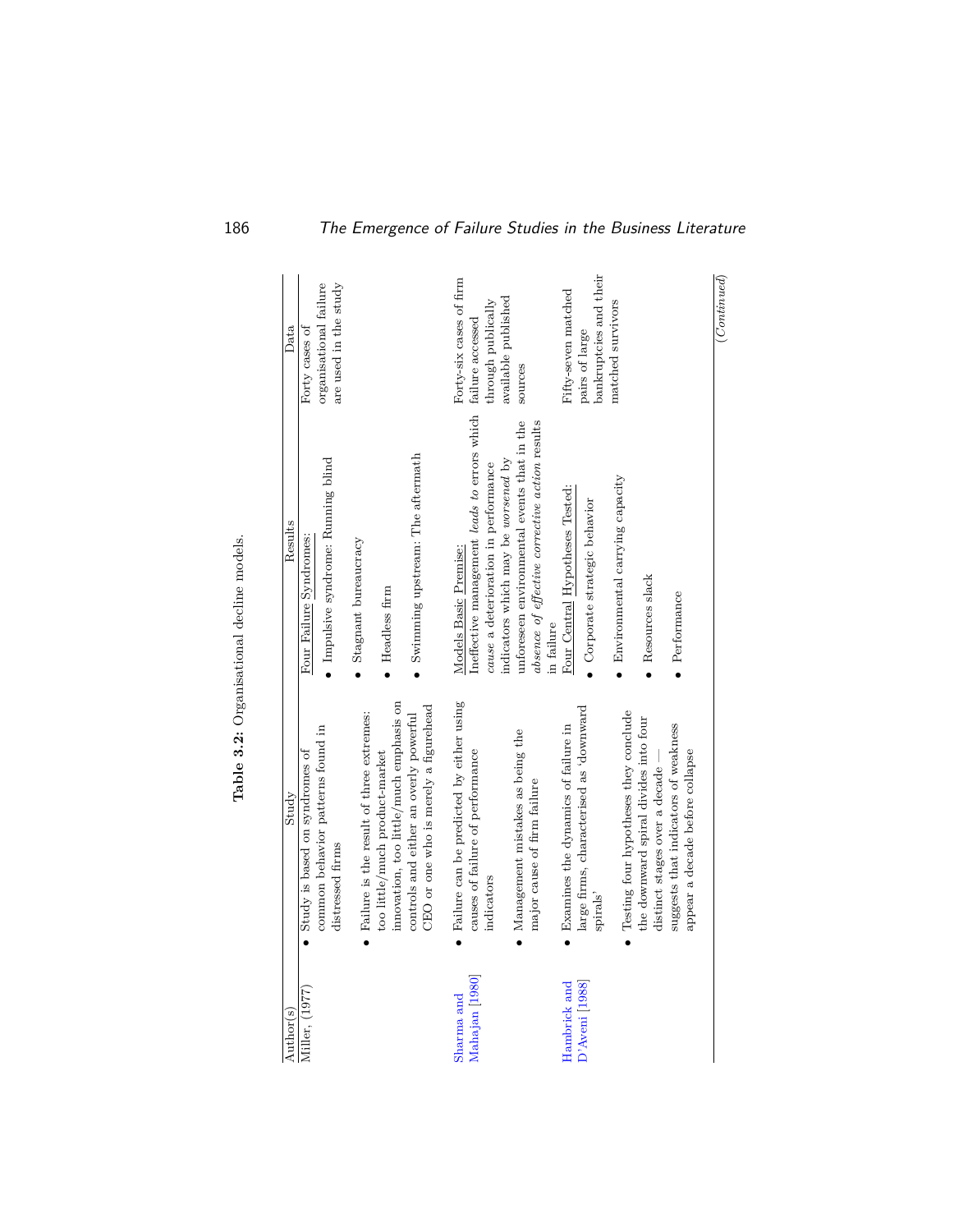| Author(s)                      | Study                                                                                                                                                                                                    | Results                                                                                                                                                               | Data                                                                 |
|--------------------------------|----------------------------------------------------------------------------------------------------------------------------------------------------------------------------------------------------------|-----------------------------------------------------------------------------------------------------------------------------------------------------------------------|----------------------------------------------------------------------|
| Miller, (1977)                 | common behavior patterns found in<br>Study is based on syndromes of<br>distressed firms<br>$\bullet$                                                                                                     | • Impulsive syndrome: Running blind<br>Four Failure Syndromes:                                                                                                        | are used in the study<br>organisational failure<br>Forty cases of    |
|                                | innovation, too little/much emphasis on<br>CEO or one who is merely a figurehead<br>controls and either an overly powerful<br>Failure is the result of three extremes:<br>too little/much product-market | Swimming upstream: The aftermath<br>$\bullet$ Stagnant bureaucracy<br>$\bullet$ Headless firm                                                                         |                                                                      |
| Mahajan [1980]<br>Sharma and   | • Failure can be predicted by either using<br>causes of failure of performance<br>indicators                                                                                                             | Ineffective management leads to errors which failure accessed<br>indicators which may be worsened by<br>cause a deterioration in performance<br>Models Basic Premise: | Forty-six cases of firm<br>available published<br>through publically |
|                                | • Management mistakes as being the<br>major cause of firm failure                                                                                                                                        | unforeseen environmental events that in the<br>$absence$ of effective corrective action results<br>in failure                                                         | sources                                                              |
| D'Aveni [1988]<br>Hambrick and | large firms, characterised as 'downward<br>$\bullet$ Examines the dynamics of failure in<br>spirals'                                                                                                     | Four Central Hypotheses Tested:<br>• Corporate strategic behavior                                                                                                     | bankruptcies and their<br>Fifty-seven matched<br>pairs of large      |
|                                | Testing four hypotheses they conclude<br>the downward spiral divides into four<br>suggests that indicators of weakness<br>appear a decade before collapse<br>distinct stages over a decade -             | $\bullet$ Environmental carrying capacity<br>$\bullet$ Resources slack<br>• Performance                                                                               | matched survivors                                                    |
|                                |                                                                                                                                                                                                          |                                                                                                                                                                       | $_{Continued}$                                                       |

Table 3.2: Organisational decline models. **Table 3.2:** Organisational decline models.

## <span id="page-26-0"></span>186 The Emergence of Failure Studies in the Business Literature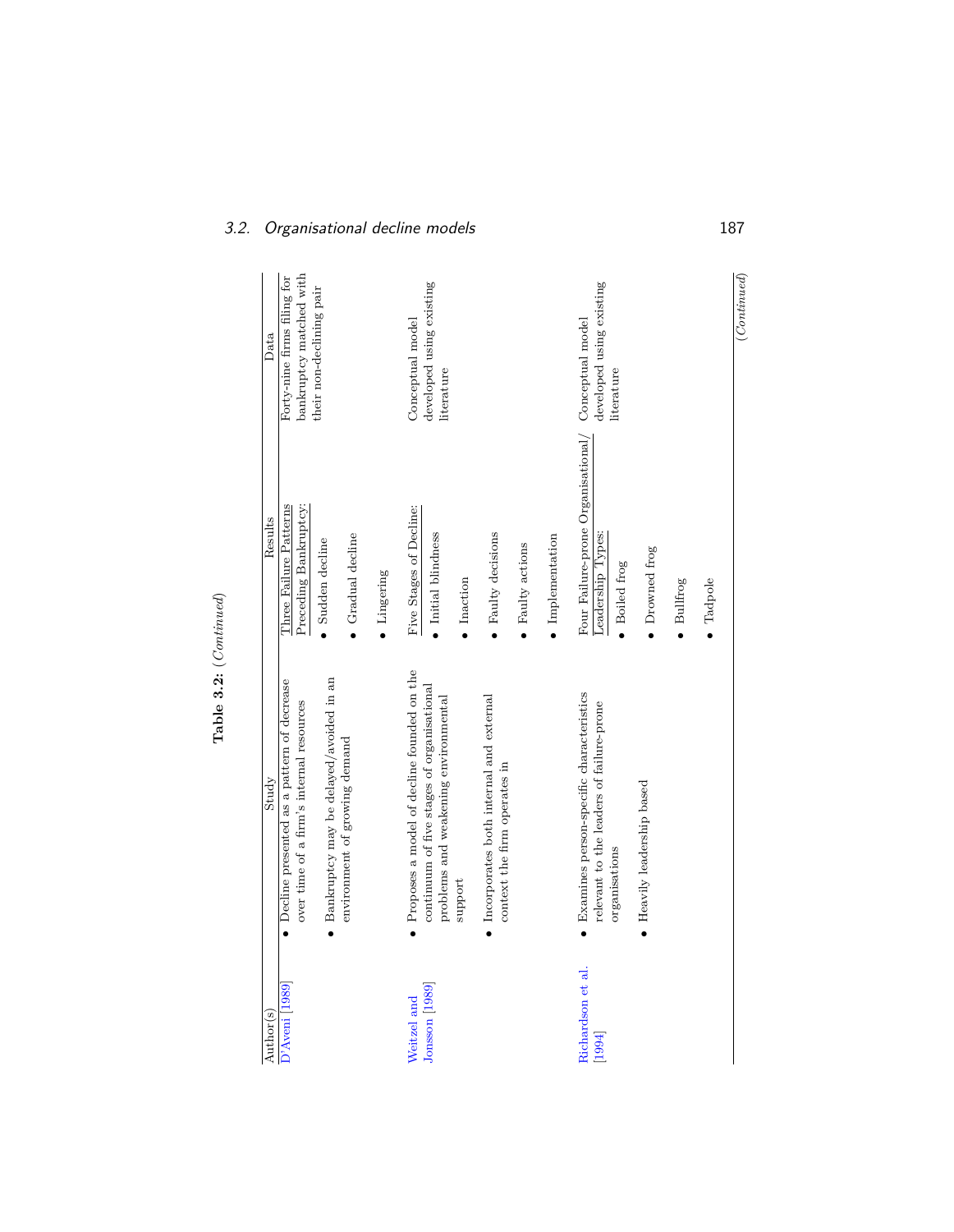| Author(s)                     | Study                                                                                                                                         | Results                                                                                   | Data                                                       |
|-------------------------------|-----------------------------------------------------------------------------------------------------------------------------------------------|-------------------------------------------------------------------------------------------|------------------------------------------------------------|
| D'Aveni [1989]                | • Decline presented as a pattern of decrease<br>over time of a firm's internal resources                                                      | Preceding Bankruptcy:<br>Three Failure Patterns                                           | bankruptcy matched with<br>Forty-nine firms filing for     |
|                               | $\bullet$ Bankruptcy may be delayed/avoided in an                                                                                             | $\bullet$ Sudden decline                                                                  | their non-declining pair                                   |
|                               | environment of growing demand                                                                                                                 | $\bullet$ Gradual decline                                                                 |                                                            |
|                               |                                                                                                                                               | · Lingering                                                                               |                                                            |
| Jonsson [1989]<br>Weitzel and | Proposes a model of decline founded on the<br>continuum of five stages of organisational<br>problems and weakening environmental<br>$\bullet$ | Five Stages of Decline:<br>$\bullet$ Initial blindness                                    | developed using existing<br>Conceptual model<br>literature |
|                               | support                                                                                                                                       | $\bullet$ Inaction                                                                        |                                                            |
|                               | <b>Incorporates both internal and external</b><br>context the firm operates in                                                                | $\bullet$ Faulty decisions                                                                |                                                            |
|                               |                                                                                                                                               | $\bullet$ Faulty actions                                                                  |                                                            |
|                               |                                                                                                                                               | $\bullet$ Implementation                                                                  |                                                            |
| Richardson et al.<br>[1994]   | Examines person-specific characteristics<br>relevant to the leaders of failure-prone<br>organisations                                         | Four Failure-prone Organisational/ Conceptual model<br>Leadership Types:<br>• Boiled frog | developed using existing<br>literature                     |
|                               | • Heavily leadership based                                                                                                                    | $\bullet$ Drowned frog                                                                    |                                                            |
|                               |                                                                                                                                               | $\bullet$ Bullfrog                                                                        |                                                            |
|                               |                                                                                                                                               | $\bullet$ Tadpole                                                                         |                                                            |
|                               |                                                                                                                                               |                                                                                           | (Continued)                                                |

Table 3.2: (Continued) **Table 3.2:** (*Continued*)

## 3.2. Organisational decline models 187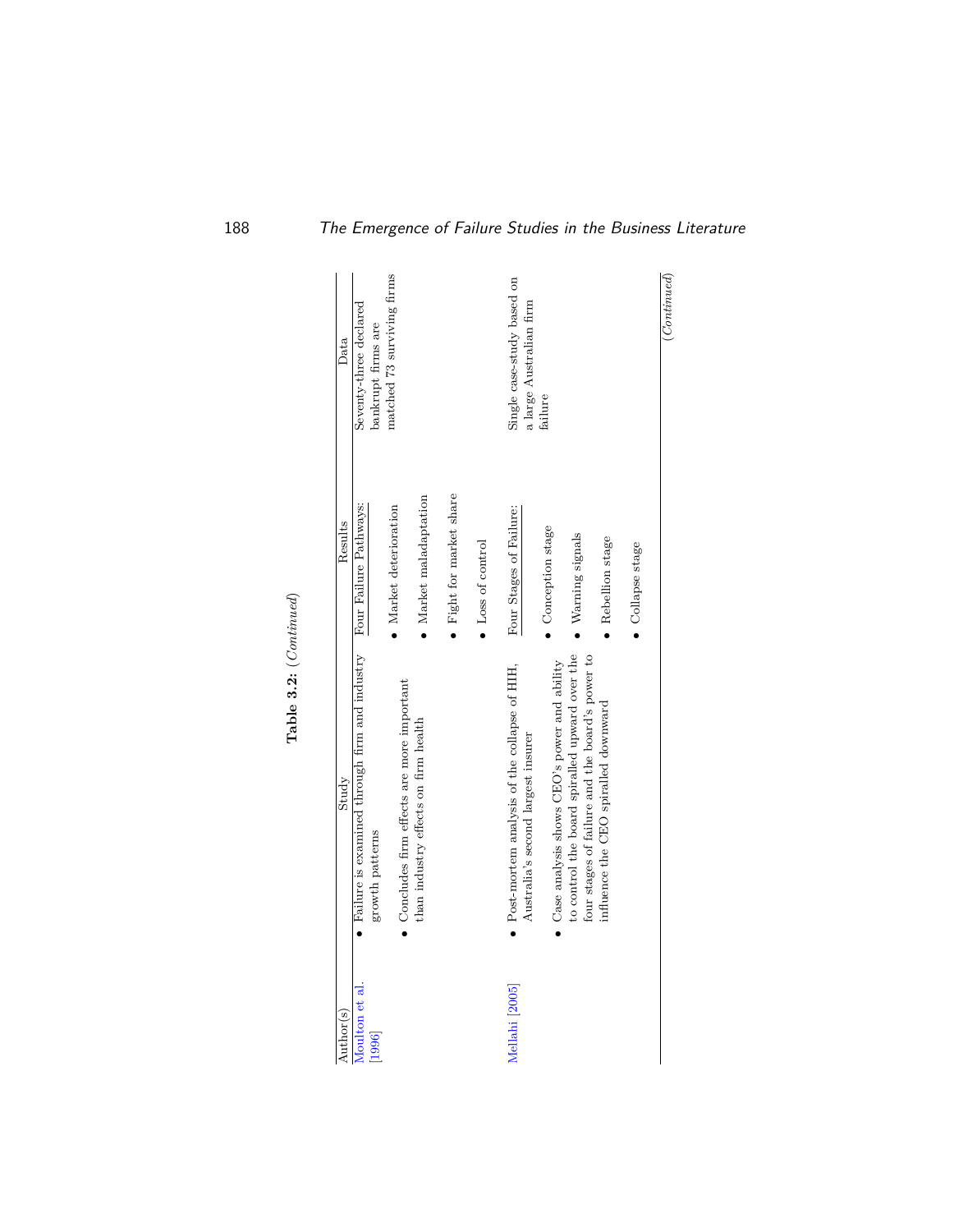| Author(s)                | Study                                                                                             | Results                   | Data                                                  |
|--------------------------|---------------------------------------------------------------------------------------------------|---------------------------|-------------------------------------------------------|
| Moulton et al.<br>[1996] | • Failure is examined through firm and industry Four Failure Pathways:<br>growth patterns         |                           | Seventy-three declared<br>bankrupt firms are          |
|                          | Concludes firm effects are more important                                                         | Market deterioration      | matched 73 surviving firms                            |
|                          | than industry effects on firm health                                                              | Market maladaptation      |                                                       |
|                          |                                                                                                   | Fight for market share    |                                                       |
|                          |                                                                                                   | Loss of control           |                                                       |
| Mellahi [2005]           | • Post-mortem analysis of the collapse of HIH,<br>Australia's second largest insurer              | Four Stages of Failure:   | Single case-study based on<br>a large Australian firm |
|                          | Case analysis shows CEO's power and ability                                                       | Conception stage          | failure                                               |
|                          | to control the board spiralled upward over the<br>four stages of failure and the board's power to | $\bullet$ Warning signals |                                                       |
|                          | influence the CEO spiralled downward                                                              | • Rebellion stage         |                                                       |
|                          |                                                                                                   | · Collapse stage          |                                                       |
|                          |                                                                                                   |                           | (Continued)                                           |
|                          |                                                                                                   |                           |                                                       |

Table 3.2:  $\left(Continued\right)$ **Table 3.2:** (*Continued*)

## 188 The Emergence of Failure Studies in the Business Literature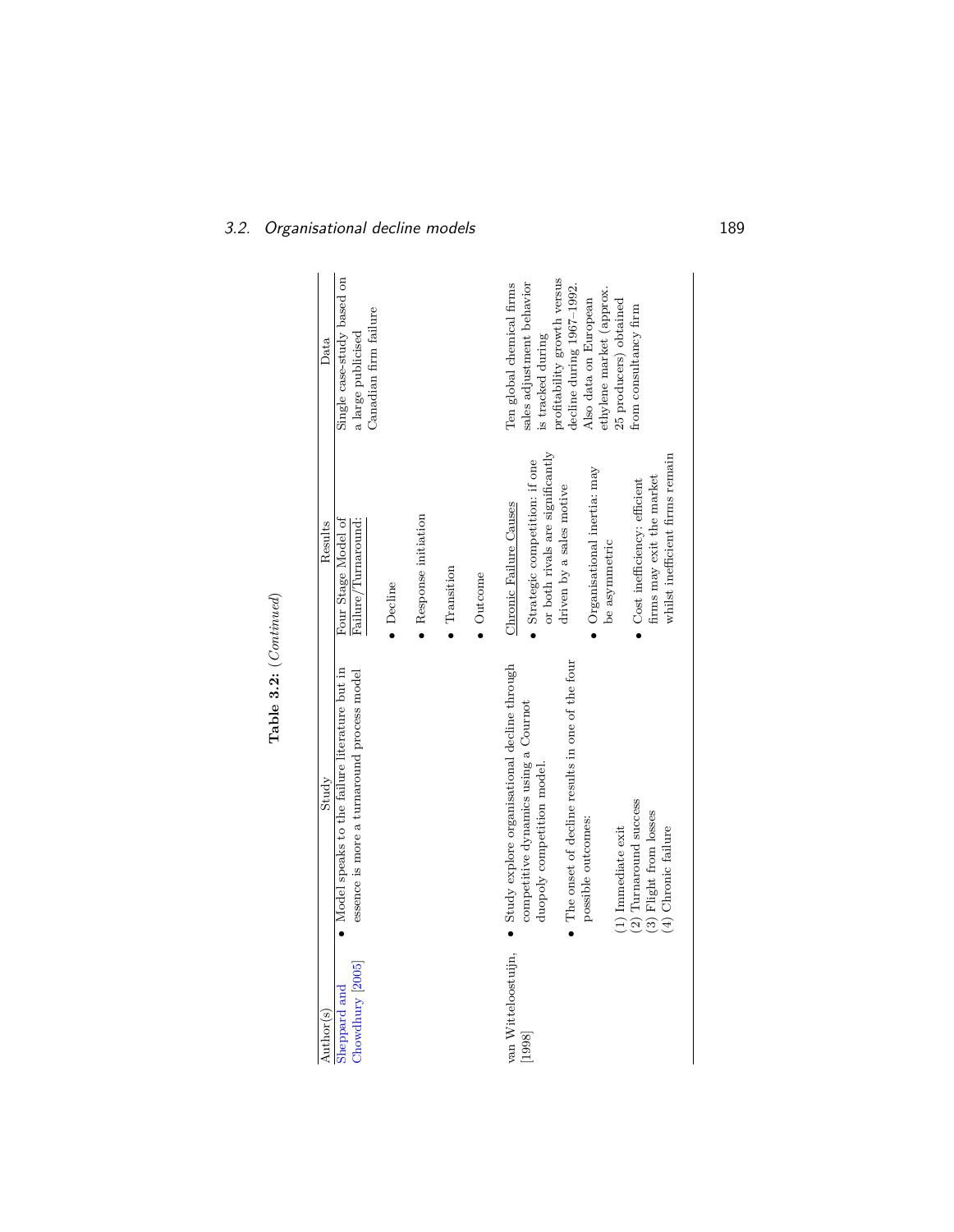| Author(s)                        | Study                                                                                             | Results                                                           | Data                                                          |
|----------------------------------|---------------------------------------------------------------------------------------------------|-------------------------------------------------------------------|---------------------------------------------------------------|
| Chowdhury [2005]<br>Sheppard and | • Model speaks to the failure literature but in<br>essence is more a turnaround process model     | Failure/Turnaround:<br>Four Stage Model of                        | Single case-study based on<br>a large publicised              |
|                                  |                                                                                                   | • Decline                                                         | Canadian firm failure                                         |
|                                  |                                                                                                   | • Response initiation                                             |                                                               |
|                                  |                                                                                                   | • Transition                                                      |                                                               |
|                                  |                                                                                                   | $\bullet$ Outcome                                                 |                                                               |
| van Witteloostuijn,<br>[1998]    | Study explore organisational decline through<br>competitive dynamics using a Cournot<br>$\bullet$ | Chronic Failure Causes                                            | sales adjustment behavior<br>Ten global chemical firms        |
|                                  | duopoly competition model.                                                                        | or both rivals are significantly<br>Strategic competition: if one | is tracked during                                             |
|                                  | • The onset of decline results in one of the four                                                 | driven by a sales motive                                          | profitability growth versus<br>decline during $1967 - 1992$ . |
|                                  | possible outcomes:                                                                                | Organisational inertia: may                                       | ethylene market (approx.<br>Also data on European             |
|                                  | (1) Immediate exit                                                                                | be asymmetric                                                     | 25 producers) obtained                                        |
|                                  | (2) Turnaround success<br>(3) Flight from losses                                                  | Cost inefficiency: efficient                                      | from consultancy firm                                         |
|                                  | $(4)$ Chronic failure                                                                             | whilst inefficient firms remain<br>firms may exit the market      |                                                               |

Table 3.2: (Continued) **Table 3.2:** (*Continued*)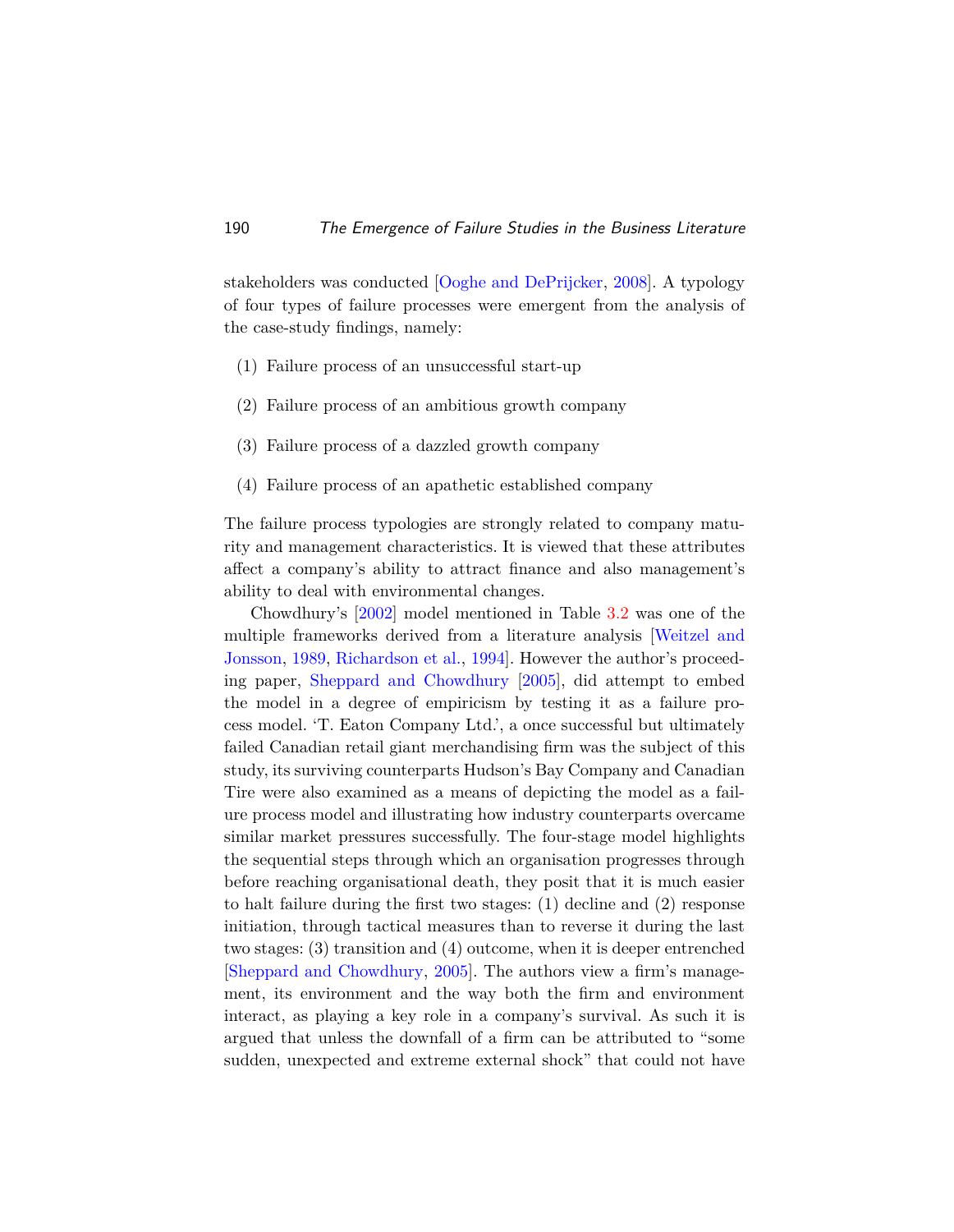stakeholders was conducted [\[Ooghe and DePrijcker,](#page-116-6) [2008\]](#page-116-6). A typology of four types of failure processes were emergent from the analysis of the case-study findings, namely:

- (1) Failure process of an unsuccessful start-up
- (2) Failure process of an ambitious growth company
- (3) Failure process of a dazzled growth company
- (4) Failure process of an apathetic established company

The failure process typologies are strongly related to company maturity and management characteristics. It is viewed that these attributes affect a company's ability to attract finance and also management's ability to deal with environmental changes.

Chowdhury's [\[2002\]](#page-106-6) model mentioned in Table [3.2](#page-26-0) was one of the multiple frameworks derived from a literature analysis [\[Weitzel and](#page-124-3) [Jonsson,](#page-124-3) [1989,](#page-124-3) [Richardson et al.,](#page-118-2) [1994\]](#page-118-2). However the author's proceeding paper, [Sheppard and Chowdhury](#page-120-2) [\[2005\]](#page-120-2), did attempt to embed the model in a degree of empiricism by testing it as a failure process model. 'T. Eaton Company Ltd.', a once successful but ultimately failed Canadian retail giant merchandising firm was the subject of this study, its surviving counterparts Hudson's Bay Company and Canadian Tire were also examined as a means of depicting the model as a failure process model and illustrating how industry counterparts overcame similar market pressures successfully. The four-stage model highlights the sequential steps through which an organisation progresses through before reaching organisational death, they posit that it is much easier to halt failure during the first two stages: (1) decline and (2) response initiation, through tactical measures than to reverse it during the last two stages: (3) transition and (4) outcome, when it is deeper entrenched [\[Sheppard and Chowdhury,](#page-120-2) [2005\]](#page-120-2). The authors view a firm's management, its environment and the way both the firm and environment interact, as playing a key role in a company's survival. As such it is argued that unless the downfall of a firm can be attributed to "some sudden, unexpected and extreme external shock" that could not have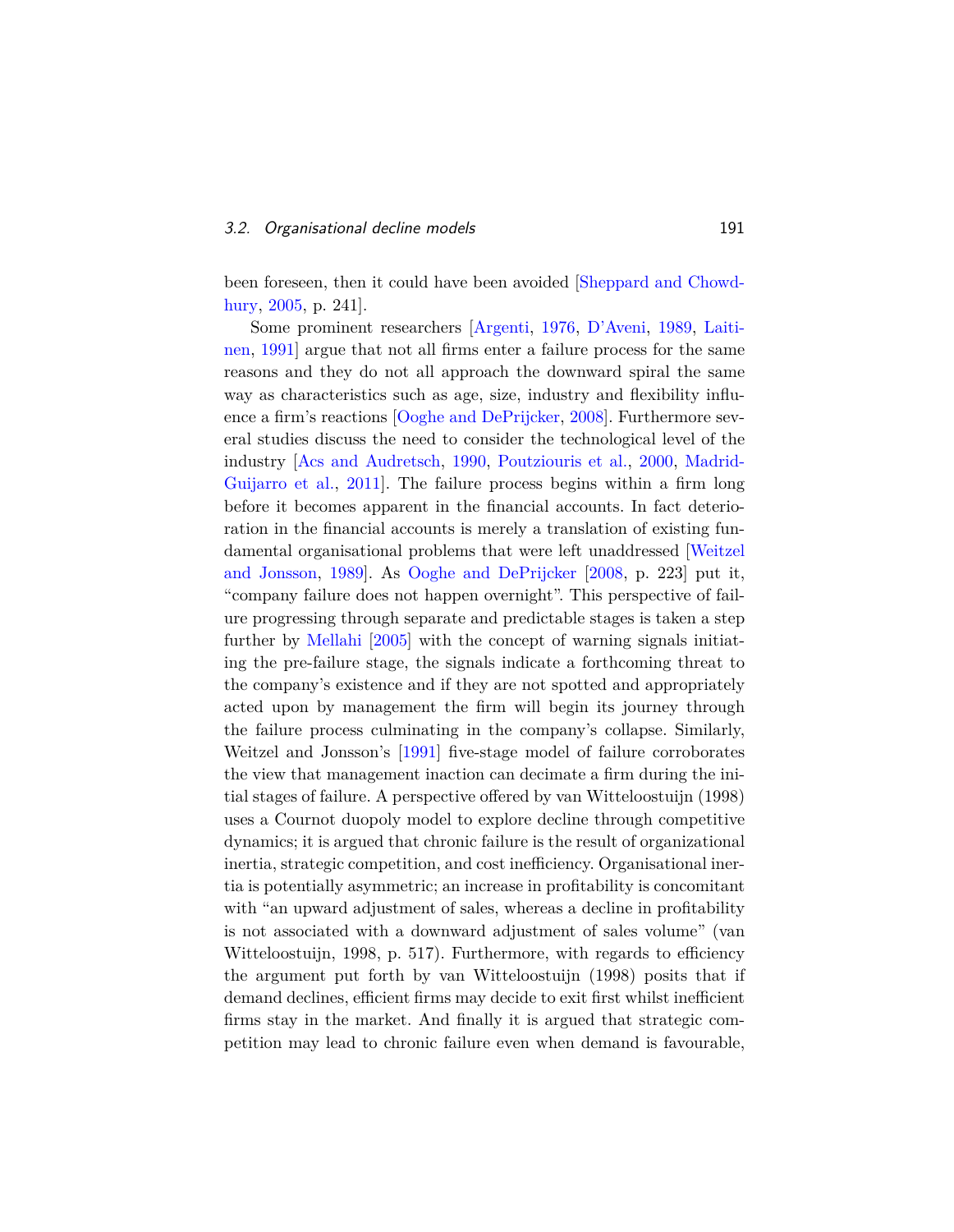### 3.2. Organisational decline models 191

been foreseen, then it could have been avoided [\[Sheppard and Chowd](#page-120-2)[hury,](#page-120-2) [2005,](#page-120-2) p. 241].

Some prominent researchers [\[Argenti,](#page-101-7) [1976,](#page-101-7) [D'Aveni,](#page-107-2) [1989,](#page-107-2) [Laiti](#page-113-4)[nen,](#page-113-4) [1991\]](#page-113-4) argue that not all firms enter a failure process for the same reasons and they do not all approach the downward spiral the same way as characteristics such as age, size, industry and flexibility influence a firm's reactions [\[Ooghe and DePrijcker,](#page-116-6) [2008\]](#page-116-6). Furthermore several studies discuss the need to consider the technological level of the industry [\[Acs and Audretsch,](#page-100-3) [1990,](#page-100-3) [Poutziouris et al.,](#page-117-2) [2000,](#page-117-2) [Madrid-](#page-114-5)[Guijarro et al.,](#page-114-5) [2011\]](#page-114-5). The failure process begins within a firm long before it becomes apparent in the financial accounts. In fact deterioration in the financial accounts is merely a translation of existing fundamental organisational problems that were left unaddressed [\[Weitzel](#page-124-3) [and Jonsson,](#page-124-3) [1989\]](#page-124-3). As [Ooghe and DePrijcker](#page-116-6) [\[2008,](#page-116-6) p. 223] put it, "company failure does not happen overnight". This perspective of failure progressing through separate and predictable stages is taken a step further by [Mellahi](#page-115-4) [\[2005\]](#page-115-4) with the concept of warning signals initiating the pre-failure stage, the signals indicate a forthcoming threat to the company's existence and if they are not spotted and appropriately acted upon by management the firm will begin its journey through the failure process culminating in the company's collapse. Similarly, Weitzel and Jonsson's [\[1991\]](#page-124-4) five-stage model of failure corroborates the view that management inaction can decimate a firm during the initial stages of failure. A perspective offered by van Witteloostuijn (1998) uses a Cournot duopoly model to explore decline through competitive dynamics; it is argued that chronic failure is the result of organizational inertia, strategic competition, and cost inefficiency. Organisational inertia is potentially asymmetric; an increase in profitability is concomitant with "an upward adjustment of sales, whereas a decline in profitability is not associated with a downward adjustment of sales volume" (van Witteloostuijn, 1998, p. 517). Furthermore, with regards to efficiency the argument put forth by van Witteloostuijn (1998) posits that if demand declines, efficient firms may decide to exit first whilst inefficient firms stay in the market. And finally it is argued that strategic competition may lead to chronic failure even when demand is favourable,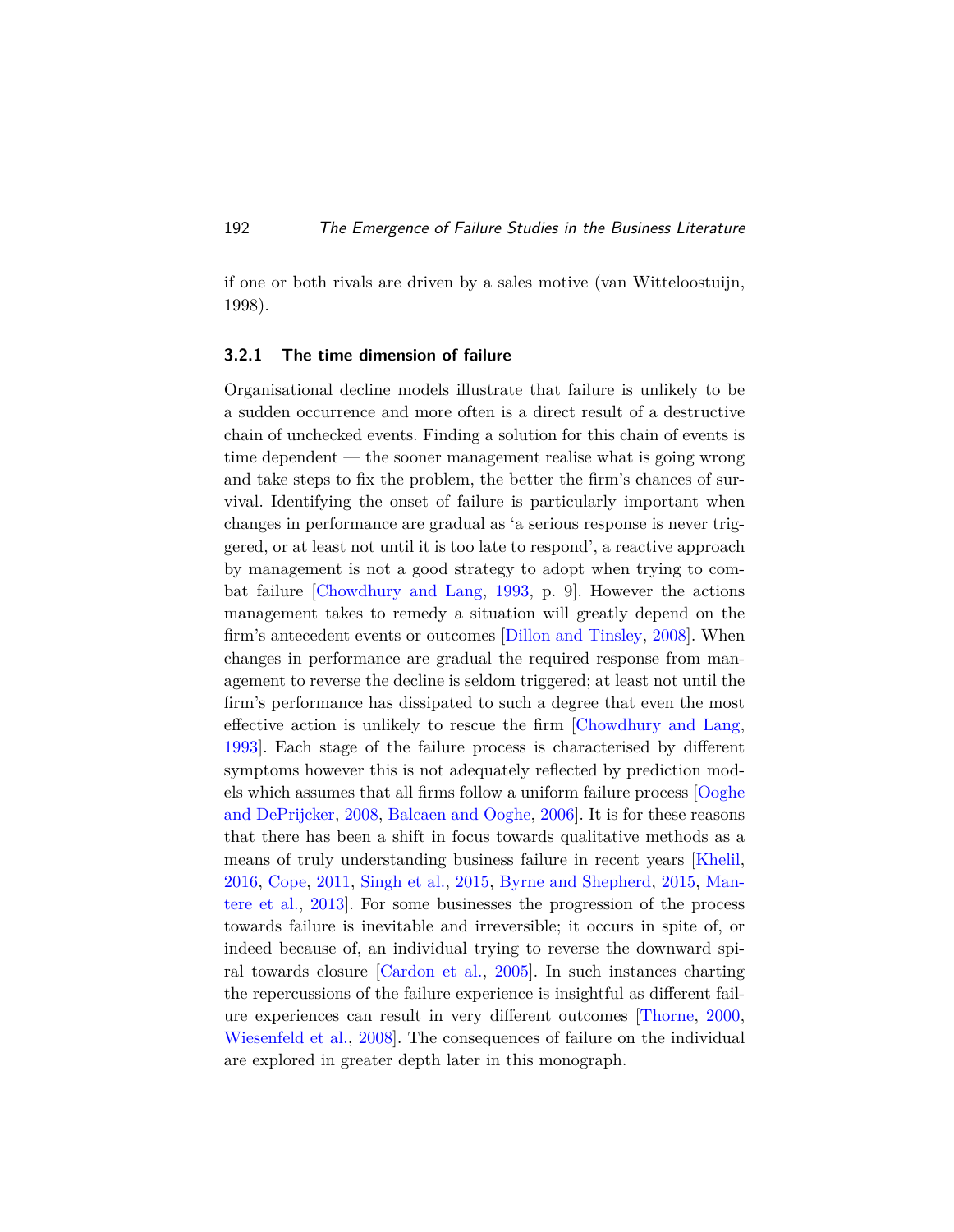if one or both rivals are driven by a sales motive (van Witteloostuijn, 1998).

#### **3.2.1 The time dimension of failure**

Organisational decline models illustrate that failure is unlikely to be a sudden occurrence and more often is a direct result of a destructive chain of unchecked events. Finding a solution for this chain of events is time dependent — the sooner management realise what is going wrong and take steps to fix the problem, the better the firm's chances of survival. Identifying the onset of failure is particularly important when changes in performance are gradual as 'a serious response is never triggered, or at least not until it is too late to respond', a reactive approach by management is not a good strategy to adopt when trying to combat failure [\[Chowdhury and Lang,](#page-106-7) [1993,](#page-106-7) p. 9]. However the actions management takes to remedy a situation will greatly depend on the firm's antecedent events or outcomes [\[Dillon and Tinsley,](#page-107-3) [2008\]](#page-107-3). When changes in performance are gradual the required response from management to reverse the decline is seldom triggered; at least not until the firm's performance has dissipated to such a degree that even the most effective action is unlikely to rescue the firm [\[Chowdhury and Lang,](#page-106-7) [1993\]](#page-106-7). Each stage of the failure process is characterised by different symptoms however this is not adequately reflected by prediction models which assumes that all firms follow a uniform failure process [\[Ooghe](#page-116-6) [and DePrijcker,](#page-116-6) [2008,](#page-116-6) [Balcaen and Ooghe,](#page-102-3) [2006\]](#page-102-3). It is for these reasons that there has been a shift in focus towards qualitative methods as a means of truly understanding business failure in recent years [\[Khelil,](#page-112-1) [2016,](#page-112-1) [Cope,](#page-106-0) [2011,](#page-106-0) [Singh et al.,](#page-120-4) [2015,](#page-120-4) [Byrne and Shepherd,](#page-104-0) [2015,](#page-104-0) [Man](#page-114-0)[tere et al.,](#page-114-0) [2013\]](#page-114-0). For some businesses the progression of the process towards failure is inevitable and irreversible; it occurs in spite of, or indeed because of, an individual trying to reverse the downward spiral towards closure [\[Cardon et al.,](#page-105-1) [2005\]](#page-105-1). In such instances charting the repercussions of the failure experience is insightful as different failure experiences can result in very different outcomes [\[Thorne,](#page-122-4) [2000,](#page-122-4) [Wiesenfeld et al.,](#page-124-5) [2008\]](#page-124-5). The consequences of failure on the individual are explored in greater depth later in this monograph.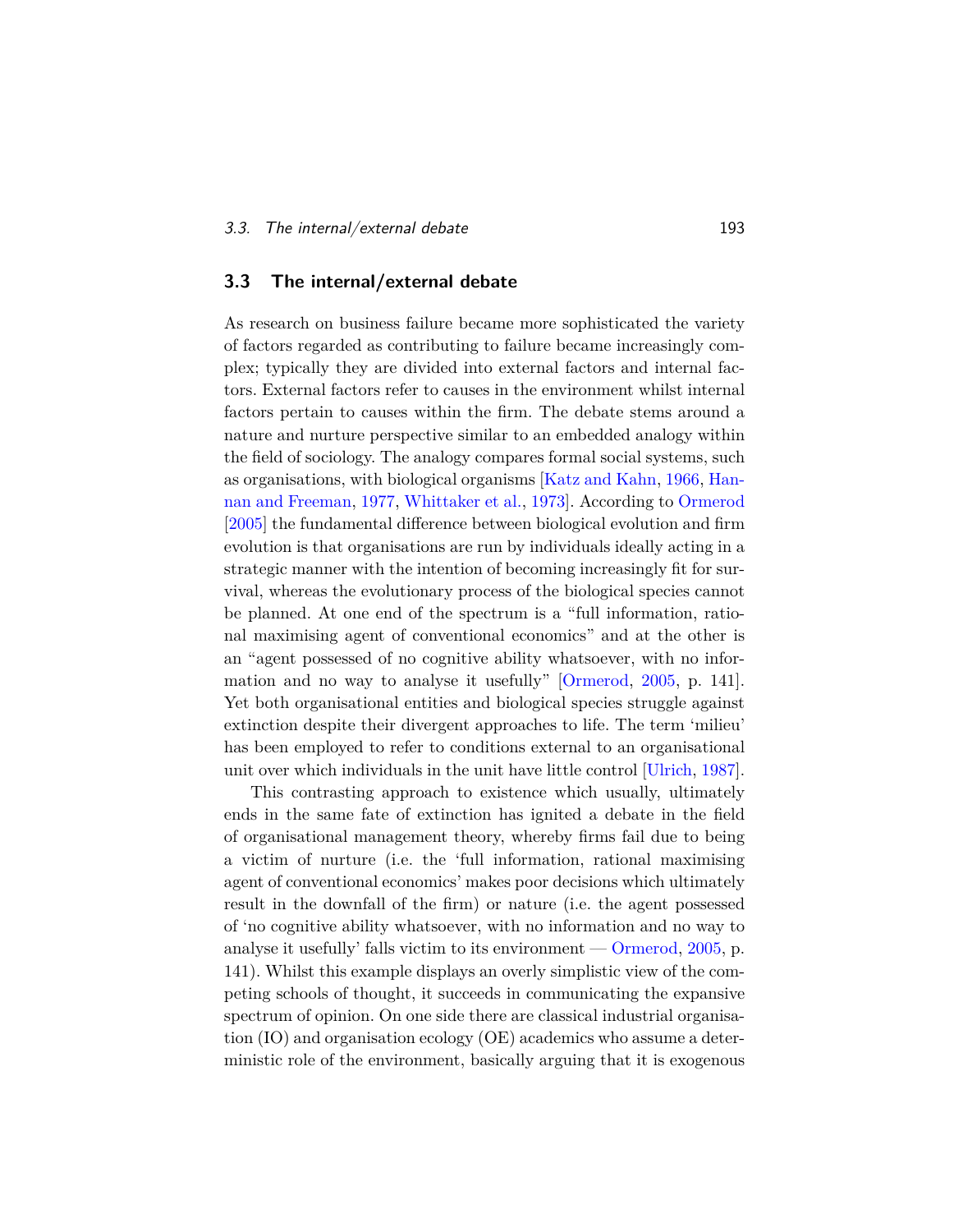## <span id="page-33-0"></span>**3.3 The internal/external debate**

As research on business failure became more sophisticated the variety of factors regarded as contributing to failure became increasingly complex; typically they are divided into external factors and internal factors. External factors refer to causes in the environment whilst internal factors pertain to causes within the firm. The debate stems around a nature and nurture perspective similar to an embedded analogy within the field of sociology. The analogy compares formal social systems, such as organisations, with biological organisms [\[Katz and Kahn,](#page-112-6) [1966,](#page-112-6) [Han](#page-110-2)[nan and Freeman,](#page-110-2) [1977,](#page-110-2) [Whittaker et al.,](#page-124-6) [1973\]](#page-124-6). According to [Ormerod](#page-117-3) [\[2005\]](#page-117-3) the fundamental difference between biological evolution and firm evolution is that organisations are run by individuals ideally acting in a strategic manner with the intention of becoming increasingly fit for survival, whereas the evolutionary process of the biological species cannot be planned. At one end of the spectrum is a "full information, rational maximising agent of conventional economics" and at the other is an "agent possessed of no cognitive ability whatsoever, with no information and no way to analyse it usefully" [\[Ormerod,](#page-117-3) [2005,](#page-117-3) p. 141]. Yet both organisational entities and biological species struggle against extinction despite their divergent approaches to life. The term 'milieu' has been employed to refer to conditions external to an organisational unit over which individuals in the unit have little control [\[Ulrich,](#page-123-3) [1987\]](#page-123-3).

This contrasting approach to existence which usually, ultimately ends in the same fate of extinction has ignited a debate in the field of organisational management theory, whereby firms fail due to being a victim of nurture (i.e. the 'full information, rational maximising agent of conventional economics' makes poor decisions which ultimately result in the downfall of the firm) or nature (i.e. the agent possessed of 'no cognitive ability whatsoever, with no information and no way to analyse it usefully' falls victim to its environment — [Ormerod,](#page-117-3)  $2005$ , p. 141). Whilst this example displays an overly simplistic view of the competing schools of thought, it succeeds in communicating the expansive spectrum of opinion. On one side there are classical industrial organisation (IO) and organisation ecology (OE) academics who assume a deterministic role of the environment, basically arguing that it is exogenous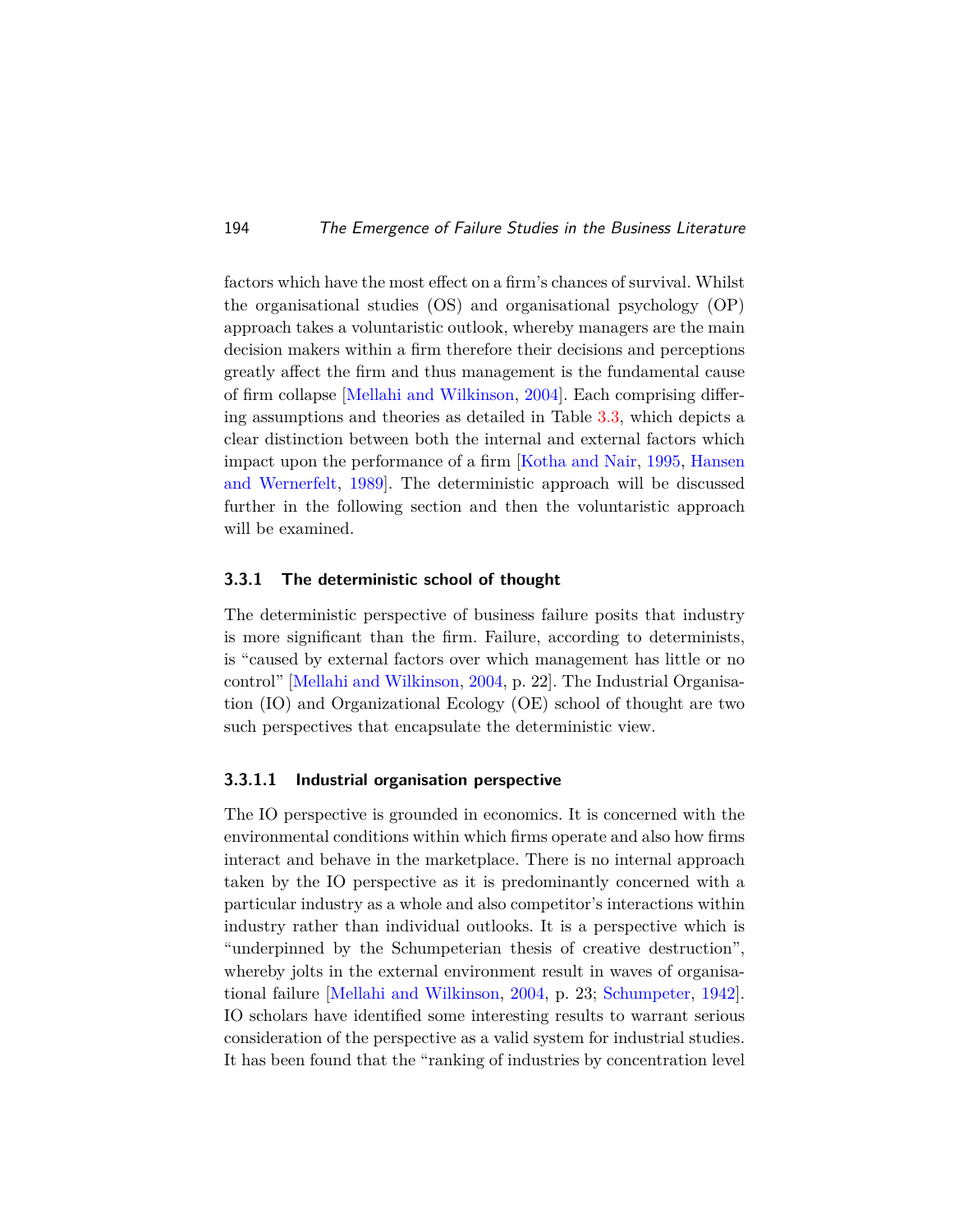factors which have the most effect on a firm's chances of survival. Whilst the organisational studies (OS) and organisational psychology (OP) approach takes a voluntaristic outlook, whereby managers are the main decision makers within a firm therefore their decisions and perceptions greatly affect the firm and thus management is the fundamental cause of firm collapse [\[Mellahi and Wilkinson,](#page-115-5) [2004\]](#page-115-5). Each comprising differing assumptions and theories as detailed in Table [3.3,](#page-35-0) which depicts a clear distinction between both the internal and external factors which impact upon the performance of a firm [\[Kotha and Nair,](#page-113-5) [1995,](#page-113-5) [Hansen](#page-110-3) [and Wernerfelt,](#page-110-3) [1989\]](#page-110-3). The deterministic approach will be discussed further in the following section and then the voluntaristic approach will be examined.

### **3.3.1 The deterministic school of thought**

The deterministic perspective of business failure posits that industry is more significant than the firm. Failure, according to determinists, is "caused by external factors over which management has little or no control" [\[Mellahi and Wilkinson,](#page-115-5) [2004,](#page-115-5) p. 22]. The Industrial Organisation (IO) and Organizational Ecology (OE) school of thought are two such perspectives that encapsulate the deterministic view.

#### **3.3.1.1 Industrial organisation perspective**

The IO perspective is grounded in economics. It is concerned with the environmental conditions within which firms operate and also how firms interact and behave in the marketplace. There is no internal approach taken by the IO perspective as it is predominantly concerned with a particular industry as a whole and also competitor's interactions within industry rather than individual outlooks. It is a perspective which is "underpinned by the Schumpeterian thesis of creative destruction", whereby jolts in the external environment result in waves of organisational failure [\[Mellahi and Wilkinson,](#page-115-5) [2004,](#page-115-5) p. 23; [Schumpeter,](#page-119-3) [1942\]](#page-119-3). IO scholars have identified some interesting results to warrant serious consideration of the perspective as a valid system for industrial studies. It has been found that the "ranking of industries by concentration level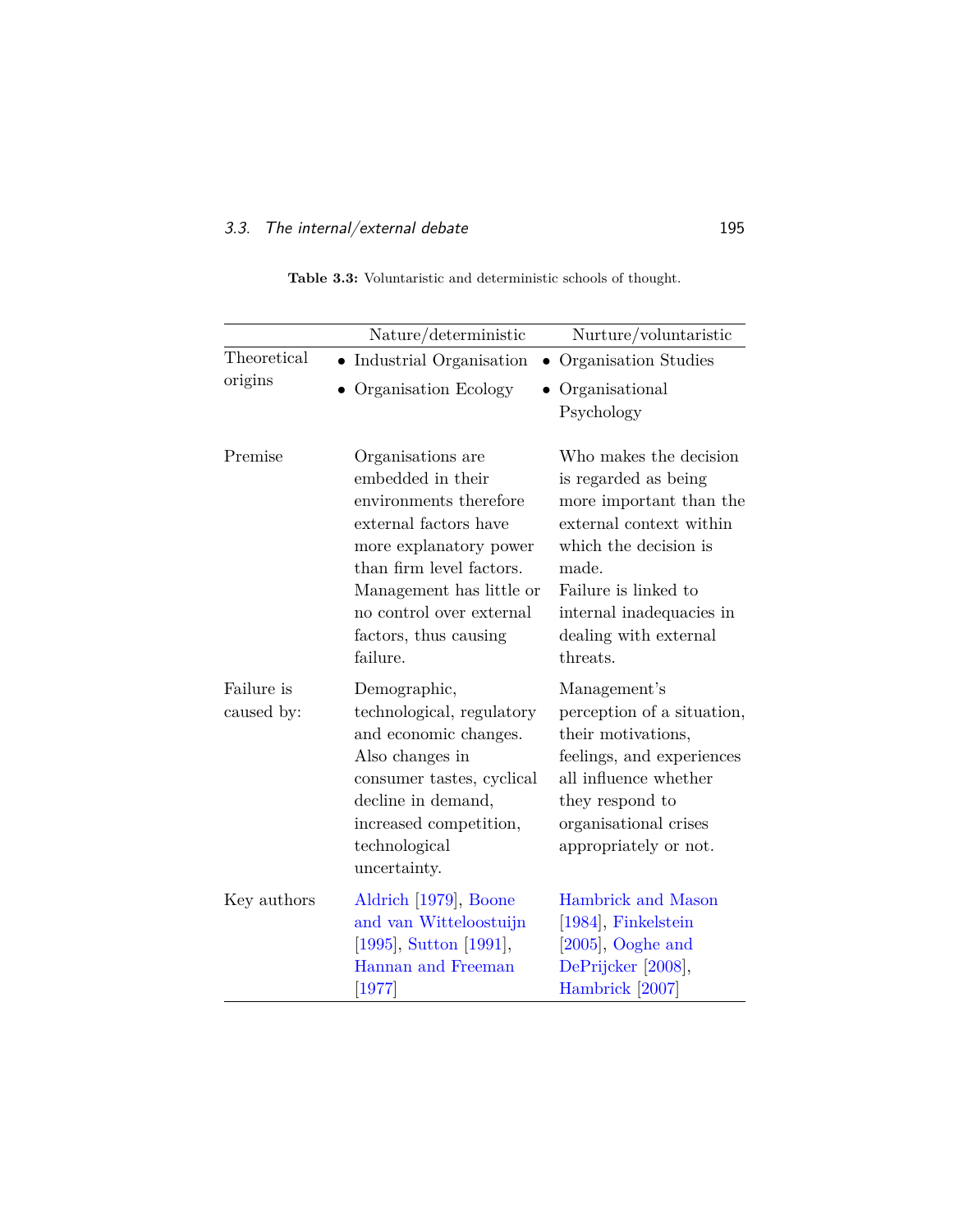## <span id="page-35-0"></span>3.3. The internal/external debate 195

**Table 3.3:** Voluntaristic and deterministic schools of thought.

|                          | Nature/deterministic                                                                                                                                                                                                                         | Nurture/voluntaristic                                                                                                                                                                                                           |
|--------------------------|----------------------------------------------------------------------------------------------------------------------------------------------------------------------------------------------------------------------------------------------|---------------------------------------------------------------------------------------------------------------------------------------------------------------------------------------------------------------------------------|
| Theoretical              | • Industrial Organisation                                                                                                                                                                                                                    | • Organisation Studies                                                                                                                                                                                                          |
| origins                  | Organisation Ecology                                                                                                                                                                                                                         | Organisational<br>Psychology                                                                                                                                                                                                    |
| Premise                  | Organisations are<br>embedded in their<br>environments therefore<br>external factors have<br>more explanatory power<br>than firm level factors.<br>Management has little or<br>no control over external<br>factors, thus causing<br>failure. | Who makes the decision<br>is regarded as being<br>more important than the<br>external context within<br>which the decision is<br>made.<br>Failure is linked to<br>internal inadequacies in<br>dealing with external<br>threats. |
| Failure is<br>caused by: | Demographic,<br>technological, regulatory<br>and economic changes.<br>Also changes in<br>consumer tastes, cyclical<br>decline in demand,<br>increased competition,<br>technological<br>uncertainty.                                          | Management's<br>perception of a situation,<br>their motivations,<br>feelings, and experiences<br>all influence whether<br>they respond to<br>organisational crises<br>appropriately or not.                                     |
| Key authors              | Aldrich [1979], Boone<br>and van Witteloostuijn<br>$[1995]$ , Sutton $[1991]$ ,<br><b>Hannan</b> and Freeman<br>$[1977]$                                                                                                                     | Hambrick and Mason<br>[1984], Finkelstein<br>$[2005]$ , Ooghe and<br>DePrijcker [2008],<br>Hambrick [2007]                                                                                                                      |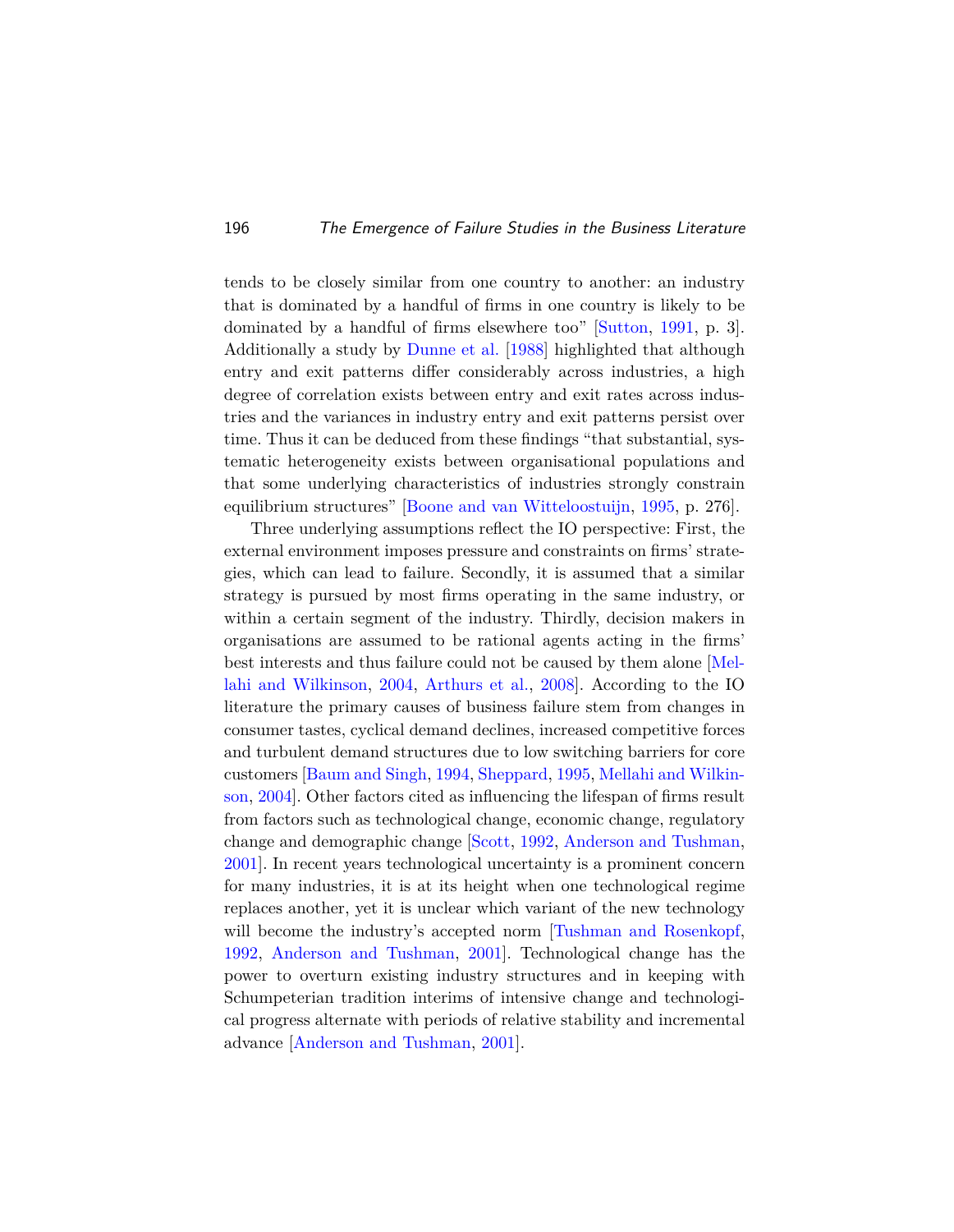tends to be closely similar from one country to another: an industry that is dominated by a handful of firms in one country is likely to be dominated by a handful of firms elsewhere too" [\[Sutton,](#page-121-0) [1991,](#page-121-0) p. 3]. Additionally a study by [Dunne et al.](#page-107-0) [\[1988\]](#page-107-0) highlighted that although entry and exit patterns differ considerably across industries, a high degree of correlation exists between entry and exit rates across industries and the variances in industry entry and exit patterns persist over time. Thus it can be deduced from these findings "that substantial, systematic heterogeneity exists between organisational populations and that some underlying characteristics of industries strongly constrain equilibrium structures" [\[Boone and van Witteloostuijn,](#page-104-0) [1995,](#page-104-0) p. 276].

Three underlying assumptions reflect the IO perspective: First, the external environment imposes pressure and constraints on firms' strategies, which can lead to failure. Secondly, it is assumed that a similar strategy is pursued by most firms operating in the same industry, or within a certain segment of the industry. Thirdly, decision makers in organisations are assumed to be rational agents acting in the firms' best interests and thus failure could not be caused by them alone [\[Mel](#page-115-0)[lahi and Wilkinson,](#page-115-0) [2004,](#page-115-0) [Arthurs et al.,](#page-102-0) [2008\]](#page-102-0). According to the IO literature the primary causes of business failure stem from changes in consumer tastes, cyclical demand declines, increased competitive forces and turbulent demand structures due to low switching barriers for core customers [\[Baum and Singh,](#page-103-0) [1994,](#page-103-0) [Sheppard,](#page-120-0) [1995,](#page-120-0) [Mellahi and Wilkin](#page-115-0)[son,](#page-115-0) [2004\]](#page-115-0). Other factors cited as influencing the lifespan of firms result from factors such as technological change, economic change, regulatory change and demographic change [\[Scott,](#page-119-0) [1992,](#page-119-0) [Anderson and Tushman,](#page-101-0) [2001\]](#page-101-0). In recent years technological uncertainty is a prominent concern for many industries, it is at its height when one technological regime replaces another, yet it is unclear which variant of the new technology will become the industry's accepted norm Tushman and Rosenkopf, [1992,](#page-122-0) [Anderson and Tushman,](#page-101-0) [2001\]](#page-101-0). Technological change has the power to overturn existing industry structures and in keeping with Schumpeterian tradition interims of intensive change and technological progress alternate with periods of relative stability and incremental advance [\[Anderson and Tushman,](#page-101-0) [2001\]](#page-101-0).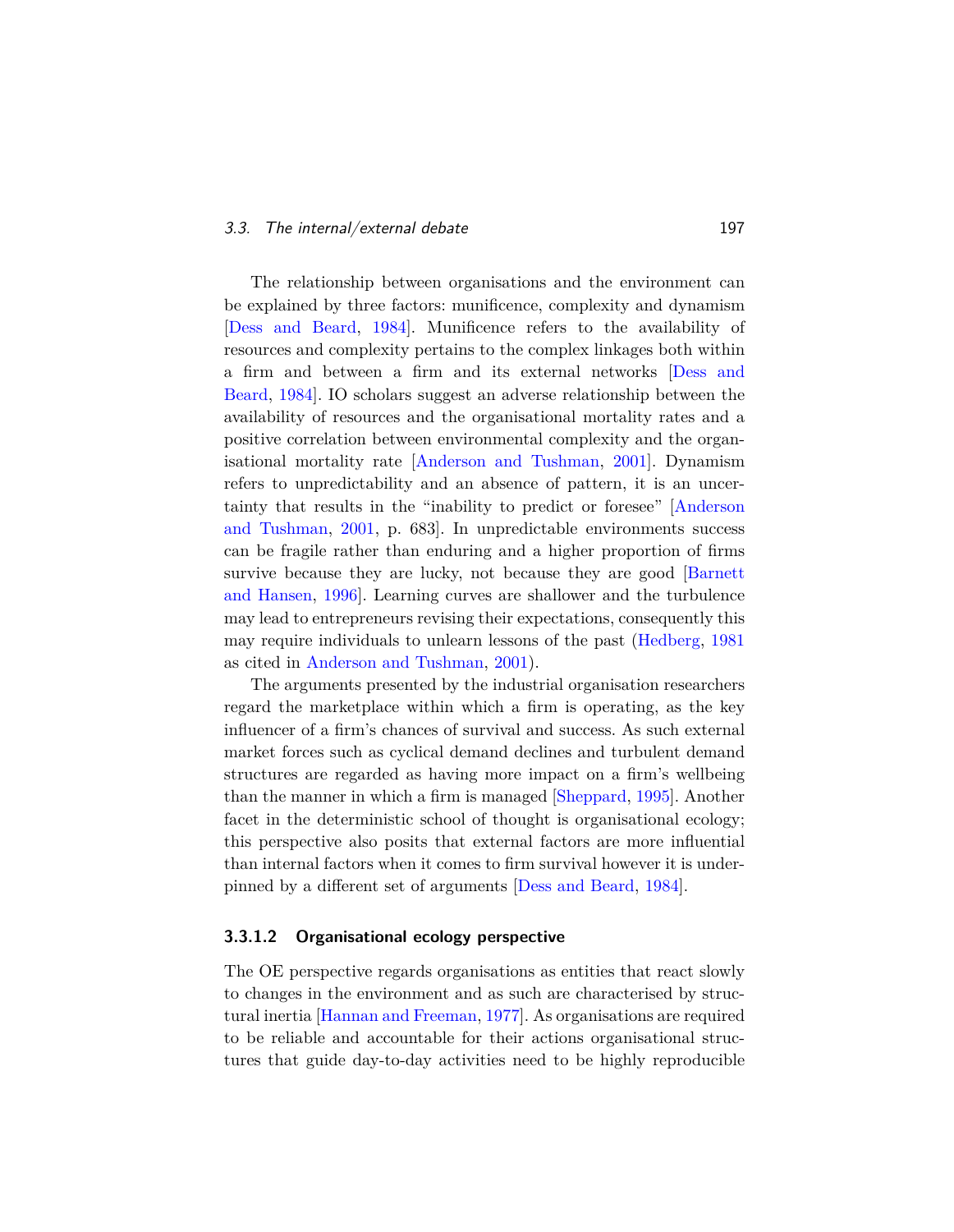## 3.3. The internal/external debate 197

The relationship between organisations and the environment can be explained by three factors: munificence, complexity and dynamism [\[Dess and Beard,](#page-107-1) [1984\]](#page-107-1). Munificence refers to the availability of resources and complexity pertains to the complex linkages both within a firm and between a firm and its external networks [\[Dess and](#page-107-1) [Beard,](#page-107-1) [1984\]](#page-107-1). IO scholars suggest an adverse relationship between the availability of resources and the organisational mortality rates and a positive correlation between environmental complexity and the organisational mortality rate [\[Anderson and Tushman,](#page-101-0) [2001\]](#page-101-0). Dynamism refers to unpredictability and an absence of pattern, it is an uncertainty that results in the "inability to predict or foresee" [\[Anderson](#page-101-0) [and Tushman,](#page-101-0) [2001,](#page-101-0) p. 683]. In unpredictable environments success can be fragile rather than enduring and a higher proportion of firms survive because they are lucky, not because they are good [\[Barnett](#page-102-1) [and Hansen,](#page-102-1) [1996\]](#page-102-1). Learning curves are shallower and the turbulence may lead to entrepreneurs revising their expectations, consequently this may require individuals to unlearn lessons of the past [\(Hedberg,](#page-111-0) [1981](#page-111-0) as cited in [Anderson and Tushman,](#page-101-0) [2001\)](#page-101-0).

The arguments presented by the industrial organisation researchers regard the marketplace within which a firm is operating, as the key influencer of a firm's chances of survival and success. As such external market forces such as cyclical demand declines and turbulent demand structures are regarded as having more impact on a firm's wellbeing than the manner in which a firm is managed [\[Sheppard,](#page-120-0) [1995\]](#page-120-0). Another facet in the deterministic school of thought is organisational ecology; this perspective also posits that external factors are more influential than internal factors when it comes to firm survival however it is underpinned by a different set of arguments [\[Dess and Beard,](#page-107-1) [1984\]](#page-107-1).

#### **3.3.1.2 Organisational ecology perspective**

The OE perspective regards organisations as entities that react slowly to changes in the environment and as such are characterised by structural inertia [\[Hannan and Freeman,](#page-110-0) [1977\]](#page-110-0). As organisations are required to be reliable and accountable for their actions organisational structures that guide day-to-day activities need to be highly reproducible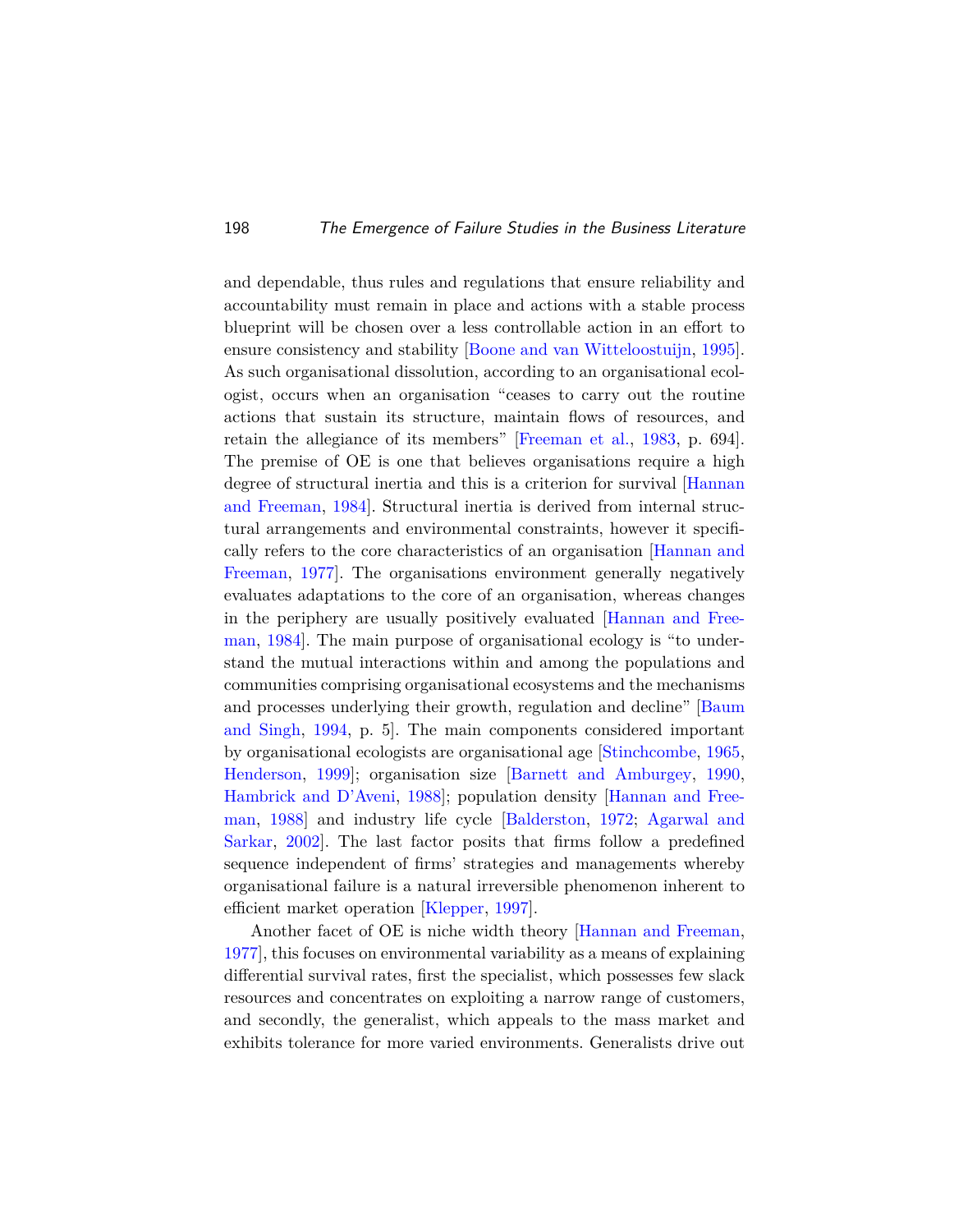and dependable, thus rules and regulations that ensure reliability and accountability must remain in place and actions with a stable process blueprint will be chosen over a less controllable action in an effort to ensure consistency and stability [\[Boone and van Witteloostuijn,](#page-104-0) [1995\]](#page-104-0). As such organisational dissolution, according to an organisational ecologist, occurs when an organisation "ceases to carry out the routine actions that sustain its structure, maintain flows of resources, and retain the allegiance of its members" [\[Freeman et al.,](#page-109-0) [1983,](#page-109-0) p. 694]. The premise of OE is one that believes organisations require a high degree of structural inertia and this is a criterion for survival [\[Hannan](#page-110-1) [and Freeman,](#page-110-1) [1984\]](#page-110-1). Structural inertia is derived from internal structural arrangements and environmental constraints, however it specifically refers to the core characteristics of an organisation [\[Hannan and](#page-110-0) [Freeman,](#page-110-0) [1977\]](#page-110-0). The organisations environment generally negatively evaluates adaptations to the core of an organisation, whereas changes in the periphery are usually positively evaluated [\[Hannan and Free](#page-110-1)[man,](#page-110-1) [1984\]](#page-110-1). The main purpose of organisational ecology is "to understand the mutual interactions within and among the populations and communities comprising organisational ecosystems and the mechanisms and processes underlying their growth, regulation and decline" [\[Baum](#page-103-0) [and Singh,](#page-103-0) [1994,](#page-103-0) p. 5]. The main components considered important by organisational ecologists are organisational age [\[Stinchcombe,](#page-121-1) [1965,](#page-121-1) [Henderson,](#page-111-1) [1999\]](#page-111-1); organisation size [\[Barnett and Amburgey,](#page-102-2) [1990,](#page-102-2) [Hambrick and D'Aveni,](#page-110-2) [1988\]](#page-110-2); population density [\[Hannan and Free](#page-110-3)[man,](#page-110-3) [1988\]](#page-110-3) and industry life cycle [\[Balderston,](#page-102-3) [1972;](#page-102-3) [Agarwal and](#page-100-0) [Sarkar,](#page-100-0) [2002\]](#page-100-0). The last factor posits that firms follow a predefined sequence independent of firms' strategies and managements whereby organisational failure is a natural irreversible phenomenon inherent to efficient market operation [\[Klepper,](#page-113-0) [1997\]](#page-113-0).

Another facet of OE is niche width theory [\[Hannan and Freeman,](#page-110-0) [1977\]](#page-110-0), this focuses on environmental variability as a means of explaining differential survival rates, first the specialist, which possesses few slack resources and concentrates on exploiting a narrow range of customers, and secondly, the generalist, which appeals to the mass market and exhibits tolerance for more varied environments. Generalists drive out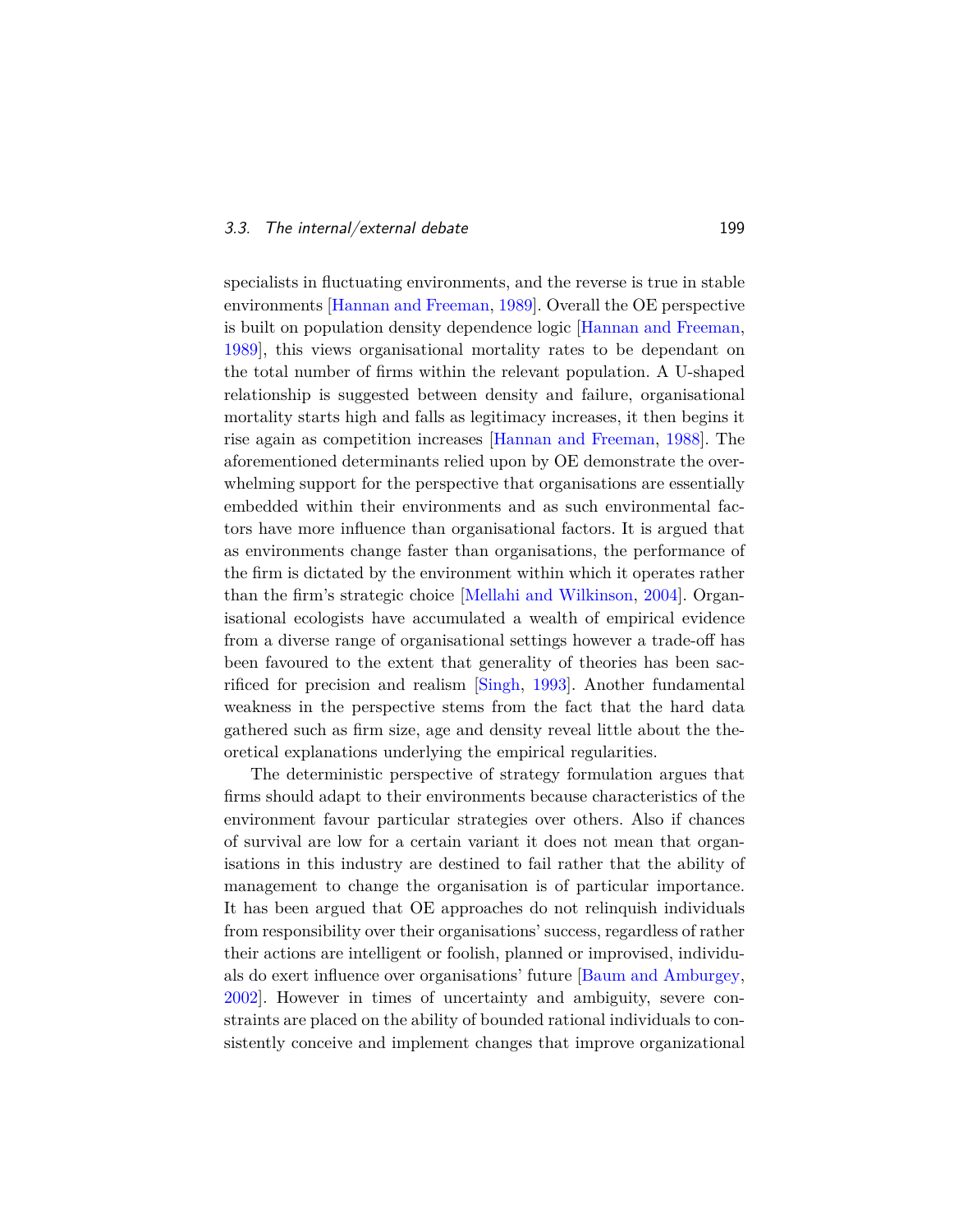## 3.3. The internal/external debate 199

specialists in fluctuating environments, and the reverse is true in stable environments [\[Hannan and Freeman,](#page-110-4) [1989\]](#page-110-4). Overall the OE perspective is built on population density dependence logic [\[Hannan and Freeman,](#page-110-4) [1989\]](#page-110-4), this views organisational mortality rates to be dependant on the total number of firms within the relevant population. A U-shaped relationship is suggested between density and failure, organisational mortality starts high and falls as legitimacy increases, it then begins it rise again as competition increases [\[Hannan and Freeman,](#page-110-3) [1988\]](#page-110-3). The aforementioned determinants relied upon by OE demonstrate the overwhelming support for the perspective that organisations are essentially embedded within their environments and as such environmental factors have more influence than organisational factors. It is argued that as environments change faster than organisations, the performance of the firm is dictated by the environment within which it operates rather than the firm's strategic choice [\[Mellahi and Wilkinson,](#page-115-0) [2004\]](#page-115-0). Organisational ecologists have accumulated a wealth of empirical evidence from a diverse range of organisational settings however a trade-off has been favoured to the extent that generality of theories has been sacrificed for precision and realism [\[Singh,](#page-120-1) [1993\]](#page-120-1). Another fundamental weakness in the perspective stems from the fact that the hard data gathered such as firm size, age and density reveal little about the theoretical explanations underlying the empirical regularities.

The deterministic perspective of strategy formulation argues that firms should adapt to their environments because characteristics of the environment favour particular strategies over others. Also if chances of survival are low for a certain variant it does not mean that organisations in this industry are destined to fail rather that the ability of management to change the organisation is of particular importance. It has been argued that OE approaches do not relinquish individuals from responsibility over their organisations' success, regardless of rather their actions are intelligent or foolish, planned or improvised, individuals do exert influence over organisations' future [\[Baum and Amburgey,](#page-103-1) [2002\]](#page-103-1). However in times of uncertainty and ambiguity, severe constraints are placed on the ability of bounded rational individuals to consistently conceive and implement changes that improve organizational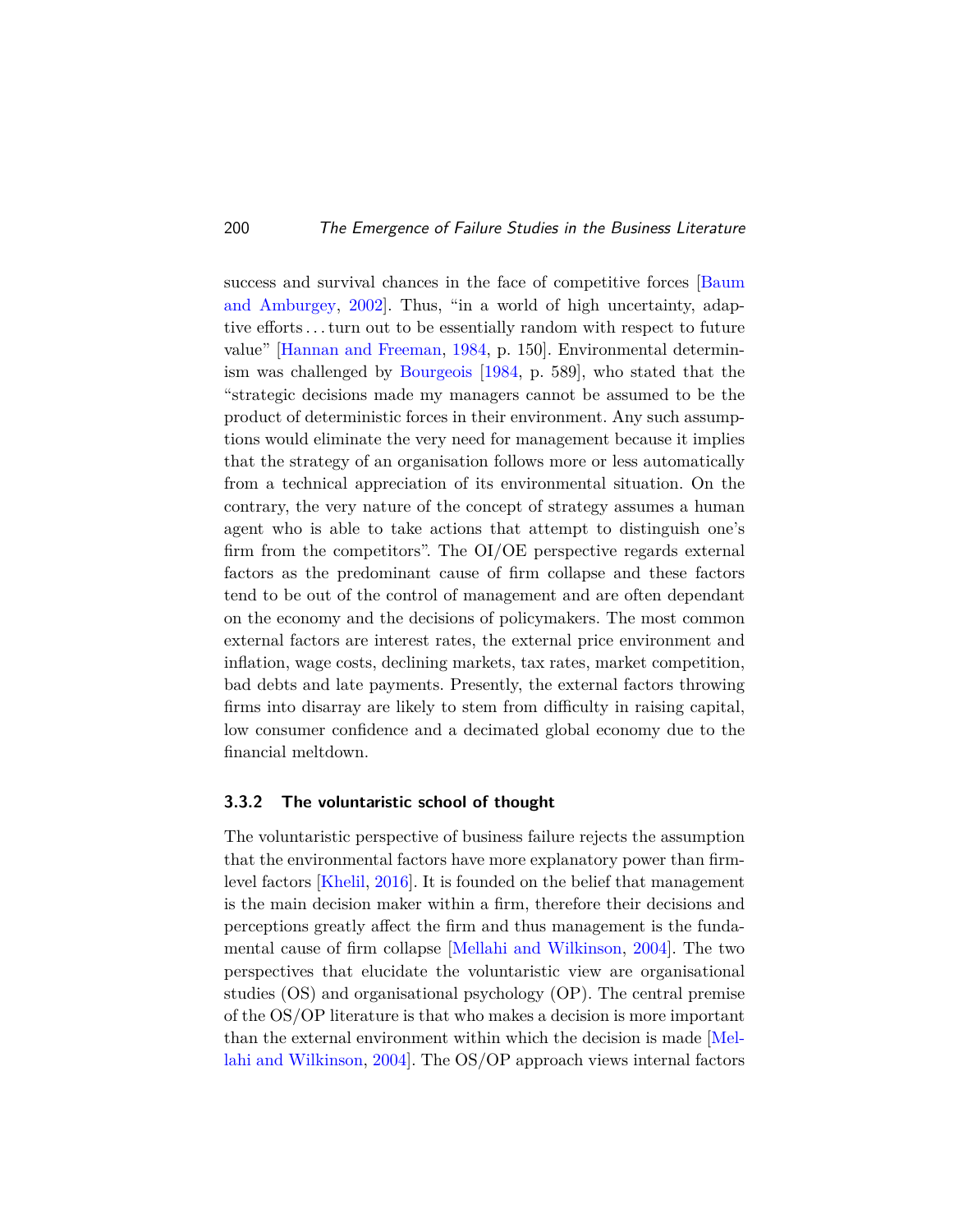success and survival chances in the face of competitive forces [\[Baum](#page-103-1) [and Amburgey,](#page-103-1) [2002\]](#page-103-1). Thus, "in a world of high uncertainty, adaptive efforts*. . .*turn out to be essentially random with respect to future value" [\[Hannan and Freeman,](#page-110-1) [1984,](#page-110-1) p. 150]. Environmental determinism was challenged by [Bourgeois](#page-104-1) [\[1984,](#page-104-1) p. 589], who stated that the "strategic decisions made my managers cannot be assumed to be the product of deterministic forces in their environment. Any such assumptions would eliminate the very need for management because it implies that the strategy of an organisation follows more or less automatically from a technical appreciation of its environmental situation. On the contrary, the very nature of the concept of strategy assumes a human agent who is able to take actions that attempt to distinguish one's firm from the competitors". The OI/OE perspective regards external factors as the predominant cause of firm collapse and these factors tend to be out of the control of management and are often dependant on the economy and the decisions of policymakers. The most common external factors are interest rates, the external price environment and inflation, wage costs, declining markets, tax rates, market competition, bad debts and late payments. Presently, the external factors throwing firms into disarray are likely to stem from difficulty in raising capital, low consumer confidence and a decimated global economy due to the financial meltdown.

#### **3.3.2 The voluntaristic school of thought**

The voluntaristic perspective of business failure rejects the assumption that the environmental factors have more explanatory power than firmlevel factors [\[Khelil,](#page-112-0) [2016\]](#page-112-0). It is founded on the belief that management is the main decision maker within a firm, therefore their decisions and perceptions greatly affect the firm and thus management is the fundamental cause of firm collapse [\[Mellahi and Wilkinson,](#page-115-0) [2004\]](#page-115-0). The two perspectives that elucidate the voluntaristic view are organisational studies (OS) and organisational psychology (OP). The central premise of the OS/OP literature is that who makes a decision is more important than the external environment within which the decision is made [\[Mel](#page-115-0)[lahi and Wilkinson,](#page-115-0) [2004\]](#page-115-0). The OS/OP approach views internal factors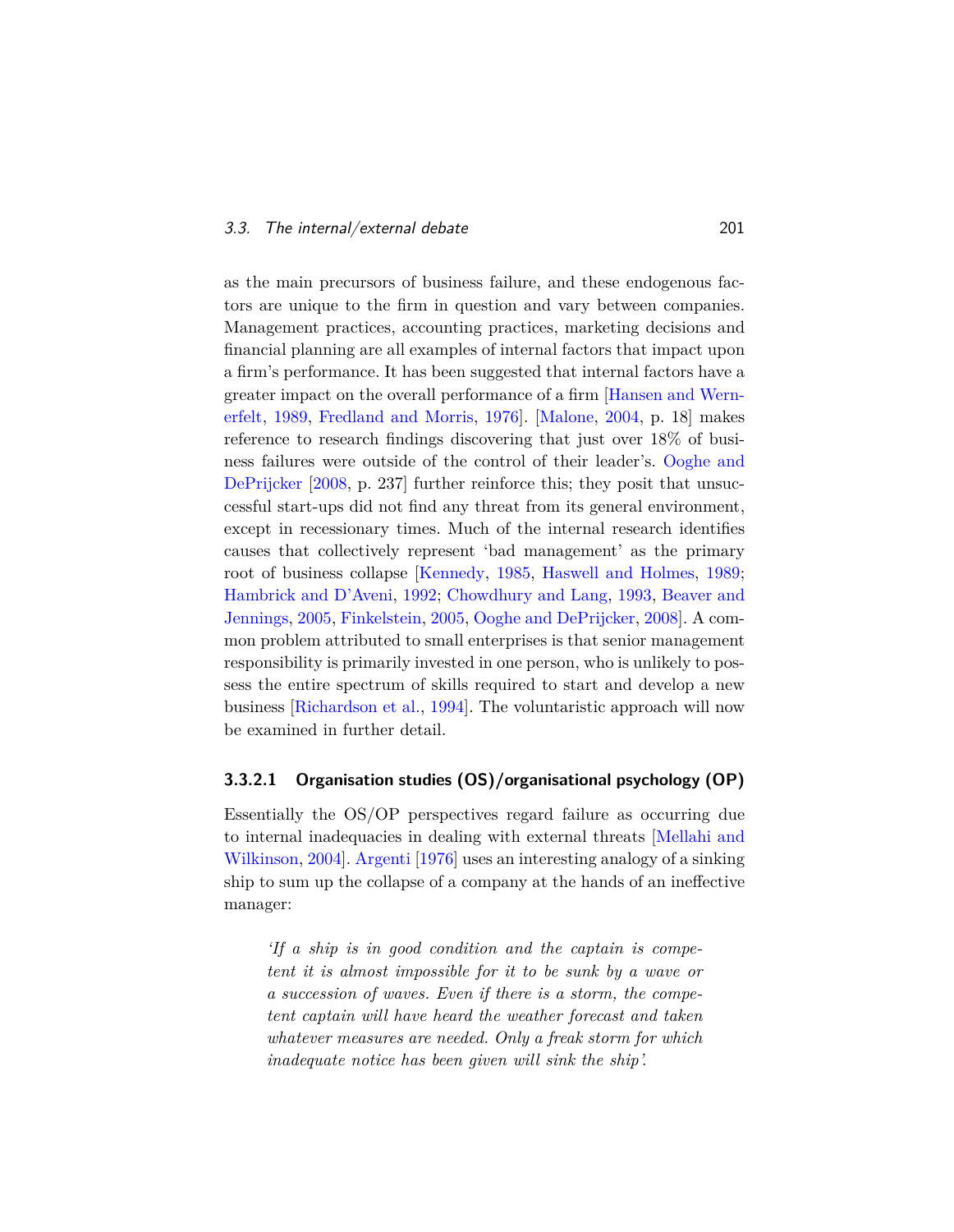## 3.3. The internal/external debate 201

as the main precursors of business failure, and these endogenous factors are unique to the firm in question and vary between companies. Management practices, accounting practices, marketing decisions and financial planning are all examples of internal factors that impact upon a firm's performance. It has been suggested that internal factors have a greater impact on the overall performance of a firm [\[Hansen and Wern](#page-110-5)[erfelt,](#page-110-5) [1989,](#page-110-5) [Fredland and Morris,](#page-109-1) [1976\]](#page-109-1). [\[Malone,](#page-114-0) [2004,](#page-114-0) p. 18] makes reference to research findings discovering that just over 18% of business failures were outside of the control of their leader's. [Ooghe and](#page-116-0) [DePrijcker](#page-116-0) [\[2008,](#page-116-0) p. 237] further reinforce this; they posit that unsuccessful start-ups did not find any threat from its general environment, except in recessionary times. Much of the internal research identifies causes that collectively represent 'bad management' as the primary root of business collapse [\[Kennedy,](#page-112-1) [1985,](#page-112-1) [Haswell and Holmes,](#page-110-6) [1989;](#page-110-6) [Hambrick and D'Aveni,](#page-110-7) [1992;](#page-110-7) [Chowdhury and Lang,](#page-106-0) [1993,](#page-106-0) [Beaver and](#page-103-2) [Jennings,](#page-103-2) [2005,](#page-103-2) [Finkelstein,](#page-108-0) [2005,](#page-108-0) [Ooghe and DePrijcker,](#page-116-0) [2008\]](#page-116-0). A common problem attributed to small enterprises is that senior management responsibility is primarily invested in one person, who is unlikely to possess the entire spectrum of skills required to start and develop a new business [\[Richardson et al.,](#page-118-0) [1994\]](#page-118-0). The voluntaristic approach will now be examined in further detail.

#### **3.3.2.1 Organisation studies (OS)/organisational psychology (OP)**

Essentially the OS/OP perspectives regard failure as occurring due to internal inadequacies in dealing with external threats [\[Mellahi and](#page-115-0) [Wilkinson,](#page-115-0) [2004\]](#page-115-0). [Argenti](#page-101-1) [\[1976\]](#page-101-1) uses an interesting analogy of a sinking ship to sum up the collapse of a company at the hands of an ineffective manager:

*'If a ship is in good condition and the captain is competent it is almost impossible for it to be sunk by a wave or a succession of waves. Even if there is a storm, the competent captain will have heard the weather forecast and taken whatever measures are needed. Only a freak storm for which inadequate notice has been given will sink the ship'.*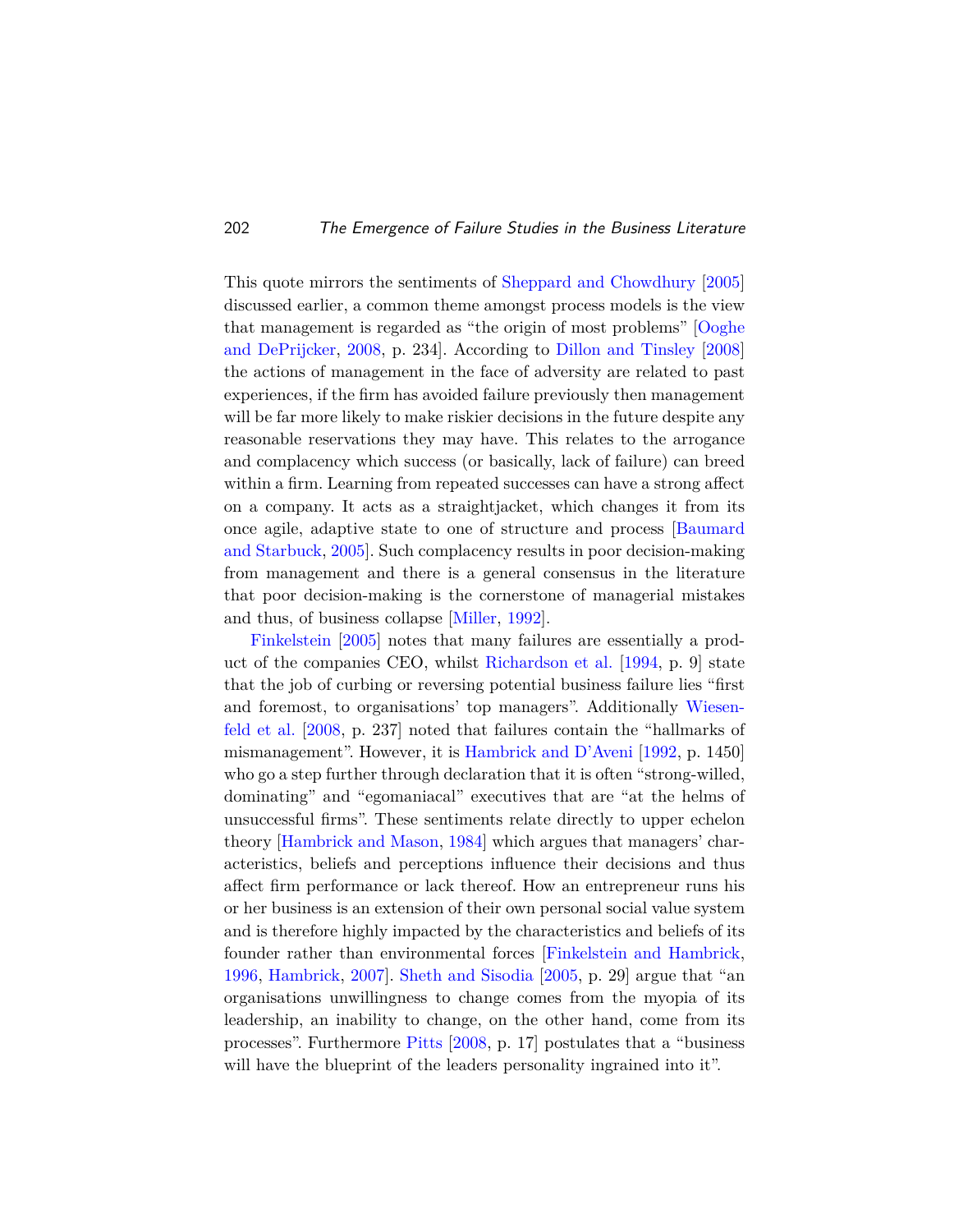This quote mirrors the sentiments of [Sheppard and Chowdhury](#page-120-2) [\[2005\]](#page-120-2) discussed earlier, a common theme amongst process models is the view that management is regarded as "the origin of most problems" [\[Ooghe](#page-116-0) [and DePrijcker,](#page-116-0) [2008,](#page-116-0) p. 234]. According to [Dillon and Tinsley](#page-107-2) [\[2008\]](#page-107-2) the actions of management in the face of adversity are related to past experiences, if the firm has avoided failure previously then management will be far more likely to make riskier decisions in the future despite any reasonable reservations they may have. This relates to the arrogance and complacency which success (or basically, lack of failure) can breed within a firm. Learning from repeated successes can have a strong affect on a company. It acts as a straightjacket, which changes it from its once agile, adaptive state to one of structure and process [\[Baumard](#page-103-3) [and Starbuck,](#page-103-3) [2005\]](#page-103-3). Such complacency results in poor decision-making from management and there is a general consensus in the literature that poor decision-making is the cornerstone of managerial mistakes and thus, of business collapse [\[Miller,](#page-115-1) [1992\]](#page-115-1).

[Finkelstein](#page-108-0) [\[2005\]](#page-108-0) notes that many failures are essentially a product of the companies CEO, whilst [Richardson et al.](#page-118-0) [\[1994,](#page-118-0) p. 9] state that the job of curbing or reversing potential business failure lies "first and foremost, to organisations' top managers". Additionally [Wiesen](#page-124-0)[feld et al.](#page-124-0) [\[2008,](#page-124-0) p. 237] noted that failures contain the "hallmarks of mismanagement". However, it is [Hambrick and D'Aveni](#page-110-7) [\[1992,](#page-110-7) p. 1450] who go a step further through declaration that it is often "strong-willed, dominating" and "egomaniacal" executives that are "at the helms of unsuccessful firms". These sentiments relate directly to upper echelon theory [\[Hambrick and Mason,](#page-110-8) [1984\]](#page-110-8) which argues that managers' characteristics, beliefs and perceptions influence their decisions and thus affect firm performance or lack thereof. How an entrepreneur runs his or her business is an extension of their own personal social value system and is therefore highly impacted by the characteristics and beliefs of its founder rather than environmental forces [\[Finkelstein and Hambrick,](#page-108-1) [1996,](#page-108-1) [Hambrick,](#page-110-9) [2007\]](#page-110-9). [Sheth and Sisodia](#page-120-3) [\[2005,](#page-120-3) p. 29] argue that "an organisations unwillingness to change comes from the myopia of its leadership, an inability to change, on the other hand, come from its processes". Furthermore [Pitts](#page-117-0) [\[2008,](#page-117-0) p. 17] postulates that a "business will have the blueprint of the leaders personality ingrained into it".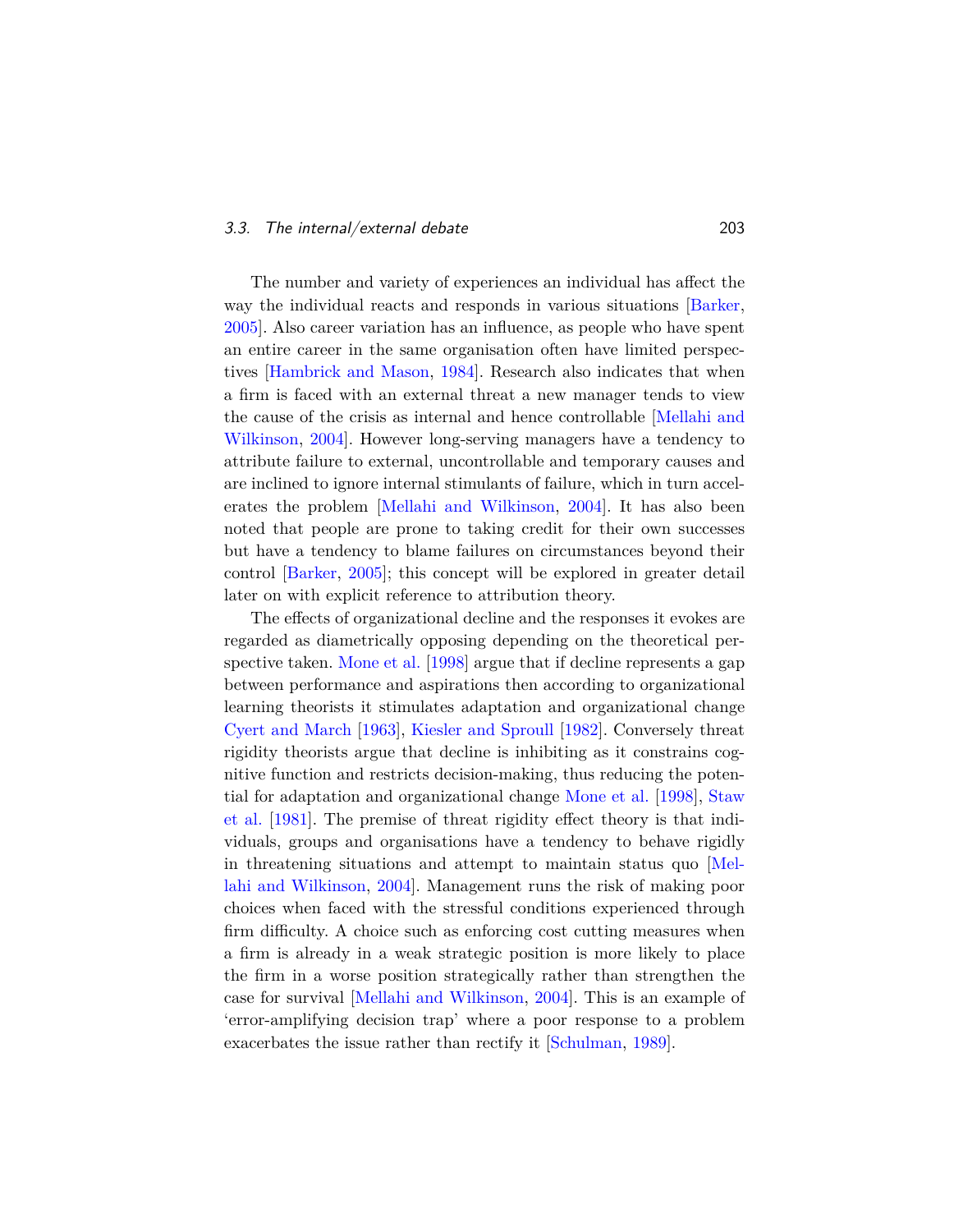## 3.3. The internal/external debate 203

The number and variety of experiences an individual has affect the way the individual reacts and responds in various situations [\[Barker,](#page-102-4) [2005\]](#page-102-4). Also career variation has an influence, as people who have spent an entire career in the same organisation often have limited perspectives [\[Hambrick and Mason,](#page-110-8) [1984\]](#page-110-8). Research also indicates that when a firm is faced with an external threat a new manager tends to view the cause of the crisis as internal and hence controllable [\[Mellahi and](#page-115-0) [Wilkinson,](#page-115-0) [2004\]](#page-115-0). However long-serving managers have a tendency to attribute failure to external, uncontrollable and temporary causes and are inclined to ignore internal stimulants of failure, which in turn accelerates the problem [\[Mellahi and Wilkinson,](#page-115-0) [2004\]](#page-115-0). It has also been noted that people are prone to taking credit for their own successes but have a tendency to blame failures on circumstances beyond their control [\[Barker,](#page-102-4) [2005\]](#page-102-4); this concept will be explored in greater detail later on with explicit reference to attribution theory.

The effects of organizational decline and the responses it evokes are regarded as diametrically opposing depending on the theoretical perspective taken. [Mone et al.](#page-116-1) [\[1998\]](#page-116-1) argue that if decline represents a gap between performance and aspirations then according to organizational learning theorists it stimulates adaptation and organizational change [Cyert and March](#page-107-3) [\[1963\]](#page-107-3), [Kiesler and Sproull](#page-112-2) [\[1982\]](#page-112-2). Conversely threat rigidity theorists argue that decline is inhibiting as it constrains cognitive function and restricts decision-making, thus reducing the potential for adaptation and organizational change [Mone et al.](#page-116-1) [\[1998\]](#page-116-1), [Staw](#page-121-2) [et al.](#page-121-2) [\[1981\]](#page-121-2). The premise of threat rigidity effect theory is that individuals, groups and organisations have a tendency to behave rigidly in threatening situations and attempt to maintain status quo [\[Mel](#page-115-0)[lahi and Wilkinson,](#page-115-0) [2004\]](#page-115-0). Management runs the risk of making poor choices when faced with the stressful conditions experienced through firm difficulty. A choice such as enforcing cost cutting measures when a firm is already in a weak strategic position is more likely to place the firm in a worse position strategically rather than strengthen the case for survival [\[Mellahi and Wilkinson,](#page-115-0) [2004\]](#page-115-0). This is an example of 'error-amplifying decision trap' where a poor response to a problem exacerbates the issue rather than rectify it [\[Schulman,](#page-119-1) [1989\]](#page-119-1).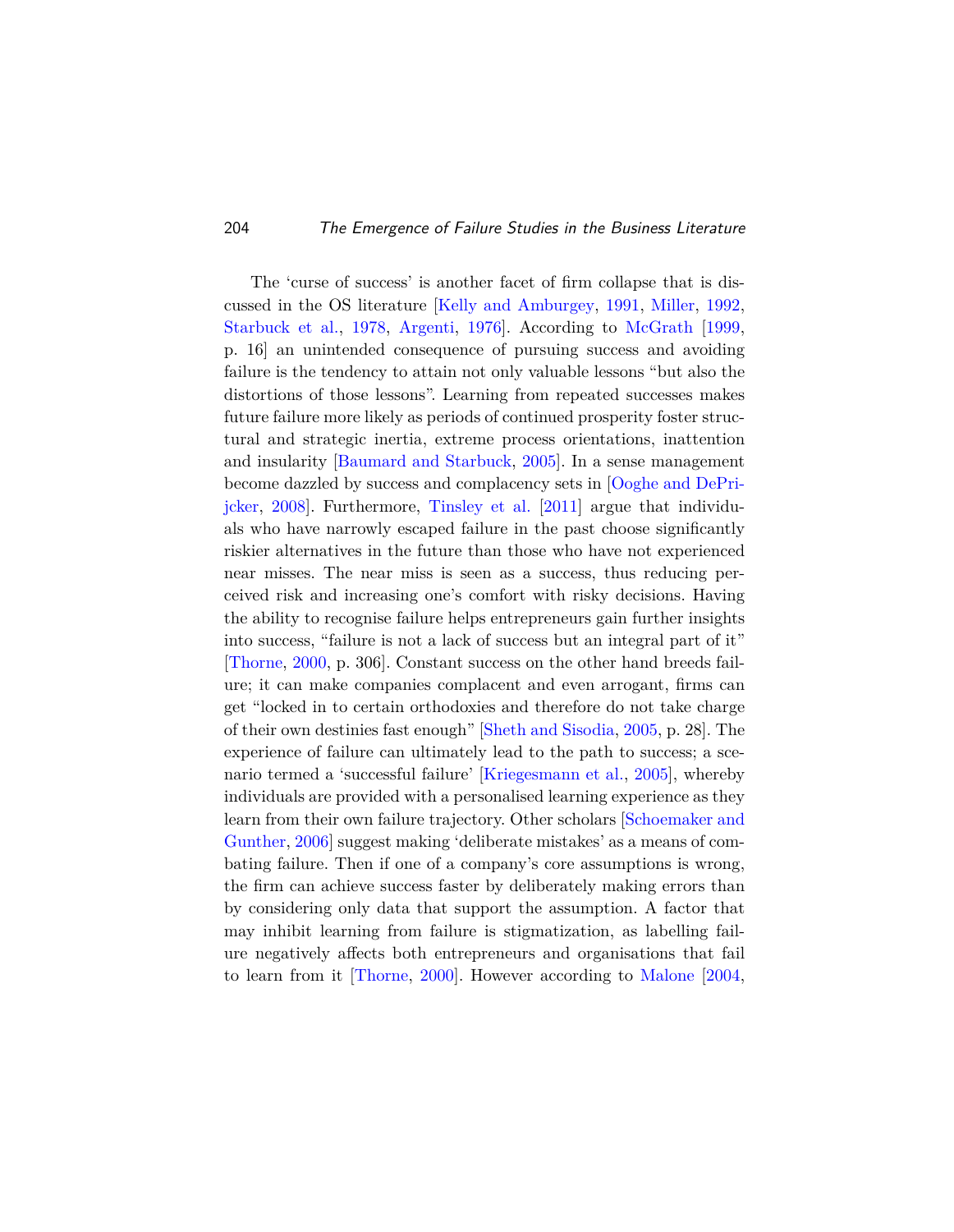The 'curse of success' is another facet of firm collapse that is discussed in the OS literature [\[Kelly and Amburgey,](#page-112-3) [1991,](#page-112-3) [Miller,](#page-115-1) [1992,](#page-115-1) [Starbuck et al.,](#page-121-3) [1978,](#page-121-3) [Argenti,](#page-101-1) [1976\]](#page-101-1). According to [McGrath](#page-115-2) [\[1999,](#page-115-2) p. 16] an unintended consequence of pursuing success and avoiding failure is the tendency to attain not only valuable lessons "but also the distortions of those lessons". Learning from repeated successes makes future failure more likely as periods of continued prosperity foster structural and strategic inertia, extreme process orientations, inattention and insularity [\[Baumard and Starbuck,](#page-103-3) [2005\]](#page-103-3). In a sense management become dazzled by success and complacency sets in [\[Ooghe and DePri](#page-116-0)[jcker,](#page-116-0) [2008\]](#page-116-0). Furthermore, [Tinsley et al.](#page-122-1) [\[2011\]](#page-122-1) argue that individuals who have narrowly escaped failure in the past choose significantly riskier alternatives in the future than those who have not experienced near misses. The near miss is seen as a success, thus reducing perceived risk and increasing one's comfort with risky decisions. Having the ability to recognise failure helps entrepreneurs gain further insights into success, "failure is not a lack of success but an integral part of it" [\[Thorne,](#page-122-2) [2000,](#page-122-2) p. 306]. Constant success on the other hand breeds failure; it can make companies complacent and even arrogant, firms can get "locked in to certain orthodoxies and therefore do not take charge of their own destinies fast enough" [\[Sheth and Sisodia,](#page-120-3) [2005,](#page-120-3) p. 28]. The experience of failure can ultimately lead to the path to success; a scenario termed a 'successful failure' [\[Kriegesmann et al.,](#page-113-1) [2005\]](#page-113-1), whereby individuals are provided with a personalised learning experience as they learn from their own failure trajectory. Other scholars [\[Schoemaker and](#page-119-2) [Gunther,](#page-119-2) [2006\]](#page-119-2) suggest making 'deliberate mistakes' as a means of combating failure. Then if one of a company's core assumptions is wrong, the firm can achieve success faster by deliberately making errors than by considering only data that support the assumption. A factor that may inhibit learning from failure is stigmatization, as labelling failure negatively affects both entrepreneurs and organisations that fail to learn from it [\[Thorne,](#page-122-2) [2000\]](#page-122-2). However according to [Malone](#page-114-0) [\[2004,](#page-114-0)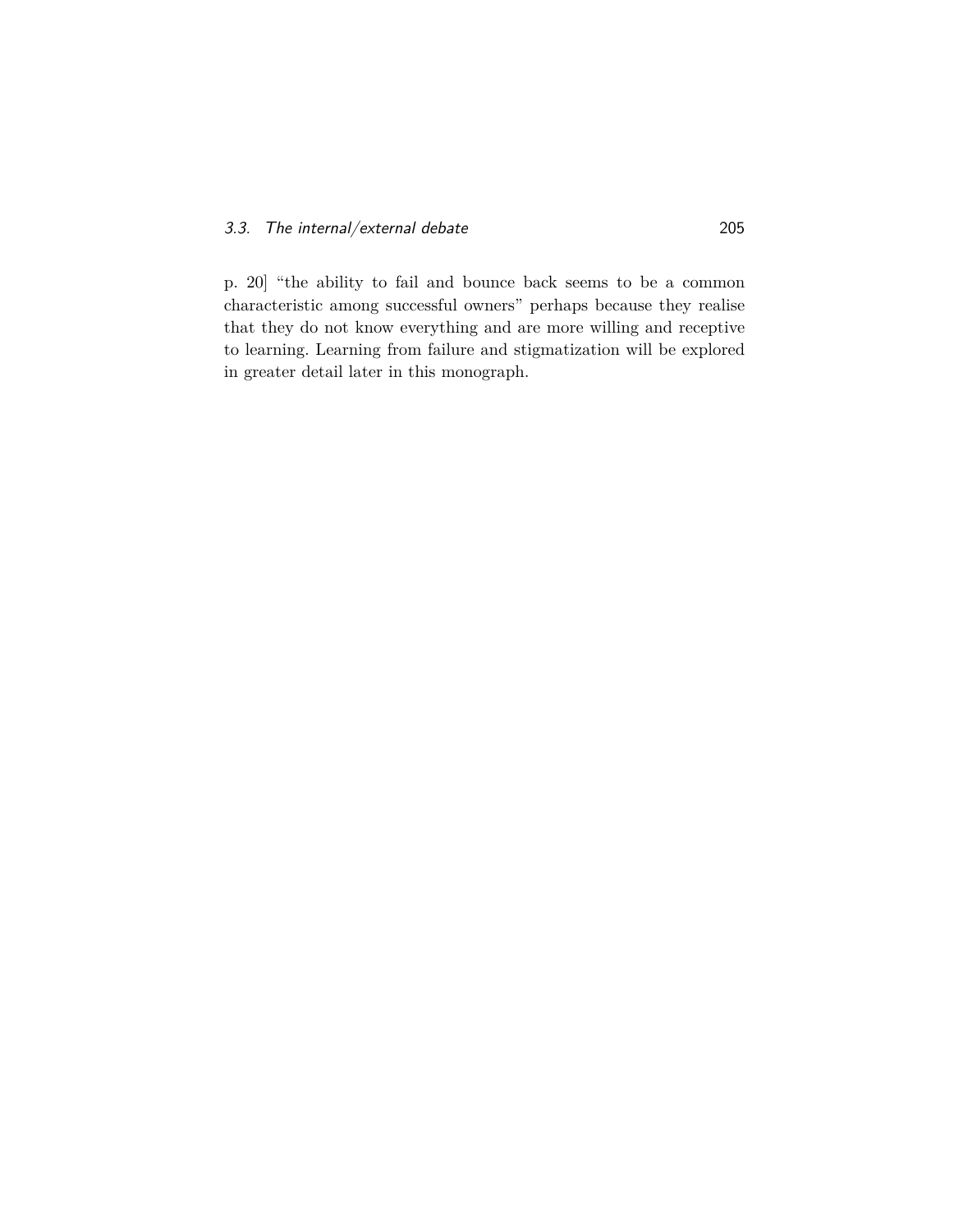p. 20] "the ability to fail and bounce back seems to be a common characteristic among successful owners" perhaps because they realise that they do not know everything and are more willing and receptive to learning. Learning from failure and stigmatization will be explored in greater detail later in this monograph.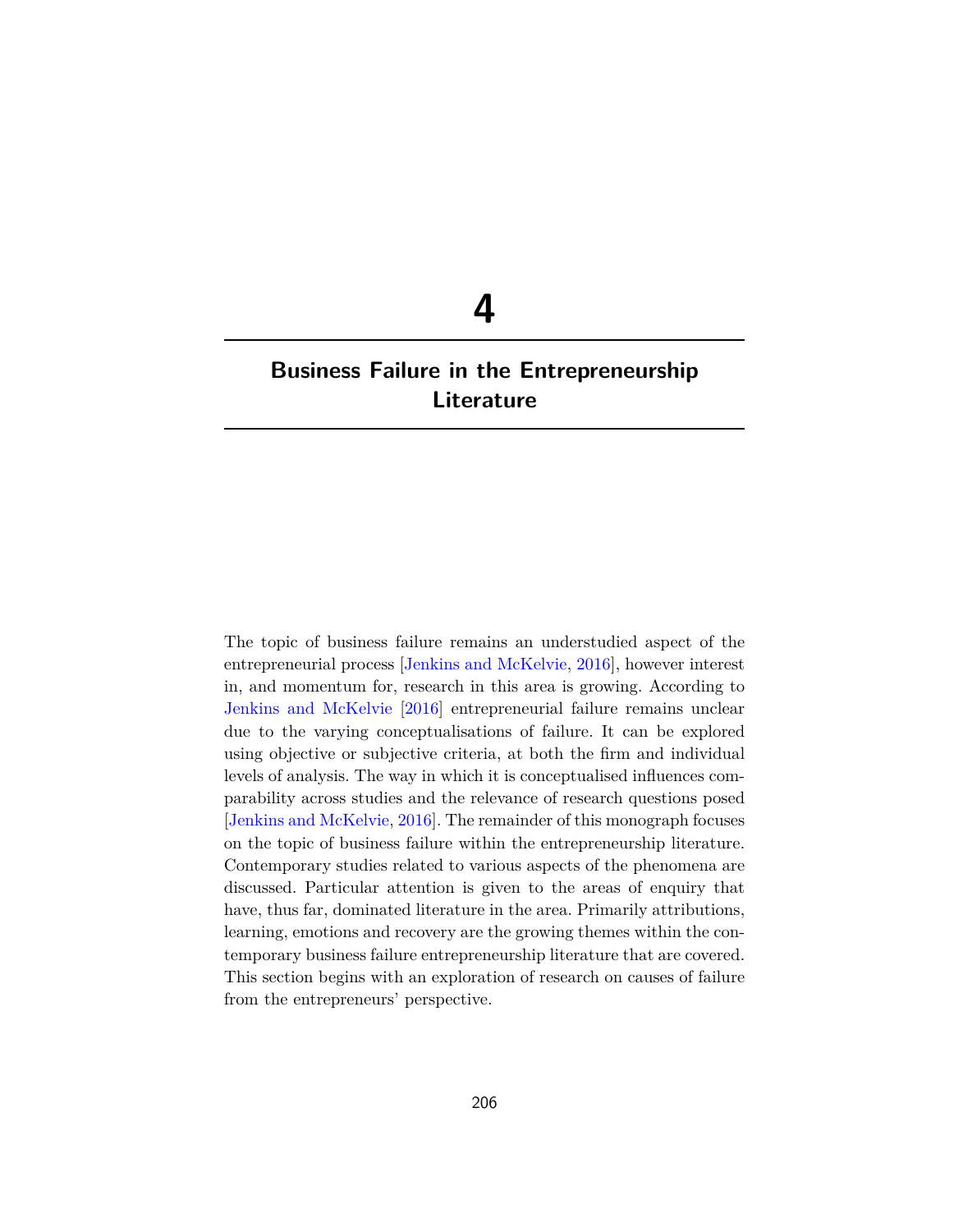# **4**

# **Business Failure in the Entrepreneurship Literature**

The topic of business failure remains an understudied aspect of the entrepreneurial process [\[Jenkins and McKelvie,](#page-112-4) [2016\]](#page-112-4), however interest in, and momentum for, research in this area is growing. According to [Jenkins and McKelvie](#page-112-4) [\[2016\]](#page-112-4) entrepreneurial failure remains unclear due to the varying conceptualisations of failure. It can be explored using objective or subjective criteria, at both the firm and individual levels of analysis. The way in which it is conceptualised influences comparability across studies and the relevance of research questions posed [\[Jenkins and McKelvie,](#page-112-4) [2016\]](#page-112-4). The remainder of this monograph focuses on the topic of business failure within the entrepreneurship literature. Contemporary studies related to various aspects of the phenomena are discussed. Particular attention is given to the areas of enquiry that have, thus far, dominated literature in the area. Primarily attributions, learning, emotions and recovery are the growing themes within the contemporary business failure entrepreneurship literature that are covered. This section begins with an exploration of research on causes of failure from the entrepreneurs' perspective.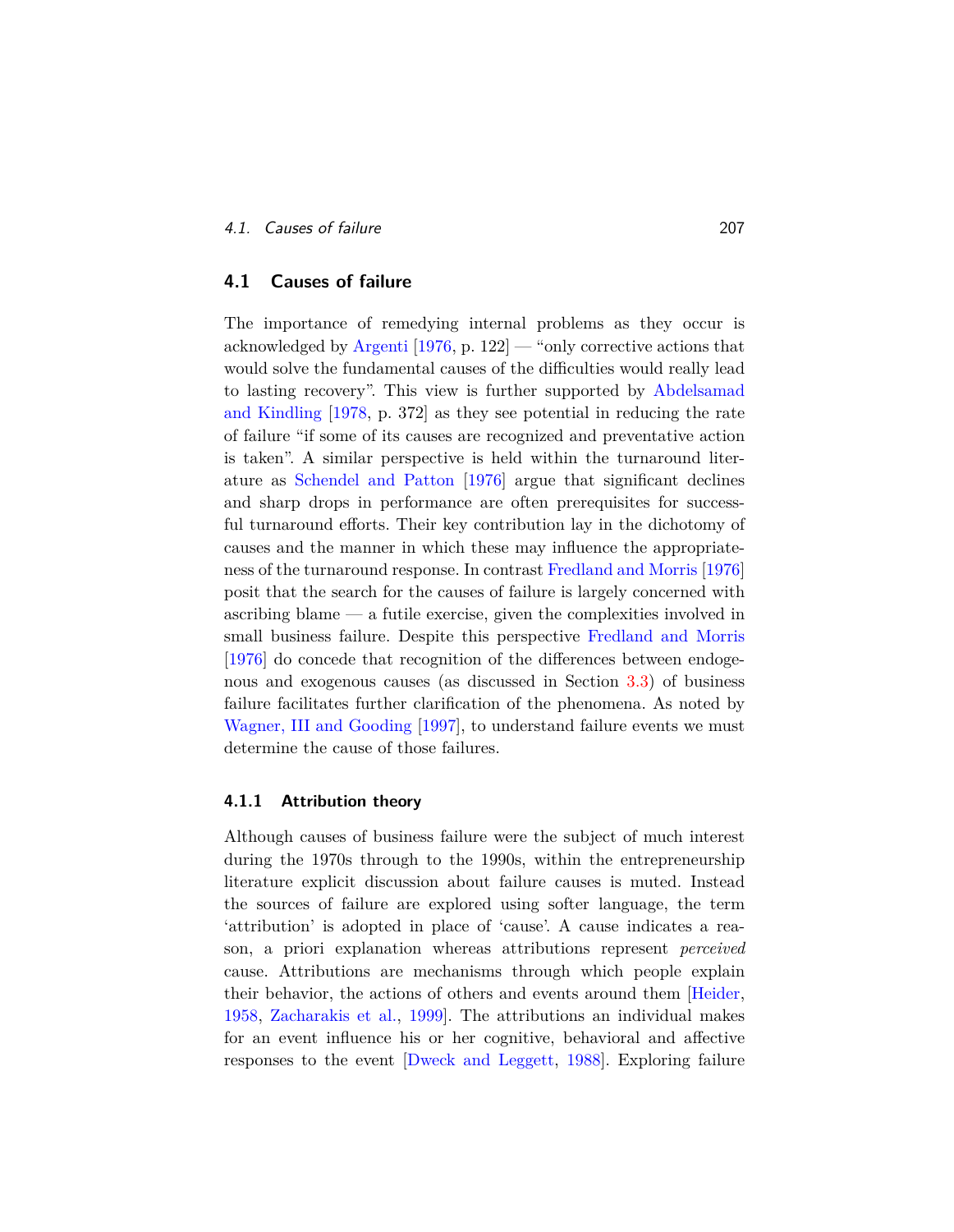# **4.1 Causes of failure**

The importance of remedying internal problems as they occur is acknowledged by [Argenti](#page-101-1) [\[1976,](#page-101-1) p. 122] — "only corrective actions that would solve the fundamental causes of the difficulties would really lead to lasting recovery". This view is further supported by [Abdelsamad](#page-100-1) [and Kindling](#page-100-1) [\[1978,](#page-100-1) p. 372] as they see potential in reducing the rate of failure "if some of its causes are recognized and preventative action is taken". A similar perspective is held within the turnaround literature as [Schendel and Patton](#page-119-3) [\[1976\]](#page-119-3) argue that significant declines and sharp drops in performance are often prerequisites for successful turnaround efforts. Their key contribution lay in the dichotomy of causes and the manner in which these may influence the appropriateness of the turnaround response. In contrast [Fredland and Morris](#page-109-1) [\[1976\]](#page-109-1) posit that the search for the causes of failure is largely concerned with ascribing blame — a futile exercise, given the complexities involved in small business failure. Despite this perspective [Fredland and Morris](#page-109-1) [\[1976\]](#page-109-1) do concede that recognition of the differences between endogenous and exogenous causes (as discussed in Section [3.3\)](#page-33-0) of business failure facilitates further clarification of the phenomena. As noted by [Wagner, III and Gooding](#page-123-0) [\[1997\]](#page-123-0), to understand failure events we must determine the cause of those failures.

#### **4.1.1 Attribution theory**

Although causes of business failure were the subject of much interest during the 1970s through to the 1990s, within the entrepreneurship literature explicit discussion about failure causes is muted. Instead the sources of failure are explored using softer language, the term 'attribution' is adopted in place of 'cause'. A cause indicates a reason, a priori explanation whereas attributions represent *perceived* cause. Attributions are mechanisms through which people explain their behavior, the actions of others and events around them [\[Heider,](#page-111-2) [1958,](#page-111-2) [Zacharakis et al.,](#page-125-0) [1999\]](#page-125-0). The attributions an individual makes for an event influence his or her cognitive, behavioral and affective responses to the event [\[Dweck and Leggett,](#page-108-2) [1988\]](#page-108-2). Exploring failure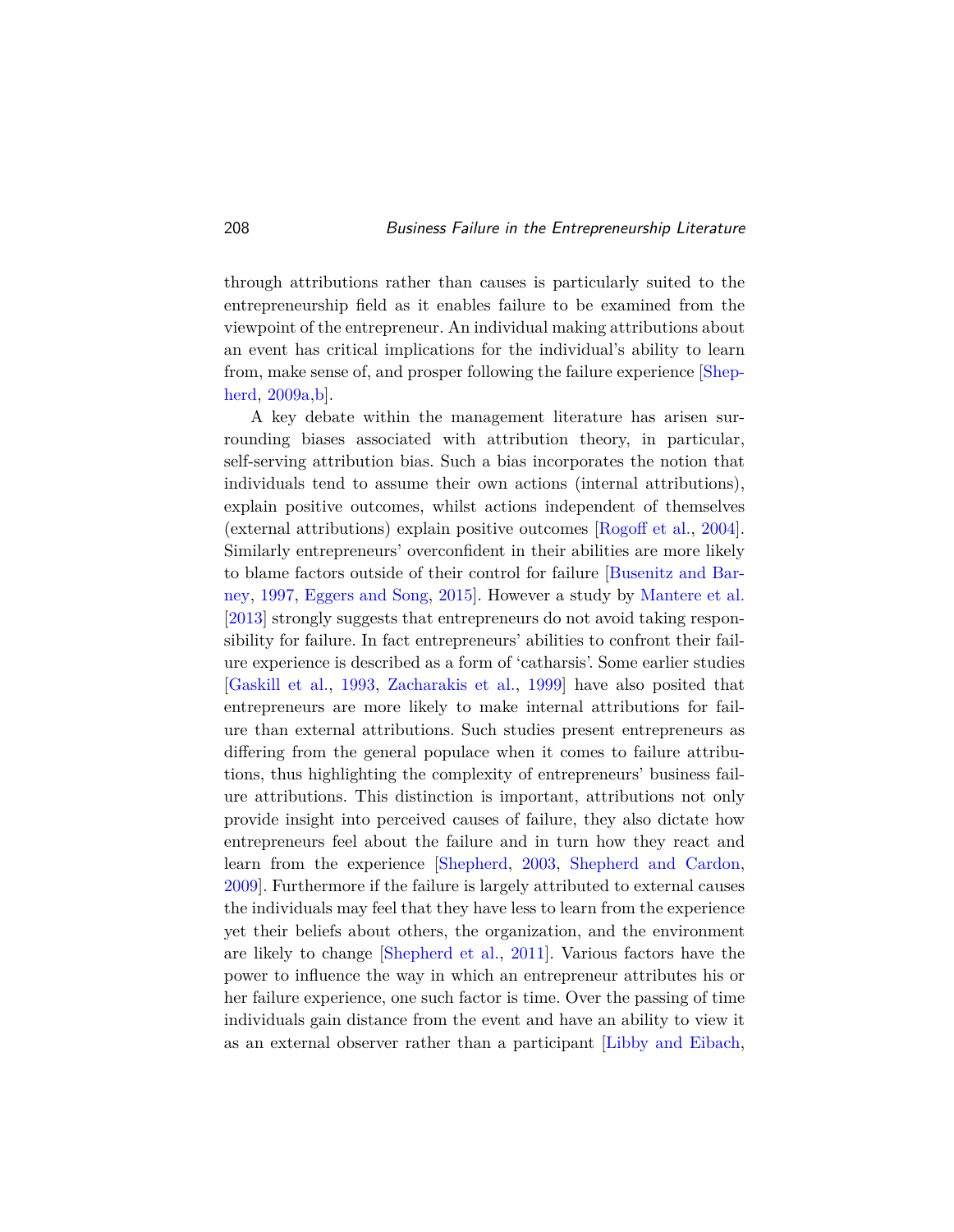through attributions rather than causes is particularly suited to the entrepreneurship field as it enables failure to be examined from the viewpoint of the entrepreneur. An individual making attributions about an event has critical implications for the individual's ability to learn from, make sense of, and prosper following the failure experience [\[Shep](#page-119-4)[herd,](#page-119-4) [2009a](#page-119-4)[,b\]](#page-119-5).

A key debate within the management literature has arisen surrounding biases associated with attribution theory, in particular, self-serving attribution bias. Such a bias incorporates the notion that individuals tend to assume their own actions (internal attributions), explain positive outcomes, whilst actions independent of themselves (external attributions) explain positive outcomes [\[Rogoff et al.,](#page-118-1) [2004\]](#page-118-1). Similarly entrepreneurs' overconfident in their abilities are more likely to blame factors outside of their control for failure [\[Busenitz and Bar](#page-104-2)[ney,](#page-104-2) [1997,](#page-104-2) [Eggers and Song,](#page-108-3) [2015\]](#page-108-3). However a study by [Mantere et al.](#page-114-1) [\[2013\]](#page-114-1) strongly suggests that entrepreneurs do not avoid taking responsibility for failure. In fact entrepreneurs' abilities to confront their failure experience is described as a form of 'catharsis'. Some earlier studies [\[Gaskill et al.,](#page-109-2) [1993,](#page-109-2) [Zacharakis et al.,](#page-125-0) [1999\]](#page-125-0) have also posited that entrepreneurs are more likely to make internal attributions for failure than external attributions. Such studies present entrepreneurs as differing from the general populace when it comes to failure attributions, thus highlighting the complexity of entrepreneurs' business failure attributions. This distinction is important, attributions not only provide insight into perceived causes of failure, they also dictate how entrepreneurs feel about the failure and in turn how they react and learn from the experience [\[Shepherd,](#page-119-6) [2003,](#page-119-6) [Shepherd and Cardon,](#page-119-7) [2009\]](#page-119-7). Furthermore if the failure is largely attributed to external causes the individuals may feel that they have less to learn from the experience yet their beliefs about others, the organization, and the environment are likely to change [\[Shepherd et al.,](#page-120-4) [2011\]](#page-120-4). Various factors have the power to influence the way in which an entrepreneur attributes his or her failure experience, one such factor is time. Over the passing of time individuals gain distance from the event and have an ability to view it as an external observer rather than a participant [\[Libby and Eibach,](#page-114-2)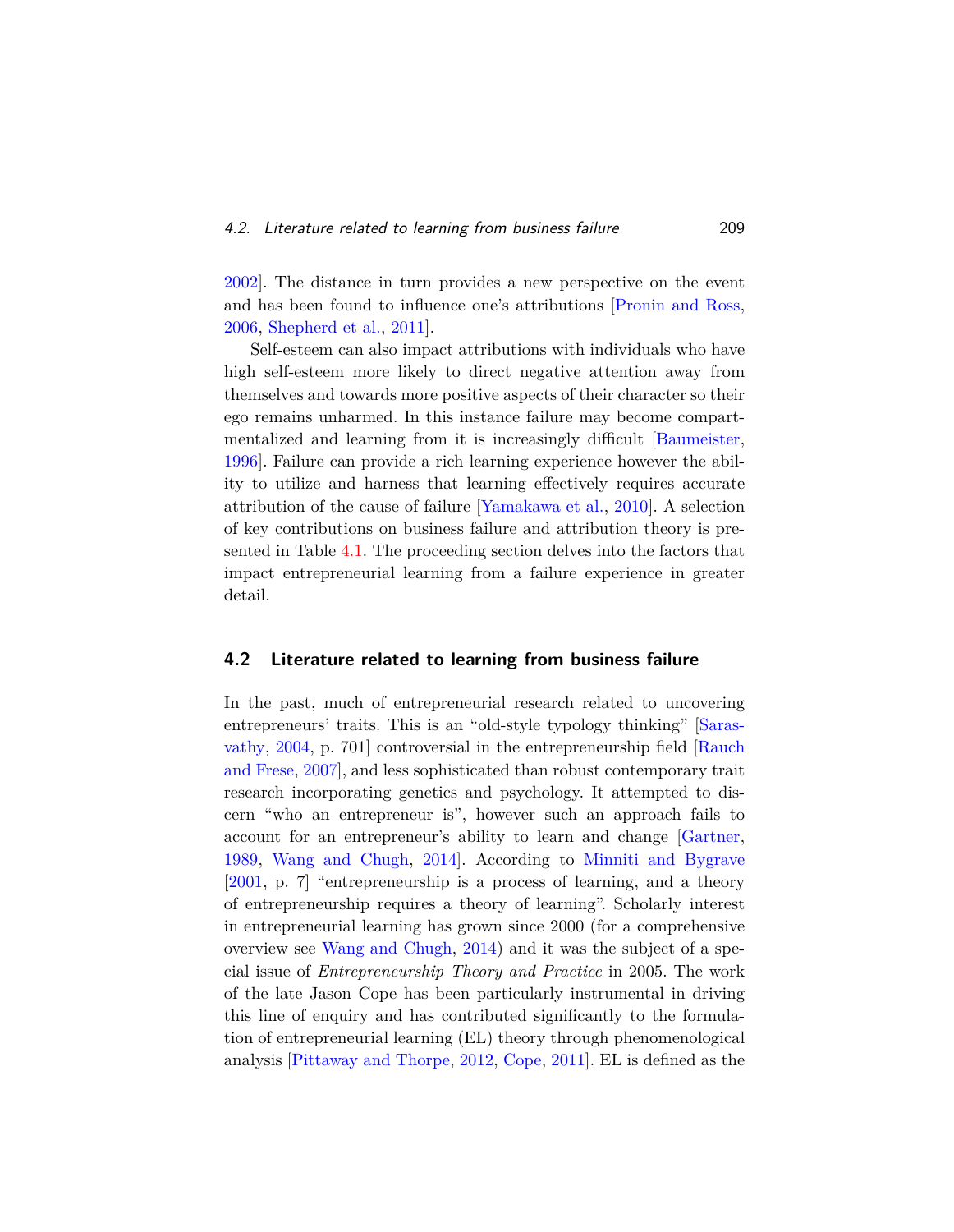[2002\]](#page-114-2). The distance in turn provides a new perspective on the event and has been found to influence one's attributions [\[Pronin and Ross,](#page-117-1) [2006,](#page-117-1) [Shepherd et al.,](#page-120-4) [2011\]](#page-120-4).

Self-esteem can also impact attributions with individuals who have high self-esteem more likely to direct negative attention away from themselves and towards more positive aspects of their character so their ego remains unharmed. In this instance failure may become compartmentalized and learning from it is increasingly difficult [\[Baumeister,](#page-103-4) [1996\]](#page-103-4). Failure can provide a rich learning experience however the ability to utilize and harness that learning effectively requires accurate attribution of the cause of failure [\[Yamakawa et al.,](#page-125-1) [2010\]](#page-125-1). A selection of key contributions on business failure and attribution theory is presented in Table [4.1.](#page-50-0) The proceeding section delves into the factors that impact entrepreneurial learning from a failure experience in greater detail.

## **4.2 Literature related to learning from business failure**

In the past, much of entrepreneurial research related to uncovering entrepreneurs' traits. This is an "old-style typology thinking" [\[Saras](#page-118-2)[vathy,](#page-118-2) [2004,](#page-118-2) p. 701] controversial in the entrepreneurship field [\[Rauch](#page-117-2) [and Frese,](#page-117-2) [2007\]](#page-117-2), and less sophisticated than robust contemporary trait research incorporating genetics and psychology. It attempted to discern "who an entrepreneur is", however such an approach fails to account for an entrepreneur's ability to learn and change [\[Gartner,](#page-109-3) [1989,](#page-109-3) [Wang and Chugh,](#page-123-1) [2014\]](#page-123-1). According to [Minniti and Bygrave](#page-115-3) [\[2001,](#page-115-3) p. 7] "entrepreneurship is a process of learning, and a theory of entrepreneurship requires a theory of learning". Scholarly interest in entrepreneurial learning has grown since 2000 (for a comprehensive overview see [Wang and Chugh,](#page-123-1) [2014\)](#page-123-1) and it was the subject of a special issue of *Entrepreneurship Theory and Practice* in 2005. The work of the late Jason Cope has been particularly instrumental in driving this line of enquiry and has contributed significantly to the formulation of entrepreneurial learning (EL) theory through phenomenological analysis [\[Pittaway and Thorpe,](#page-117-3) [2012,](#page-117-3) [Cope,](#page-106-1) [2011\]](#page-106-1). EL is defined as the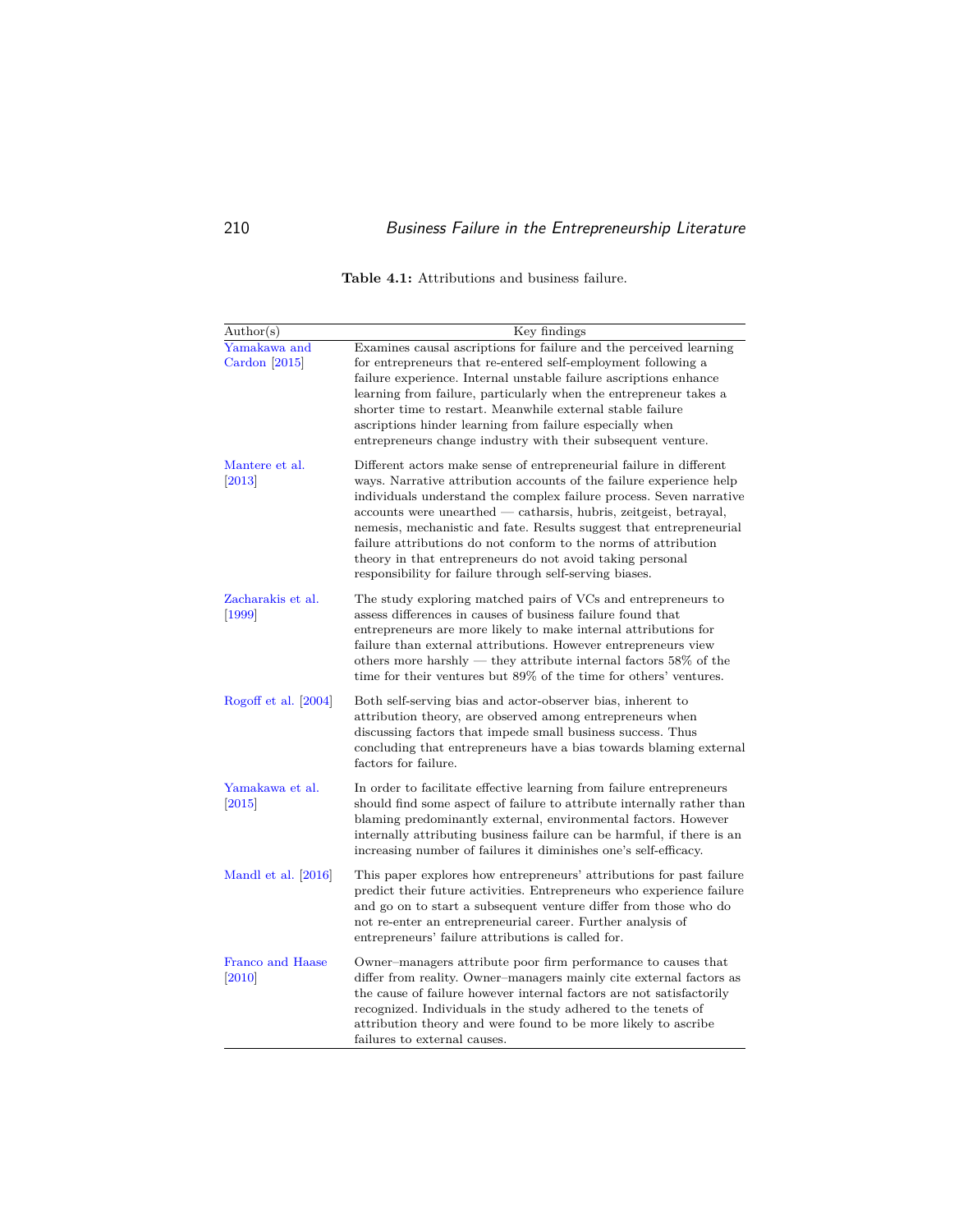<span id="page-50-0"></span>

| $\text{Author}(s)$              | Key findings                                                                                                                                                                                                                                                                                                                                                                                                                                                                                                                                             |
|---------------------------------|----------------------------------------------------------------------------------------------------------------------------------------------------------------------------------------------------------------------------------------------------------------------------------------------------------------------------------------------------------------------------------------------------------------------------------------------------------------------------------------------------------------------------------------------------------|
| Yamakawa and<br>Cardon $[2015]$ | Examines causal ascriptions for failure and the perceived learning<br>for entrepreneurs that re-entered self-employment following a<br>failure experience. Internal unstable failure ascriptions enhance<br>learning from failure, particularly when the entrepreneur takes a<br>shorter time to restart. Meanwhile external stable failure<br>ascriptions hinder learning from failure especially when<br>entrepreneurs change industry with their subsequent venture.                                                                                  |
| Mantere et al.<br> 2013         | Different actors make sense of entrepreneurial failure in different<br>ways. Narrative attribution accounts of the failure experience help<br>individuals understand the complex failure process. Seven narrative<br>accounts were unearthed - catharsis, hubris, zeitgeist, betrayal,<br>nemesis, mechanistic and fate. Results suggest that entrepreneurial<br>failure attributions do not conform to the norms of attribution<br>theory in that entrepreneurs do not avoid taking personal<br>responsibility for failure through self-serving biases. |
| Zacharakis et al.<br>[1999]     | The study exploring matched pairs of VCs and entrepreneurs to<br>assess differences in causes of business failure found that<br>entrepreneurs are more likely to make internal attributions for<br>failure than external attributions. However entrepreneurs view<br>others more harshly — they attribute internal factors $58\%$ of the<br>time for their ventures but 89% of the time for others' ventures.                                                                                                                                            |
| Rogoff et al. [2004]            | Both self-serving bias and actor-observer bias, inherent to<br>attribution theory, are observed among entrepreneurs when<br>discussing factors that impede small business success. Thus<br>concluding that entrepreneurs have a bias towards blaming external<br>factors for failure.                                                                                                                                                                                                                                                                    |
| Yamakawa et al.<br> 2015        | In order to facilitate effective learning from failure entrepreneurs<br>should find some aspect of failure to attribute internally rather than<br>blaming predominantly external, environmental factors. However<br>internally attributing business failure can be harmful, if there is an<br>increasing number of failures it diminishes one's self-efficacy.                                                                                                                                                                                           |
| Mandl et al. [2016]             | This paper explores how entrepreneurs' attributions for past failure<br>predict their future activities. Entrepreneurs who experience failure<br>and go on to start a subsequent venture differ from those who do<br>not re-enter an entrepreneurial career. Further analysis of<br>entrepreneurs' failure attributions is called for.                                                                                                                                                                                                                   |
| Franco and Haase<br>[2010]      | Owner-managers attribute poor firm performance to causes that<br>differ from reality. Owner-managers mainly cite external factors as<br>the cause of failure however internal factors are not satisfactorily<br>recognized. Individuals in the study adhered to the tenets of<br>attribution theory and were found to be more likely to ascribe<br>failures to external causes.                                                                                                                                                                          |

**Table 4.1:** Attributions and business failure.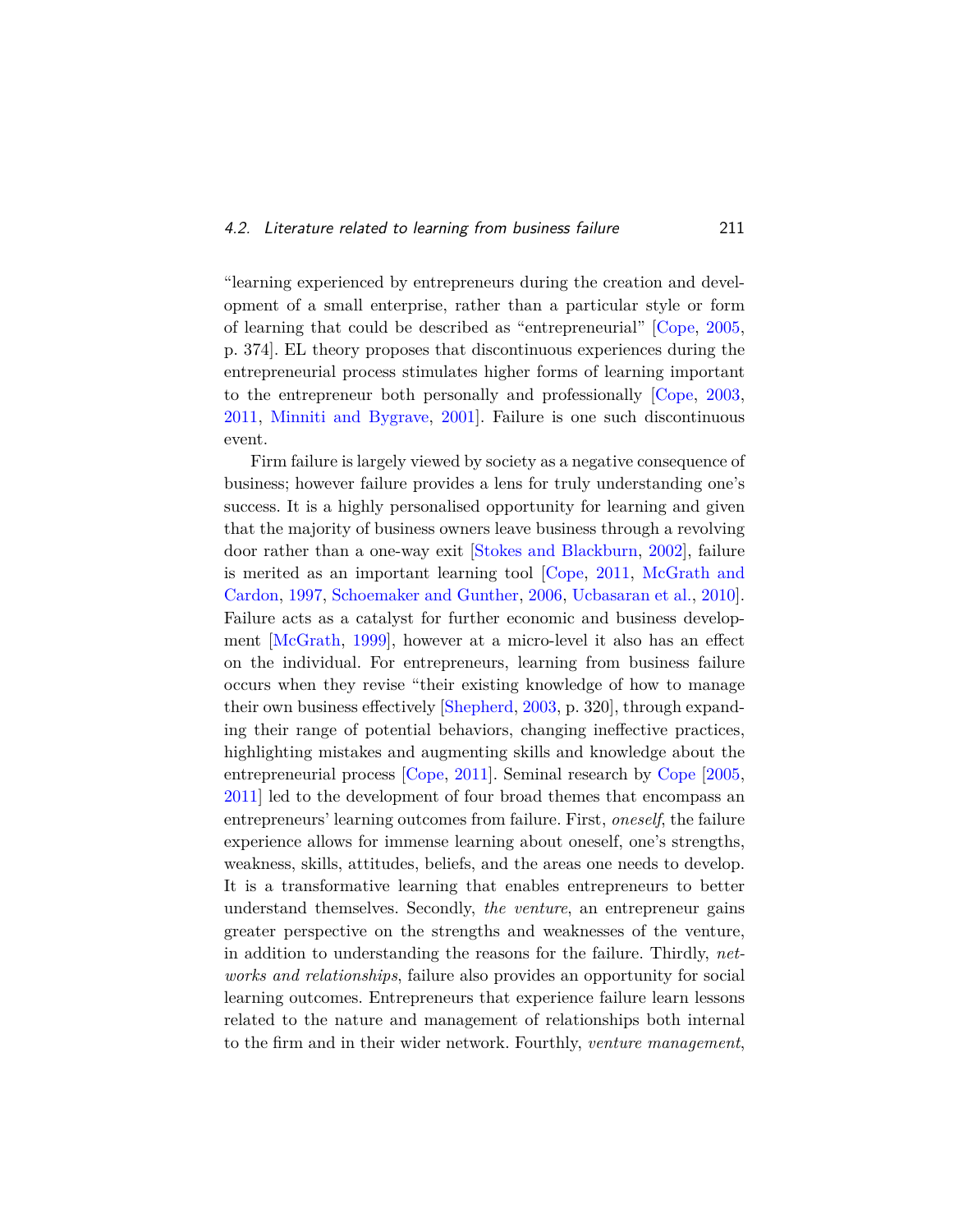"learning experienced by entrepreneurs during the creation and development of a small enterprise, rather than a particular style or form of learning that could be described as "entrepreneurial" [\[Cope,](#page-106-2) [2005,](#page-106-2) p. 374]. EL theory proposes that discontinuous experiences during the entrepreneurial process stimulates higher forms of learning important to the entrepreneur both personally and professionally [\[Cope,](#page-106-3) [2003,](#page-106-3) [2011,](#page-106-1) [Minniti and Bygrave,](#page-115-3) [2001\]](#page-115-3). Failure is one such discontinuous event.

Firm failure is largely viewed by society as a negative consequence of business; however failure provides a lens for truly understanding one's success. It is a highly personalised opportunity for learning and given that the majority of business owners leave business through a revolving door rather than a one-way exit [\[Stokes and Blackburn,](#page-121-4) [2002\]](#page-121-4), failure is merited as an important learning tool [\[Cope,](#page-106-1) [2011,](#page-106-1) [McGrath and](#page-115-4) [Cardon,](#page-115-4) [1997,](#page-115-4) [Schoemaker and Gunther,](#page-119-2) [2006,](#page-119-2) [Ucbasaran et al.,](#page-122-3) [2010\]](#page-122-3). Failure acts as a catalyst for further economic and business development [\[McGrath,](#page-115-2) [1999\]](#page-115-2), however at a micro-level it also has an effect on the individual. For entrepreneurs, learning from business failure occurs when they revise "their existing knowledge of how to manage their own business effectively [\[Shepherd,](#page-119-6) [2003,](#page-119-6) p. 320], through expanding their range of potential behaviors, changing ineffective practices, highlighting mistakes and augmenting skills and knowledge about the entrepreneurial process [\[Cope,](#page-106-1) [2011\]](#page-106-1). Seminal research by [Cope](#page-106-2) [\[2005,](#page-106-2) [2011\]](#page-106-1) led to the development of four broad themes that encompass an entrepreneurs' learning outcomes from failure. First, *oneself*, the failure experience allows for immense learning about oneself, one's strengths, weakness, skills, attitudes, beliefs, and the areas one needs to develop. It is a transformative learning that enables entrepreneurs to better understand themselves. Secondly, *the venture*, an entrepreneur gains greater perspective on the strengths and weaknesses of the venture, in addition to understanding the reasons for the failure. Thirdly, *networks and relationships*, failure also provides an opportunity for social learning outcomes. Entrepreneurs that experience failure learn lessons related to the nature and management of relationships both internal to the firm and in their wider network. Fourthly, *venture management*,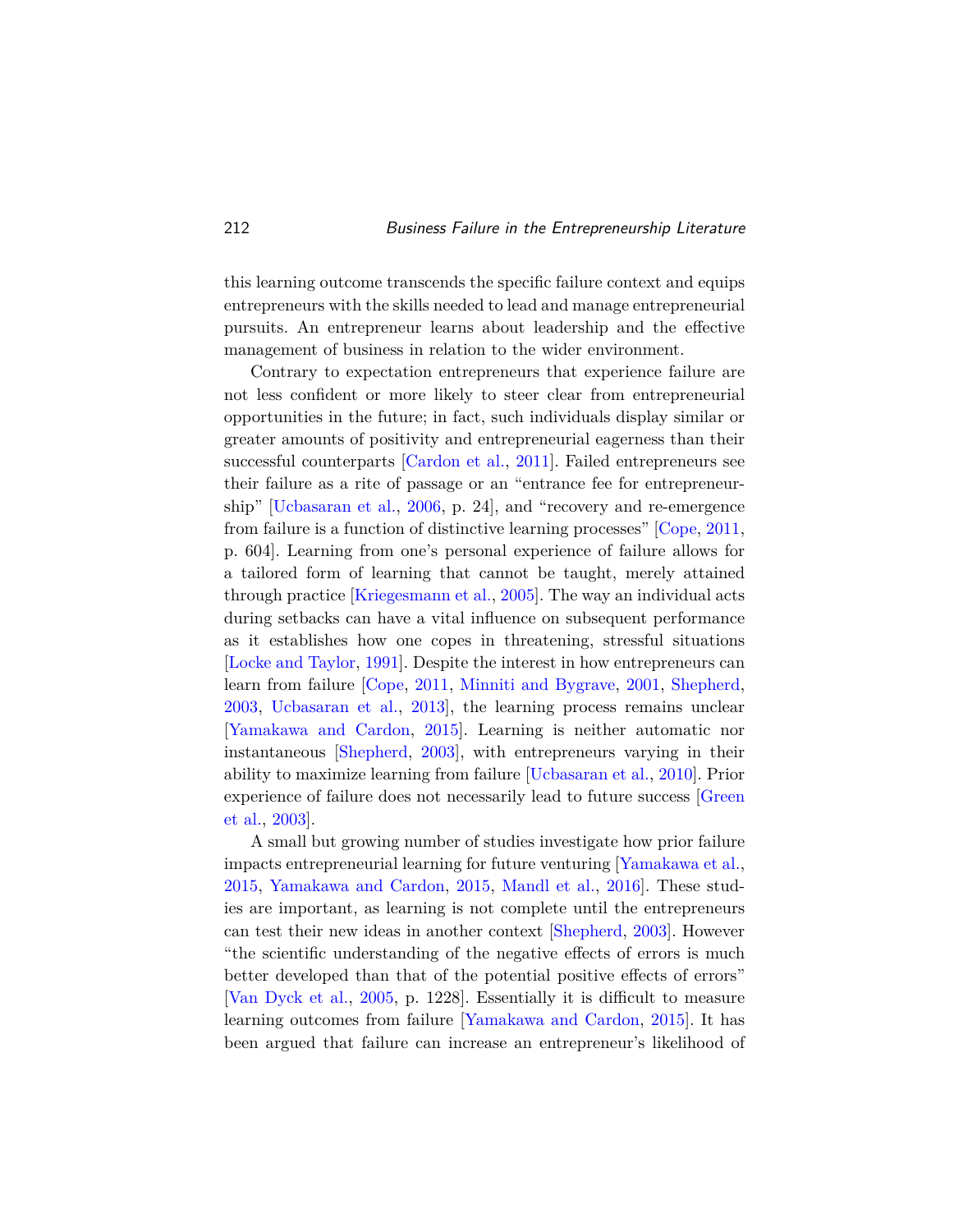this learning outcome transcends the specific failure context and equips entrepreneurs with the skills needed to lead and manage entrepreneurial pursuits. An entrepreneur learns about leadership and the effective management of business in relation to the wider environment.

Contrary to expectation entrepreneurs that experience failure are not less confident or more likely to steer clear from entrepreneurial opportunities in the future; in fact, such individuals display similar or greater amounts of positivity and entrepreneurial eagerness than their successful counterparts [\[Cardon et al.,](#page-105-0) [2011\]](#page-105-0). Failed entrepreneurs see their failure as a rite of passage or an "entrance fee for entrepreneurship" [\[Ucbasaran et al.,](#page-122-4) [2006,](#page-122-4) p. 24], and "recovery and re-emergence from failure is a function of distinctive learning processes" [\[Cope,](#page-106-1) [2011,](#page-106-1) p. 604]. Learning from one's personal experience of failure allows for a tailored form of learning that cannot be taught, merely attained through practice [\[Kriegesmann et al.,](#page-113-1) [2005\]](#page-113-1). The way an individual acts during setbacks can have a vital influence on subsequent performance as it establishes how one copes in threatening, stressful situations [\[Locke and Taylor,](#page-114-4) [1991\]](#page-114-4). Despite the interest in how entrepreneurs can learn from failure [\[Cope,](#page-106-1) [2011,](#page-106-1) [Minniti and Bygrave,](#page-115-3) [2001,](#page-115-3) [Shepherd,](#page-119-6) [2003,](#page-119-6) [Ucbasaran et al.,](#page-122-5) [2013\]](#page-122-5), the learning process remains unclear [\[Yamakawa and Cardon,](#page-125-2) [2015\]](#page-125-2). Learning is neither automatic nor instantaneous [\[Shepherd,](#page-119-6) [2003\]](#page-119-6), with entrepreneurs varying in their ability to maximize learning from failure [\[Ucbasaran et al.,](#page-122-3) [2010\]](#page-122-3). Prior experience of failure does not necessarily lead to future success [\[Green](#page-110-10) [et al.,](#page-110-10) [2003\]](#page-110-10).

A small but growing number of studies investigate how prior failure impacts entrepreneurial learning for future venturing [\[Yamakawa et al.,](#page-125-3) [2015,](#page-125-3) [Yamakawa and Cardon,](#page-125-2) [2015,](#page-125-2) [Mandl et al.,](#page-114-3) [2016\]](#page-114-3). These studies are important, as learning is not complete until the entrepreneurs can test their new ideas in another context [\[Shepherd,](#page-119-6) [2003\]](#page-119-6). However "the scientific understanding of the negative effects of errors is much better developed than that of the potential positive effects of errors" [\[Van Dyck et al.,](#page-123-2) [2005,](#page-123-2) p. 1228]. Essentially it is difficult to measure learning outcomes from failure [\[Yamakawa and Cardon,](#page-125-2) [2015\]](#page-125-2). It has been argued that failure can increase an entrepreneur's likelihood of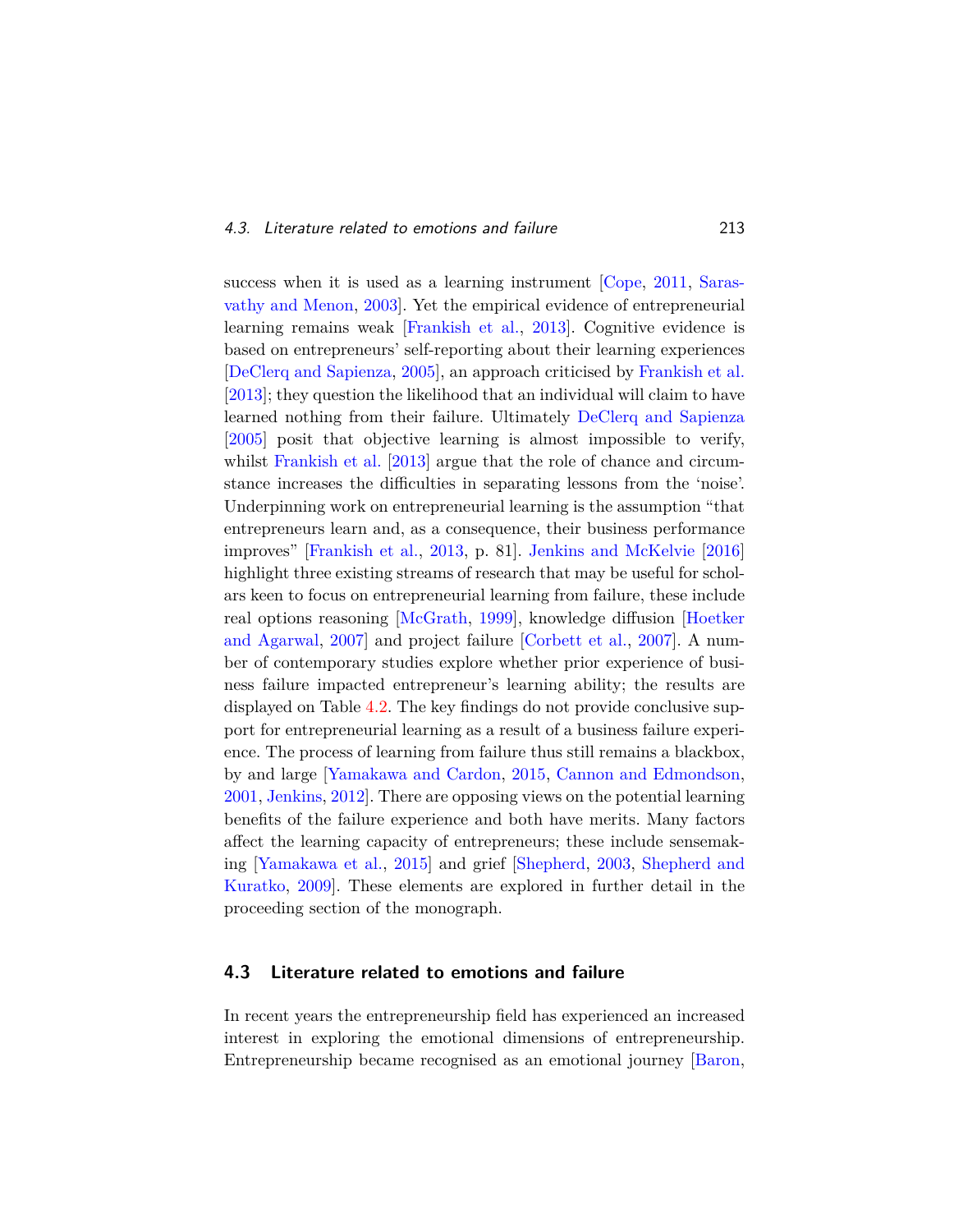#### 4.3. Literature related to emotions and failure 213

success when it is used as a learning instrument [\[Cope,](#page-106-1) [2011,](#page-106-1) [Saras](#page-118-3)[vathy and Menon,](#page-118-3) [2003\]](#page-118-3). Yet the empirical evidence of entrepreneurial learning remains weak [\[Frankish et al.,](#page-108-5) [2013\]](#page-108-5). Cognitive evidence is based on entrepreneurs' self-reporting about their learning experiences [\[DeClerq and Sapienza,](#page-107-4) [2005\]](#page-107-4), an approach criticised by [Frankish et al.](#page-108-5) [\[2013\]](#page-108-5); they question the likelihood that an individual will claim to have learned nothing from their failure. Ultimately [DeClerq and Sapienza](#page-107-4) [\[2005\]](#page-107-4) posit that objective learning is almost impossible to verify, whilst [Frankish et al.](#page-108-5) [\[2013\]](#page-108-5) argue that the role of chance and circumstance increases the difficulties in separating lessons from the 'noise'. Underpinning work on entrepreneurial learning is the assumption "that entrepreneurs learn and, as a consequence, their business performance improves" [\[Frankish et al.,](#page-108-5) [2013,](#page-108-5) p. 81]. [Jenkins and McKelvie](#page-112-4) [\[2016\]](#page-112-4) highlight three existing streams of research that may be useful for scholars keen to focus on entrepreneurial learning from failure, these include real options reasoning [\[McGrath,](#page-115-2) [1999\]](#page-115-2), knowledge diffusion [\[Hoetker](#page-111-3) [and Agarwal,](#page-111-3) [2007\]](#page-111-3) and project failure [\[Corbett et al.,](#page-106-4) [2007\]](#page-106-4). A number of contemporary studies explore whether prior experience of business failure impacted entrepreneur's learning ability; the results are displayed on Table [4.2.](#page-54-0) The key findings do not provide conclusive support for entrepreneurial learning as a result of a business failure experience. The process of learning from failure thus still remains a blackbox, by and large [\[Yamakawa and Cardon,](#page-125-2) [2015,](#page-125-2) [Cannon and Edmondson,](#page-105-1) [2001,](#page-105-1) [Jenkins,](#page-112-5) [2012\]](#page-112-5). There are opposing views on the potential learning benefits of the failure experience and both have merits. Many factors affect the learning capacity of entrepreneurs; these include sensemaking [\[Yamakawa et al.,](#page-125-3) [2015\]](#page-125-3) and grief [\[Shepherd,](#page-119-6) [2003,](#page-119-6) [Shepherd and](#page-120-5) [Kuratko,](#page-120-5) [2009\]](#page-120-5). These elements are explored in further detail in the proceeding section of the monograph.

#### **4.3 Literature related to emotions and failure**

In recent years the entrepreneurship field has experienced an increased interest in exploring the emotional dimensions of entrepreneurship. Entrepreneurship became recognised as an emotional journey [\[Baron,](#page-102-5)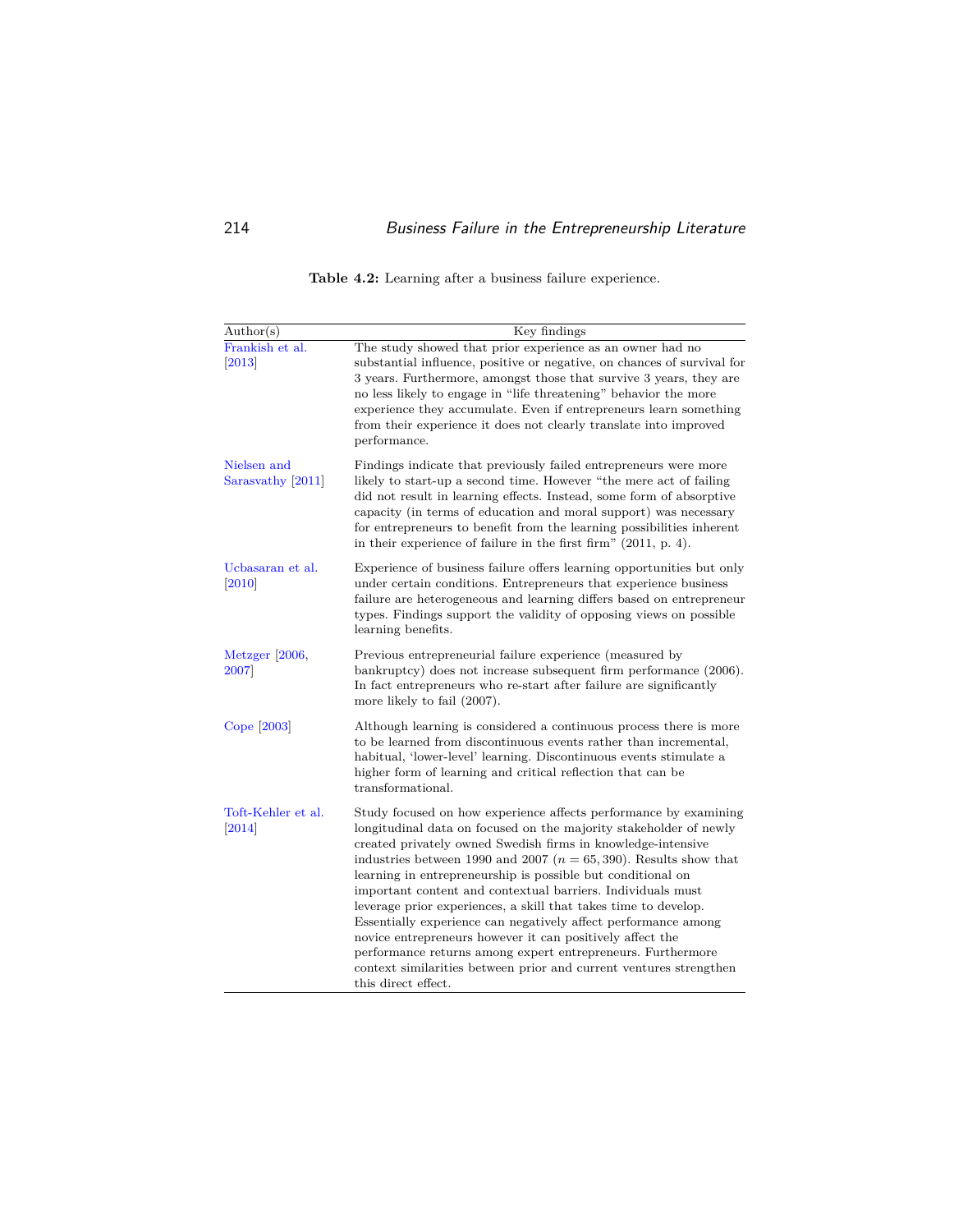**Table 4.2:** Learning after a business failure experience.

<span id="page-54-0"></span>

| $\text{Author}(s)$               | Key findings                                                                                                                                                                                                                                                                                                                                                                                                                                                                                                                                                                                                                                                                                                                                                              |
|----------------------------------|---------------------------------------------------------------------------------------------------------------------------------------------------------------------------------------------------------------------------------------------------------------------------------------------------------------------------------------------------------------------------------------------------------------------------------------------------------------------------------------------------------------------------------------------------------------------------------------------------------------------------------------------------------------------------------------------------------------------------------------------------------------------------|
| Frankish et al.<br>[2013]        | The study showed that prior experience as an owner had no<br>substantial influence, positive or negative, on chances of survival for<br>3 years. Furthermore, amongst those that survive 3 years, they are<br>no less likely to engage in "life threatening" behavior the more<br>experience they accumulate. Even if entrepreneurs learn something<br>from their experience it does not clearly translate into improved<br>performance.                                                                                                                                                                                                                                                                                                                                  |
| Nielsen and<br>Sarasvathy [2011] | Findings indicate that previously failed entrepreneurs were more<br>likely to start-up a second time. However "the mere act of failing<br>did not result in learning effects. Instead, some form of absorptive<br>capacity (in terms of education and moral support) was necessary<br>for entrepreneurs to benefit from the learning possibilities inherent<br>in their experience of failure in the first firm" $(2011, p. 4)$ .                                                                                                                                                                                                                                                                                                                                         |
| Ucbasaran et al.<br>[2010]       | Experience of business failure offers learning opportunities but only<br>under certain conditions. Entrepreneurs that experience business<br>failure are heterogeneous and learning differs based on entrepreneur<br>types. Findings support the validity of opposing views on possible<br>learning benefits.                                                                                                                                                                                                                                                                                                                                                                                                                                                             |
| Metzger 2006,<br>2007            | Previous entrepreneurial failure experience (measured by<br>bankruptcy) does not increase subsequent firm performance (2006).<br>In fact entrepreneurs who re-start after failure are significantly<br>more likely to fail (2007).                                                                                                                                                                                                                                                                                                                                                                                                                                                                                                                                        |
| Cope $[2003]$                    | Although learning is considered a continuous process there is more<br>to be learned from discontinuous events rather than incremental,<br>habitual, 'lower-level' learning. Discontinuous events stimulate a<br>higher form of learning and critical reflection that can be<br>transformational.                                                                                                                                                                                                                                                                                                                                                                                                                                                                          |
| Toft-Kehler et al.<br>$[2014]$   | Study focused on how experience affects performance by examining<br>longitudinal data on focused on the majority stakeholder of newly<br>created privately owned Swedish firms in knowledge-intensive<br>industries between 1990 and 2007 ( $n = 65,390$ ). Results show that<br>learning in entrepreneurship is possible but conditional on<br>important content and contextual barriers. Individuals must<br>leverage prior experiences, a skill that takes time to develop.<br>Essentially experience can negatively affect performance among<br>novice entrepreneurs however it can positively affect the<br>performance returns among expert entrepreneurs. Furthermore<br>context similarities between prior and current ventures strengthen<br>this direct effect. |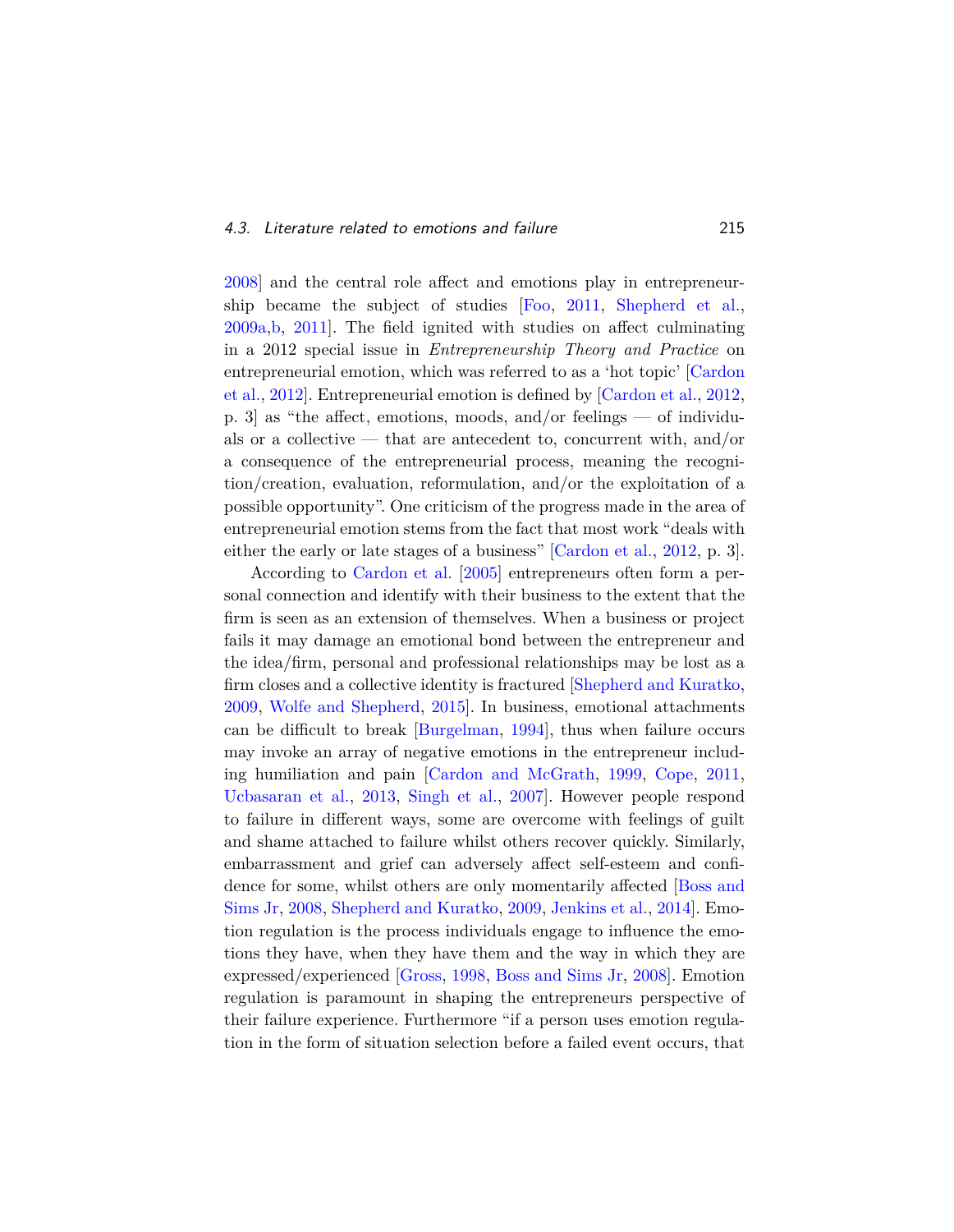[2008\]](#page-102-5) and the central role affect and emotions play in entrepreneurship became the subject of studies [\[Foo,](#page-108-6) [2011,](#page-108-6) [Shepherd et al.,](#page-120-6) [2009a](#page-120-6)[,b,](#page-120-7) [2011\]](#page-120-4). The field ignited with studies on affect culminating in a 2012 special issue in *Entrepreneurship Theory and Practice* on entrepreneurial emotion, which was referred to as a 'hot topic' [\[Cardon](#page-105-2) [et al.,](#page-105-2) [2012\]](#page-105-2). Entrepreneurial emotion is defined by [\[Cardon et al.,](#page-105-2) [2012,](#page-105-2) p. 3] as "the affect, emotions, moods, and/or feelings — of individuals or a collective — that are antecedent to, concurrent with, and/or a consequence of the entrepreneurial process, meaning the recognition/creation, evaluation, reformulation, and/or the exploitation of a possible opportunity". One criticism of the progress made in the area of entrepreneurial emotion stems from the fact that most work "deals with either the early or late stages of a business" [\[Cardon et al.,](#page-105-2) [2012,](#page-105-2) p. 3].

According to [Cardon et al.](#page-105-3) [\[2005\]](#page-105-3) entrepreneurs often form a personal connection and identify with their business to the extent that the firm is seen as an extension of themselves. When a business or project fails it may damage an emotional bond between the entrepreneur and the idea/firm, personal and professional relationships may be lost as a firm closes and a collective identity is fractured [\[Shepherd and Kuratko,](#page-120-5) [2009,](#page-120-5) [Wolfe and Shepherd,](#page-124-1) [2015\]](#page-124-1). In business, emotional attachments can be difficult to break [\[Burgelman,](#page-104-3) [1994\]](#page-104-3), thus when failure occurs may invoke an array of negative emotions in the entrepreneur including humiliation and pain [\[Cardon and McGrath,](#page-105-4) [1999,](#page-105-4) [Cope,](#page-106-1) [2011,](#page-106-1) [Ucbasaran et al.,](#page-122-5) [2013,](#page-122-5) [Singh et al.,](#page-120-8) [2007\]](#page-120-8). However people respond to failure in different ways, some are overcome with feelings of guilt and shame attached to failure whilst others recover quickly. Similarly, embarrassment and grief can adversely affect self-esteem and confidence for some, whilst others are only momentarily affected [\[Boss and](#page-104-4) [Sims Jr,](#page-104-4) [2008,](#page-104-4) [Shepherd and Kuratko,](#page-120-5) [2009,](#page-120-5) [Jenkins et al.,](#page-112-6) [2014\]](#page-112-6). Emotion regulation is the process individuals engage to influence the emotions they have, when they have them and the way in which they are expressed/experienced [\[Gross,](#page-110-11) [1998,](#page-110-11) [Boss and Sims Jr,](#page-104-4) [2008\]](#page-104-4). Emotion regulation is paramount in shaping the entrepreneurs perspective of their failure experience. Furthermore "if a person uses emotion regulation in the form of situation selection before a failed event occurs, that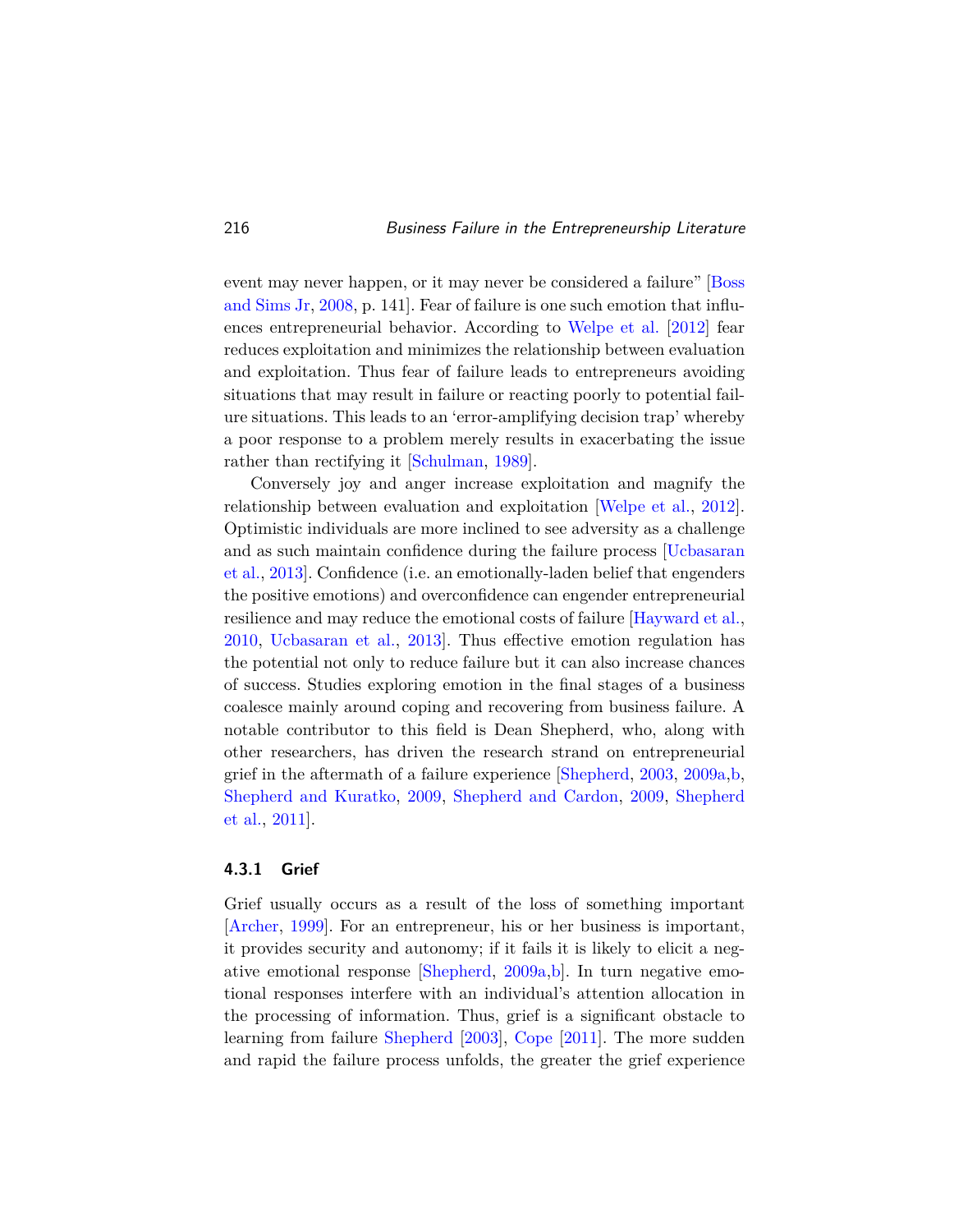event may never happen, or it may never be considered a failure" [\[Boss](#page-104-4) [and Sims Jr,](#page-104-4) [2008,](#page-104-4) p. 141]. Fear of failure is one such emotion that influences entrepreneurial behavior. According to [Welpe et al.](#page-124-2) [\[2012\]](#page-124-2) fear reduces exploitation and minimizes the relationship between evaluation and exploitation. Thus fear of failure leads to entrepreneurs avoiding situations that may result in failure or reacting poorly to potential failure situations. This leads to an 'error-amplifying decision trap' whereby a poor response to a problem merely results in exacerbating the issue rather than rectifying it [\[Schulman,](#page-119-1) [1989\]](#page-119-1).

Conversely joy and anger increase exploitation and magnify the relationship between evaluation and exploitation [\[Welpe et al.,](#page-124-2) [2012\]](#page-124-2). Optimistic individuals are more inclined to see adversity as a challenge and as such maintain confidence during the failure process [\[Ucbasaran](#page-122-5) [et al.,](#page-122-5) [2013\]](#page-122-5). Confidence (i.e. an emotionally-laden belief that engenders the positive emotions) and overconfidence can engender entrepreneurial resilience and may reduce the emotional costs of failure [\[Hayward et al.,](#page-111-4) [2010,](#page-111-4) [Ucbasaran et al.,](#page-122-5) [2013\]](#page-122-5). Thus effective emotion regulation has the potential not only to reduce failure but it can also increase chances of success. Studies exploring emotion in the final stages of a business coalesce mainly around coping and recovering from business failure. A notable contributor to this field is Dean Shepherd, who, along with other researchers, has driven the research strand on entrepreneurial grief in the aftermath of a failure experience [\[Shepherd,](#page-119-6) [2003,](#page-119-6) [2009a,](#page-119-4)[b,](#page-119-5) [Shepherd and Kuratko,](#page-120-5) [2009,](#page-120-5) [Shepherd and Cardon,](#page-119-7) [2009,](#page-119-7) [Shepherd](#page-120-4) [et al.,](#page-120-4) [2011\]](#page-120-4).

#### **4.3.1 Grief**

Grief usually occurs as a result of the loss of something important [\[Archer,](#page-101-2) [1999\]](#page-101-2). For an entrepreneur, his or her business is important, it provides security and autonomy; if it fails it is likely to elicit a negative emotional response [\[Shepherd,](#page-119-4) [2009a,](#page-119-4)[b\]](#page-119-5). In turn negative emotional responses interfere with an individual's attention allocation in the processing of information. Thus, grief is a significant obstacle to learning from failure [Shepherd](#page-119-6) [\[2003\]](#page-119-6), [Cope](#page-106-1) [\[2011\]](#page-106-1). The more sudden and rapid the failure process unfolds, the greater the grief experience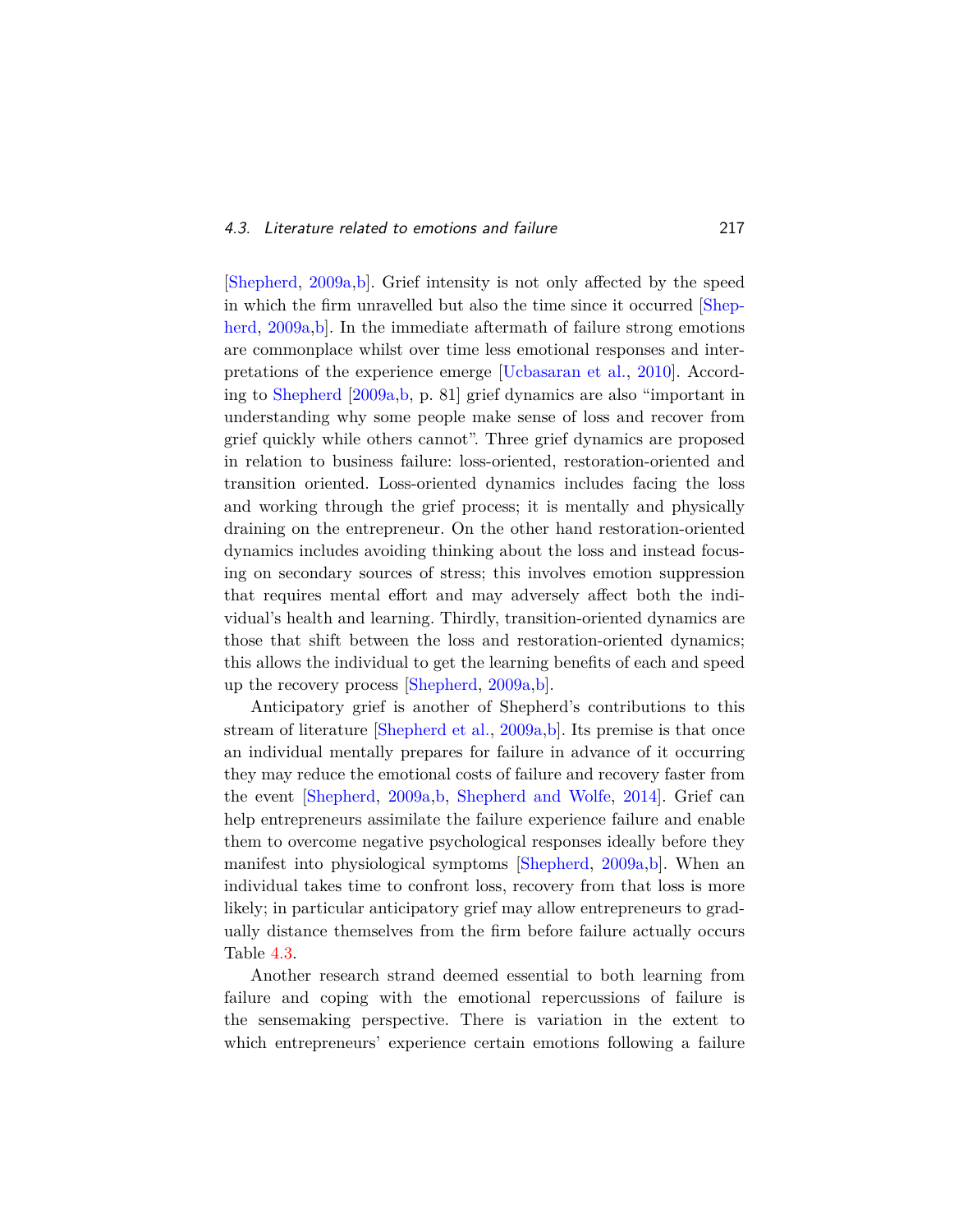[\[Shepherd,](#page-119-4) [2009a,](#page-119-4)[b\]](#page-119-5). Grief intensity is not only affected by the speed in which the firm unravelled but also the time since it occurred [\[Shep](#page-119-4)[herd,](#page-119-4) [2009a](#page-119-4), b. In the immediate aftermath of failure strong emotions are commonplace whilst over time less emotional responses and interpretations of the experience emerge [\[Ucbasaran et al.,](#page-122-3) [2010\]](#page-122-3). According to [Shepherd](#page-119-4) [\[2009a,](#page-119-4)[b,](#page-119-5) p. 81] grief dynamics are also "important in understanding why some people make sense of loss and recover from grief quickly while others cannot". Three grief dynamics are proposed in relation to business failure: loss-oriented, restoration-oriented and transition oriented. Loss-oriented dynamics includes facing the loss and working through the grief process; it is mentally and physically draining on the entrepreneur. On the other hand restoration-oriented dynamics includes avoiding thinking about the loss and instead focusing on secondary sources of stress; this involves emotion suppression that requires mental effort and may adversely affect both the individual's health and learning. Thirdly, transition-oriented dynamics are those that shift between the loss and restoration-oriented dynamics; this allows the individual to get the learning benefits of each and speed up the recovery process [\[Shepherd,](#page-119-4) [2009a,](#page-119-4)[b\]](#page-119-5).

Anticipatory grief is another of Shepherd's contributions to this stream of literature [\[Shepherd et al.,](#page-120-6) [2009a](#page-120-6)[,b\]](#page-120-7). Its premise is that once an individual mentally prepares for failure in advance of it occurring they may reduce the emotional costs of failure and recovery faster from the event [\[Shepherd,](#page-119-4) [2009a,](#page-119-4)[b,](#page-119-5) [Shepherd and Wolfe,](#page-120-9) [2014\]](#page-120-9). Grief can help entrepreneurs assimilate the failure experience failure and enable them to overcome negative psychological responses ideally before they manifest into physiological symptoms [\[Shepherd,](#page-119-4) [2009a,](#page-119-4)[b\]](#page-119-5). When an individual takes time to confront loss, recovery from that loss is more likely; in particular anticipatory grief may allow entrepreneurs to gradually distance themselves from the firm before failure actually occurs Table [4.3.](#page-58-0)

Another research strand deemed essential to both learning from failure and coping with the emotional repercussions of failure is the sensemaking perspective. There is variation in the extent to which entrepreneurs' experience certain emotions following a failure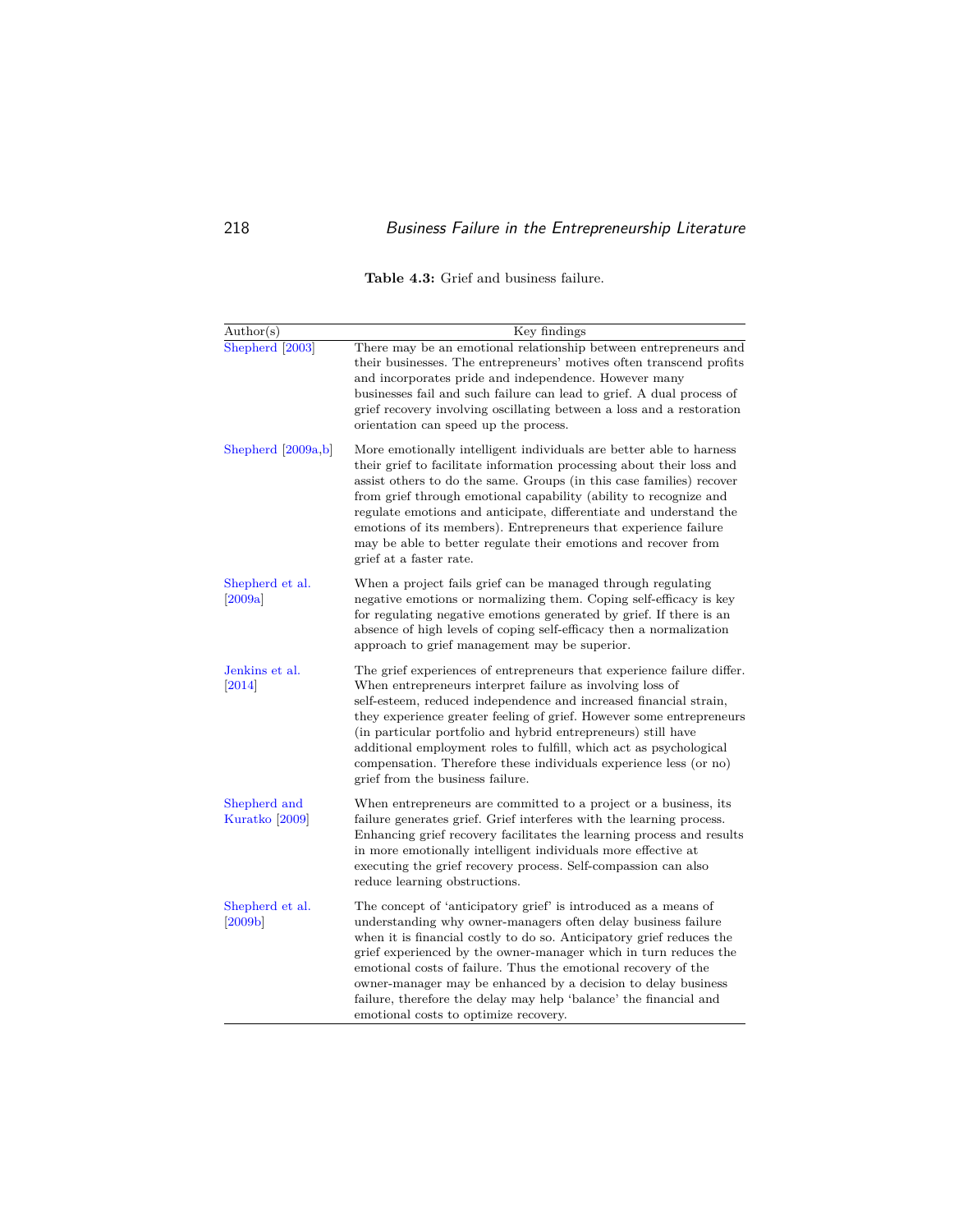**Table 4.3:** Grief and business failure.

| $\text{Author}(s)$             | Key findings                                                                                                                                                                                                                                                                                                                                                                                                                                                                                                                     |
|--------------------------------|----------------------------------------------------------------------------------------------------------------------------------------------------------------------------------------------------------------------------------------------------------------------------------------------------------------------------------------------------------------------------------------------------------------------------------------------------------------------------------------------------------------------------------|
| Shepherd [2003]                | There may be an emotional relationship between entrepreneurs and<br>their businesses. The entrepreneurs' motives often transcend profits<br>and incorporates pride and independence. However many<br>businesses fail and such failure can lead to grief. A dual process of<br>grief recovery involving oscillating between a loss and a restoration<br>orientation can speed up the process.                                                                                                                                     |
| Shepherd [2009a,b]             | More emotionally intelligent individuals are better able to harness<br>their grief to facilitate information processing about their loss and<br>assist others to do the same. Groups (in this case families) recover<br>from grief through emotional capability (ability to recognize and<br>regulate emotions and anticipate, differentiate and understand the<br>emotions of its members). Entrepreneurs that experience failure<br>may be able to better regulate their emotions and recover from<br>grief at a faster rate.  |
| Shepherd et al.<br> 2009a      | When a project fails grief can be managed through regulating<br>negative emotions or normalizing them. Coping self-efficacy is key<br>for regulating negative emotions generated by grief. If there is an<br>absence of high levels of coping self-efficacy then a normalization<br>approach to grief management may be superior.                                                                                                                                                                                                |
| Jenkins et al.<br>$[2014]$     | The grief experiences of entrepreneurs that experience failure differ.<br>When entrepreneurs interpret failure as involving loss of<br>self-esteem, reduced independence and increased financial strain,<br>they experience greater feeling of grief. However some entrepreneurs<br>(in particular portfolio and hybrid entrepreneurs) still have<br>additional employment roles to fulfill, which act as psychological<br>compensation. Therefore these individuals experience less (or no)<br>grief from the business failure. |
| Shepherd and<br>Kuratko [2009] | When entrepreneurs are committed to a project or a business, its<br>failure generates grief. Grief interferes with the learning process.<br>Enhancing grief recovery facilitates the learning process and results<br>in more emotionally intelligent individuals more effective at<br>executing the grief recovery process. Self-compassion can also<br>reduce learning obstructions.                                                                                                                                            |
| Shepherd et al.<br>[2009b]     | The concept of 'anticipatory grief' is introduced as a means of<br>understanding why owner-managers often delay business failure<br>when it is financial costly to do so. Anticipatory grief reduces the<br>grief experienced by the owner-manager which in turn reduces the<br>emotional costs of failure. Thus the emotional recovery of the<br>owner-manager may be enhanced by a decision to delay business<br>failure, therefore the delay may help 'balance' the financial and<br>emotional costs to optimize recovery.    |

<span id="page-58-0"></span>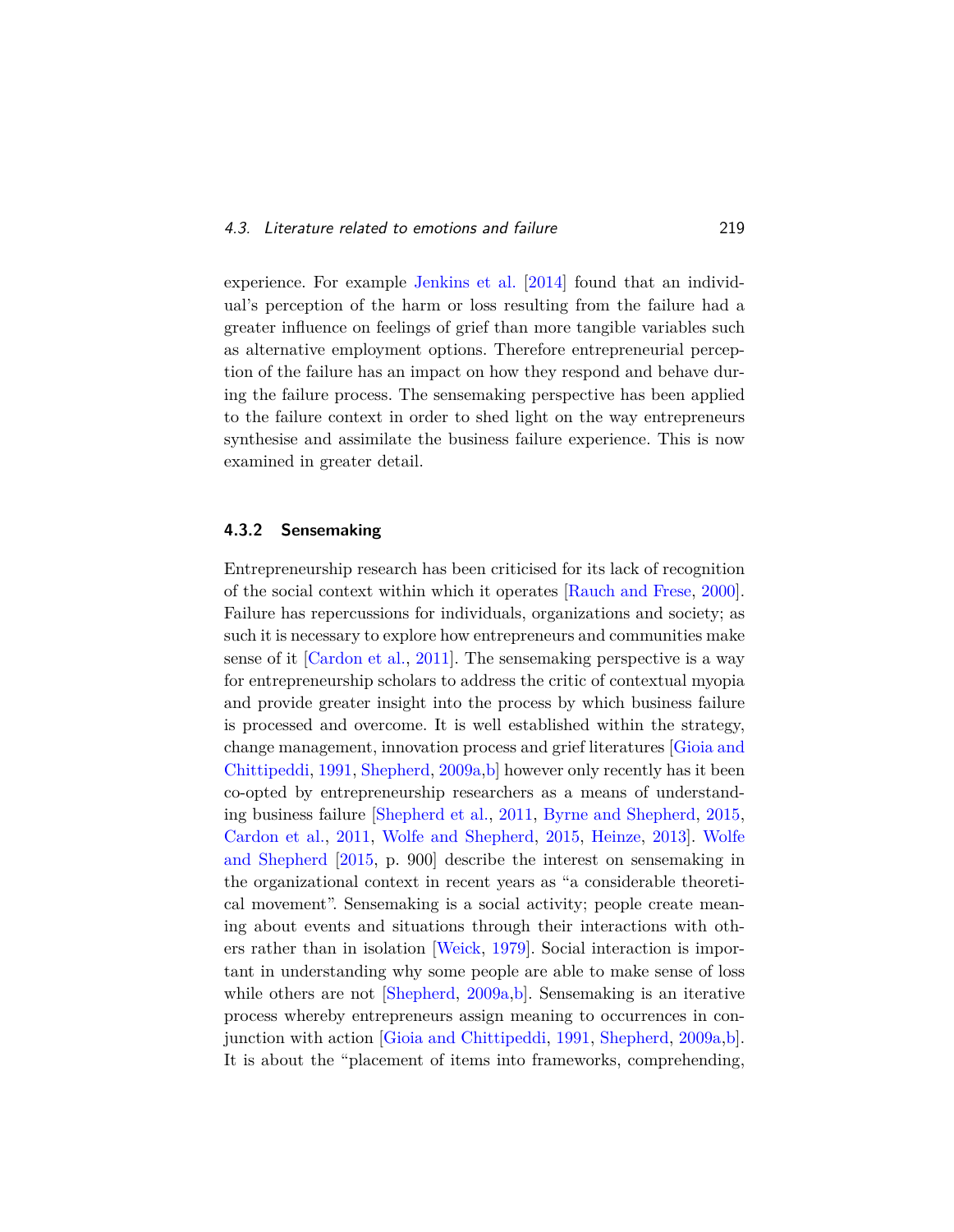experience. For example [Jenkins et al.](#page-112-6) [\[2014\]](#page-112-6) found that an individual's perception of the harm or loss resulting from the failure had a greater influence on feelings of grief than more tangible variables such as alternative employment options. Therefore entrepreneurial perception of the failure has an impact on how they respond and behave during the failure process. The sensemaking perspective has been applied to the failure context in order to shed light on the way entrepreneurs synthesise and assimilate the business failure experience. This is now examined in greater detail.

#### **4.3.2 Sensemaking**

Entrepreneurship research has been criticised for its lack of recognition of the social context within which it operates [\[Rauch and Frese,](#page-117-4) [2000\]](#page-117-4). Failure has repercussions for individuals, organizations and society; as such it is necessary to explore how entrepreneurs and communities make sense of it [\[Cardon et al.,](#page-105-0) [2011\]](#page-105-0). The sensemaking perspective is a way for entrepreneurship scholars to address the critic of contextual myopia and provide greater insight into the process by which business failure is processed and overcome. It is well established within the strategy, change management, innovation process and grief literatures [\[Gioia and](#page-109-4) [Chittipeddi,](#page-109-4) [1991,](#page-109-4) [Shepherd,](#page-119-4) [2009a,](#page-119-4)[b\]](#page-119-5) however only recently has it been co-opted by entrepreneurship researchers as a means of understanding business failure [\[Shepherd et al.,](#page-120-4) [2011,](#page-120-4) [Byrne and Shepherd,](#page-104-5) [2015,](#page-104-5) [Cardon et al.,](#page-105-0) [2011,](#page-105-0) [Wolfe and Shepherd,](#page-124-1) [2015,](#page-124-1) [Heinze,](#page-111-5) [2013\]](#page-111-5). [Wolfe](#page-124-1) [and Shepherd](#page-124-1) [\[2015,](#page-124-1) p. 900] describe the interest on sensemaking in the organizational context in recent years as "a considerable theoretical movement". Sensemaking is a social activity; people create meaning about events and situations through their interactions with others rather than in isolation [\[Weick,](#page-123-3) [1979\]](#page-123-3). Social interaction is important in understanding why some people are able to make sense of loss while others are not [\[Shepherd,](#page-119-4) [2009a,](#page-119-4)[b\]](#page-119-5). Sensemaking is an iterative process whereby entrepreneurs assign meaning to occurrences in conjunction with action [\[Gioia and Chittipeddi,](#page-109-4) [1991,](#page-109-4) [Shepherd,](#page-119-4) [2009a,](#page-119-4)[b\]](#page-119-5). It is about the "placement of items into frameworks, comprehending,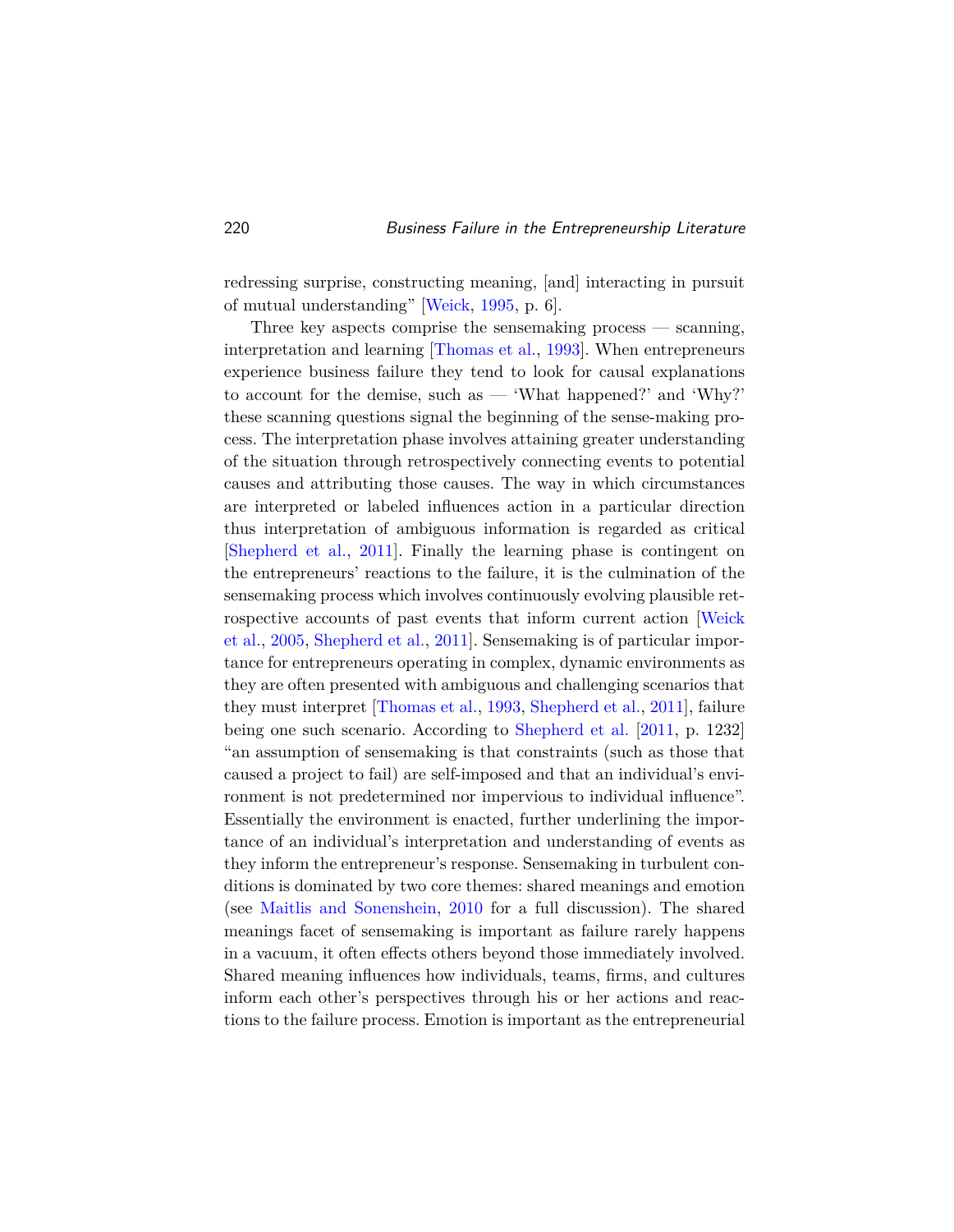redressing surprise, constructing meaning, [and] interacting in pursuit of mutual understanding" [\[Weick,](#page-124-3) [1995,](#page-124-3) p. 6].

Three key aspects comprise the sensemaking process — scanning, interpretation and learning [\[Thomas et al.,](#page-122-7) [1993\]](#page-122-7). When entrepreneurs experience business failure they tend to look for causal explanations to account for the demise, such as — 'What happened?' and 'Why?' these scanning questions signal the beginning of the sense-making process. The interpretation phase involves attaining greater understanding of the situation through retrospectively connecting events to potential causes and attributing those causes. The way in which circumstances are interpreted or labeled influences action in a particular direction thus interpretation of ambiguous information is regarded as critical [\[Shepherd et al.,](#page-120-4) [2011\]](#page-120-4). Finally the learning phase is contingent on the entrepreneurs' reactions to the failure, it is the culmination of the sensemaking process which involves continuously evolving plausible retrospective accounts of past events that inform current action [\[Weick](#page-124-4) [et al.,](#page-124-4) [2005,](#page-124-4) [Shepherd et al.,](#page-120-4) [2011\]](#page-120-4). Sensemaking is of particular importance for entrepreneurs operating in complex, dynamic environments as they are often presented with ambiguous and challenging scenarios that they must interpret [\[Thomas et al.,](#page-122-7) [1993,](#page-122-7) [Shepherd et al.,](#page-120-4) [2011\]](#page-120-4), failure being one such scenario. According to [Shepherd et al.](#page-120-4) [\[2011,](#page-120-4) p. 1232] "an assumption of sensemaking is that constraints (such as those that caused a project to fail) are self-imposed and that an individual's environment is not predetermined nor impervious to individual influence". Essentially the environment is enacted, further underlining the importance of an individual's interpretation and understanding of events as they inform the entrepreneur's response. Sensemaking in turbulent conditions is dominated by two core themes: shared meanings and emotion (see [Maitlis and Sonenshein,](#page-114-5) [2010](#page-114-5) for a full discussion). The shared meanings facet of sensemaking is important as failure rarely happens in a vacuum, it often effects others beyond those immediately involved. Shared meaning influences how individuals, teams, firms, and cultures inform each other's perspectives through his or her actions and reactions to the failure process. Emotion is important as the entrepreneurial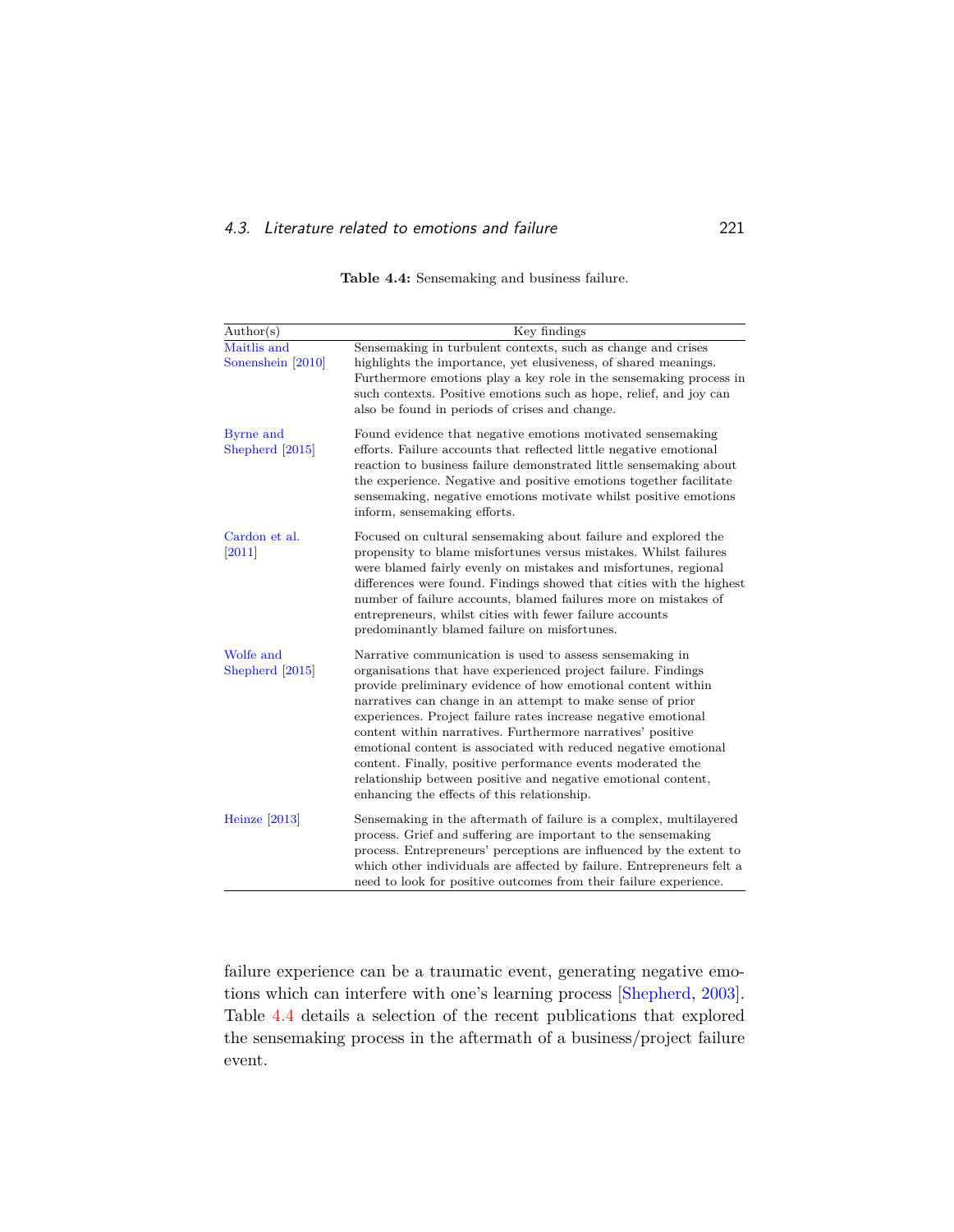|  | Table 4.4: Sensemaking and business failure. |  |  |  |
|--|----------------------------------------------|--|--|--|
|--|----------------------------------------------|--|--|--|

<span id="page-61-0"></span>

| $\text{Author}(s)$               | Key findings                                                                                                                                                                                                                                                                                                                                                                                                                                                                                                                                                                                                                               |
|----------------------------------|--------------------------------------------------------------------------------------------------------------------------------------------------------------------------------------------------------------------------------------------------------------------------------------------------------------------------------------------------------------------------------------------------------------------------------------------------------------------------------------------------------------------------------------------------------------------------------------------------------------------------------------------|
| Maitlis and<br>Sonenshein [2010] | Sensemaking in turbulent contexts, such as change and crises<br>highlights the importance, yet elusiveness, of shared meanings.<br>Furthermore emotions play a key role in the sensemaking process in<br>such contexts. Positive emotions such as hope, relief, and joy can<br>also be found in periods of crises and change.                                                                                                                                                                                                                                                                                                              |
| Byrne and<br>Shepherd [2015]     | Found evidence that negative emotions motivated sensemaking<br>efforts. Failure accounts that reflected little negative emotional<br>reaction to business failure demonstrated little sensemaking about<br>the experience. Negative and positive emotions together facilitate<br>sensemaking, negative emotions motivate whilst positive emotions<br>inform, sensemaking efforts.                                                                                                                                                                                                                                                          |
| Cardon et al.<br>[2011]          | Focused on cultural sensemaking about failure and explored the<br>propensity to blame misfortunes versus mistakes. Whilst failures<br>were blamed fairly evenly on mistakes and misfortunes, regional<br>differences were found. Findings showed that cities with the highest<br>number of failure accounts, blamed failures more on mistakes of<br>entrepreneurs, whilst cities with fewer failure accounts<br>predominantly blamed failure on misfortunes.                                                                                                                                                                               |
| Wolfe and<br>Shepherd [2015]     | Narrative communication is used to assess sensemaking in<br>organisations that have experienced project failure. Findings<br>provide preliminary evidence of how emotional content within<br>narratives can change in an attempt to make sense of prior<br>experiences. Project failure rates increase negative emotional<br>content within narratives. Furthermore narratives' positive<br>emotional content is associated with reduced negative emotional<br>content. Finally, positive performance events moderated the<br>relationship between positive and negative emotional content,<br>enhancing the effects of this relationship. |
| Heinze $[2013]$                  | Sensemaking in the aftermath of failure is a complex, multilayered<br>process. Grief and suffering are important to the sensemaking<br>process. Entrepreneurs' perceptions are influenced by the extent to<br>which other individuals are affected by failure. Entrepreneurs felt a<br>need to look for positive outcomes from their failure experience.                                                                                                                                                                                                                                                                                   |

failure experience can be a traumatic event, generating negative emotions which can interfere with one's learning process [\[Shepherd,](#page-119-6) [2003\]](#page-119-6). Table [4.4](#page-61-0) details a selection of the recent publications that explored the sensemaking process in the aftermath of a business/project failure event.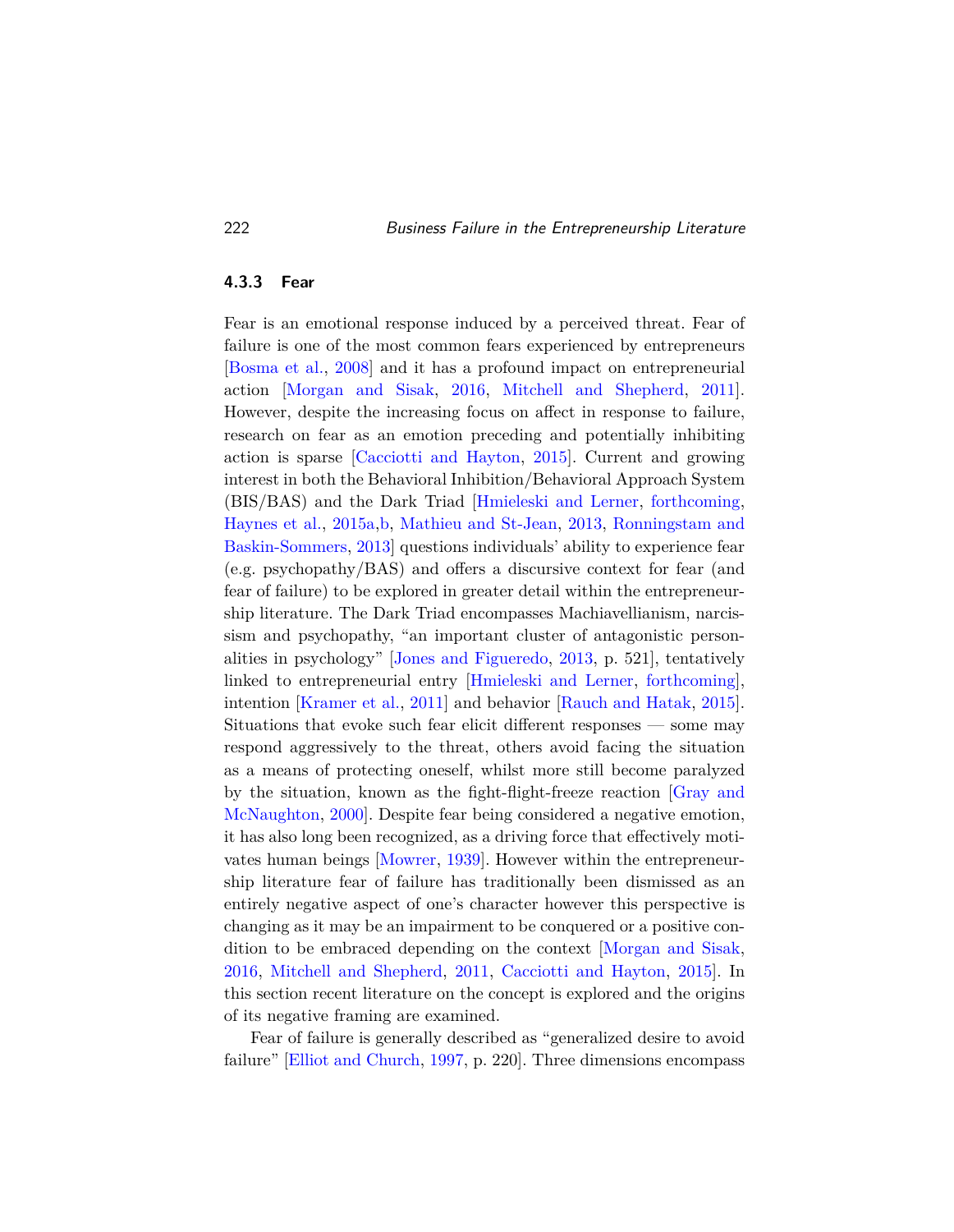#### **4.3.3 Fear**

Fear is an emotional response induced by a perceived threat. Fear of failure is one of the most common fears experienced by entrepreneurs [\[Bosma et al.,](#page-104-6) [2008\]](#page-104-6) and it has a profound impact on entrepreneurial action [\[Morgan and Sisak,](#page-116-3) [2016,](#page-116-3) [Mitchell and Shepherd,](#page-115-7) [2011\]](#page-115-7). However, despite the increasing focus on affect in response to failure, research on fear as an emotion preceding and potentially inhibiting action is sparse [\[Cacciotti and Hayton,](#page-104-7) [2015\]](#page-104-7). Current and growing interest in both the Behavioral Inhibition/Behavioral Approach System (BIS/BAS) and the Dark Triad [\[Hmieleski and Lerner,](#page-111-6) [forthcoming,](#page-111-6) [Haynes et al.,](#page-110-12) [2015a,](#page-110-12)[b,](#page-111-7) [Mathieu and St-Jean,](#page-114-6) [2013,](#page-114-6) [Ronningstam and](#page-118-4) [Baskin-Sommers,](#page-118-4) [2013\]](#page-118-4) questions individuals' ability to experience fear (e.g. psychopathy/BAS) and offers a discursive context for fear (and fear of failure) to be explored in greater detail within the entrepreneurship literature. The Dark Triad encompasses Machiavellianism, narcissism and psychopathy, "an important cluster of antagonistic personalities in psychology" [\[Jones and Figueredo,](#page-112-7) [2013,](#page-112-7) p. 521], tentatively linked to entrepreneurial entry [\[Hmieleski and Lerner,](#page-111-6) [forthcoming\]](#page-111-6), intention [\[Kramer et al.,](#page-113-2) [2011\]](#page-113-2) and behavior [\[Rauch and Hatak,](#page-118-5) [2015\]](#page-118-5). Situations that evoke such fear elicit different responses — some may respond aggressively to the threat, others avoid facing the situation as a means of protecting oneself, whilst more still become paralyzed by the situation, known as the fight-flight-freeze reaction [\[Gray and](#page-109-5) [McNaughton,](#page-109-5) [2000\]](#page-109-5). Despite fear being considered a negative emotion, it has also long been recognized, as a driving force that effectively motivates human beings [\[Mowrer,](#page-116-4) [1939\]](#page-116-4). However within the entrepreneurship literature fear of failure has traditionally been dismissed as an entirely negative aspect of one's character however this perspective is changing as it may be an impairment to be conquered or a positive condition to be embraced depending on the context [\[Morgan and Sisak,](#page-116-3) [2016,](#page-116-3) [Mitchell and Shepherd,](#page-115-7) [2011,](#page-115-7) [Cacciotti and Hayton,](#page-104-7) [2015\]](#page-104-7). In this section recent literature on the concept is explored and the origins of its negative framing are examined.

Fear of failure is generally described as "generalized desire to avoid failure" [\[Elliot and Church,](#page-108-7) [1997,](#page-108-7) p. 220]. Three dimensions encompass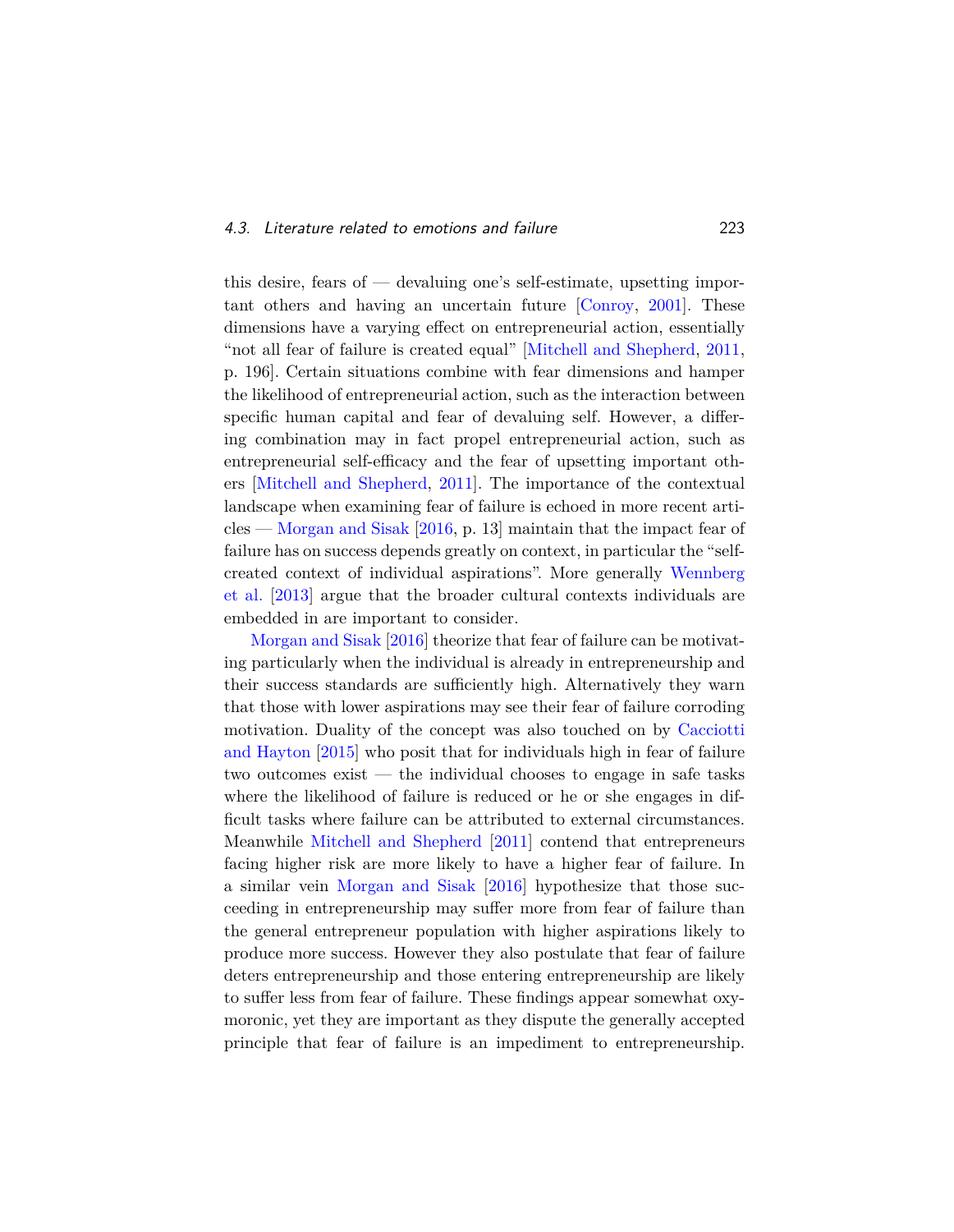#### 4.3. Literature related to emotions and failure 223

this desire, fears of — devaluing one's self-estimate, upsetting important others and having an uncertain future [\[Conroy,](#page-106-5) [2001\]](#page-106-5). These dimensions have a varying effect on entrepreneurial action, essentially "not all fear of failure is created equal" [\[Mitchell and Shepherd,](#page-115-7) [2011,](#page-115-7) p. 196]. Certain situations combine with fear dimensions and hamper the likelihood of entrepreneurial action, such as the interaction between specific human capital and fear of devaluing self. However, a differing combination may in fact propel entrepreneurial action, such as entrepreneurial self-efficacy and the fear of upsetting important others [\[Mitchell and Shepherd,](#page-115-7) [2011\]](#page-115-7). The importance of the contextual landscape when examining fear of failure is echoed in more recent articles — [Morgan and Sisak](#page-116-3) [\[2016,](#page-116-3) p. 13] maintain that the impact fear of failure has on success depends greatly on context, in particular the "selfcreated context of individual aspirations". More generally [Wennberg](#page-124-5) [et al.](#page-124-5) [\[2013\]](#page-124-5) argue that the broader cultural contexts individuals are embedded in are important to consider.

[Morgan and Sisak](#page-116-3) [\[2016\]](#page-116-3) theorize that fear of failure can be motivating particularly when the individual is already in entrepreneurship and their success standards are sufficiently high. Alternatively they warn that those with lower aspirations may see their fear of failure corroding motivation. Duality of the concept was also touched on by [Cacciotti](#page-104-7) [and Hayton](#page-104-7) [\[2015\]](#page-104-7) who posit that for individuals high in fear of failure two outcomes exist — the individual chooses to engage in safe tasks where the likelihood of failure is reduced or he or she engages in difficult tasks where failure can be attributed to external circumstances. Meanwhile [Mitchell and Shepherd](#page-115-7) [\[2011\]](#page-115-7) contend that entrepreneurs facing higher risk are more likely to have a higher fear of failure. In a similar vein [Morgan and Sisak](#page-116-3) [\[2016\]](#page-116-3) hypothesize that those succeeding in entrepreneurship may suffer more from fear of failure than the general entrepreneur population with higher aspirations likely to produce more success. However they also postulate that fear of failure deters entrepreneurship and those entering entrepreneurship are likely to suffer less from fear of failure. These findings appear somewhat oxymoronic, yet they are important as they dispute the generally accepted principle that fear of failure is an impediment to entrepreneurship.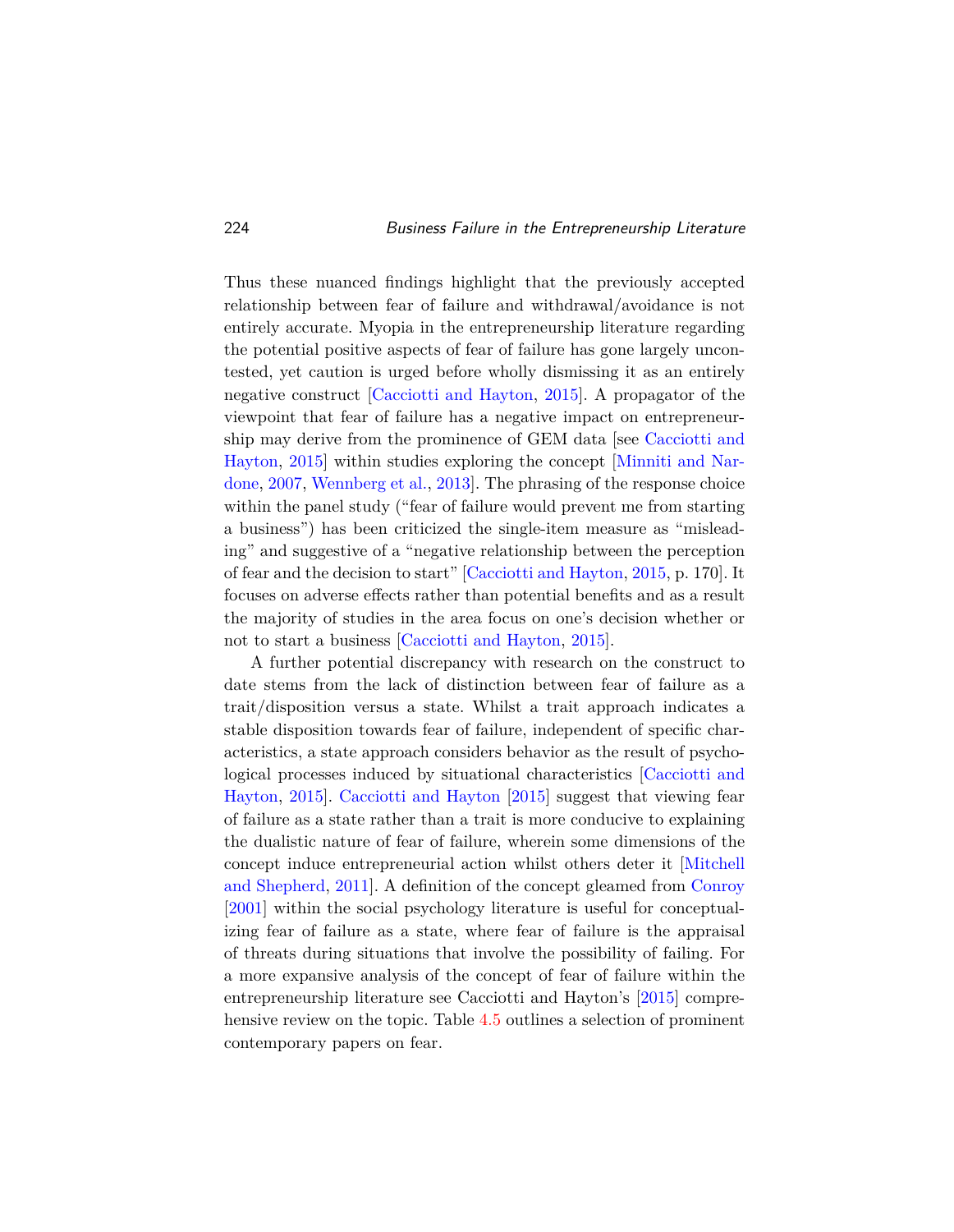Thus these nuanced findings highlight that the previously accepted relationship between fear of failure and withdrawal/avoidance is not entirely accurate. Myopia in the entrepreneurship literature regarding the potential positive aspects of fear of failure has gone largely uncontested, yet caution is urged before wholly dismissing it as an entirely negative construct [\[Cacciotti and Hayton,](#page-104-7) [2015\]](#page-104-7). A propagator of the viewpoint that fear of failure has a negative impact on entrepreneurship may derive from the prominence of GEM data [see [Cacciotti and](#page-104-7) [Hayton,](#page-104-7) [2015\]](#page-104-7) within studies exploring the concept [\[Minniti and Nar](#page-115-8)[done,](#page-115-8) [2007,](#page-115-8) [Wennberg et al.,](#page-124-5) [2013\]](#page-124-5). The phrasing of the response choice within the panel study ("fear of failure would prevent me from starting a business") has been criticized the single-item measure as "misleading" and suggestive of a "negative relationship between the perception of fear and the decision to start" [\[Cacciotti and Hayton,](#page-104-7) [2015,](#page-104-7) p. 170]. It focuses on adverse effects rather than potential benefits and as a result the majority of studies in the area focus on one's decision whether or not to start a business [\[Cacciotti and Hayton,](#page-104-7) [2015\]](#page-104-7).

A further potential discrepancy with research on the construct to date stems from the lack of distinction between fear of failure as a trait/disposition versus a state. Whilst a trait approach indicates a stable disposition towards fear of failure, independent of specific characteristics, a state approach considers behavior as the result of psychological processes induced by situational characteristics [\[Cacciotti and](#page-104-7) [Hayton,](#page-104-7) [2015\]](#page-104-7). [Cacciotti and Hayton](#page-104-7) [\[2015\]](#page-104-7) suggest that viewing fear of failure as a state rather than a trait is more conducive to explaining the dualistic nature of fear of failure, wherein some dimensions of the concept induce entrepreneurial action whilst others deter it [\[Mitchell](#page-115-7) [and Shepherd,](#page-115-7) [2011\]](#page-115-7). A definition of the concept gleamed from [Conroy](#page-106-5) [\[2001\]](#page-106-5) within the social psychology literature is useful for conceptualizing fear of failure as a state, where fear of failure is the appraisal of threats during situations that involve the possibility of failing. For a more expansive analysis of the concept of fear of failure within the entrepreneurship literature see Cacciotti and Hayton's [\[2015\]](#page-104-7) comprehensive review on the topic. Table [4.5](#page-65-0) outlines a selection of prominent contemporary papers on fear.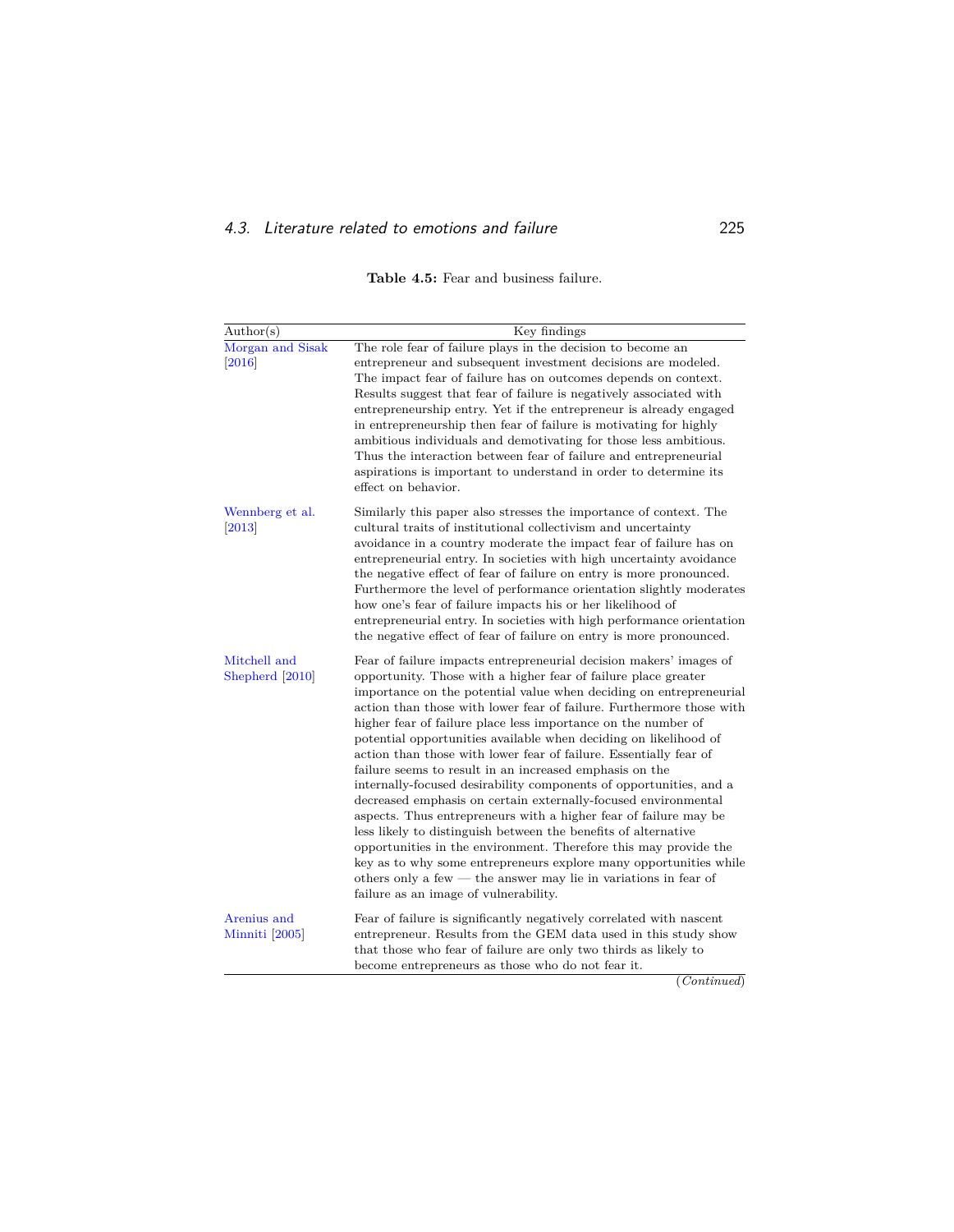# <span id="page-65-0"></span>4.3. Literature related to emotions and failure 225

| <b>Table 4.5:</b> Fear and business failure. |
|----------------------------------------------|
|                                              |

| $\text{Author}(s)$              | Key findings                                                                                                                                                                                                                                                                                                                                                                                                                                                                                                                                                                                                                                                                                                                                                                                                                                                                                                                                                                                                                                                                                 |
|---------------------------------|----------------------------------------------------------------------------------------------------------------------------------------------------------------------------------------------------------------------------------------------------------------------------------------------------------------------------------------------------------------------------------------------------------------------------------------------------------------------------------------------------------------------------------------------------------------------------------------------------------------------------------------------------------------------------------------------------------------------------------------------------------------------------------------------------------------------------------------------------------------------------------------------------------------------------------------------------------------------------------------------------------------------------------------------------------------------------------------------|
| Morgan and Sisak<br>[2016]      | The role fear of failure plays in the decision to become an<br>entrepreneur and subsequent investment decisions are modeled.<br>The impact fear of failure has on outcomes depends on context.<br>Results suggest that fear of failure is negatively associated with<br>entrepreneurship entry. Yet if the entrepreneur is already engaged<br>in entrepreneurship then fear of failure is motivating for highly<br>ambitious individuals and demotivating for those less ambitious.<br>Thus the interaction between fear of failure and entrepreneurial<br>aspirations is important to understand in order to determine its<br>effect on behavior.                                                                                                                                                                                                                                                                                                                                                                                                                                           |
| Wennberg et al.<br>[2013]       | Similarly this paper also stresses the importance of context. The<br>cultural traits of institutional collectivism and uncertainty<br>avoidance in a country moderate the impact fear of failure has on<br>entrepreneurial entry. In societies with high uncertainty avoidance<br>the negative effect of fear of failure on entry is more pronounced.<br>Furthermore the level of performance orientation slightly moderates<br>how one's fear of failure impacts his or her likelihood of<br>entrepreneurial entry. In societies with high performance orientation<br>the negative effect of fear of failure on entry is more pronounced.                                                                                                                                                                                                                                                                                                                                                                                                                                                   |
| Mitchell and<br>Shepherd [2010] | Fear of failure impacts entrepreneurial decision makers' images of<br>opportunity. Those with a higher fear of failure place greater<br>importance on the potential value when deciding on entrepreneurial<br>action than those with lower fear of failure. Furthermore those with<br>higher fear of failure place less importance on the number of<br>potential opportunities available when deciding on likelihood of<br>action than those with lower fear of failure. Essentially fear of<br>failure seems to result in an increased emphasis on the<br>internally-focused desirability components of opportunities, and a<br>decreased emphasis on certain externally-focused environmental<br>aspects. Thus entrepreneurs with a higher fear of failure may be<br>less likely to distinguish between the benefits of alternative<br>opportunities in the environment. Therefore this may provide the<br>key as to why some entrepreneurs explore many opportunities while<br>others only a few $-$ the answer may lie in variations in fear of<br>failure as an image of vulnerability. |
| Arenius and<br>Minniti [2005]   | Fear of failure is significantly negatively correlated with nascent<br>entrepreneur. Results from the GEM data used in this study show<br>that those who fear of failure are only two thirds as likely to<br>become entrepreneurs as those who do not fear it.                                                                                                                                                                                                                                                                                                                                                                                                                                                                                                                                                                                                                                                                                                                                                                                                                               |

(*Continued*)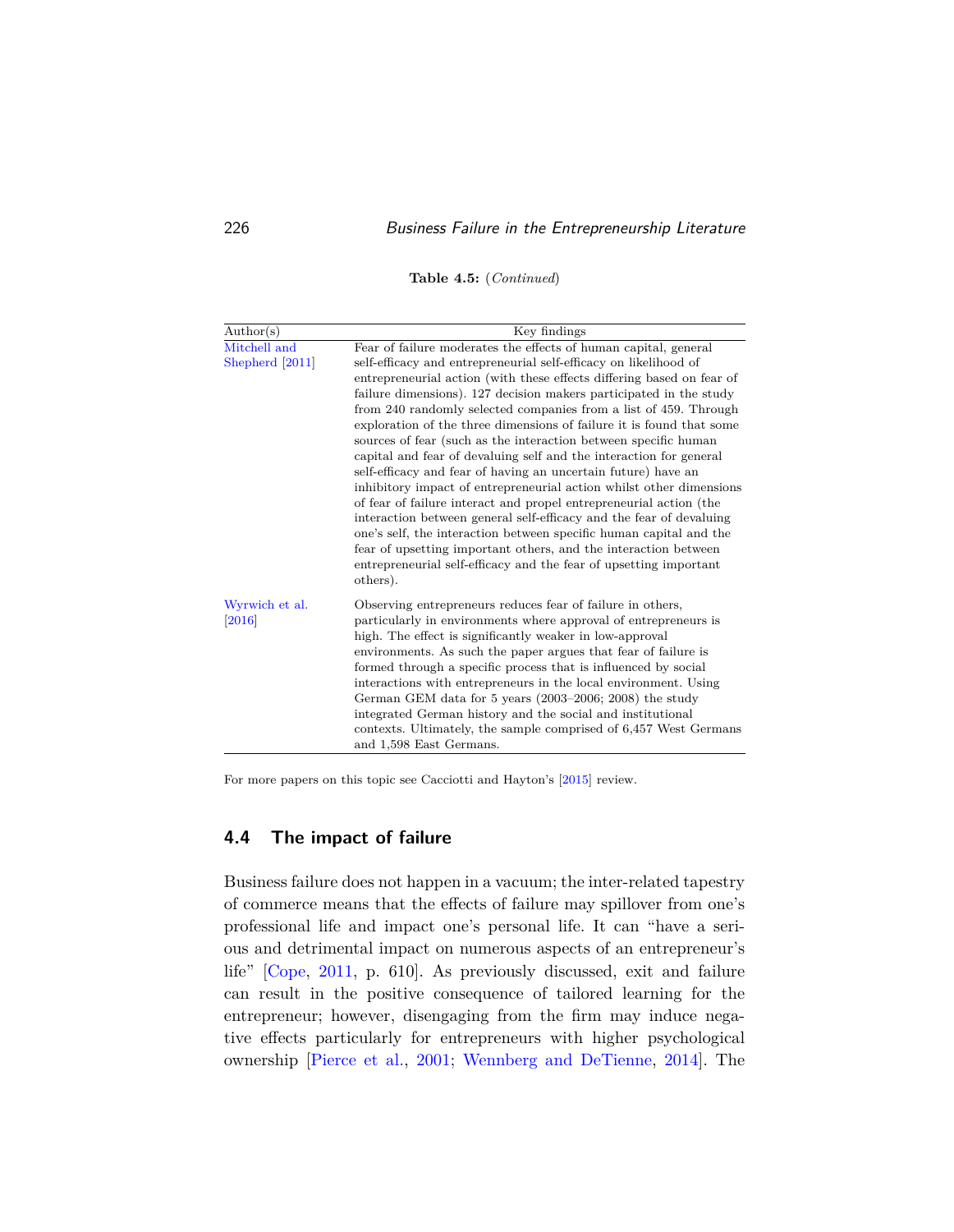#### **Table 4.5:** (*Continued*)

| $\text{Author}(s)$              | Key findings                                                                                                                                                                                                                                                                                                                                                                                                                                                                                                                                                                                                                                                                                                                                                                                                                                                                                                                                                                                                                                                                           |
|---------------------------------|----------------------------------------------------------------------------------------------------------------------------------------------------------------------------------------------------------------------------------------------------------------------------------------------------------------------------------------------------------------------------------------------------------------------------------------------------------------------------------------------------------------------------------------------------------------------------------------------------------------------------------------------------------------------------------------------------------------------------------------------------------------------------------------------------------------------------------------------------------------------------------------------------------------------------------------------------------------------------------------------------------------------------------------------------------------------------------------|
| Mitchell and<br>Shepherd [2011] | Fear of failure moderates the effects of human capital, general<br>self-efficacy and entrepreneurial self-efficacy on likelihood of<br>entrepreneurial action (with these effects differing based on fear of<br>failure dimensions). 127 decision makers participated in the study<br>from 240 randomly selected companies from a list of 459. Through<br>exploration of the three dimensions of failure it is found that some<br>sources of fear (such as the interaction between specific human<br>capital and fear of devaluing self and the interaction for general<br>self-efficacy and fear of having an uncertain future) have an<br>inhibitory impact of entrepreneurial action whilst other dimensions<br>of fear of failure interact and propel entrepreneurial action (the<br>interaction between general self-efficacy and the fear of devaluing<br>one's self, the interaction between specific human capital and the<br>fear of upsetting important others, and the interaction between<br>entrepreneurial self-efficacy and the fear of upsetting important<br>others). |
| Wyrwich et al.<br>2016          | Observing entrepreneurs reduces fear of failure in others,<br>particularly in environments where approval of entrepreneurs is<br>high. The effect is significantly weaker in low-approval<br>environments. As such the paper argues that fear of failure is<br>formed through a specific process that is influenced by social<br>interactions with entrepreneurs in the local environment. Using<br>German GEM data for 5 years (2003–2006; 2008) the study<br>integrated German history and the social and institutional<br>contexts. Ultimately, the sample comprised of 6,457 West Germans<br>and 1,598 East Germans.                                                                                                                                                                                                                                                                                                                                                                                                                                                               |

For more papers on this topic see Cacciotti and Hayton's [\[2015\]](#page-104-7) review.

#### **4.4 The impact of failure**

Business failure does not happen in a vacuum; the inter-related tapestry of commerce means that the effects of failure may spillover from one's professional life and impact one's personal life. It can "have a serious and detrimental impact on numerous aspects of an entrepreneur's life" [\[Cope,](#page-106-1) [2011,](#page-106-1) p. 610]. As previously discussed, exit and failure can result in the positive consequence of tailored learning for the entrepreneur; however, disengaging from the firm may induce negative effects particularly for entrepreneurs with higher psychological ownership [\[Pierce et al.,](#page-117-5) [2001;](#page-117-5) [Wennberg and DeTienne,](#page-124-6) [2014\]](#page-124-6). The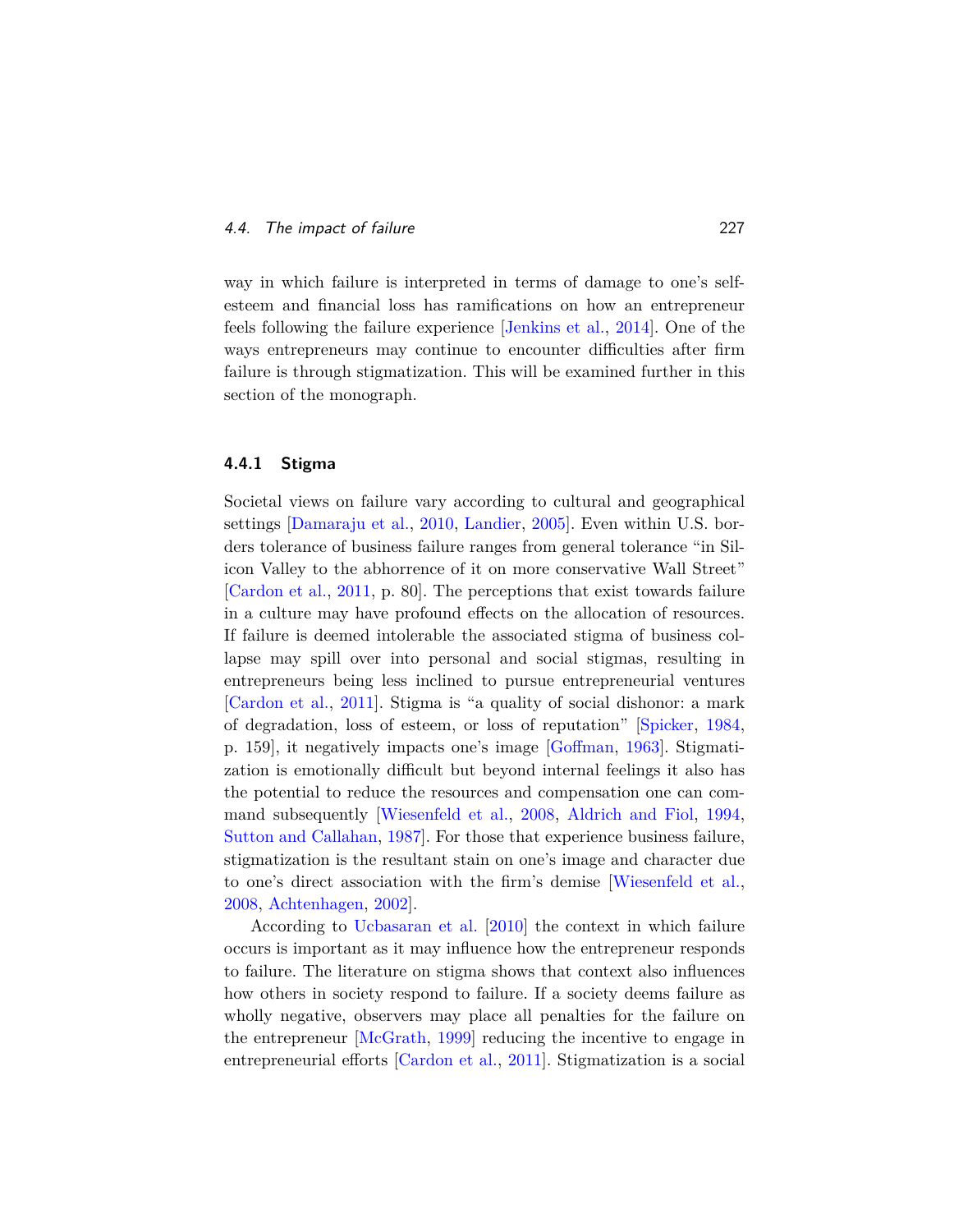way in which failure is interpreted in terms of damage to one's selfesteem and financial loss has ramifications on how an entrepreneur feels following the failure experience [\[Jenkins et al.,](#page-112-6) [2014\]](#page-112-6). One of the ways entrepreneurs may continue to encounter difficulties after firm failure is through stigmatization. This will be examined further in this section of the monograph.

#### **4.4.1 Stigma**

Societal views on failure vary according to cultural and geographical settings [\[Damaraju et al.,](#page-107-5) [2010,](#page-107-5) [Landier,](#page-113-3) [2005\]](#page-113-3). Even within U.S. borders tolerance of business failure ranges from general tolerance "in Silicon Valley to the abhorrence of it on more conservative Wall Street" [\[Cardon et al.,](#page-105-0) [2011,](#page-105-0) p. 80]. The perceptions that exist towards failure in a culture may have profound effects on the allocation of resources. If failure is deemed intolerable the associated stigma of business collapse may spill over into personal and social stigmas, resulting in entrepreneurs being less inclined to pursue entrepreneurial ventures [\[Cardon et al.,](#page-105-0) [2011\]](#page-105-0). Stigma is "a quality of social dishonor: a mark of degradation, loss of esteem, or loss of reputation" [\[Spicker,](#page-121-5) [1984,](#page-121-5) p. 159], it negatively impacts one's image [\[Goffman,](#page-109-6) [1963\]](#page-109-6). Stigmatization is emotionally difficult but beyond internal feelings it also has the potential to reduce the resources and compensation one can command subsequently [\[Wiesenfeld et al.,](#page-124-0) [2008,](#page-124-0) [Aldrich and Fiol,](#page-101-4) [1994,](#page-101-4) [Sutton and Callahan,](#page-121-6) [1987\]](#page-121-6). For those that experience business failure, stigmatization is the resultant stain on one's image and character due to one's direct association with the firm's demise [\[Wiesenfeld et al.,](#page-124-0) [2008,](#page-124-0) [Achtenhagen,](#page-100-2) [2002\]](#page-100-2).

According to [Ucbasaran et al.](#page-122-3) [\[2010\]](#page-122-3) the context in which failure occurs is important as it may influence how the entrepreneur responds to failure. The literature on stigma shows that context also influences how others in society respond to failure. If a society deems failure as wholly negative, observers may place all penalties for the failure on the entrepreneur [\[McGrath,](#page-115-2) [1999\]](#page-115-2) reducing the incentive to engage in entrepreneurial efforts [\[Cardon et al.,](#page-105-0) [2011\]](#page-105-0). Stigmatization is a social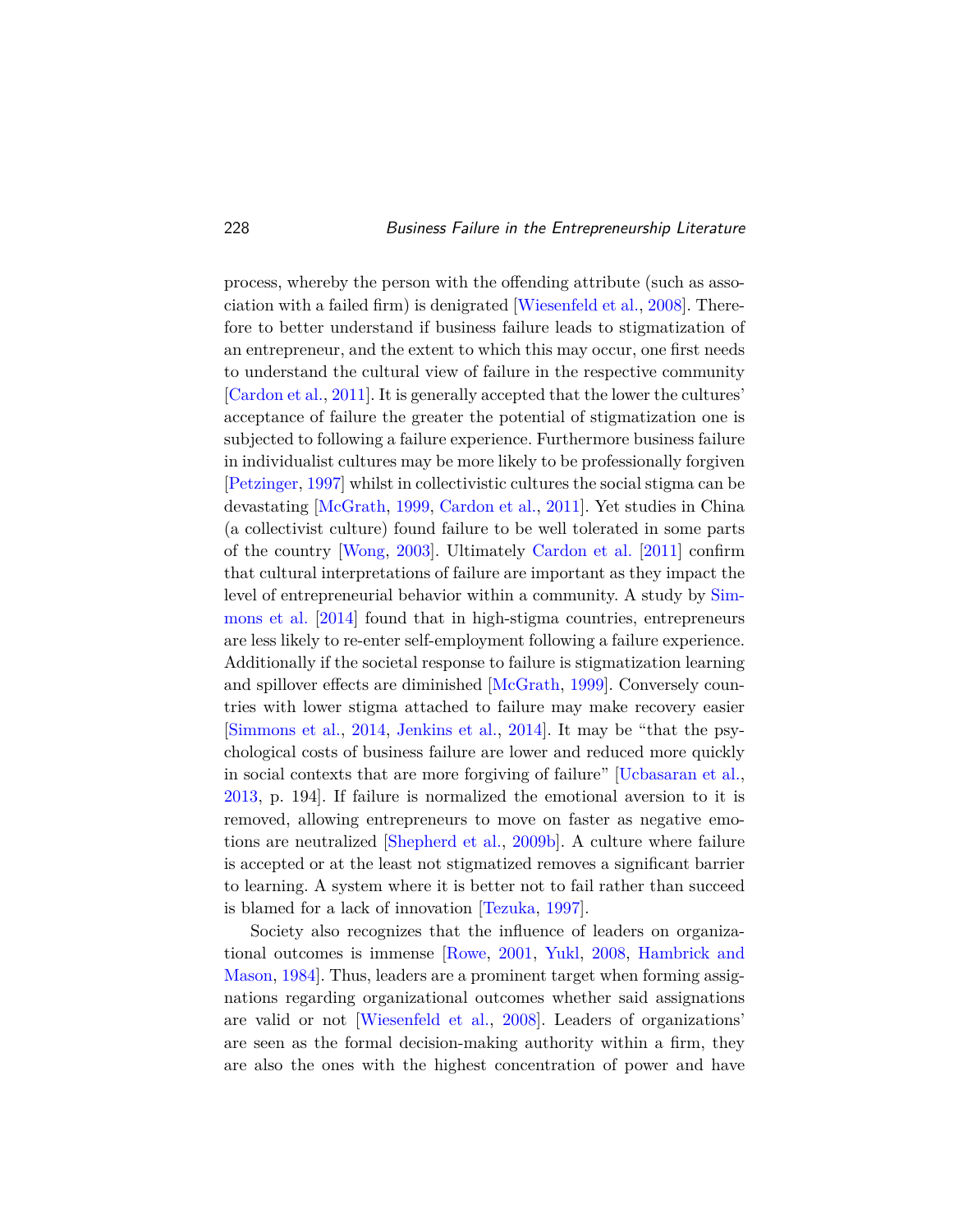process, whereby the person with the offending attribute (such as association with a failed firm) is denigrated [\[Wiesenfeld et al.,](#page-124-0) [2008\]](#page-124-0). Therefore to better understand if business failure leads to stigmatization of an entrepreneur, and the extent to which this may occur, one first needs to understand the cultural view of failure in the respective community [\[Cardon et al.,](#page-105-0) [2011\]](#page-105-0). It is generally accepted that the lower the cultures' acceptance of failure the greater the potential of stigmatization one is subjected to following a failure experience. Furthermore business failure in individualist cultures may be more likely to be professionally forgiven [\[Petzinger,](#page-117-6) [1997\]](#page-117-6) whilst in collectivistic cultures the social stigma can be devastating [\[McGrath,](#page-115-2) [1999,](#page-115-2) [Cardon et al.,](#page-105-0) [2011\]](#page-105-0). Yet studies in China (a collectivist culture) found failure to be well tolerated in some parts of the country [\[Wong,](#page-124-7) [2003\]](#page-124-7). Ultimately [Cardon et al.](#page-105-0) [\[2011\]](#page-105-0) confirm that cultural interpretations of failure are important as they impact the level of entrepreneurial behavior within a community. A study by [Sim](#page-120-10)[mons et al.](#page-120-10) [\[2014\]](#page-120-10) found that in high-stigma countries, entrepreneurs are less likely to re-enter self-employment following a failure experience. Additionally if the societal response to failure is stigmatization learning and spillover effects are diminished [\[McGrath,](#page-115-2) [1999\]](#page-115-2). Conversely countries with lower stigma attached to failure may make recovery easier [\[Simmons et al.,](#page-120-10) [2014,](#page-120-10) [Jenkins et al.,](#page-112-6) [2014\]](#page-112-6). It may be "that the psychological costs of business failure are lower and reduced more quickly in social contexts that are more forgiving of failure" [\[Ucbasaran et al.,](#page-122-5) [2013,](#page-122-5) p. 194]. If failure is normalized the emotional aversion to it is removed, allowing entrepreneurs to move on faster as negative emotions are neutralized [\[Shepherd et al.,](#page-120-7) [2009b\]](#page-120-7). A culture where failure is accepted or at the least not stigmatized removes a significant barrier to learning. A system where it is better not to fail rather than succeed is blamed for a lack of innovation [\[Tezuka,](#page-122-8) [1997\]](#page-122-8).

Society also recognizes that the influence of leaders on organizational outcomes is immense [\[Rowe,](#page-118-6) [2001,](#page-118-6) [Yukl,](#page-125-5) [2008,](#page-125-5) [Hambrick and](#page-110-8) [Mason,](#page-110-8) [1984\]](#page-110-8). Thus, leaders are a prominent target when forming assignations regarding organizational outcomes whether said assignations are valid or not [\[Wiesenfeld et al.,](#page-124-0) [2008\]](#page-124-0). Leaders of organizations' are seen as the formal decision-making authority within a firm, they are also the ones with the highest concentration of power and have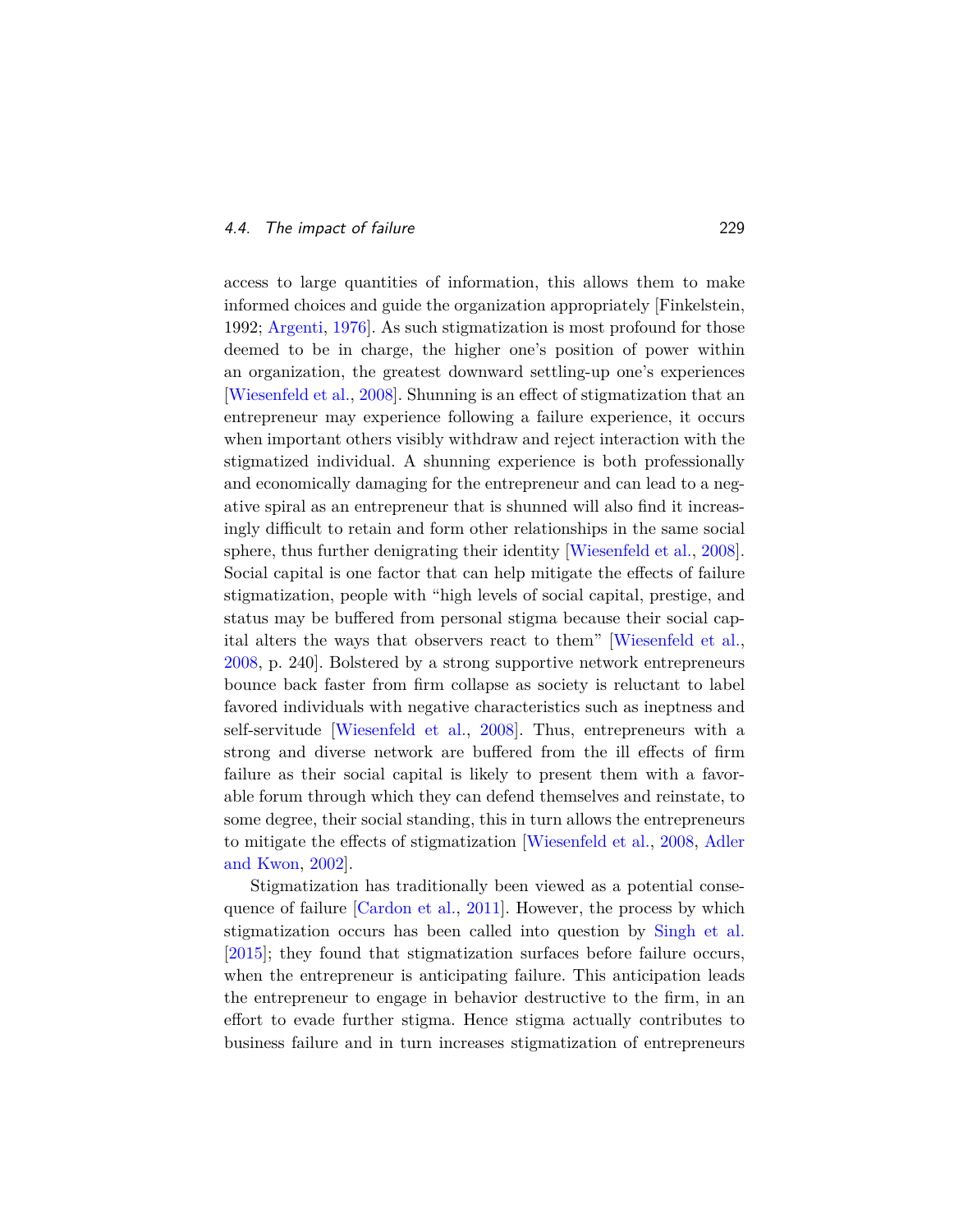## 4.4. The impact of failure 229

access to large quantities of information, this allows them to make informed choices and guide the organization appropriately [Finkelstein, 1992; [Argenti,](#page-101-1) [1976\]](#page-101-1). As such stigmatization is most profound for those deemed to be in charge, the higher one's position of power within an organization, the greatest downward settling-up one's experiences [\[Wiesenfeld et al.,](#page-124-0) [2008\]](#page-124-0). Shunning is an effect of stigmatization that an entrepreneur may experience following a failure experience, it occurs when important others visibly withdraw and reject interaction with the stigmatized individual. A shunning experience is both professionally and economically damaging for the entrepreneur and can lead to a negative spiral as an entrepreneur that is shunned will also find it increasingly difficult to retain and form other relationships in the same social sphere, thus further denigrating their identity [\[Wiesenfeld et al.,](#page-124-0) [2008\]](#page-124-0). Social capital is one factor that can help mitigate the effects of failure stigmatization, people with "high levels of social capital, prestige, and status may be buffered from personal stigma because their social capital alters the ways that observers react to them" [\[Wiesenfeld et al.,](#page-124-0) [2008,](#page-124-0) p. 240]. Bolstered by a strong supportive network entrepreneurs bounce back faster from firm collapse as society is reluctant to label favored individuals with negative characteristics such as ineptness and self-servitude [\[Wiesenfeld et al.,](#page-124-0) [2008\]](#page-124-0). Thus, entrepreneurs with a strong and diverse network are buffered from the ill effects of firm failure as their social capital is likely to present them with a favorable forum through which they can defend themselves and reinstate, to some degree, their social standing, this in turn allows the entrepreneurs to mitigate the effects of stigmatization [\[Wiesenfeld et al.,](#page-124-0) [2008,](#page-124-0) [Adler](#page-100-3) [and Kwon,](#page-100-3) [2002\]](#page-100-3).

Stigmatization has traditionally been viewed as a potential consequence of failure [\[Cardon et al.,](#page-105-0) [2011\]](#page-105-0). However, the process by which stigmatization occurs has been called into question by [Singh et al.](#page-120-11) [\[2015\]](#page-120-11); they found that stigmatization surfaces before failure occurs, when the entrepreneur is anticipating failure. This anticipation leads the entrepreneur to engage in behavior destructive to the firm, in an effort to evade further stigma. Hence stigma actually contributes to business failure and in turn increases stigmatization of entrepreneurs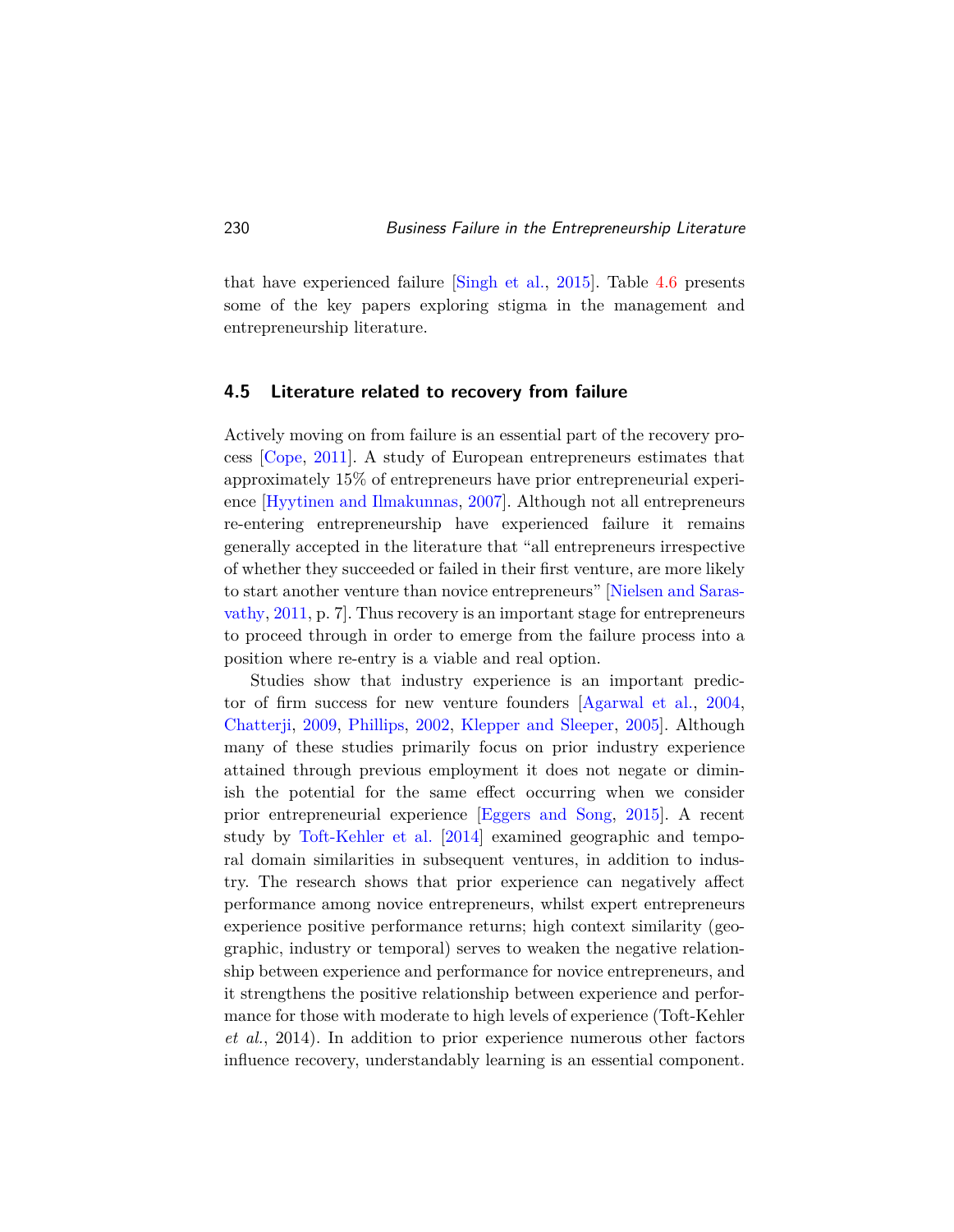that have experienced failure [\[Singh et al.,](#page-120-11) [2015\]](#page-120-11). Table [4.6](#page-71-0) presents some of the key papers exploring stigma in the management and entrepreneurship literature.

# **4.5 Literature related to recovery from failure**

Actively moving on from failure is an essential part of the recovery process [\[Cope,](#page-106-1) [2011\]](#page-106-1). A study of European entrepreneurs estimates that approximately 15% of entrepreneurs have prior entrepreneurial experience [\[Hyytinen and Ilmakunnas,](#page-111-8) [2007\]](#page-111-8). Although not all entrepreneurs re-entering entrepreneurship have experienced failure it remains generally accepted in the literature that "all entrepreneurs irrespective of whether they succeeded or failed in their first venture, are more likely to start another venture than novice entrepreneurs" [\[Nielsen and Saras](#page-116-2)[vathy,](#page-116-2) [2011,](#page-116-2) p. 7]. Thus recovery is an important stage for entrepreneurs to proceed through in order to emerge from the failure process into a position where re-entry is a viable and real option.

Studies show that industry experience is an important predictor of firm success for new venture founders [\[Agarwal et al.,](#page-100-4) [2004,](#page-100-4) [Chatterji,](#page-105-5) [2009,](#page-105-5) [Phillips,](#page-117-7) [2002,](#page-117-7) [Klepper and Sleeper,](#page-113-4) [2005\]](#page-113-4). Although many of these studies primarily focus on prior industry experience attained through previous employment it does not negate or diminish the potential for the same effect occurring when we consider prior entrepreneurial experience [\[Eggers and Song,](#page-108-3) [2015\]](#page-108-3). A recent study by [Toft-Kehler et al.](#page-122-6) [\[2014\]](#page-122-6) examined geographic and temporal domain similarities in subsequent ventures, in addition to industry. The research shows that prior experience can negatively affect performance among novice entrepreneurs, whilst expert entrepreneurs experience positive performance returns; high context similarity (geographic, industry or temporal) serves to weaken the negative relationship between experience and performance for novice entrepreneurs, and it strengthens the positive relationship between experience and performance for those with moderate to high levels of experience (Toft-Kehler *et al.*, 2014). In addition to prior experience numerous other factors influence recovery, understandably learning is an essential component.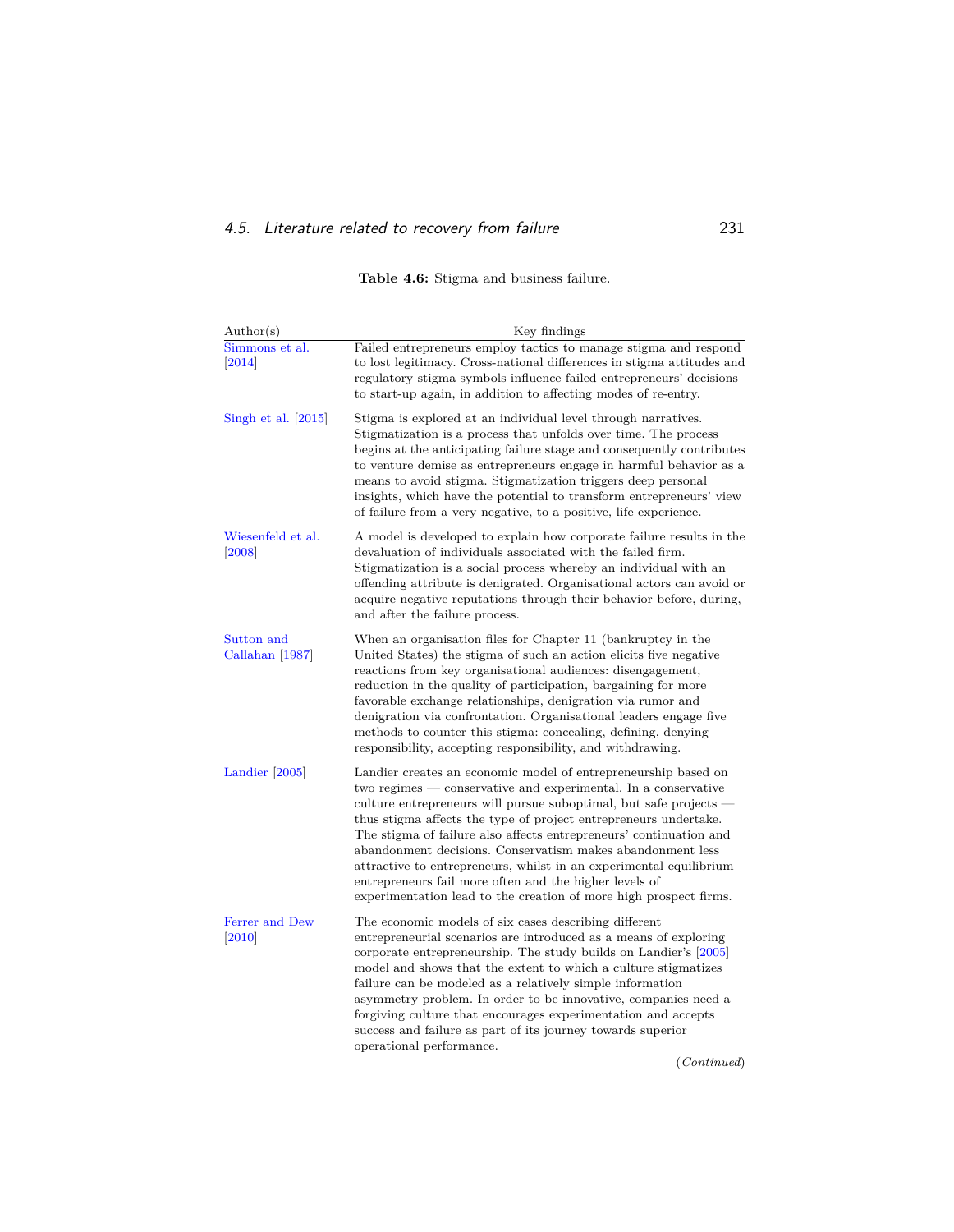| Table 4.6: Stigma and business failure. |  |  |  |  |  |
|-----------------------------------------|--|--|--|--|--|
|-----------------------------------------|--|--|--|--|--|

<span id="page-71-0"></span>

| $\text{Author}(s)$            | Key findings                                                                                                                                                                                                                                                                                                                                                                                                                                                                                                                                                                                                       |
|-------------------------------|--------------------------------------------------------------------------------------------------------------------------------------------------------------------------------------------------------------------------------------------------------------------------------------------------------------------------------------------------------------------------------------------------------------------------------------------------------------------------------------------------------------------------------------------------------------------------------------------------------------------|
| Simmons et al.<br>$[2014]$    | Failed entrepreneurs employ tactics to manage stigma and respond<br>to lost legitimacy. Cross-national differences in stigma attitudes and<br>regulatory stigma symbols influence failed entrepreneurs' decisions<br>to start-up again, in addition to affecting modes of re-entry.                                                                                                                                                                                                                                                                                                                                |
| Singh et al. [2015]           | Stigma is explored at an individual level through narratives.<br>Stigmatization is a process that unfolds over time. The process<br>begins at the anticipating failure stage and consequently contributes<br>to venture demise as entrepreneurs engage in harmful behavior as a<br>means to avoid stigma. Stigmatization triggers deep personal<br>insights, which have the potential to transform entrepreneurs' view<br>of failure from a very negative, to a positive, life experience.                                                                                                                         |
| Wiesenfeld et al.<br>[2008]   | A model is developed to explain how corporate failure results in the<br>devaluation of individuals associated with the failed firm.<br>Stigmatization is a social process whereby an individual with an<br>offending attribute is denigrated. Organisational actors can avoid or<br>acquire negative reputations through their behavior before, during,<br>and after the failure process.                                                                                                                                                                                                                          |
| Sutton and<br>Callahan [1987] | When an organisation files for Chapter 11 (bankruptcy in the<br>United States) the stigma of such an action elicits five negative<br>reactions from key organisational audiences: disengagement,<br>reduction in the quality of participation, bargaining for more<br>favorable exchange relationships, denigration via rumor and<br>denigration via confrontation. Organisational leaders engage five<br>methods to counter this stigma: concealing, defining, denying<br>responsibility, accepting responsibility, and withdrawing.                                                                              |
| Landier 2005                  | Landier creates an economic model of entrepreneurship based on<br>two regimes — conservative and experimental. In a conservative<br>culture entrepreneurs will pursue suboptimal, but safe projects —<br>thus stigma affects the type of project entrepreneurs undertake.<br>The stigma of failure also affects entrepreneurs' continuation and<br>abandonment decisions. Conservatism makes abandonment less<br>attractive to entrepreneurs, whilst in an experimental equilibrium<br>entrepreneurs fail more often and the higher levels of<br>experimentation lead to the creation of more high prospect firms. |
| Ferrer and Dew<br>[2010]      | The economic models of six cases describing different<br>entrepreneurial scenarios are introduced as a means of exploring<br>corporate entrepreneurship. The study builds on Landier's [2005]<br>model and shows that the extent to which a culture stigmatizes<br>failure can be modeled as a relatively simple information<br>asymmetry problem. In order to be innovative, companies need a<br>forgiving culture that encourages experimentation and accepts<br>success and failure as part of its journey towards superior<br>operational performance.                                                         |

(*Continued*)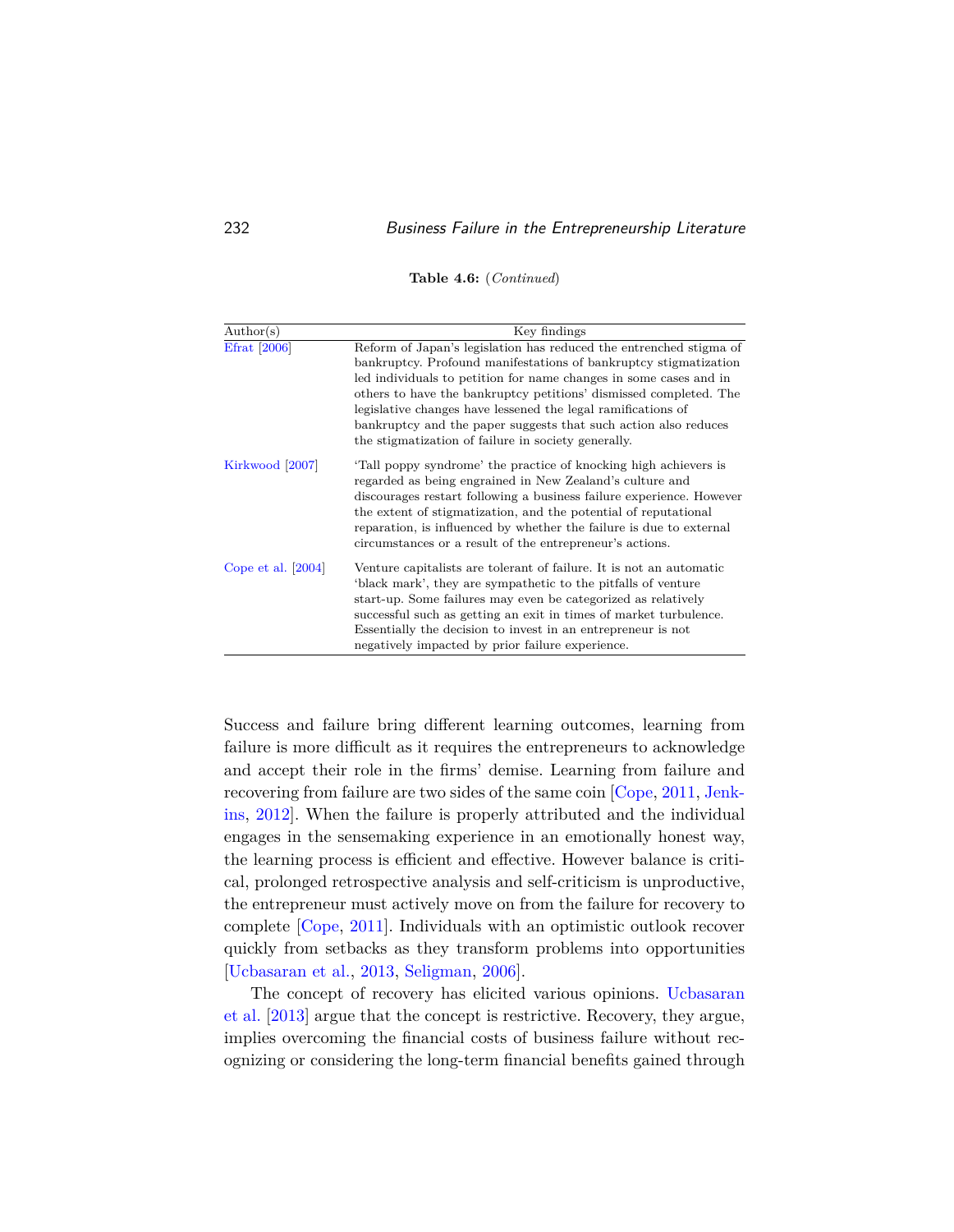| Table 4.6: (Continued) |  |
|------------------------|--|
|------------------------|--|

| $\text{Author}(s)$   | Key findings                                                                                                                                                                                                                                                                                                                                                                                                                                                               |
|----------------------|----------------------------------------------------------------------------------------------------------------------------------------------------------------------------------------------------------------------------------------------------------------------------------------------------------------------------------------------------------------------------------------------------------------------------------------------------------------------------|
| <b>Efrat</b> [2006]  | Reform of Japan's legislation has reduced the entrenched stigma of<br>bankruptcy. Profound manifestations of bankruptcy stigmatization<br>led individuals to petition for name changes in some cases and in<br>others to have the bankruptcy petitions' dismissed completed. The<br>legislative changes have lessened the legal ramifications of<br>bankruptcy and the paper suggests that such action also reduces<br>the stigmatization of failure in society generally. |
| Kirkwood [2007]      | 'Tall poppy syndrome' the practice of knocking high achievers is<br>regarded as being engrained in New Zealand's culture and<br>discourages restart following a business failure experience. However<br>the extent of stigmatization, and the potential of reputational<br>reparation, is influenced by whether the failure is due to external<br>circumstances or a result of the entrepreneur's actions.                                                                 |
| Cope et al. $[2004]$ | Venture capitalists are tolerant of failure. It is not an automatic<br>'black mark', they are sympathetic to the pitfalls of venture<br>start-up. Some failures may even be categorized as relatively<br>successful such as getting an exit in times of market turbulence.<br>Essentially the decision to invest in an entrepreneur is not<br>negatively impacted by prior failure experience.                                                                             |

Success and failure bring different learning outcomes, learning from failure is more difficult as it requires the entrepreneurs to acknowledge and accept their role in the firms' demise. Learning from failure and recovering from failure are two sides of the same coin [\[Cope,](#page-106-1) [2011,](#page-106-1) [Jenk](#page-112-1)[ins,](#page-112-1) [2012\]](#page-112-1). When the failure is properly attributed and the individual engages in the sensemaking experience in an emotionally honest way, the learning process is efficient and effective. However balance is critical, prolonged retrospective analysis and self-criticism is unproductive, the entrepreneur must actively move on from the failure for recovery to complete [\[Cope,](#page-106-1) [2011\]](#page-106-1). Individuals with an optimistic outlook recover quickly from setbacks as they transform problems into opportunities [\[Ucbasaran et al.,](#page-122-0) [2013,](#page-122-0) [Seligman,](#page-119-0) [2006\]](#page-119-0).

The concept of recovery has elicited various opinions. [Ucbasaran](#page-122-0) [et al.](#page-122-0) [\[2013\]](#page-122-0) argue that the concept is restrictive. Recovery, they argue, implies overcoming the financial costs of business failure without recognizing or considering the long-term financial benefits gained through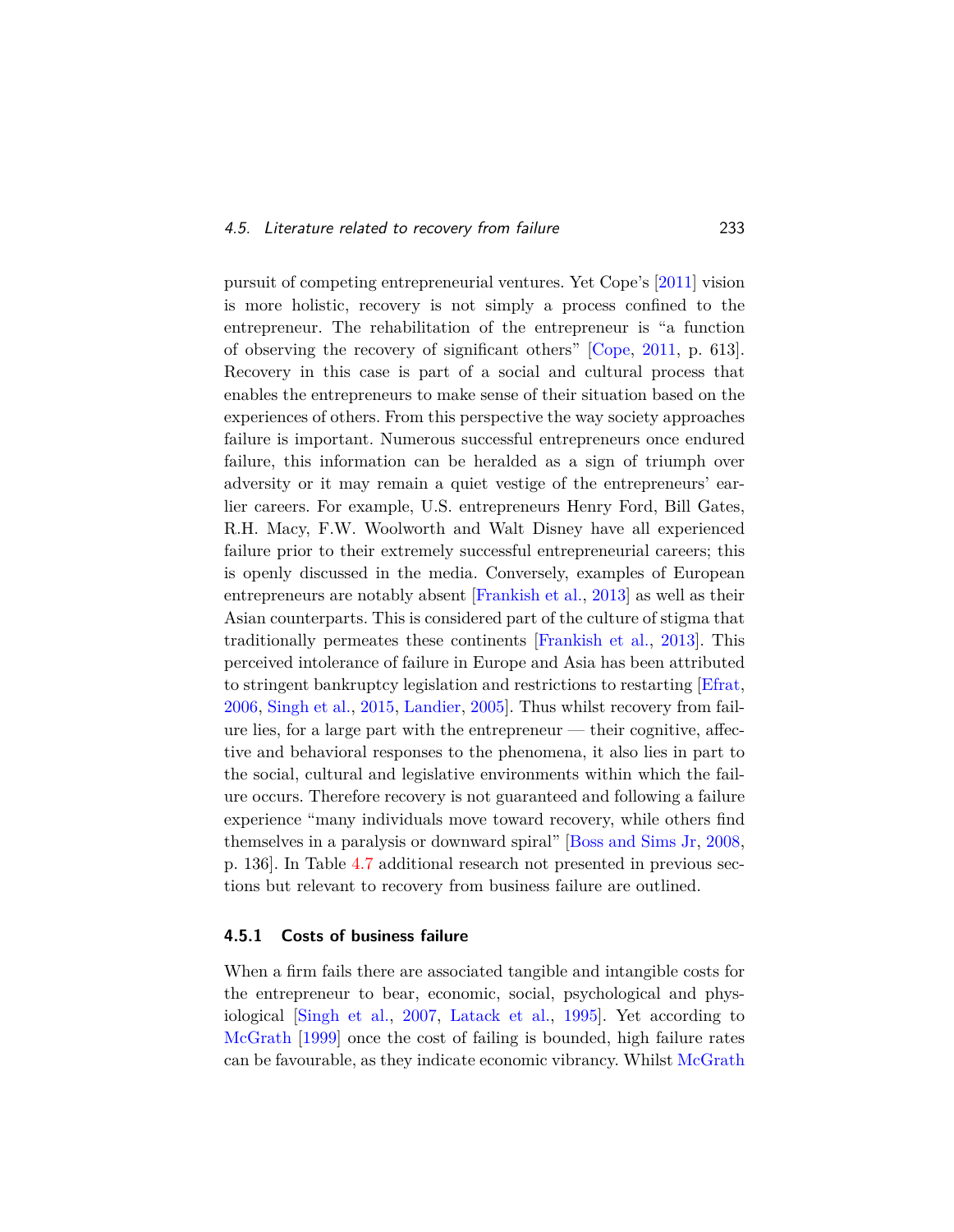#### 4.5. Literature related to recovery from failure 233

pursuit of competing entrepreneurial ventures. Yet Cope's [\[2011\]](#page-106-1) vision is more holistic, recovery is not simply a process confined to the entrepreneur. The rehabilitation of the entrepreneur is "a function of observing the recovery of significant others" [\[Cope,](#page-106-1) [2011,](#page-106-1) p. 613]. Recovery in this case is part of a social and cultural process that enables the entrepreneurs to make sense of their situation based on the experiences of others. From this perspective the way society approaches failure is important. Numerous successful entrepreneurs once endured failure, this information can be heralded as a sign of triumph over adversity or it may remain a quiet vestige of the entrepreneurs' earlier careers. For example, U.S. entrepreneurs Henry Ford, Bill Gates, R.H. Macy, F.W. Woolworth and Walt Disney have all experienced failure prior to their extremely successful entrepreneurial careers; this is openly discussed in the media. Conversely, examples of European entrepreneurs are notably absent [\[Frankish et al.,](#page-108-1) [2013\]](#page-108-1) as well as their Asian counterparts. This is considered part of the culture of stigma that traditionally permeates these continents [\[Frankish et al.,](#page-108-1) [2013\]](#page-108-1). This perceived intolerance of failure in Europe and Asia has been attributed to stringent bankruptcy legislation and restrictions to restarting [\[Efrat,](#page-108-0) [2006,](#page-108-0) [Singh et al.,](#page-120-0) [2015,](#page-120-0) [Landier,](#page-113-0) [2005\]](#page-113-0). Thus whilst recovery from failure lies, for a large part with the entrepreneur — their cognitive, affective and behavioral responses to the phenomena, it also lies in part to the social, cultural and legislative environments within which the failure occurs. Therefore recovery is not guaranteed and following a failure experience "many individuals move toward recovery, while others find themselves in a paralysis or downward spiral" [\[Boss and Sims Jr,](#page-104-0) [2008,](#page-104-0) p. 136]. In Table [4.7](#page-74-0) additional research not presented in previous sections but relevant to recovery from business failure are outlined.

#### **4.5.1 Costs of business failure**

When a firm fails there are associated tangible and intangible costs for the entrepreneur to bear, economic, social, psychological and physiological [\[Singh et al.,](#page-120-1) [2007,](#page-120-1) [Latack et al.,](#page-113-1) [1995\]](#page-113-1). Yet according to [McGrath](#page-115-0) [\[1999\]](#page-115-0) once the cost of failing is bounded, high failure rates can be favourable, as they indicate economic vibrancy. Whilst [McGrath](#page-115-0)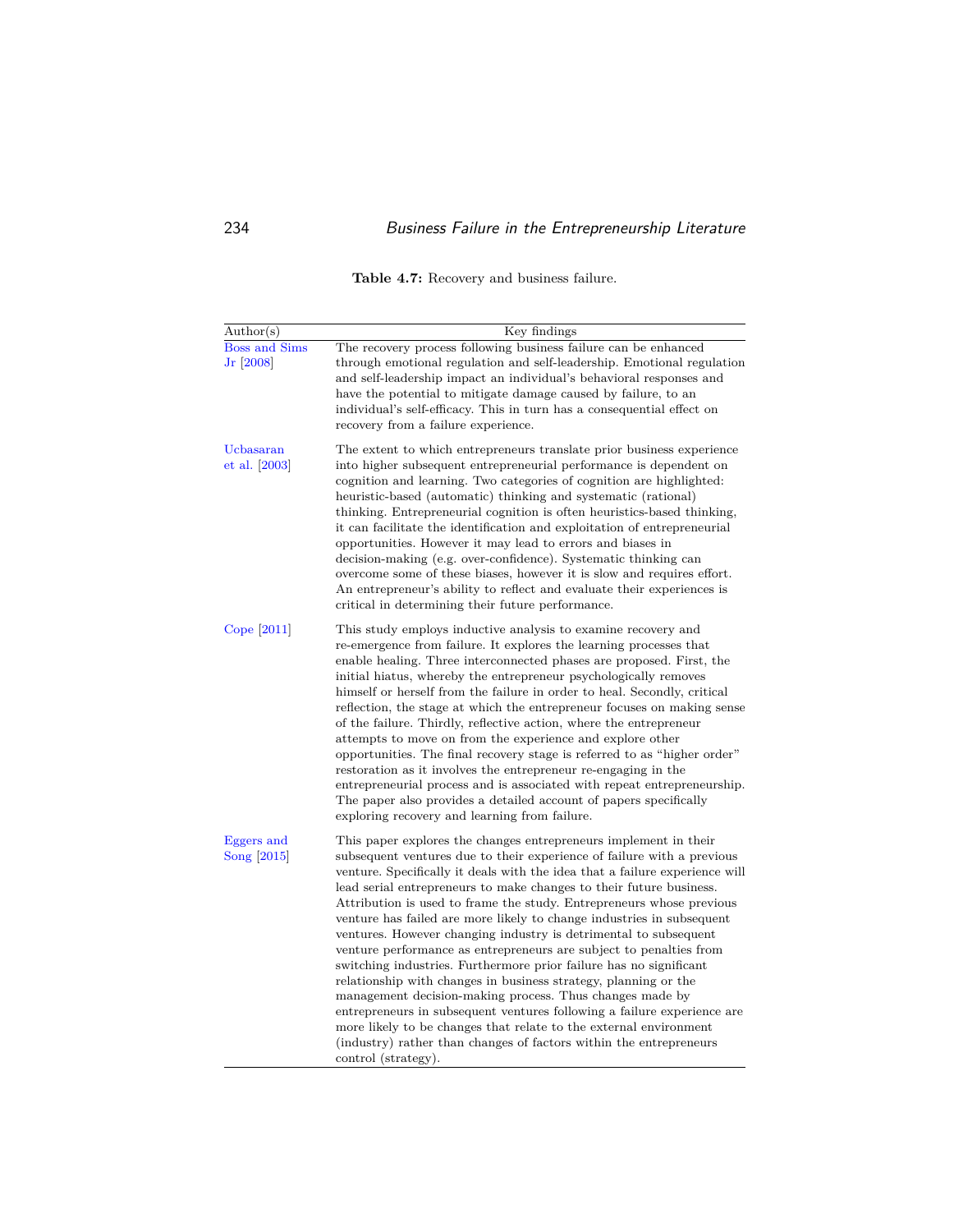Table 4.7: Recovery and business failure.

<span id="page-74-0"></span>

| $\text{Author}(s)$                  | Key findings                                                                                                                                                                                                                                                                                                                                                                                                                                                                                                                                                                                                                                                                                                                                                                                                                                                                                                                                                                                                                                  |
|-------------------------------------|-----------------------------------------------------------------------------------------------------------------------------------------------------------------------------------------------------------------------------------------------------------------------------------------------------------------------------------------------------------------------------------------------------------------------------------------------------------------------------------------------------------------------------------------------------------------------------------------------------------------------------------------------------------------------------------------------------------------------------------------------------------------------------------------------------------------------------------------------------------------------------------------------------------------------------------------------------------------------------------------------------------------------------------------------|
| <b>Boss and Sims</b><br>$Jr$ [2008] | The recovery process following business failure can be enhanced<br>through emotional regulation and self-leadership. Emotional regulation<br>and self-leadership impact an individual's behavioral responses and<br>have the potential to mitigate damage caused by failure, to an<br>individual's self-efficacy. This in turn has a consequential effect on<br>recovery from a failure experience.                                                                                                                                                                                                                                                                                                                                                                                                                                                                                                                                                                                                                                           |
| Ucbasaran<br>et al. [2003]          | The extent to which entrepreneurs translate prior business experience<br>into higher subsequent entrepreneurial performance is dependent on<br>cognition and learning. Two categories of cognition are highlighted:<br>heuristic-based (automatic) thinking and systematic (rational)<br>thinking. Entrepreneurial cognition is often heuristics-based thinking,<br>it can facilitate the identification and exploitation of entrepreneurial<br>opportunities. However it may lead to errors and biases in<br>decision-making (e.g. over-confidence). Systematic thinking can<br>overcome some of these biases, however it is slow and requires effort.<br>An entrepreneur's ability to reflect and evaluate their experiences is<br>critical in determining their future performance.                                                                                                                                                                                                                                                        |
| $Cope$ [2011]                       | This study employs inductive analysis to examine recovery and<br>re-emergence from failure. It explores the learning processes that<br>enable healing. Three interconnected phases are proposed. First, the<br>initial hiatus, whereby the entrepreneur psychologically removes<br>himself or herself from the failure in order to heal. Secondly, critical<br>reflection, the stage at which the entrepreneur focuses on making sense<br>of the failure. Thirdly, reflective action, where the entrepreneur<br>attempts to move on from the experience and explore other<br>opportunities. The final recovery stage is referred to as "higher order"<br>restoration as it involves the entrepreneur re-engaging in the<br>entrepreneurial process and is associated with repeat entrepreneurship.<br>The paper also provides a detailed account of papers specifically<br>exploring recovery and learning from failure.                                                                                                                      |
| Eggers and<br>Song $[2015]$         | This paper explores the changes entrepreneurs implement in their<br>subsequent ventures due to their experience of failure with a previous<br>venture. Specifically it deals with the idea that a failure experience will<br>lead serial entrepreneurs to make changes to their future business.<br>Attribution is used to frame the study. Entrepreneurs whose previous<br>venture has failed are more likely to change industries in subsequent<br>ventures. However changing industry is detrimental to subsequent<br>venture performance as entrepreneurs are subject to penalties from<br>switching industries. Furthermore prior failure has no significant<br>relationship with changes in business strategy, planning or the<br>management decision-making process. Thus changes made by<br>entrepreneurs in subsequent ventures following a failure experience are<br>more likely to be changes that relate to the external environment<br>(industry) rather than changes of factors within the entrepreneurs<br>control (strategy). |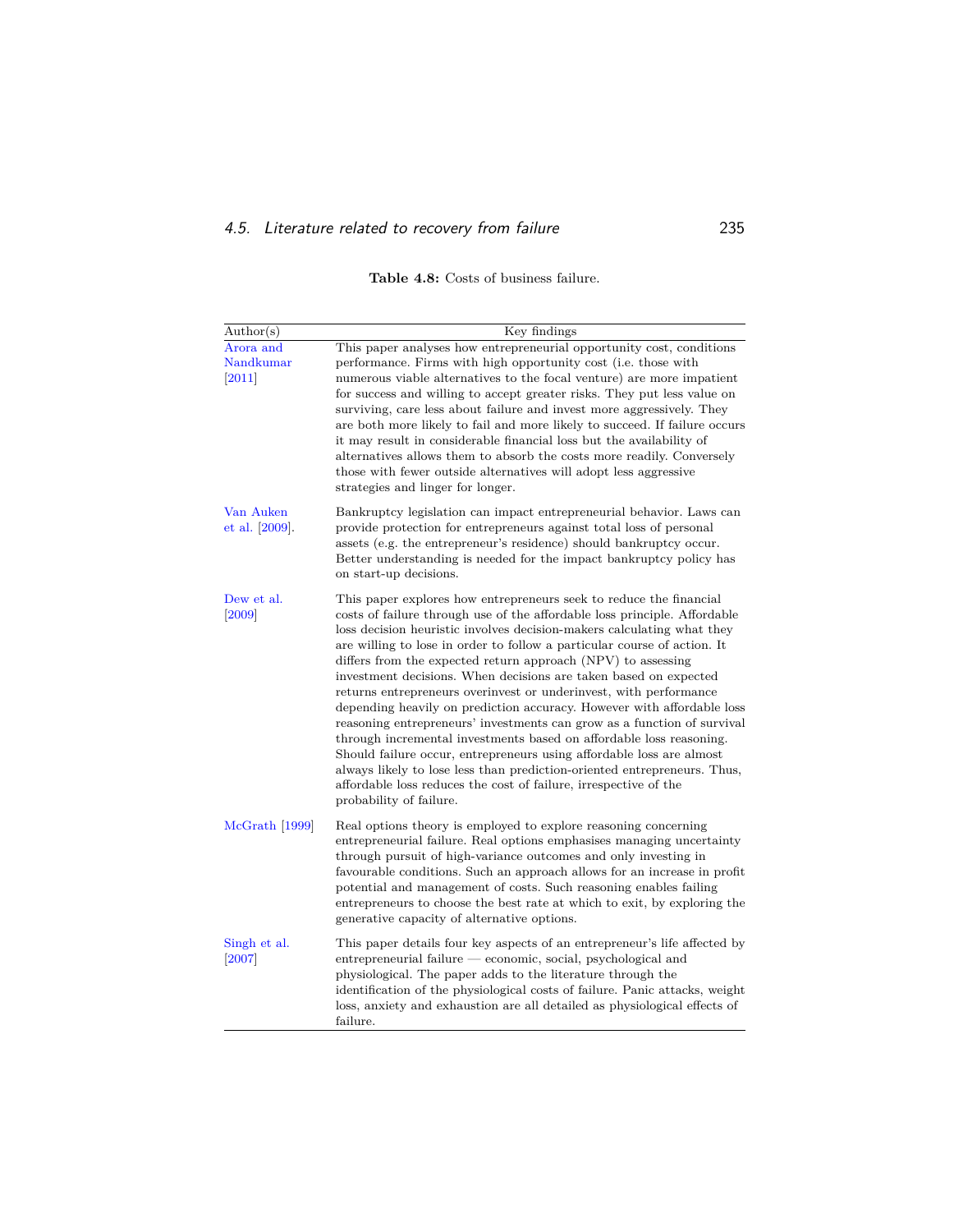| <b>Table 4.8:</b> Costs of business failure. |  |  |  |
|----------------------------------------------|--|--|--|
|----------------------------------------------|--|--|--|

<span id="page-75-0"></span>

| $\text{Author}(s)$          | Key findings                                                                                                                                                                                                                                                                                                                                                                                                                                                                                                                                                                                                                                                                                                                                                                                                                                                                                                                                                                                   |
|-----------------------------|------------------------------------------------------------------------------------------------------------------------------------------------------------------------------------------------------------------------------------------------------------------------------------------------------------------------------------------------------------------------------------------------------------------------------------------------------------------------------------------------------------------------------------------------------------------------------------------------------------------------------------------------------------------------------------------------------------------------------------------------------------------------------------------------------------------------------------------------------------------------------------------------------------------------------------------------------------------------------------------------|
| Arora and<br>Nandkumar      | This paper analyses how entrepreneurial opportunity cost, conditions<br>performance. Firms with high opportunity cost (i.e. those with                                                                                                                                                                                                                                                                                                                                                                                                                                                                                                                                                                                                                                                                                                                                                                                                                                                         |
| [2011]                      | numerous viable alternatives to the focal venture) are more impatient<br>for success and willing to accept greater risks. They put less value on<br>surviving, care less about failure and invest more aggressively. They<br>are both more likely to fail and more likely to succeed. If failure occurs<br>it may result in considerable financial loss but the availability of<br>alternatives allows them to absorb the costs more readily. Conversely<br>those with fewer outside alternatives will adopt less aggressive<br>strategies and linger for longer.                                                                                                                                                                                                                                                                                                                                                                                                                              |
| Van Auken<br>et al. [2009]. | Bankruptcy legislation can impact entrepreneurial behavior. Laws can<br>provide protection for entrepreneurs against total loss of personal<br>assets (e.g. the entrepreneur's residence) should bankruptcy occur.<br>Better understanding is needed for the impact bankruptcy policy has<br>on start-up decisions.                                                                                                                                                                                                                                                                                                                                                                                                                                                                                                                                                                                                                                                                            |
| Dew et al.<br>[2009]        | This paper explores how entrepreneurs seek to reduce the financial<br>costs of failure through use of the affordable loss principle. Affordable<br>loss decision heuristic involves decision-makers calculating what they<br>are willing to lose in order to follow a particular course of action. It<br>differs from the expected return approach (NPV) to assessing<br>investment decisions. When decisions are taken based on expected<br>returns entrepreneurs overinvest or underlinvest, with performance<br>depending heavily on prediction accuracy. However with affordable loss<br>reasoning entrepreneurs' investments can grow as a function of survival<br>through incremental investments based on affordable loss reasoning.<br>Should failure occur, entrepreneurs using affordable loss are almost<br>always likely to lose less than prediction-oriented entrepreneurs. Thus,<br>affordable loss reduces the cost of failure, irrespective of the<br>probability of failure. |
| McGrath [1999]              | Real options theory is employed to explore reasoning concerning<br>entrepreneurial failure. Real options emphasises managing uncertainty<br>through pursuit of high-variance outcomes and only investing in<br>favourable conditions. Such an approach allows for an increase in profit<br>potential and management of costs. Such reasoning enables failing<br>entrepreneurs to choose the best rate at which to exit, by exploring the<br>generative capacity of alternative options.                                                                                                                                                                                                                                                                                                                                                                                                                                                                                                        |
| Singh et al.<br> 2007       | This paper details four key aspects of an entrepreneur's life affected by<br>entrepreneurial failure — economic, social, psychological and<br>physiological. The paper adds to the literature through the<br>identification of the physiological costs of failure. Panic attacks, weight<br>loss, anxiety and exhaustion are all detailed as physiological effects of<br>failure.                                                                                                                                                                                                                                                                                                                                                                                                                                                                                                                                                                                                              |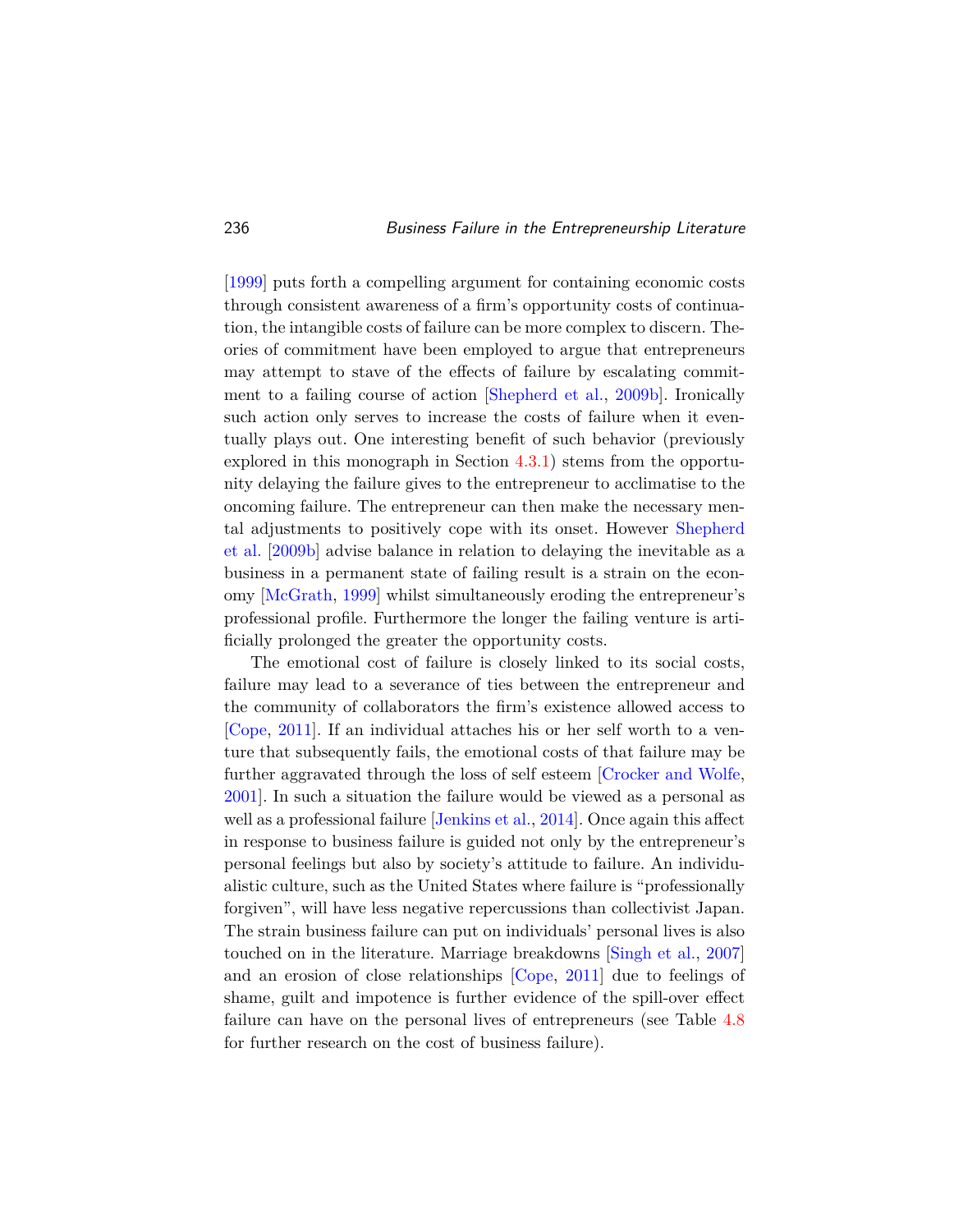[\[1999\]](#page-115-0) puts forth a compelling argument for containing economic costs through consistent awareness of a firm's opportunity costs of continuation, the intangible costs of failure can be more complex to discern. Theories of commitment have been employed to argue that entrepreneurs may attempt to stave of the effects of failure by escalating commitment to a failing course of action [\[Shepherd et al.,](#page-120-2) [2009b\]](#page-120-2). Ironically such action only serves to increase the costs of failure when it eventually plays out. One interesting benefit of such behavior (previously explored in this monograph in Section [4.3.1\)](#page-56-0) stems from the opportunity delaying the failure gives to the entrepreneur to acclimatise to the oncoming failure. The entrepreneur can then make the necessary mental adjustments to positively cope with its onset. However [Shepherd](#page-120-2) [et al.](#page-120-2) [\[2009b\]](#page-120-2) advise balance in relation to delaying the inevitable as a business in a permanent state of failing result is a strain on the economy [\[McGrath,](#page-115-0) [1999\]](#page-115-0) whilst simultaneously eroding the entrepreneur's professional profile. Furthermore the longer the failing venture is artificially prolonged the greater the opportunity costs.

The emotional cost of failure is closely linked to its social costs, failure may lead to a severance of ties between the entrepreneur and the community of collaborators the firm's existence allowed access to [\[Cope,](#page-106-1) [2011\]](#page-106-1). If an individual attaches his or her self worth to a venture that subsequently fails, the emotional costs of that failure may be further aggravated through the loss of self esteem [\[Crocker and Wolfe,](#page-106-2) [2001\]](#page-106-2). In such a situation the failure would be viewed as a personal as well as a professional failure [\[Jenkins et al.,](#page-112-2) [2014\]](#page-112-2). Once again this affect in response to business failure is guided not only by the entrepreneur's personal feelings but also by society's attitude to failure. An individualistic culture, such as the United States where failure is "professionally forgiven", will have less negative repercussions than collectivist Japan. The strain business failure can put on individuals' personal lives is also touched on in the literature. Marriage breakdowns [\[Singh et al.,](#page-120-1) [2007\]](#page-120-1) and an erosion of close relationships [\[Cope,](#page-106-1) [2011\]](#page-106-1) due to feelings of shame, guilt and impotence is further evidence of the spill-over effect failure can have on the personal lives of entrepreneurs (see Table [4.8](#page-75-0) for further research on the cost of business failure).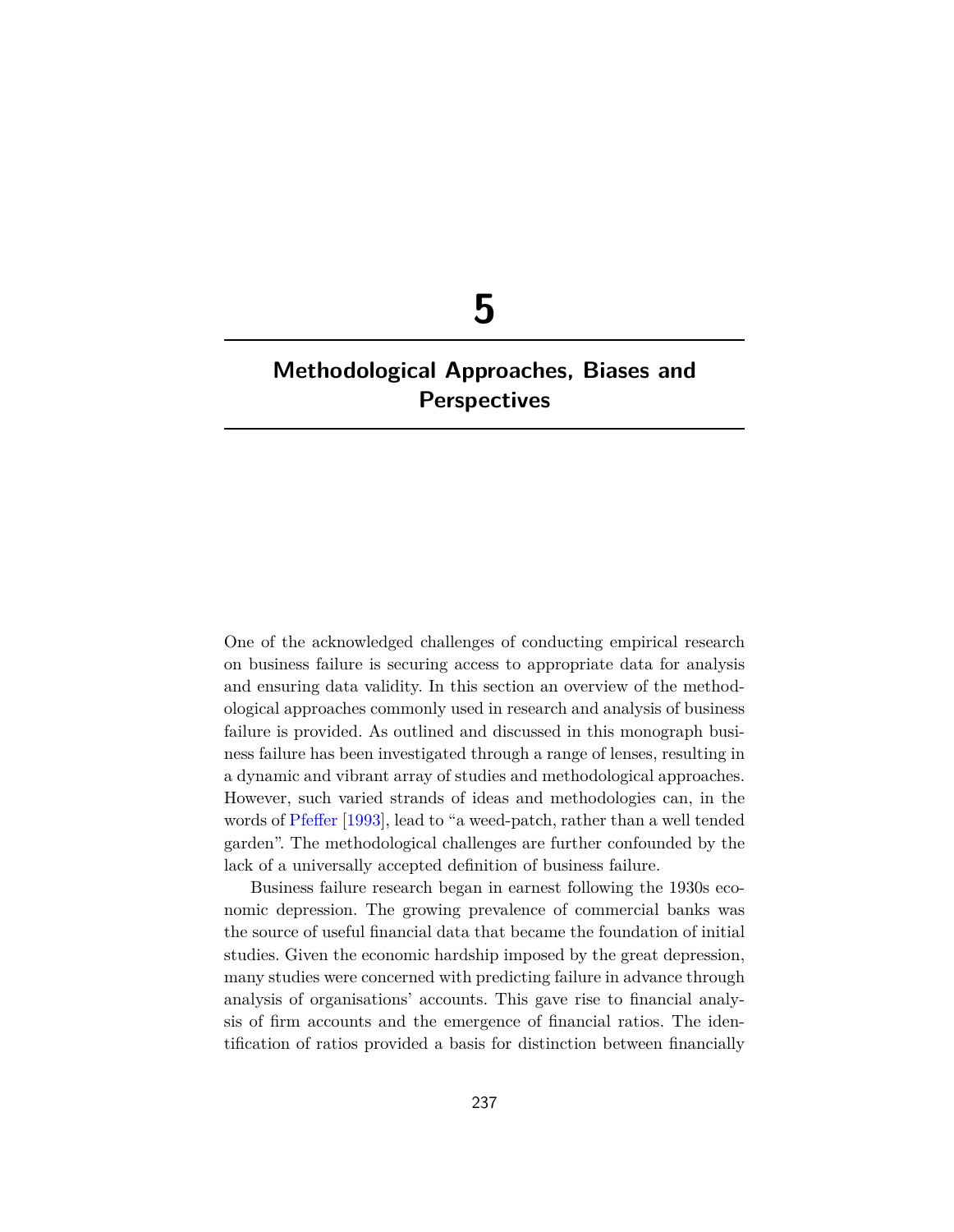## **5**

## **Methodological Approaches, Biases and Perspectives**

One of the acknowledged challenges of conducting empirical research on business failure is securing access to appropriate data for analysis and ensuring data validity. In this section an overview of the methodological approaches commonly used in research and analysis of business failure is provided. As outlined and discussed in this monograph business failure has been investigated through a range of lenses, resulting in a dynamic and vibrant array of studies and methodological approaches. However, such varied strands of ideas and methodologies can, in the words of [Pfeffer](#page-117-0) [\[1993\]](#page-117-0), lead to "a weed-patch, rather than a well tended garden". The methodological challenges are further confounded by the lack of a universally accepted definition of business failure.

Business failure research began in earnest following the 1930s economic depression. The growing prevalence of commercial banks was the source of useful financial data that became the foundation of initial studies. Given the economic hardship imposed by the great depression, many studies were concerned with predicting failure in advance through analysis of organisations' accounts. This gave rise to financial analysis of firm accounts and the emergence of financial ratios. The identification of ratios provided a basis for distinction between financially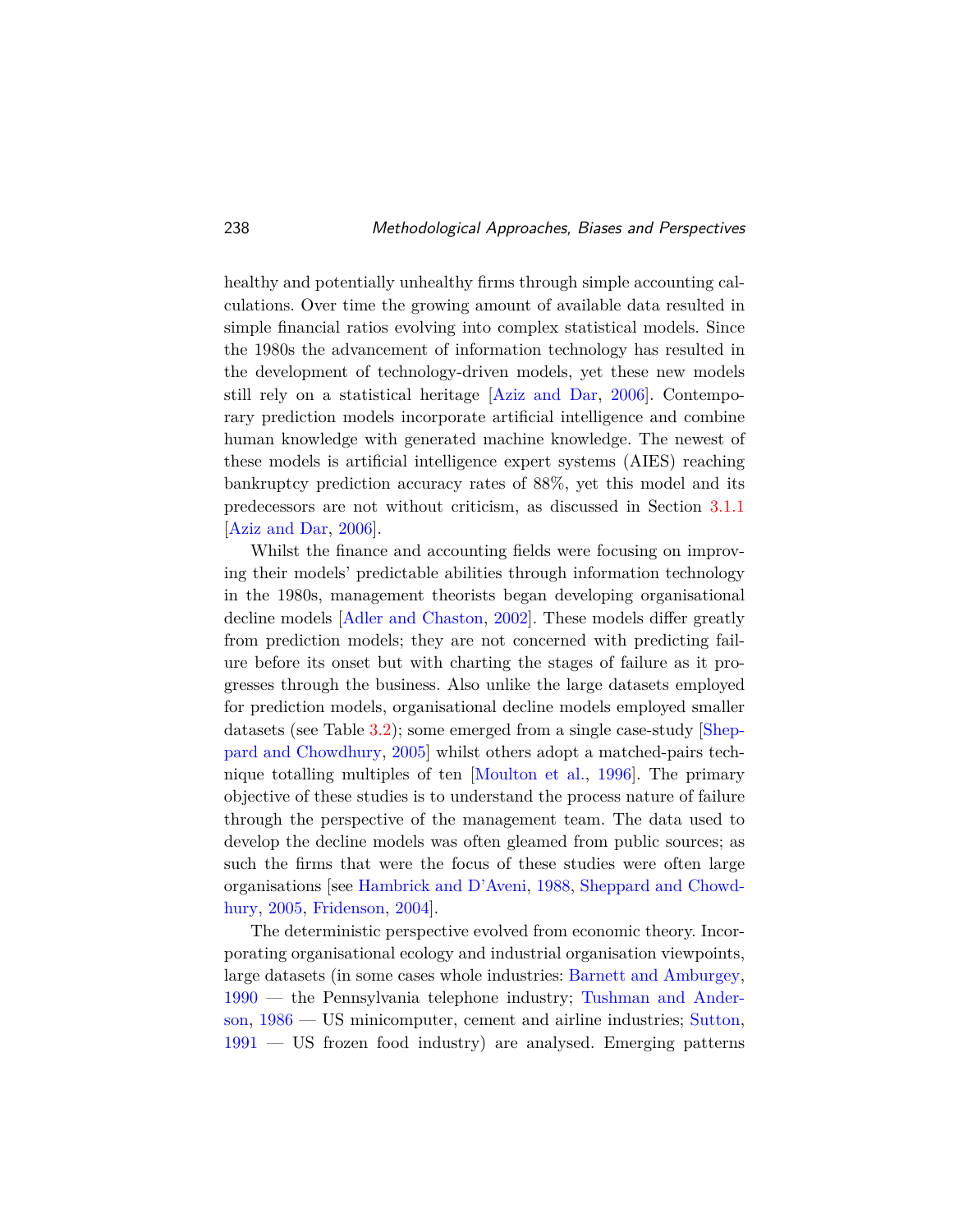healthy and potentially unhealthy firms through simple accounting calculations. Over time the growing amount of available data resulted in simple financial ratios evolving into complex statistical models. Since the 1980s the advancement of information technology has resulted in the development of technology-driven models, yet these new models still rely on a statistical heritage [\[Aziz and Dar,](#page-102-0) [2006\]](#page-102-0). Contemporary prediction models incorporate artificial intelligence and combine human knowledge with generated machine knowledge. The newest of these models is artificial intelligence expert systems (AIES) reaching bankruptcy prediction accuracy rates of 88%, yet this model and its predecessors are not without criticism, as discussed in Section [3.1.1](#page-20-0) [\[Aziz and Dar,](#page-102-0) [2006\]](#page-102-0).

Whilst the finance and accounting fields were focusing on improving their models' predictable abilities through information technology in the 1980s, management theorists began developing organisational decline models [\[Adler and Chaston,](#page-100-0) [2002\]](#page-100-0). These models differ greatly from prediction models; they are not concerned with predicting failure before its onset but with charting the stages of failure as it progresses through the business. Also unlike the large datasets employed for prediction models, organisational decline models employed smaller datasets (see Table [3.2\)](#page-26-0); some emerged from a single case-study [\[Shep](#page-120-3)[pard and Chowdhury,](#page-120-3) [2005\]](#page-120-3) whilst others adopt a matched-pairs technique totalling multiples of ten [\[Moulton et al.,](#page-116-0) [1996\]](#page-116-0). The primary objective of these studies is to understand the process nature of failure through the perspective of the management team. The data used to develop the decline models was often gleamed from public sources; as such the firms that were the focus of these studies were often large organisations [see [Hambrick and D'Aveni,](#page-110-0) [1988,](#page-110-0) [Sheppard and Chowd](#page-120-3)[hury,](#page-120-3) [2005,](#page-120-3) [Fridenson,](#page-109-0) [2004\]](#page-109-0).

The deterministic perspective evolved from economic theory. Incorporating organisational ecology and industrial organisation viewpoints, large datasets (in some cases whole industries: [Barnett and Amburgey,](#page-102-1) [1990](#page-102-1) — the Pennsylvania telephone industry; [Tushman and Ander](#page-122-2)[son,](#page-122-2) [1986](#page-122-2) — US minicomputer, cement and airline industries; [Sutton,](#page-121-0) [1991](#page-121-0) — US frozen food industry) are analysed. Emerging patterns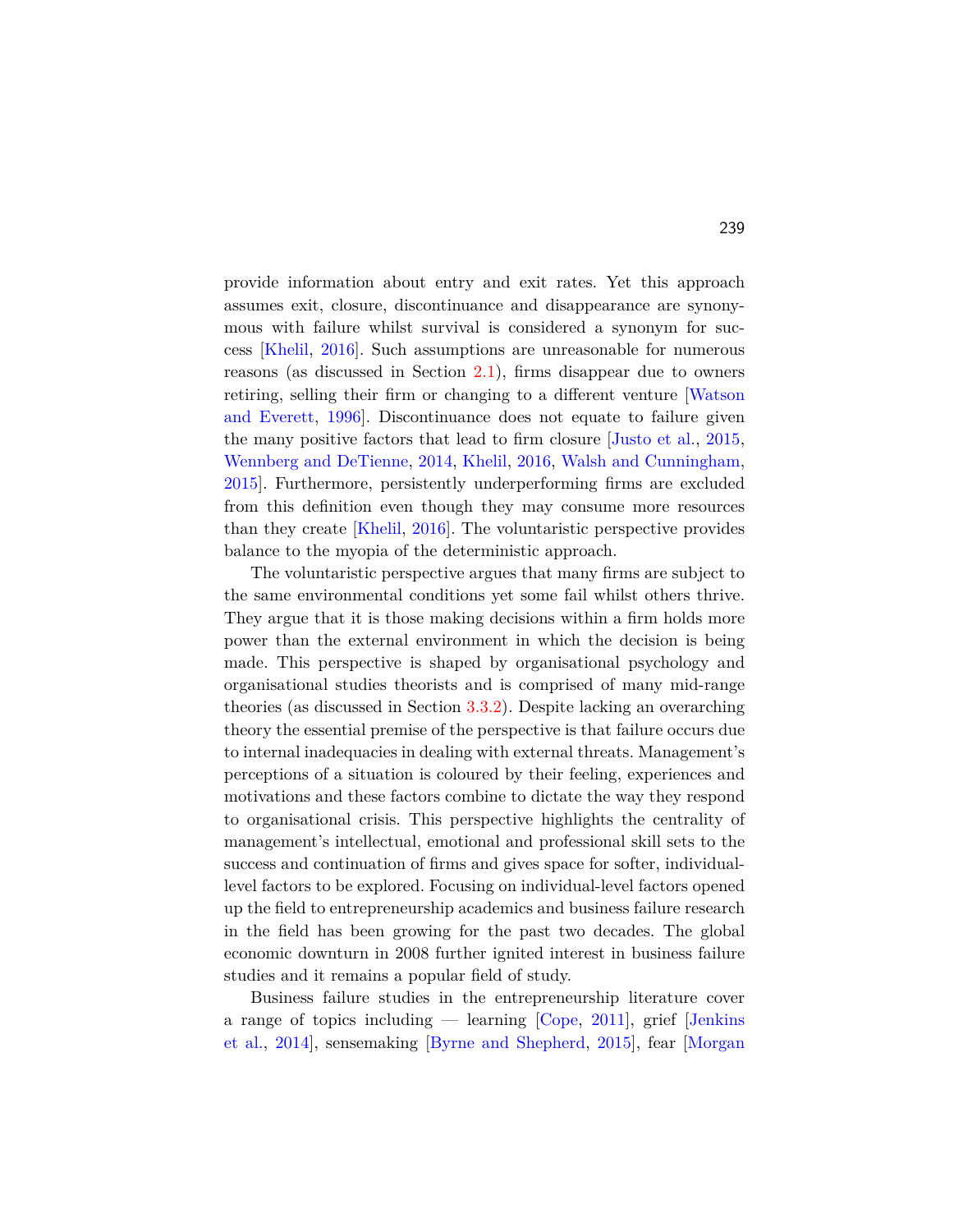provide information about entry and exit rates. Yet this approach assumes exit, closure, discontinuance and disappearance are synonymous with failure whilst survival is considered a synonym for success [\[Khelil,](#page-112-3) [2016\]](#page-112-3). Such assumptions are unreasonable for numerous reasons (as discussed in Section [2.1\)](#page-8-0), firms disappear due to owners retiring, selling their firm or changing to a different venture [\[Watson](#page-123-1) [and Everett,](#page-123-1) [1996\]](#page-123-1). Discontinuance does not equate to failure given the many positive factors that lead to firm closure [\[Justo et al.,](#page-112-4) [2015,](#page-112-4) [Wennberg and DeTienne,](#page-124-0) [2014,](#page-124-0) [Khelil,](#page-112-3) [2016,](#page-112-3) [Walsh and Cunningham,](#page-123-2) [2015\]](#page-123-2). Furthermore, persistently underperforming firms are excluded from this definition even though they may consume more resources than they create [\[Khelil,](#page-112-3) [2016\]](#page-112-3). The voluntaristic perspective provides balance to the myopia of the deterministic approach.

The voluntaristic perspective argues that many firms are subject to the same environmental conditions yet some fail whilst others thrive. They argue that it is those making decisions within a firm holds more power than the external environment in which the decision is being made. This perspective is shaped by organisational psychology and organisational studies theorists and is comprised of many mid-range theories (as discussed in Section [3.3.2\)](#page-40-0). Despite lacking an overarching theory the essential premise of the perspective is that failure occurs due to internal inadequacies in dealing with external threats. Management's perceptions of a situation is coloured by their feeling, experiences and motivations and these factors combine to dictate the way they respond to organisational crisis. This perspective highlights the centrality of management's intellectual, emotional and professional skill sets to the success and continuation of firms and gives space for softer, individuallevel factors to be explored. Focusing on individual-level factors opened up the field to entrepreneurship academics and business failure research in the field has been growing for the past two decades. The global economic downturn in 2008 further ignited interest in business failure studies and it remains a popular field of study.

Business failure studies in the entrepreneurship literature cover a range of topics including — learning  $[Cope, 2011]$  $[Cope, 2011]$  $[Cope, 2011]$ , grief  $[Jenkins]$  $[Jenkins]$ [et al.,](#page-112-2) [2014\]](#page-112-2), sensemaking [\[Byrne and Shepherd,](#page-104-1) [2015\]](#page-104-1), fear [\[Morgan](#page-116-1)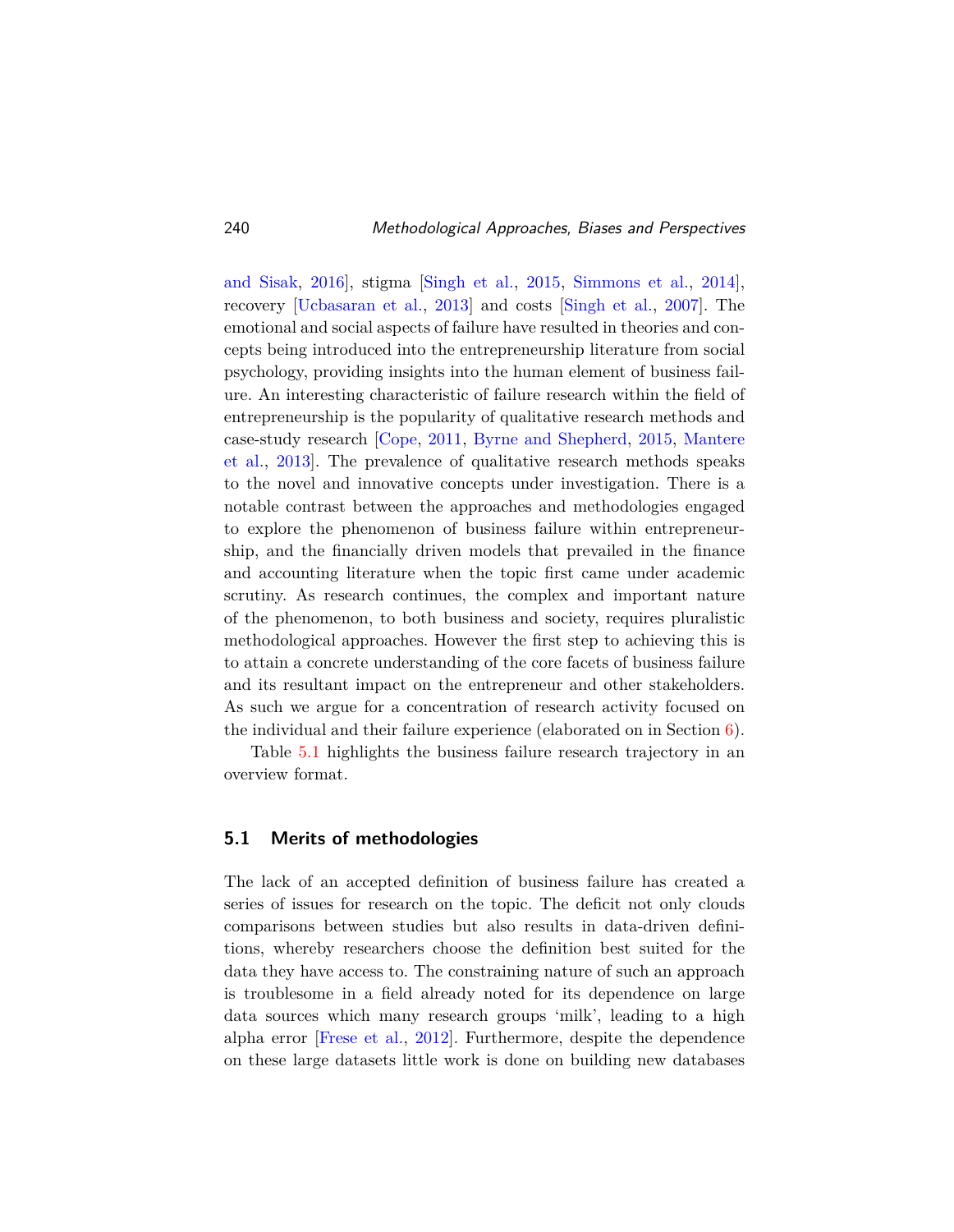[and Sisak,](#page-116-1) [2016\]](#page-116-1), stigma [\[Singh et al.,](#page-120-0) [2015,](#page-120-0) [Simmons et al.,](#page-120-4) [2014\]](#page-120-4), recovery [\[Ucbasaran et al.,](#page-122-0) [2013\]](#page-122-0) and costs [\[Singh et al.,](#page-120-1) [2007\]](#page-120-1). The emotional and social aspects of failure have resulted in theories and concepts being introduced into the entrepreneurship literature from social psychology, providing insights into the human element of business failure. An interesting characteristic of failure research within the field of entrepreneurship is the popularity of qualitative research methods and case-study research [\[Cope,](#page-106-1) [2011,](#page-106-1) [Byrne and Shepherd,](#page-104-1) [2015,](#page-104-1) [Mantere](#page-114-0) [et al.,](#page-114-0) [2013\]](#page-114-0). The prevalence of qualitative research methods speaks to the novel and innovative concepts under investigation. There is a notable contrast between the approaches and methodologies engaged to explore the phenomenon of business failure within entrepreneurship, and the financially driven models that prevailed in the finance and accounting literature when the topic first came under academic scrutiny. As research continues, the complex and important nature of the phenomenon, to both business and society, requires pluralistic methodological approaches. However the first step to achieving this is to attain a concrete understanding of the core facets of business failure and its resultant impact on the entrepreneur and other stakeholders. As such we argue for a concentration of research activity focused on the individual and their failure experience (elaborated on in Section  $6$ ).

Table [5.1](#page-81-0) highlights the business failure research trajectory in an overview format.

#### **5.1 Merits of methodologies**

The lack of an accepted definition of business failure has created a series of issues for research on the topic. The deficit not only clouds comparisons between studies but also results in data-driven definitions, whereby researchers choose the definition best suited for the data they have access to. The constraining nature of such an approach is troublesome in a field already noted for its dependence on large data sources which many research groups 'milk', leading to a high alpha error [\[Frese et al.,](#page-109-1) [2012\]](#page-109-1). Furthermore, despite the dependence on these large datasets little work is done on building new databases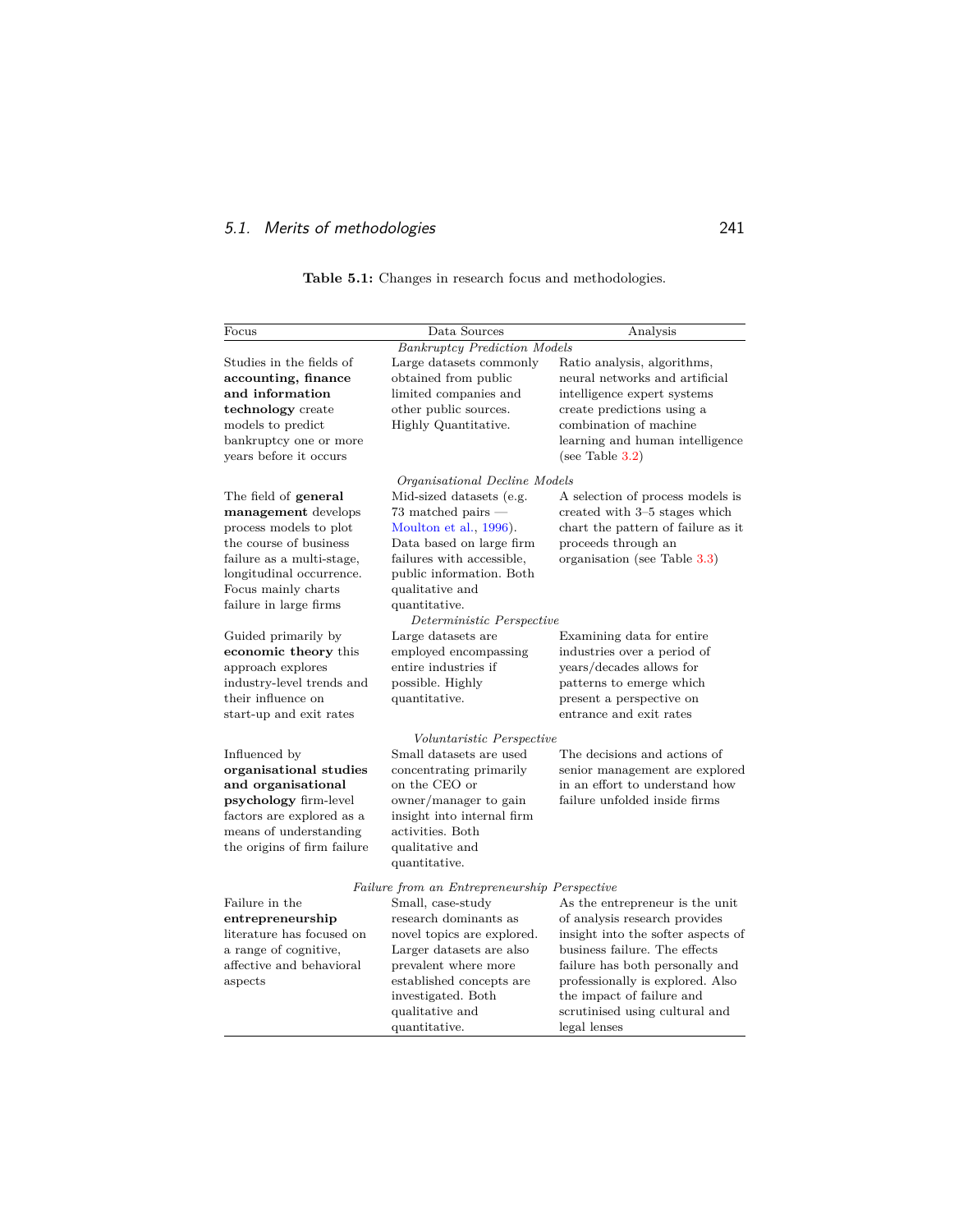<span id="page-81-0"></span>

| Focus                                                                                                                                                                                                     | Data Sources                                                                                                                                                                                                                       | Analysis                                                                                                                                                                                                                                                                                      |
|-----------------------------------------------------------------------------------------------------------------------------------------------------------------------------------------------------------|------------------------------------------------------------------------------------------------------------------------------------------------------------------------------------------------------------------------------------|-----------------------------------------------------------------------------------------------------------------------------------------------------------------------------------------------------------------------------------------------------------------------------------------------|
|                                                                                                                                                                                                           | <b>Bankruptcy Prediction Models</b>                                                                                                                                                                                                |                                                                                                                                                                                                                                                                                               |
| Studies in the fields of<br>accounting, finance<br>and information<br><b>technology</b> create<br>models to predict<br>bankruptcy one or more<br>years before it occurs                                   | Large datasets commonly<br>obtained from public<br>limited companies and<br>other public sources.<br>Highly Quantitative.                                                                                                          | Ratio analysis, algorithms,<br>neural networks and artificial<br>intelligence expert systems<br>create predictions using a<br>combination of machine<br>learning and human intelligence<br>(see Table $3.2$ )                                                                                 |
|                                                                                                                                                                                                           | Organisational Decline Models                                                                                                                                                                                                      |                                                                                                                                                                                                                                                                                               |
| The field of general<br>management develops<br>process models to plot<br>the course of business<br>failure as a multi-stage,<br>longitudinal occurrence.<br>Focus mainly charts<br>failure in large firms | Mid-sized datasets (e.g.<br>73 matched pairs<br>Moulton et al., 1996).<br>Data based on large firm<br>failures with accessible,<br>public information. Both<br>qualitative and<br>$\rm quantitative.$<br>Deterministic Perspective | A selection of process models is<br>created with 3-5 stages which<br>chart the pattern of failure as it<br>proceeds through an<br>organisation (see Table $3.3$ )                                                                                                                             |
| Guided primarily by                                                                                                                                                                                       | Large datasets are                                                                                                                                                                                                                 | Examining data for entire                                                                                                                                                                                                                                                                     |
| economic theory this<br>approach explores<br>industry-level trends and<br>their influence on<br>start-up and exit rates                                                                                   | employed encompassing<br>entire industries if<br>possible. Highly<br>quantitative.                                                                                                                                                 | industries over a period of<br>years/decades allows for<br>patterns to emerge which<br>present a perspective on<br>entrance and exit rates                                                                                                                                                    |
|                                                                                                                                                                                                           | <i>Voluntaristic Perspective</i>                                                                                                                                                                                                   |                                                                                                                                                                                                                                                                                               |
| Influenced by<br>organisational studies<br>and organisational<br>psychology firm-level<br>factors are explored as a<br>means of understanding<br>the origins of firm failure                              | Small datasets are used<br>concentrating primarily<br>on the CEO or<br>owner/manager to gain<br>insight into internal firm<br>activities. Both<br>qualitative and<br>quantitative.                                                 | The decisions and actions of<br>senior management are explored<br>in an effort to understand how<br>failure unfolded inside firms                                                                                                                                                             |
|                                                                                                                                                                                                           | Failure from an Entrepreneurship Perspective                                                                                                                                                                                       |                                                                                                                                                                                                                                                                                               |
| Failure in the<br>entrepreneurship<br>literature has focused on<br>a range of cognitive,<br>affective and behavioral<br>aspects                                                                           | Small, case-study<br>research dominants as<br>novel topics are explored.<br>Larger datasets are also<br>prevalent where more<br>established concepts are<br>investigated. Both<br>qualitative and<br>quantitative.                 | As the entrepreneur is the unit<br>of analysis research provides<br>insight into the softer aspects of<br>business failure. The effects<br>failure has both personally and<br>professionally is explored. Also<br>the impact of failure and<br>scrutinised using cultural and<br>legal lenses |

**Table 5.1:** Changes in research focus and methodologies.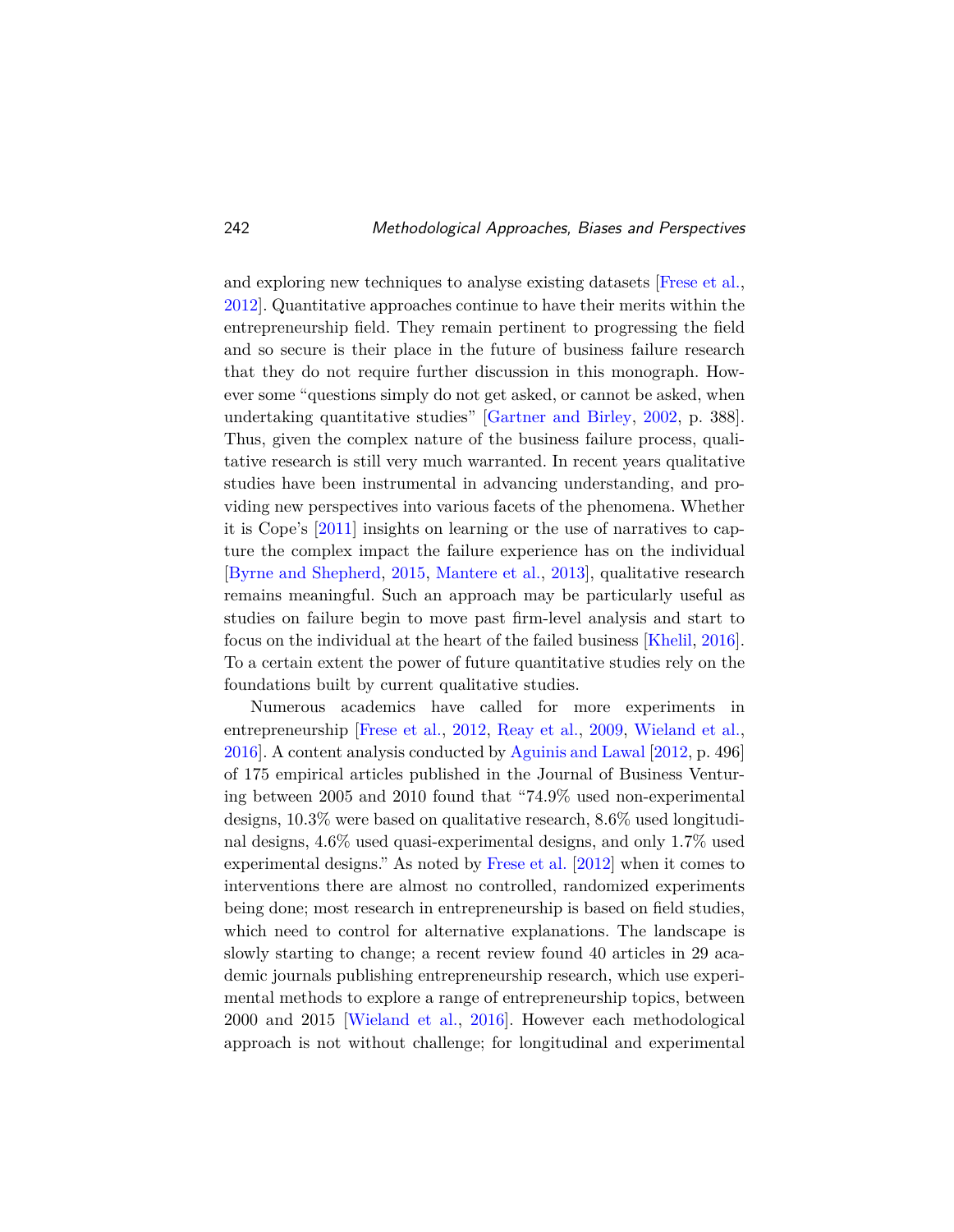and exploring new techniques to analyse existing datasets [\[Frese et al.,](#page-109-1) [2012\]](#page-109-1). Quantitative approaches continue to have their merits within the entrepreneurship field. They remain pertinent to progressing the field and so secure is their place in the future of business failure research that they do not require further discussion in this monograph. However some "questions simply do not get asked, or cannot be asked, when undertaking quantitative studies" [\[Gartner and Birley,](#page-109-2) [2002,](#page-109-2) p. 388]. Thus, given the complex nature of the business failure process, qualitative research is still very much warranted. In recent years qualitative studies have been instrumental in advancing understanding, and providing new perspectives into various facets of the phenomena. Whether it is Cope's [\[2011\]](#page-106-1) insights on learning or the use of narratives to capture the complex impact the failure experience has on the individual [\[Byrne and Shepherd,](#page-104-1) [2015,](#page-104-1) [Mantere et al.,](#page-114-0) [2013\]](#page-114-0), qualitative research remains meaningful. Such an approach may be particularly useful as studies on failure begin to move past firm-level analysis and start to focus on the individual at the heart of the failed business [\[Khelil,](#page-112-3) [2016\]](#page-112-3). To a certain extent the power of future quantitative studies rely on the foundations built by current qualitative studies.

Numerous academics have called for more experiments in entrepreneurship [\[Frese et al.,](#page-109-1) [2012,](#page-109-1) [Reay et al.,](#page-118-0) [2009,](#page-118-0) [Wieland et al.,](#page-124-1) [2016\]](#page-124-1). A content analysis conducted by [Aguinis and Lawal](#page-100-1) [\[2012,](#page-100-1) p. 496] of 175 empirical articles published in the Journal of Business Venturing between 2005 and 2010 found that "74.9% used non-experimental designs, 10.3% were based on qualitative research, 8.6% used longitudinal designs, 4.6% used quasi-experimental designs, and only 1.7% used experimental designs." As noted by [Frese et al.](#page-109-1) [\[2012\]](#page-109-1) when it comes to interventions there are almost no controlled, randomized experiments being done; most research in entrepreneurship is based on field studies, which need to control for alternative explanations. The landscape is slowly starting to change; a recent review found 40 articles in 29 academic journals publishing entrepreneurship research, which use experimental methods to explore a range of entrepreneurship topics, between 2000 and 2015 [\[Wieland et al.,](#page-124-1) [2016\]](#page-124-1). However each methodological approach is not without challenge; for longitudinal and experimental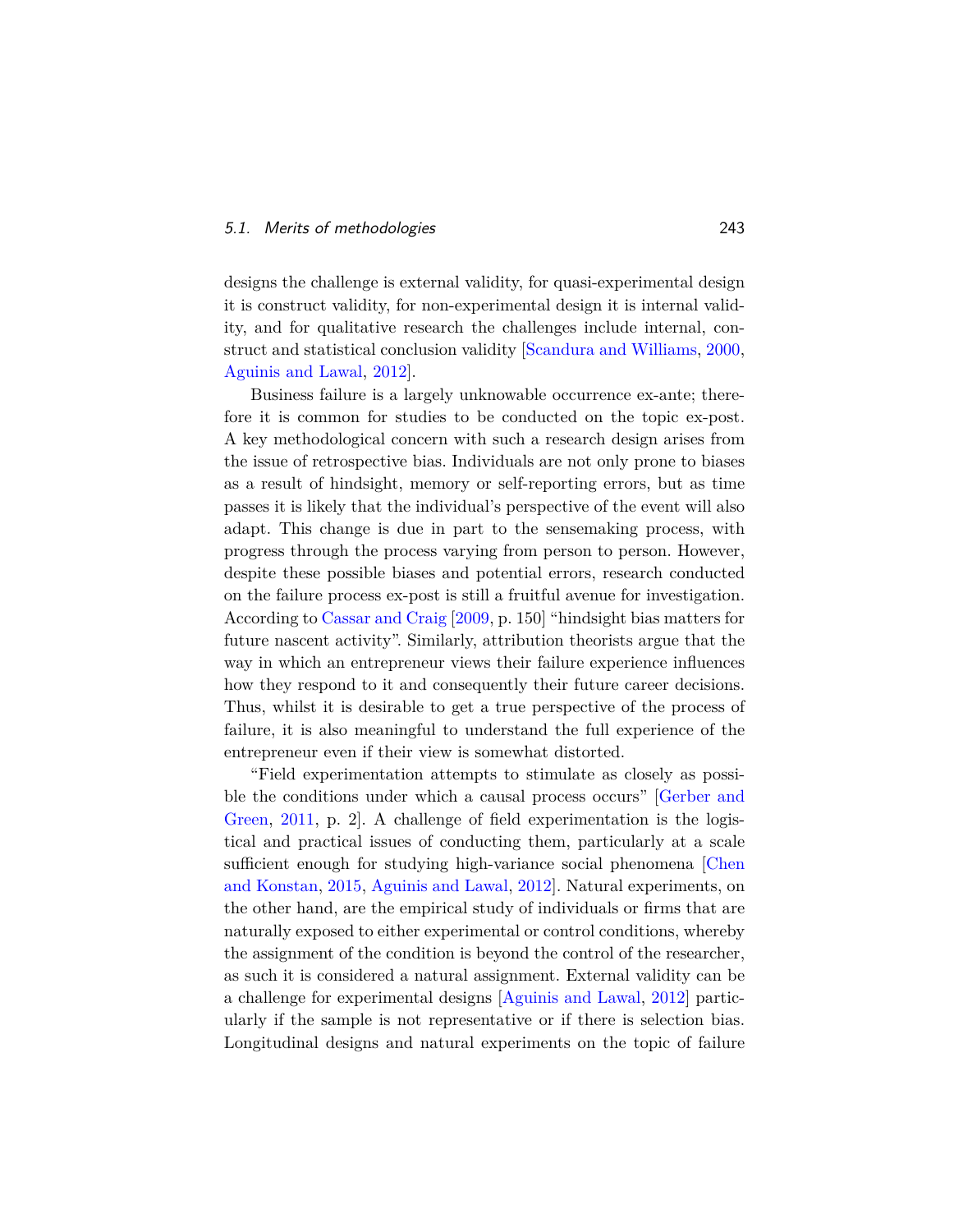#### 5.1. Merits of methodologies 243

designs the challenge is external validity, for quasi-experimental design it is construct validity, for non-experimental design it is internal validity, and for qualitative research the challenges include internal, construct and statistical conclusion validity [\[Scandura and Williams,](#page-119-1) [2000,](#page-119-1) [Aguinis and Lawal,](#page-100-1) [2012\]](#page-100-1).

Business failure is a largely unknowable occurrence ex-ante; therefore it is common for studies to be conducted on the topic ex-post. A key methodological concern with such a research design arises from the issue of retrospective bias. Individuals are not only prone to biases as a result of hindsight, memory or self-reporting errors, but as time passes it is likely that the individual's perspective of the event will also adapt. This change is due in part to the sensemaking process, with progress through the process varying from person to person. However, despite these possible biases and potential errors, research conducted on the failure process ex-post is still a fruitful avenue for investigation. According to [Cassar and Craig](#page-105-0) [\[2009,](#page-105-0) p. 150] "hindsight bias matters for future nascent activity". Similarly, attribution theorists argue that the way in which an entrepreneur views their failure experience influences how they respond to it and consequently their future career decisions. Thus, whilst it is desirable to get a true perspective of the process of failure, it is also meaningful to understand the full experience of the entrepreneur even if their view is somewhat distorted.

"Field experimentation attempts to stimulate as closely as possible the conditions under which a causal process occurs" [\[Gerber and](#page-109-3) [Green,](#page-109-3) [2011,](#page-109-3) p. 2]. A challenge of field experimentation is the logistical and practical issues of conducting them, particularly at a scale sufficient enough for studying high-variance social phenomena [\[Chen](#page-105-1) [and Konstan,](#page-105-1) [2015,](#page-105-1) [Aguinis and Lawal,](#page-100-1) [2012\]](#page-100-1). Natural experiments, on the other hand, are the empirical study of individuals or firms that are naturally exposed to either experimental or control conditions, whereby the assignment of the condition is beyond the control of the researcher, as such it is considered a natural assignment. External validity can be a challenge for experimental designs [\[Aguinis and Lawal,](#page-100-1) [2012\]](#page-100-1) particularly if the sample is not representative or if there is selection bias. Longitudinal designs and natural experiments on the topic of failure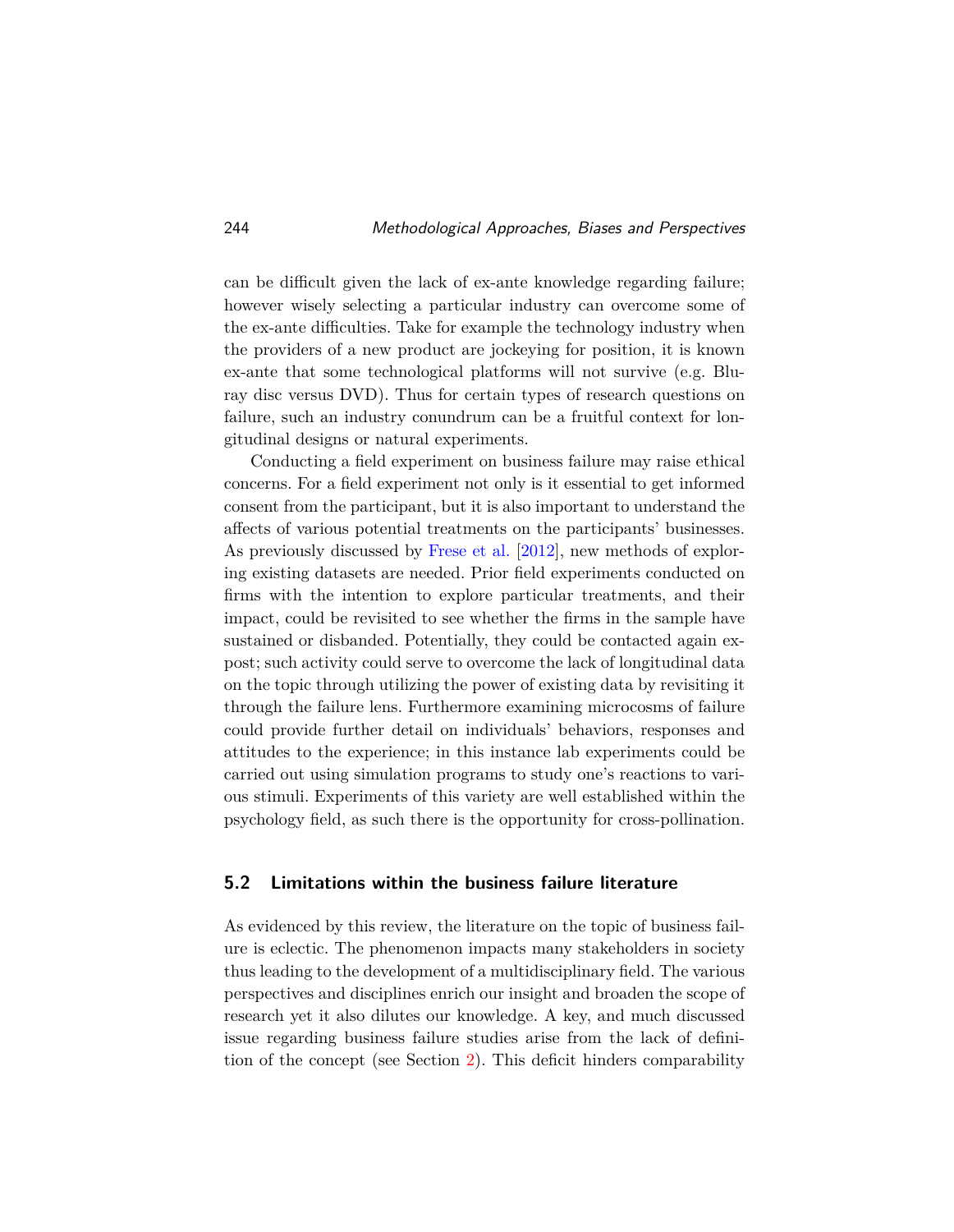can be difficult given the lack of ex-ante knowledge regarding failure; however wisely selecting a particular industry can overcome some of the ex-ante difficulties. Take for example the technology industry when the providers of a new product are jockeying for position, it is known ex-ante that some technological platforms will not survive (e.g. Bluray disc versus DVD). Thus for certain types of research questions on failure, such an industry conundrum can be a fruitful context for longitudinal designs or natural experiments.

Conducting a field experiment on business failure may raise ethical concerns. For a field experiment not only is it essential to get informed consent from the participant, but it is also important to understand the affects of various potential treatments on the participants' businesses. As previously discussed by [Frese et al.](#page-109-1) [\[2012\]](#page-109-1), new methods of exploring existing datasets are needed. Prior field experiments conducted on firms with the intention to explore particular treatments, and their impact, could be revisited to see whether the firms in the sample have sustained or disbanded. Potentially, they could be contacted again expost; such activity could serve to overcome the lack of longitudinal data on the topic through utilizing the power of existing data by revisiting it through the failure lens. Furthermore examining microcosms of failure could provide further detail on individuals' behaviors, responses and attitudes to the experience; in this instance lab experiments could be carried out using simulation programs to study one's reactions to various stimuli. Experiments of this variety are well established within the psychology field, as such there is the opportunity for cross-pollination.

#### **5.2 Limitations within the business failure literature**

As evidenced by this review, the literature on the topic of business failure is eclectic. The phenomenon impacts many stakeholders in society thus leading to the development of a multidisciplinary field. The various perspectives and disciplines enrich our insight and broaden the scope of research yet it also dilutes our knowledge. A key, and much discussed issue regarding business failure studies arise from the lack of definition of the concept (see Section [2\)](#page-7-0). This deficit hinders comparability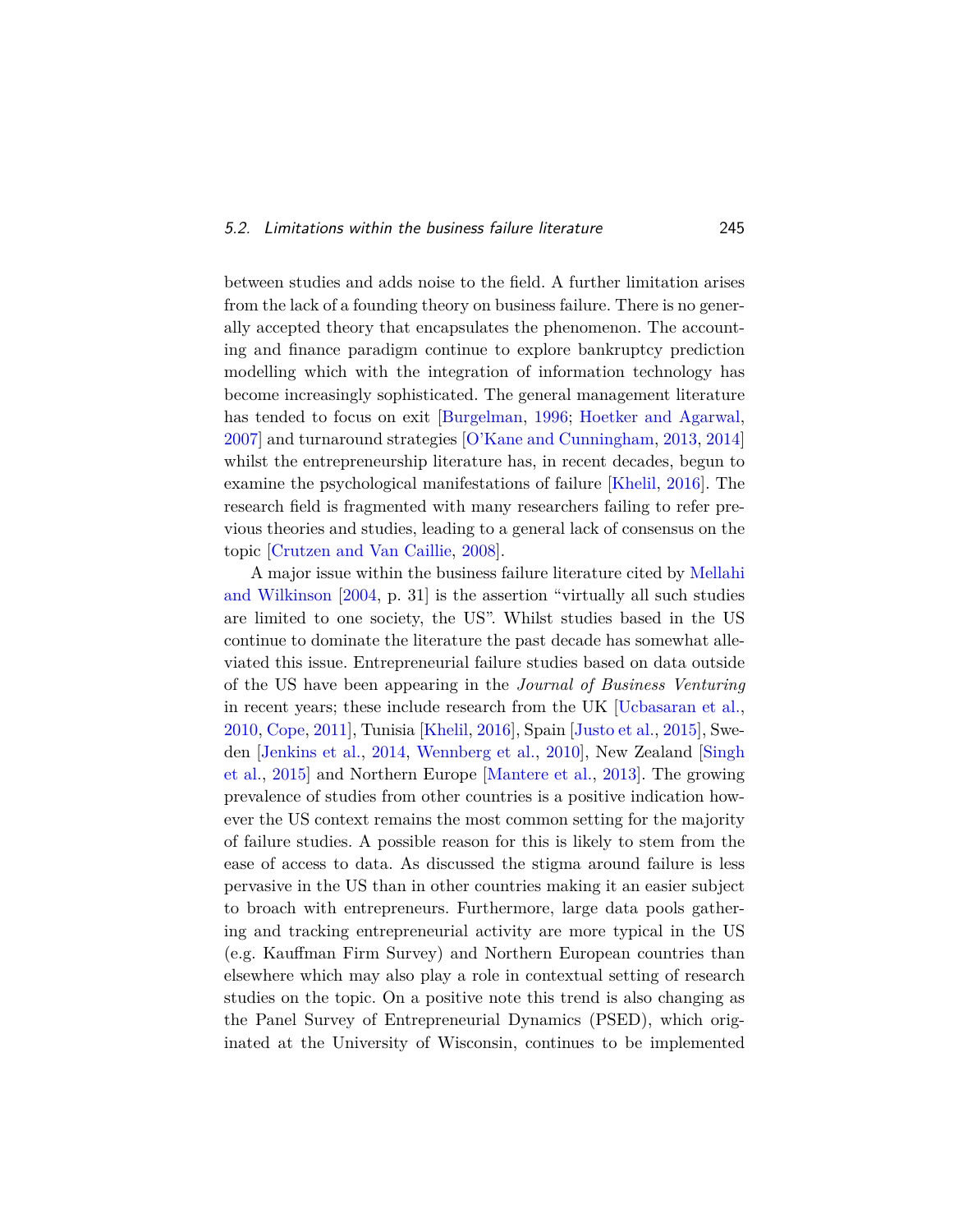between studies and adds noise to the field. A further limitation arises from the lack of a founding theory on business failure. There is no generally accepted theory that encapsulates the phenomenon. The accounting and finance paradigm continue to explore bankruptcy prediction modelling which with the integration of information technology has become increasingly sophisticated. The general management literature has tended to focus on exit [\[Burgelman,](#page-104-2) [1996;](#page-104-2) [Hoetker and Agarwal,](#page-111-0) [2007\]](#page-111-0) and turnaround strategies [\[O'Kane and Cunningham,](#page-116-2) [2013,](#page-116-2) [2014\]](#page-116-3) whilst the entrepreneurship literature has, in recent decades, begun to examine the psychological manifestations of failure [\[Khelil,](#page-112-3) [2016\]](#page-112-3). The research field is fragmented with many researchers failing to refer previous theories and studies, leading to a general lack of consensus on the topic [\[Crutzen and Van Caillie,](#page-106-3) [2008\]](#page-106-3).

A major issue within the business failure literature cited by [Mellahi](#page-115-1) [and Wilkinson](#page-115-1) [\[2004,](#page-115-1) p. 31] is the assertion "virtually all such studies are limited to one society, the US". Whilst studies based in the US continue to dominate the literature the past decade has somewhat alleviated this issue. Entrepreneurial failure studies based on data outside of the US have been appearing in the *Journal of Business Venturing* in recent years; these include research from the UK [\[Ucbasaran et al.,](#page-122-3) [2010,](#page-122-3) [Cope,](#page-106-1) [2011\]](#page-106-1), Tunisia [\[Khelil,](#page-112-3) [2016\]](#page-112-3), Spain [\[Justo et al.,](#page-112-4) [2015\]](#page-112-4), Sweden [\[Jenkins et al.,](#page-112-2) [2014,](#page-112-2) [Wennberg et al.,](#page-124-2) [2010\]](#page-124-2), New Zealand [\[Singh](#page-120-0) [et al.,](#page-120-0) [2015\]](#page-120-0) and Northern Europe [\[Mantere et al.,](#page-114-0) [2013\]](#page-114-0). The growing prevalence of studies from other countries is a positive indication however the US context remains the most common setting for the majority of failure studies. A possible reason for this is likely to stem from the ease of access to data. As discussed the stigma around failure is less pervasive in the US than in other countries making it an easier subject to broach with entrepreneurs. Furthermore, large data pools gathering and tracking entrepreneurial activity are more typical in the US (e.g. Kauffman Firm Survey) and Northern European countries than elsewhere which may also play a role in contextual setting of research studies on the topic. On a positive note this trend is also changing as the Panel Survey of Entrepreneurial Dynamics (PSED), which originated at the University of Wisconsin, continues to be implemented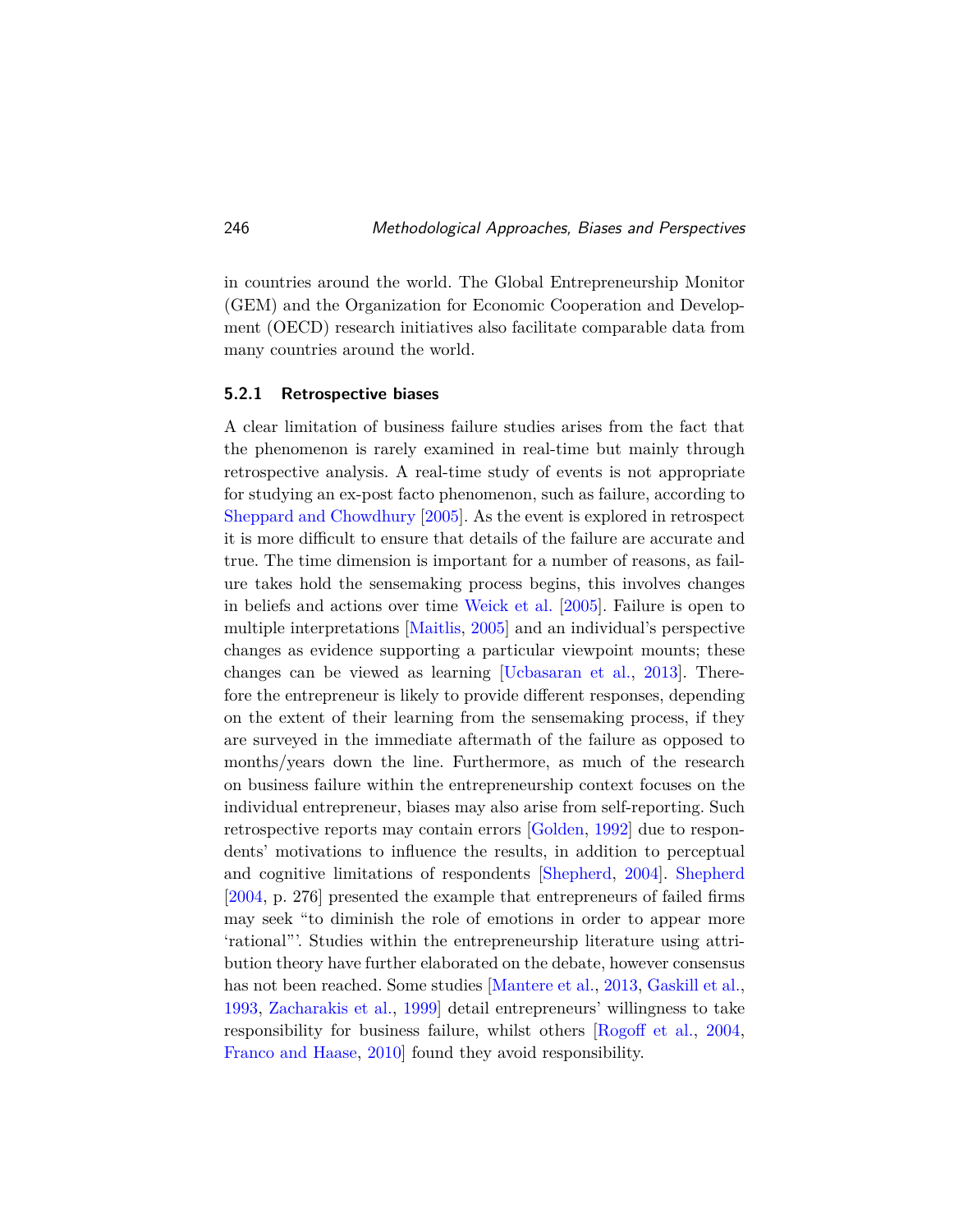in countries around the world. The Global Entrepreneurship Monitor (GEM) and the Organization for Economic Cooperation and Development (OECD) research initiatives also facilitate comparable data from many countries around the world.

#### **5.2.1 Retrospective biases**

A clear limitation of business failure studies arises from the fact that the phenomenon is rarely examined in real-time but mainly through retrospective analysis. A real-time study of events is not appropriate for studying an ex-post facto phenomenon, such as failure, according to [Sheppard and Chowdhury](#page-120-3) [\[2005\]](#page-120-3). As the event is explored in retrospect it is more difficult to ensure that details of the failure are accurate and true. The time dimension is important for a number of reasons, as failure takes hold the sensemaking process begins, this involves changes in beliefs and actions over time [Weick et al.](#page-124-3) [\[2005\]](#page-124-3). Failure is open to multiple interpretations [\[Maitlis,](#page-114-1) [2005\]](#page-114-1) and an individual's perspective changes as evidence supporting a particular viewpoint mounts; these changes can be viewed as learning [\[Ucbasaran et al.,](#page-122-0) [2013\]](#page-122-0). Therefore the entrepreneur is likely to provide different responses, depending on the extent of their learning from the sensemaking process, if they are surveyed in the immediate aftermath of the failure as opposed to months/years down the line. Furthermore, as much of the research on business failure within the entrepreneurship context focuses on the individual entrepreneur, biases may also arise from self-reporting. Such retrospective reports may contain errors [\[Golden,](#page-109-4) [1992\]](#page-109-4) due to respondents' motivations to influence the results, in addition to perceptual and cognitive limitations of respondents [\[Shepherd,](#page-119-2) [2004\]](#page-119-2). [Shepherd](#page-119-2) [\[2004,](#page-119-2) p. 276] presented the example that entrepreneurs of failed firms may seek "to diminish the role of emotions in order to appear more 'rational"'. Studies within the entrepreneurship literature using attribution theory have further elaborated on the debate, however consensus has not been reached. Some studies [\[Mantere et al.,](#page-114-0) [2013,](#page-114-0) [Gaskill et al.,](#page-109-5) [1993,](#page-109-5) [Zacharakis et al.,](#page-125-0) [1999\]](#page-125-0) detail entrepreneurs' willingness to take responsibility for business failure, whilst others [\[Rogoff et al.,](#page-118-1) [2004,](#page-118-1) [Franco and Haase,](#page-108-3) [2010\]](#page-108-3) found they avoid responsibility.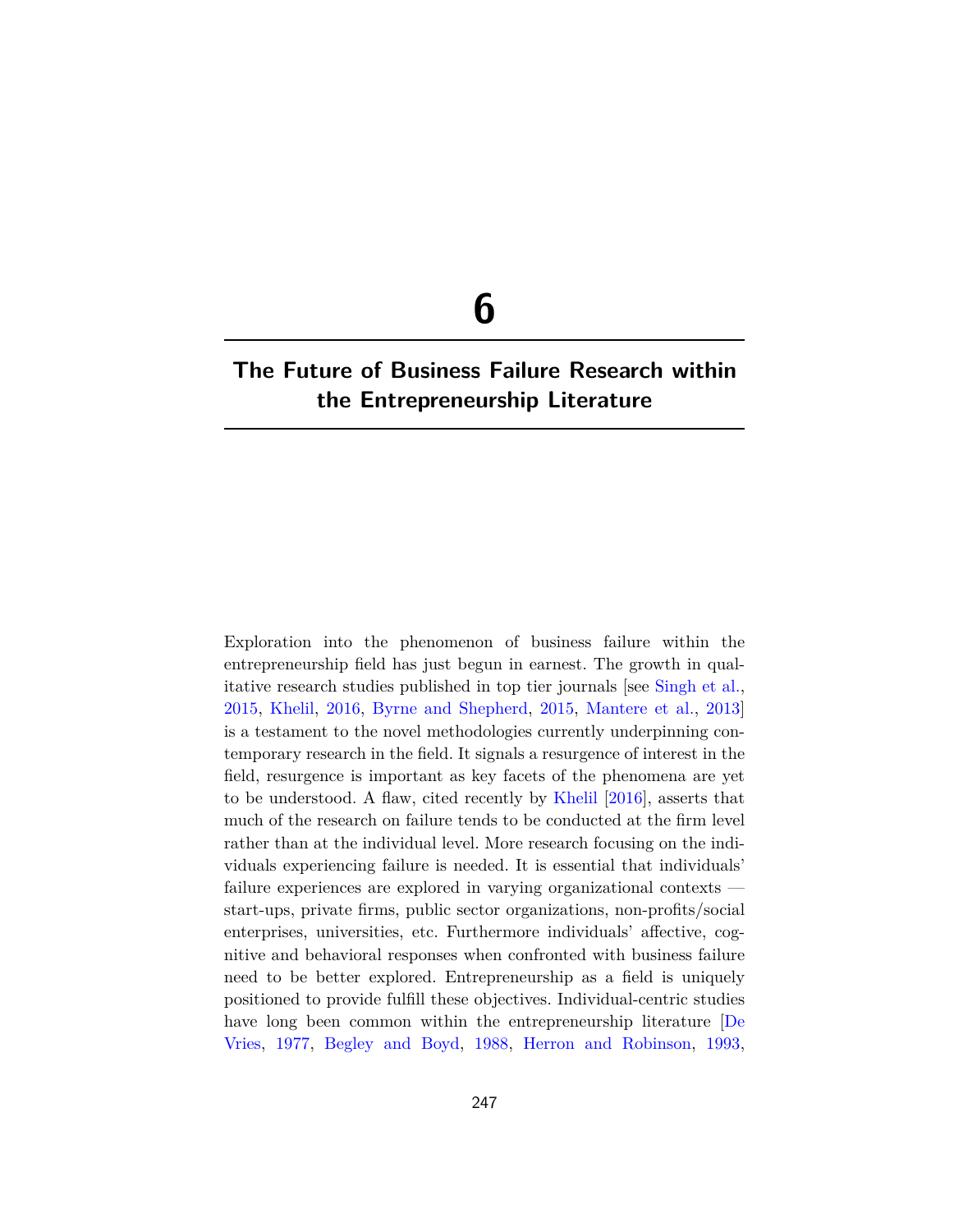## **6**

## <span id="page-87-0"></span>**The Future of Business Failure Research within the Entrepreneurship Literature**

Exploration into the phenomenon of business failure within the entrepreneurship field has just begun in earnest. The growth in qualitative research studies published in top tier journals [see [Singh et al.,](#page-120-0) [2015,](#page-120-0) [Khelil,](#page-112-3) [2016,](#page-112-3) [Byrne and Shepherd,](#page-104-1) [2015,](#page-104-1) [Mantere et al.,](#page-114-0) [2013\]](#page-114-0) is a testament to the novel methodologies currently underpinning contemporary research in the field. It signals a resurgence of interest in the field, resurgence is important as key facets of the phenomena are yet to be understood. A flaw, cited recently by [Khelil](#page-112-3) [\[2016\]](#page-112-3), asserts that much of the research on failure tends to be conducted at the firm level rather than at the individual level. More research focusing on the individuals experiencing failure is needed. It is essential that individuals' failure experiences are explored in varying organizational contexts start-ups, private firms, public sector organizations, non-profits/social enterprises, universities, etc. Furthermore individuals' affective, cognitive and behavioral responses when confronted with business failure need to be better explored. Entrepreneurship as a field is uniquely positioned to provide fulfill these objectives. Individual-centric studies have long been common within the entrepreneurship literature  $\sqrt{De}$ [Vries,](#page-107-1) [1977,](#page-107-1) [Begley and Boyd,](#page-103-0) [1988,](#page-103-0) [Herron and Robinson,](#page-111-1) [1993,](#page-111-1)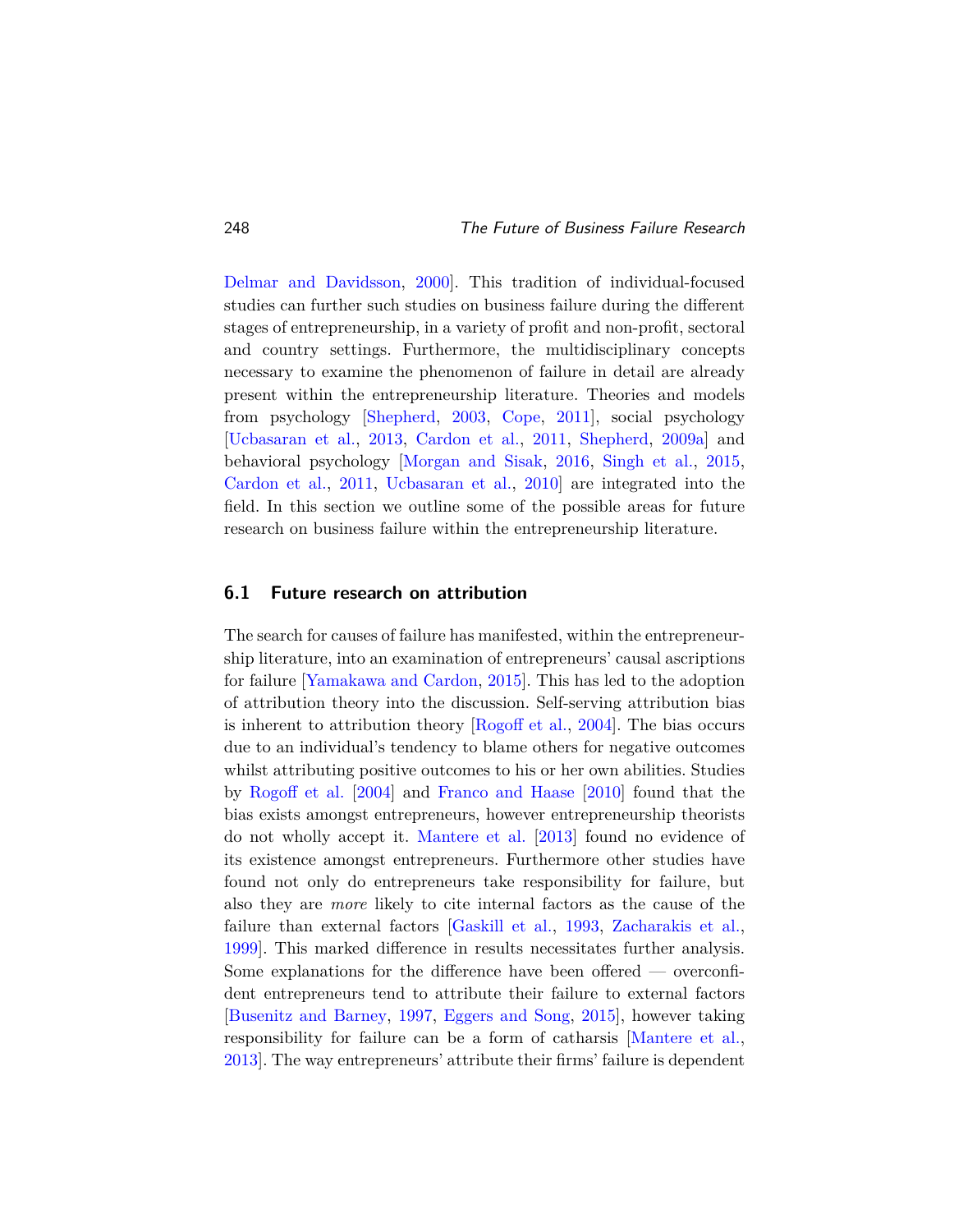[Delmar and Davidsson,](#page-107-2) [2000\]](#page-107-2). This tradition of individual-focused studies can further such studies on business failure during the different stages of entrepreneurship, in a variety of profit and non-profit, sectoral and country settings. Furthermore, the multidisciplinary concepts necessary to examine the phenomenon of failure in detail are already present within the entrepreneurship literature. Theories and models from psychology [\[Shepherd,](#page-119-3) [2003,](#page-119-3) [Cope,](#page-106-1) [2011\]](#page-106-1), social psychology [\[Ucbasaran et al.,](#page-122-0) [2013,](#page-122-0) [Cardon et al.,](#page-105-2) [2011,](#page-105-2) [Shepherd,](#page-119-4) [2009a\]](#page-119-4) and behavioral psychology [\[Morgan and Sisak,](#page-116-1) [2016,](#page-116-1) [Singh et al.,](#page-120-0) [2015,](#page-120-0) [Cardon et al.,](#page-105-2) [2011,](#page-105-2) [Ucbasaran et al.,](#page-122-3) [2010\]](#page-122-3) are integrated into the field. In this section we outline some of the possible areas for future research on business failure within the entrepreneurship literature.

#### **6.1 Future research on attribution**

The search for causes of failure has manifested, within the entrepreneurship literature, into an examination of entrepreneurs' causal ascriptions for failure [\[Yamakawa and Cardon,](#page-125-1) [2015\]](#page-125-1). This has led to the adoption of attribution theory into the discussion. Self-serving attribution bias is inherent to attribution theory [\[Rogoff et al.,](#page-118-1) [2004\]](#page-118-1). The bias occurs due to an individual's tendency to blame others for negative outcomes whilst attributing positive outcomes to his or her own abilities. Studies by [Rogoff et al.](#page-118-1) [\[2004\]](#page-118-1) and [Franco and Haase](#page-108-3) [\[2010\]](#page-108-3) found that the bias exists amongst entrepreneurs, however entrepreneurship theorists do not wholly accept it. [Mantere et al.](#page-114-0) [\[2013\]](#page-114-0) found no evidence of its existence amongst entrepreneurs. Furthermore other studies have found not only do entrepreneurs take responsibility for failure, but also they are *more* likely to cite internal factors as the cause of the failure than external factors [\[Gaskill et al.,](#page-109-5) [1993,](#page-109-5) [Zacharakis et al.,](#page-125-0) [1999\]](#page-125-0). This marked difference in results necessitates further analysis. Some explanations for the difference have been offered — overconfident entrepreneurs tend to attribute their failure to external factors [\[Busenitz and Barney,](#page-104-3) [1997,](#page-104-3) [Eggers and Song,](#page-108-2) [2015\]](#page-108-2), however taking responsibility for failure can be a form of catharsis [\[Mantere et al.,](#page-114-0) [2013\]](#page-114-0). The way entrepreneurs' attribute their firms' failure is dependent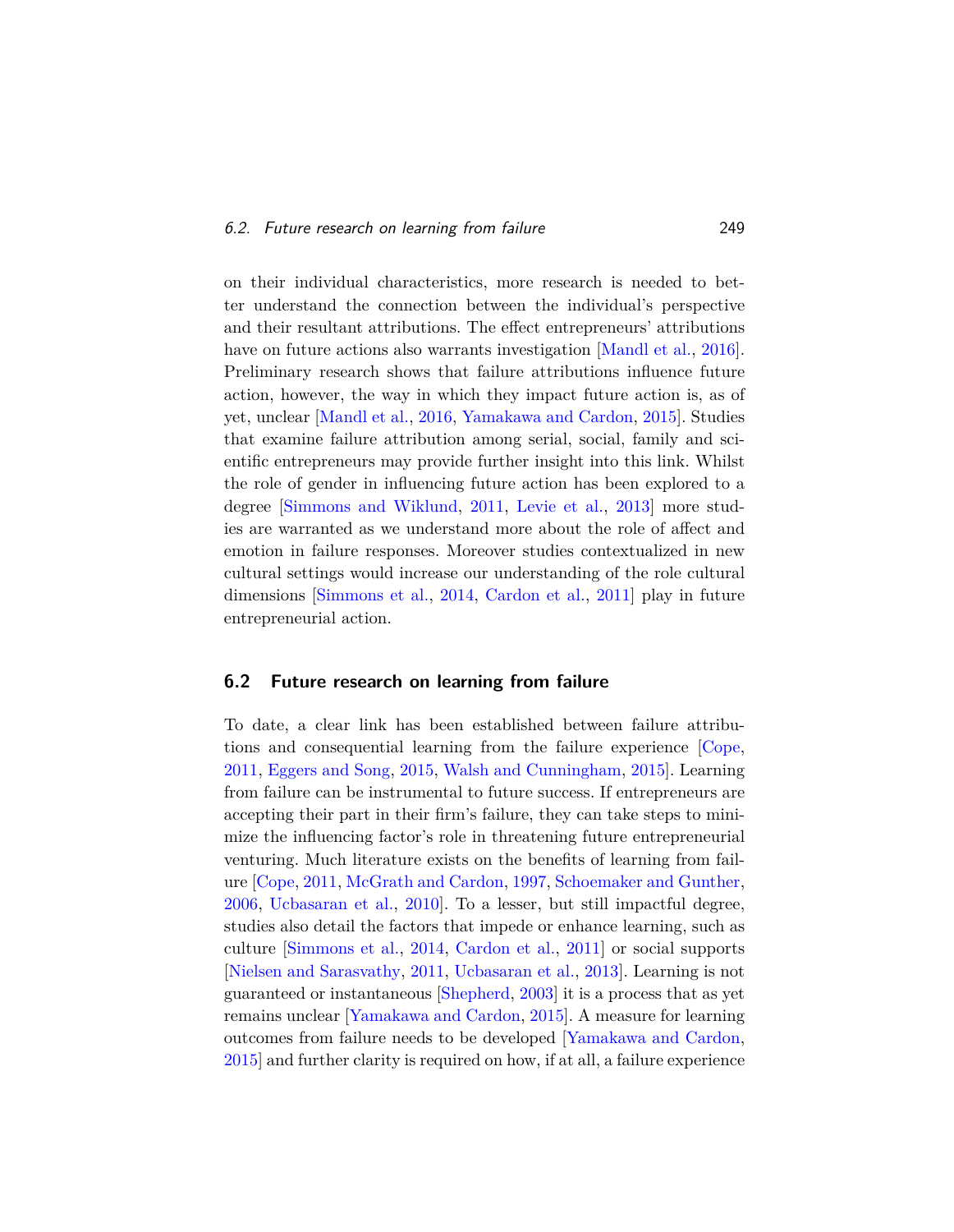on their individual characteristics, more research is needed to better understand the connection between the individual's perspective and their resultant attributions. The effect entrepreneurs' attributions have on future actions also warrants investigation [\[Mandl et al.,](#page-114-2) [2016\]](#page-114-2). Preliminary research shows that failure attributions influence future action, however, the way in which they impact future action is, as of yet, unclear [\[Mandl et al.,](#page-114-2) [2016,](#page-114-2) [Yamakawa and Cardon,](#page-125-1) [2015\]](#page-125-1). Studies that examine failure attribution among serial, social, family and scientific entrepreneurs may provide further insight into this link. Whilst the role of gender in influencing future action has been explored to a degree [\[Simmons and Wiklund,](#page-120-5) [2011,](#page-120-5) [Levie et al.,](#page-113-2) [2013\]](#page-113-2) more studies are warranted as we understand more about the role of affect and emotion in failure responses. Moreover studies contextualized in new cultural settings would increase our understanding of the role cultural dimensions [\[Simmons et al.,](#page-120-4) [2014,](#page-120-4) [Cardon et al.,](#page-105-2) [2011\]](#page-105-2) play in future entrepreneurial action.

#### **6.2 Future research on learning from failure**

To date, a clear link has been established between failure attributions and consequential learning from the failure experience [\[Cope,](#page-106-1) [2011,](#page-106-1) [Eggers and Song,](#page-108-2) [2015,](#page-108-2) [Walsh and Cunningham,](#page-123-2) [2015\]](#page-123-2). Learning from failure can be instrumental to future success. If entrepreneurs are accepting their part in their firm's failure, they can take steps to minimize the influencing factor's role in threatening future entrepreneurial venturing. Much literature exists on the benefits of learning from failure [\[Cope,](#page-106-1) [2011,](#page-106-1) [McGrath and Cardon,](#page-115-2) [1997,](#page-115-2) [Schoemaker and Gunther,](#page-119-5) [2006,](#page-119-5) [Ucbasaran et al.,](#page-122-3) [2010\]](#page-122-3). To a lesser, but still impactful degree, studies also detail the factors that impede or enhance learning, such as culture [\[Simmons et al.,](#page-120-4) [2014,](#page-120-4) [Cardon et al.,](#page-105-2) [2011\]](#page-105-2) or social supports [\[Nielsen and Sarasvathy,](#page-116-4) [2011,](#page-116-4) [Ucbasaran et al.,](#page-122-0) [2013\]](#page-122-0). Learning is not guaranteed or instantaneous [\[Shepherd,](#page-119-3) [2003\]](#page-119-3) it is a process that as yet remains unclear [\[Yamakawa and Cardon,](#page-125-1) [2015\]](#page-125-1). A measure for learning outcomes from failure needs to be developed [\[Yamakawa and Cardon,](#page-125-1) [2015\]](#page-125-1) and further clarity is required on how, if at all, a failure experience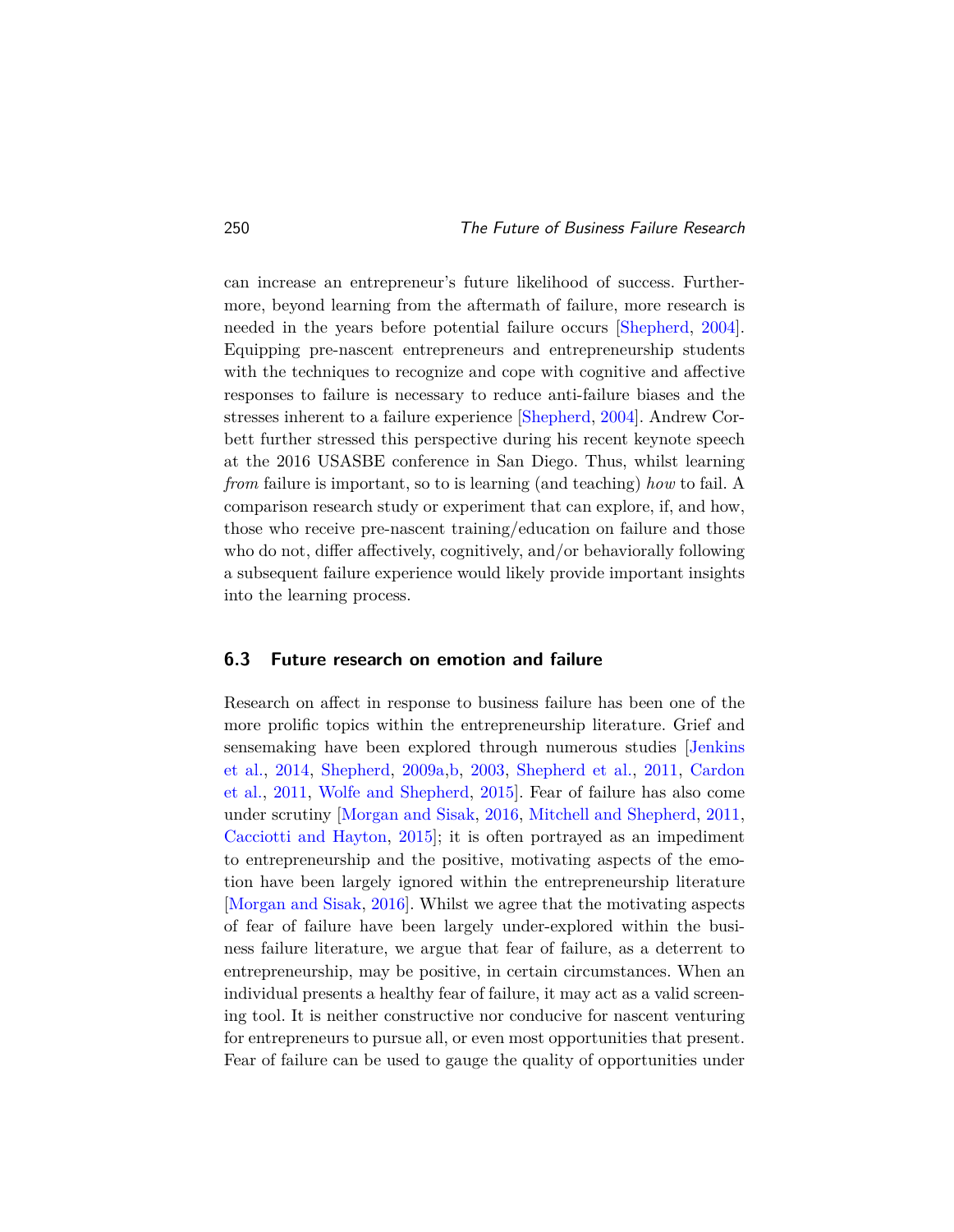can increase an entrepreneur's future likelihood of success. Furthermore, beyond learning from the aftermath of failure, more research is needed in the years before potential failure occurs [\[Shepherd,](#page-119-2) [2004\]](#page-119-2). Equipping pre-nascent entrepreneurs and entrepreneurship students with the techniques to recognize and cope with cognitive and affective responses to failure is necessary to reduce anti-failure biases and the stresses inherent to a failure experience [\[Shepherd,](#page-119-2) [2004\]](#page-119-2). Andrew Corbett further stressed this perspective during his recent keynote speech at the 2016 USASBE conference in San Diego. Thus, whilst learning *from* failure is important, so to is learning (and teaching) *how* to fail. A comparison research study or experiment that can explore, if, and how, those who receive pre-nascent training/education on failure and those who do not, differ affectively, cognitively, and/or behaviorally following a subsequent failure experience would likely provide important insights into the learning process.

#### **6.3 Future research on emotion and failure**

Research on affect in response to business failure has been one of the more prolific topics within the entrepreneurship literature. Grief and sensemaking have been explored through numerous studies [\[Jenkins](#page-112-2) [et al.,](#page-112-2) [2014,](#page-112-2) [Shepherd,](#page-119-4) [2009a,](#page-119-4)[b,](#page-119-6) [2003,](#page-119-3) [Shepherd et al.,](#page-120-6) [2011,](#page-120-6) [Cardon](#page-105-2) [et al.,](#page-105-2) [2011,](#page-105-2) [Wolfe and Shepherd,](#page-124-4) [2015\]](#page-124-4). Fear of failure has also come under scrutiny [\[Morgan and Sisak,](#page-116-1) [2016,](#page-116-1) [Mitchell and Shepherd,](#page-115-3) [2011,](#page-115-3) [Cacciotti and Hayton,](#page-104-4) [2015\]](#page-104-4); it is often portrayed as an impediment to entrepreneurship and the positive, motivating aspects of the emotion have been largely ignored within the entrepreneurship literature [\[Morgan and Sisak,](#page-116-1) [2016\]](#page-116-1). Whilst we agree that the motivating aspects of fear of failure have been largely under-explored within the business failure literature, we argue that fear of failure, as a deterrent to entrepreneurship, may be positive, in certain circumstances. When an individual presents a healthy fear of failure, it may act as a valid screening tool. It is neither constructive nor conducive for nascent venturing for entrepreneurs to pursue all, or even most opportunities that present. Fear of failure can be used to gauge the quality of opportunities under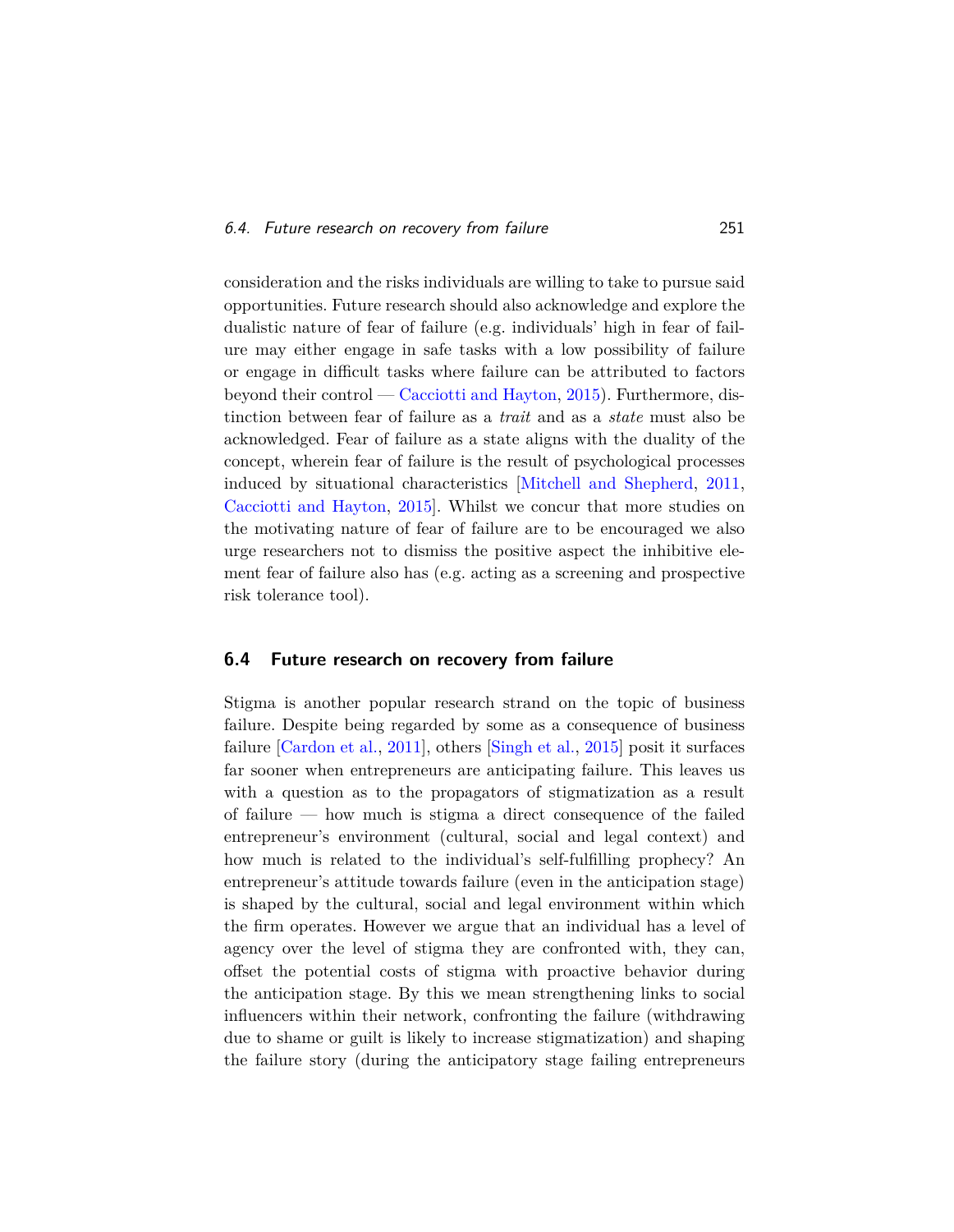consideration and the risks individuals are willing to take to pursue said opportunities. Future research should also acknowledge and explore the dualistic nature of fear of failure (e.g. individuals' high in fear of failure may either engage in safe tasks with a low possibility of failure or engage in difficult tasks where failure can be attributed to factors beyond their control — [Cacciotti and Hayton,](#page-104-4) [2015\)](#page-104-4). Furthermore, distinction between fear of failure as a *trait* and as a *state* must also be acknowledged. Fear of failure as a state aligns with the duality of the concept, wherein fear of failure is the result of psychological processes induced by situational characteristics [\[Mitchell and Shepherd,](#page-115-3) [2011,](#page-115-3) [Cacciotti and Hayton,](#page-104-4) [2015\]](#page-104-4). Whilst we concur that more studies on the motivating nature of fear of failure are to be encouraged we also urge researchers not to dismiss the positive aspect the inhibitive element fear of failure also has (e.g. acting as a screening and prospective risk tolerance tool).

#### **6.4 Future research on recovery from failure**

Stigma is another popular research strand on the topic of business failure. Despite being regarded by some as a consequence of business failure [\[Cardon et al.,](#page-105-2) [2011\]](#page-105-2), others [\[Singh et al.,](#page-120-0) [2015\]](#page-120-0) posit it surfaces far sooner when entrepreneurs are anticipating failure. This leaves us with a question as to the propagators of stigmatization as a result of failure — how much is stigma a direct consequence of the failed entrepreneur's environment (cultural, social and legal context) and how much is related to the individual's self-fulfilling prophecy? An entrepreneur's attitude towards failure (even in the anticipation stage) is shaped by the cultural, social and legal environment within which the firm operates. However we argue that an individual has a level of agency over the level of stigma they are confronted with, they can, offset the potential costs of stigma with proactive behavior during the anticipation stage. By this we mean strengthening links to social influencers within their network, confronting the failure (withdrawing due to shame or guilt is likely to increase stigmatization) and shaping the failure story (during the anticipatory stage failing entrepreneurs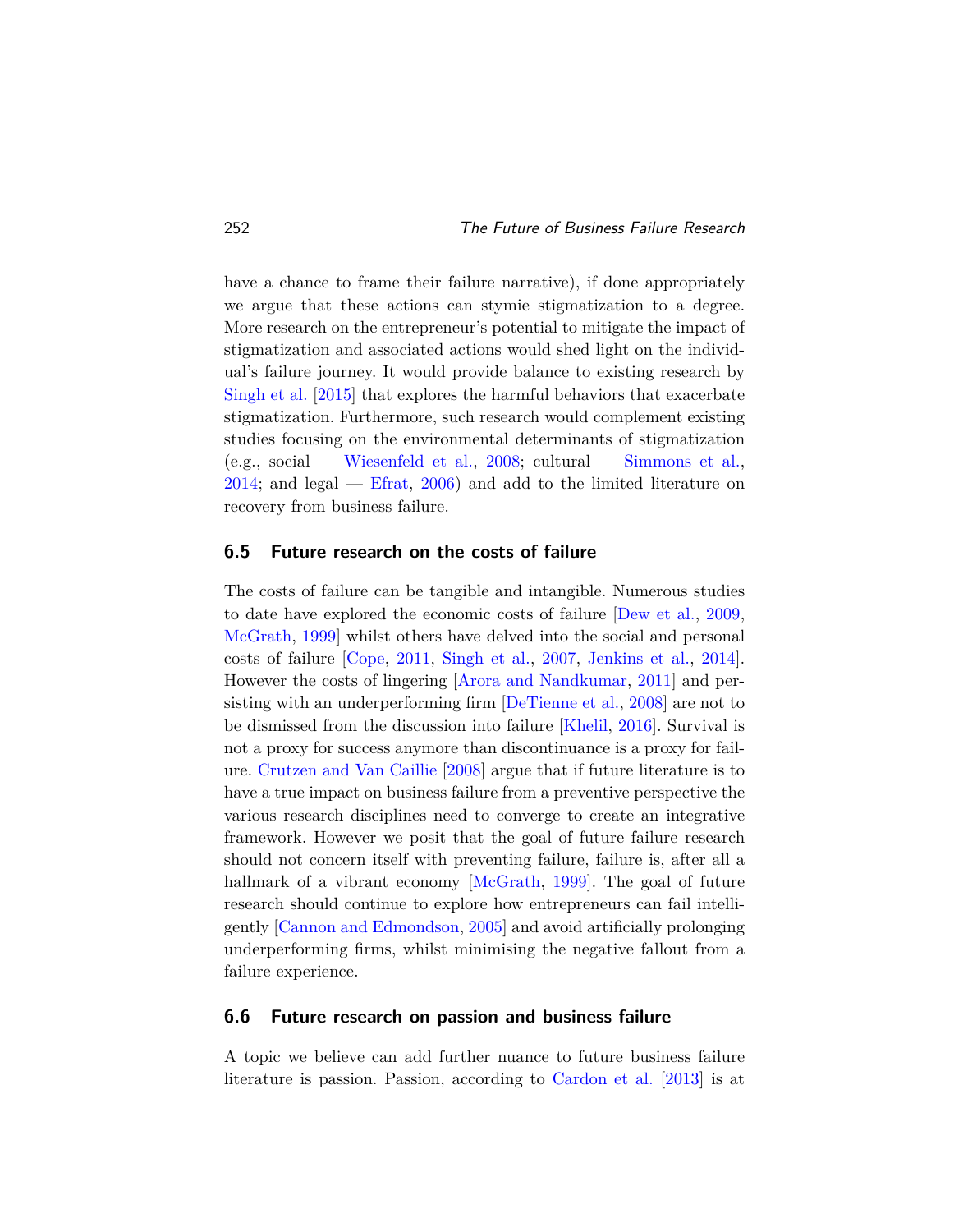have a chance to frame their failure narrative), if done appropriately we argue that these actions can stymie stigmatization to a degree. More research on the entrepreneur's potential to mitigate the impact of stigmatization and associated actions would shed light on the individual's failure journey. It would provide balance to existing research by [Singh et al.](#page-120-0) [\[2015\]](#page-120-0) that explores the harmful behaviors that exacerbate stigmatization. Furthermore, such research would complement existing studies focusing on the environmental determinants of stigmatization  $(e.g., social - Wiesenfeld et al., 2008; cultural - Simmons et al.,$  $(e.g., social - Wiesenfeld et al., 2008; cultural - Simmons et al.,$  $(e.g., social - Wiesenfeld et al., 2008; cultural - Simmons et al.,$  $(e.g., social - Wiesenfeld et al., 2008; cultural - Simmons et al.,$  $(e.g., social - Wiesenfeld et al., 2008; cultural - Simmons et al.,$  $(e.g., social - Wiesenfeld et al., 2008; cultural - Simmons et al.,$  $2014$ ; and legal — [Efrat,](#page-108-0)  $2006$ ) and add to the limited literature on recovery from business failure.

#### **6.5 Future research on the costs of failure**

The costs of failure can be tangible and intangible. Numerous studies to date have explored the economic costs of failure [\[Dew et al.,](#page-107-0) [2009,](#page-107-0) [McGrath,](#page-115-0) [1999\]](#page-115-0) whilst others have delved into the social and personal costs of failure [\[Cope,](#page-106-1) [2011,](#page-106-1) [Singh et al.,](#page-120-1) [2007,](#page-120-1) [Jenkins et al.,](#page-112-2) [2014\]](#page-112-2). However the costs of lingering [\[Arora and Nandkumar,](#page-101-0) [2011\]](#page-101-0) and persisting with an underperforming firm [\[DeTienne et al.,](#page-107-3) [2008\]](#page-107-3) are not to be dismissed from the discussion into failure [\[Khelil,](#page-112-3) [2016\]](#page-112-3). Survival is not a proxy for success anymore than discontinuance is a proxy for failure. [Crutzen and Van Caillie](#page-106-3) [\[2008\]](#page-106-3) argue that if future literature is to have a true impact on business failure from a preventive perspective the various research disciplines need to converge to create an integrative framework. However we posit that the goal of future failure research should not concern itself with preventing failure, failure is, after all a hallmark of a vibrant economy [\[McGrath,](#page-115-0) [1999\]](#page-115-0). The goal of future research should continue to explore how entrepreneurs can fail intelligently [\[Cannon and Edmondson,](#page-105-3) [2005\]](#page-105-3) and avoid artificially prolonging underperforming firms, whilst minimising the negative fallout from a failure experience.

#### <span id="page-92-0"></span>**6.6 Future research on passion and business failure**

A topic we believe can add further nuance to future business failure literature is passion. Passion, according to [Cardon et al.](#page-105-4) [\[2013\]](#page-105-4) is at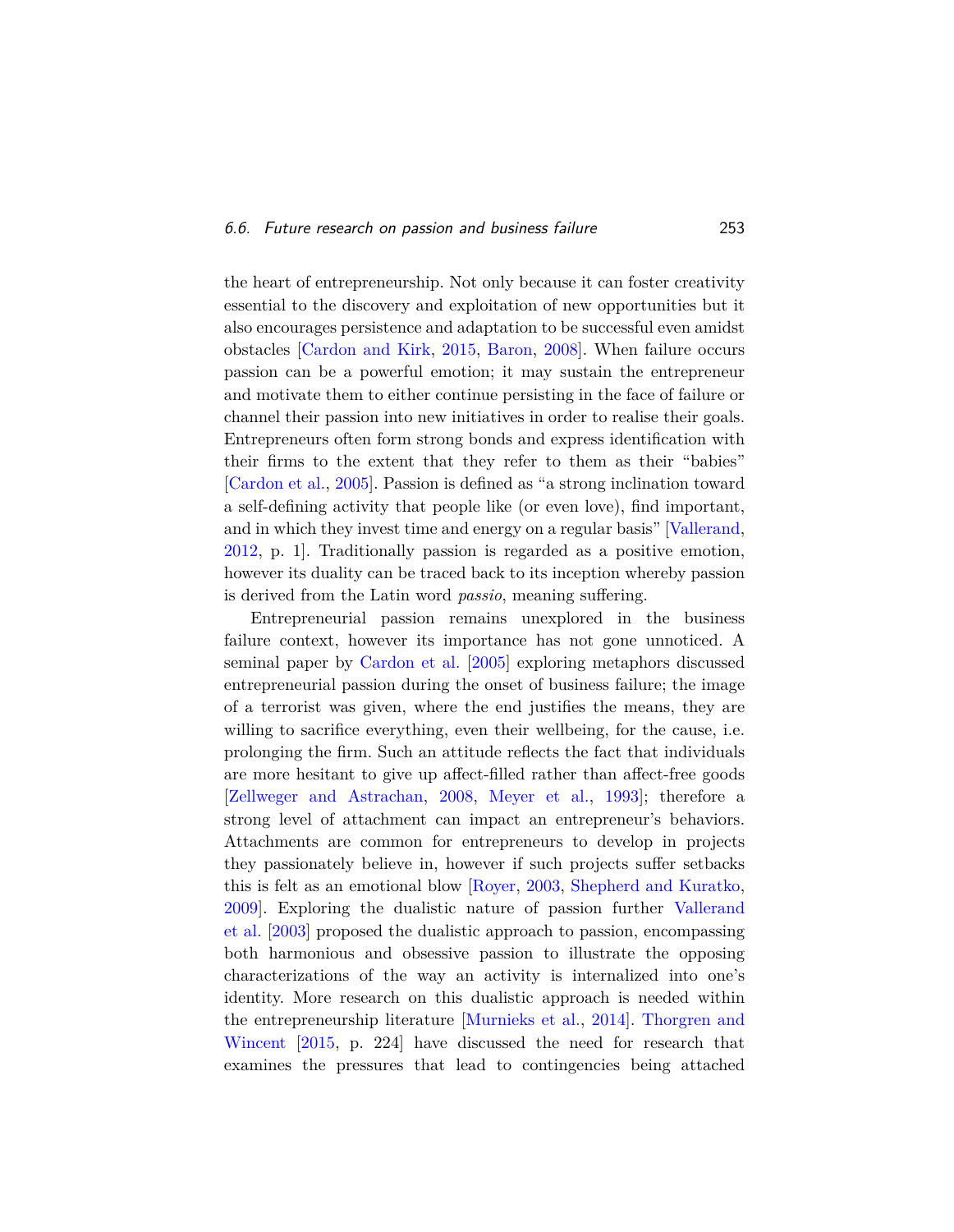the heart of entrepreneurship. Not only because it can foster creativity essential to the discovery and exploitation of new opportunities but it also encourages persistence and adaptation to be successful even amidst obstacles [\[Cardon and Kirk,](#page-105-5) [2015,](#page-105-5) [Baron,](#page-102-2) [2008\]](#page-102-2). When failure occurs passion can be a powerful emotion; it may sustain the entrepreneur and motivate them to either continue persisting in the face of failure or channel their passion into new initiatives in order to realise their goals. Entrepreneurs often form strong bonds and express identification with their firms to the extent that they refer to them as their "babies" [\[Cardon et al.,](#page-105-6) [2005\]](#page-105-6). Passion is defined as "a strong inclination toward a self-defining activity that people like (or even love), find important, and in which they invest time and energy on a regular basis" [\[Vallerand,](#page-123-3) [2012,](#page-123-3) p. 1]. Traditionally passion is regarded as a positive emotion, however its duality can be traced back to its inception whereby passion is derived from the Latin word *passio*, meaning suffering.

Entrepreneurial passion remains unexplored in the business failure context, however its importance has not gone unnoticed. A seminal paper by [Cardon et al.](#page-105-6) [\[2005\]](#page-105-6) exploring metaphors discussed entrepreneurial passion during the onset of business failure; the image of a terrorist was given, where the end justifies the means, they are willing to sacrifice everything, even their wellbeing, for the cause, i.e. prolonging the firm. Such an attitude reflects the fact that individuals are more hesitant to give up affect-filled rather than affect-free goods [\[Zellweger and Astrachan,](#page-125-2) [2008,](#page-125-2) [Meyer et al.,](#page-115-4) [1993\]](#page-115-4); therefore a strong level of attachment can impact an entrepreneur's behaviors. Attachments are common for entrepreneurs to develop in projects they passionately believe in, however if such projects suffer setbacks this is felt as an emotional blow [\[Royer,](#page-118-2) [2003,](#page-118-2) [Shepherd and Kuratko,](#page-120-7) [2009\]](#page-120-7). Exploring the dualistic nature of passion further [Vallerand](#page-123-4) [et al.](#page-123-4) [\[2003\]](#page-123-4) proposed the dualistic approach to passion, encompassing both harmonious and obsessive passion to illustrate the opposing characterizations of the way an activity is internalized into one's identity. More research on this dualistic approach is needed within the entrepreneurship literature [\[Murnieks et al.,](#page-116-5) [2014\]](#page-116-5). [Thorgren and](#page-122-4) [Wincent](#page-122-4) [\[2015,](#page-122-4) p. 224] have discussed the need for research that examines the pressures that lead to contingencies being attached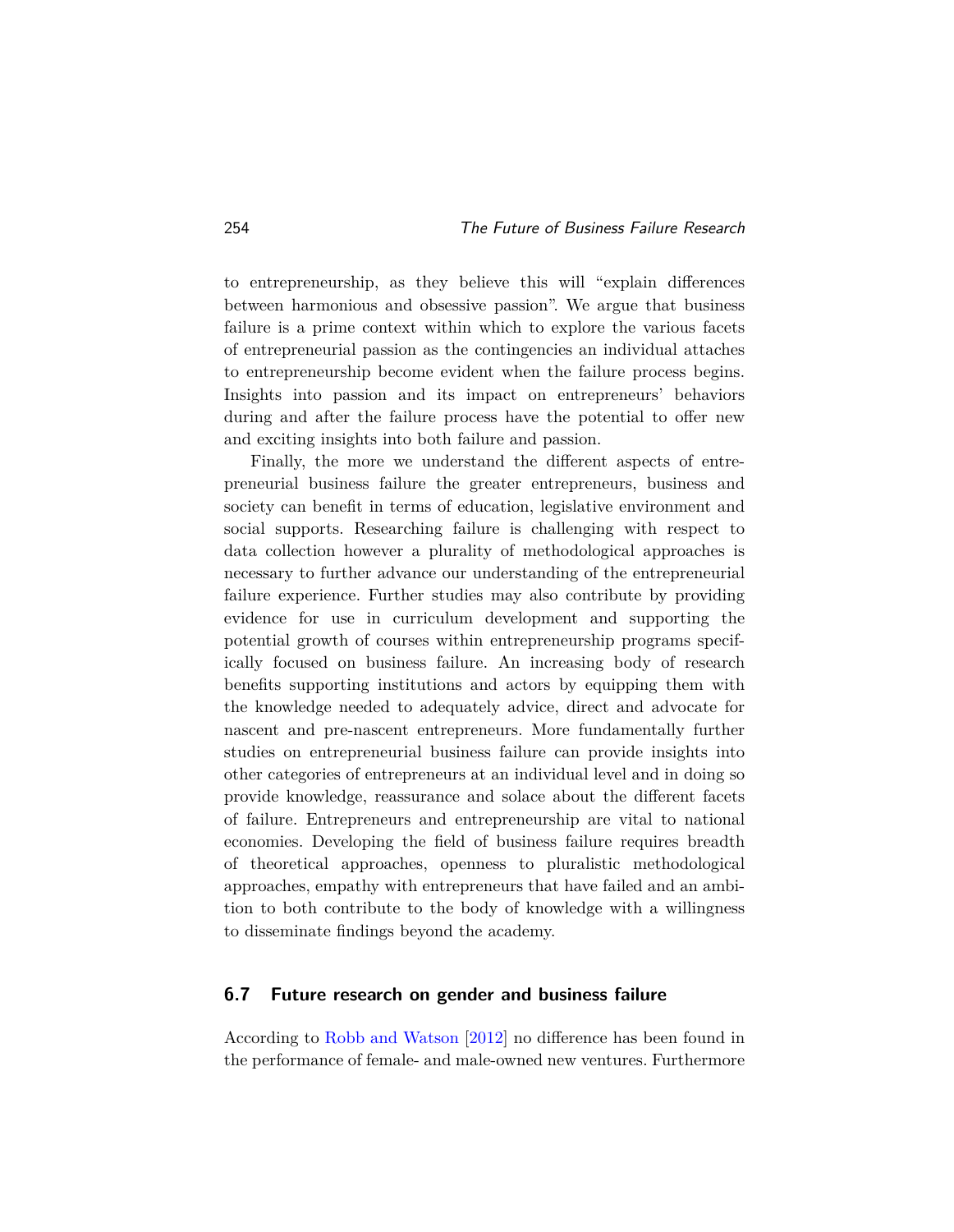to entrepreneurship, as they believe this will "explain differences between harmonious and obsessive passion". We argue that business failure is a prime context within which to explore the various facets of entrepreneurial passion as the contingencies an individual attaches to entrepreneurship become evident when the failure process begins. Insights into passion and its impact on entrepreneurs' behaviors during and after the failure process have the potential to offer new and exciting insights into both failure and passion.

Finally, the more we understand the different aspects of entrepreneurial business failure the greater entrepreneurs, business and society can benefit in terms of education, legislative environment and social supports. Researching failure is challenging with respect to data collection however a plurality of methodological approaches is necessary to further advance our understanding of the entrepreneurial failure experience. Further studies may also contribute by providing evidence for use in curriculum development and supporting the potential growth of courses within entrepreneurship programs specifically focused on business failure. An increasing body of research benefits supporting institutions and actors by equipping them with the knowledge needed to adequately advice, direct and advocate for nascent and pre-nascent entrepreneurs. More fundamentally further studies on entrepreneurial business failure can provide insights into other categories of entrepreneurs at an individual level and in doing so provide knowledge, reassurance and solace about the different facets of failure. Entrepreneurs and entrepreneurship are vital to national economies. Developing the field of business failure requires breadth of theoretical approaches, openness to pluralistic methodological approaches, empathy with entrepreneurs that have failed and an ambition to both contribute to the body of knowledge with a willingness to disseminate findings beyond the academy.

#### **6.7 Future research on gender and business failure**

According to [Robb and Watson](#page-118-3) [\[2012\]](#page-118-3) no difference has been found in the performance of female- and male-owned new ventures. Furthermore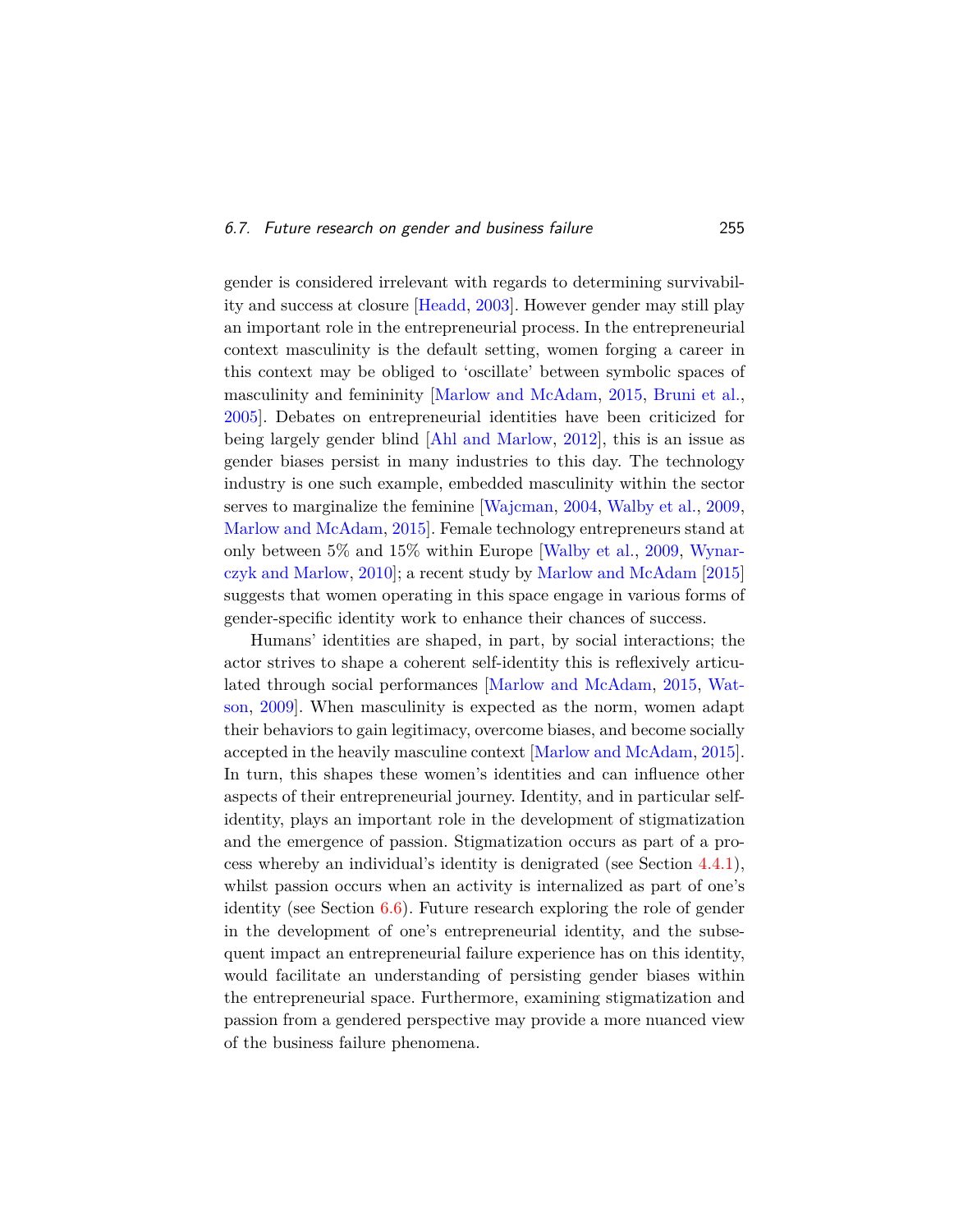gender is considered irrelevant with regards to determining survivability and success at closure [\[Headd,](#page-111-2) [2003\]](#page-111-2). However gender may still play an important role in the entrepreneurial process. In the entrepreneurial context masculinity is the default setting, women forging a career in this context may be obliged to 'oscillate' between symbolic spaces of masculinity and femininity [\[Marlow and McAdam,](#page-114-3) [2015,](#page-114-3) [Bruni et al.,](#page-104-5) [2005\]](#page-104-5). Debates on entrepreneurial identities have been criticized for being largely gender blind [\[Ahl and Marlow,](#page-101-1) [2012\]](#page-101-1), this is an issue as gender biases persist in many industries to this day. The technology industry is one such example, embedded masculinity within the sector serves to marginalize the feminine [\[Wajcman,](#page-123-5) [2004,](#page-123-5) [Walby et al.,](#page-123-6) [2009,](#page-123-6) [Marlow and McAdam,](#page-114-3) [2015\]](#page-114-3). Female technology entrepreneurs stand at only between 5% and 15% within Europe [\[Walby et al.,](#page-123-6) [2009,](#page-123-6) [Wynar](#page-125-3)[czyk and Marlow,](#page-125-3) [2010\]](#page-125-3); a recent study by [Marlow and McAdam](#page-114-3) [\[2015\]](#page-114-3) suggests that women operating in this space engage in various forms of gender-specific identity work to enhance their chances of success.

Humans' identities are shaped, in part, by social interactions; the actor strives to shape a coherent self-identity this is reflexively articulated through social performances [\[Marlow and McAdam,](#page-114-3) [2015,](#page-114-3) [Wat](#page-123-7)[son,](#page-123-7) [2009\]](#page-123-7). When masculinity is expected as the norm, women adapt their behaviors to gain legitimacy, overcome biases, and become socially accepted in the heavily masculine context [\[Marlow and McAdam,](#page-114-3) [2015\]](#page-114-3). In turn, this shapes these women's identities and can influence other aspects of their entrepreneurial journey. Identity, and in particular selfidentity, plays an important role in the development of stigmatization and the emergence of passion. Stigmatization occurs as part of a process whereby an individual's identity is denigrated (see Section [4.4.1\)](#page-67-0), whilst passion occurs when an activity is internalized as part of one's identity (see Section [6.6\)](#page-92-0). Future research exploring the role of gender in the development of one's entrepreneurial identity, and the subsequent impact an entrepreneurial failure experience has on this identity, would facilitate an understanding of persisting gender biases within the entrepreneurial space. Furthermore, examining stigmatization and passion from a gendered perspective may provide a more nuanced view of the business failure phenomena.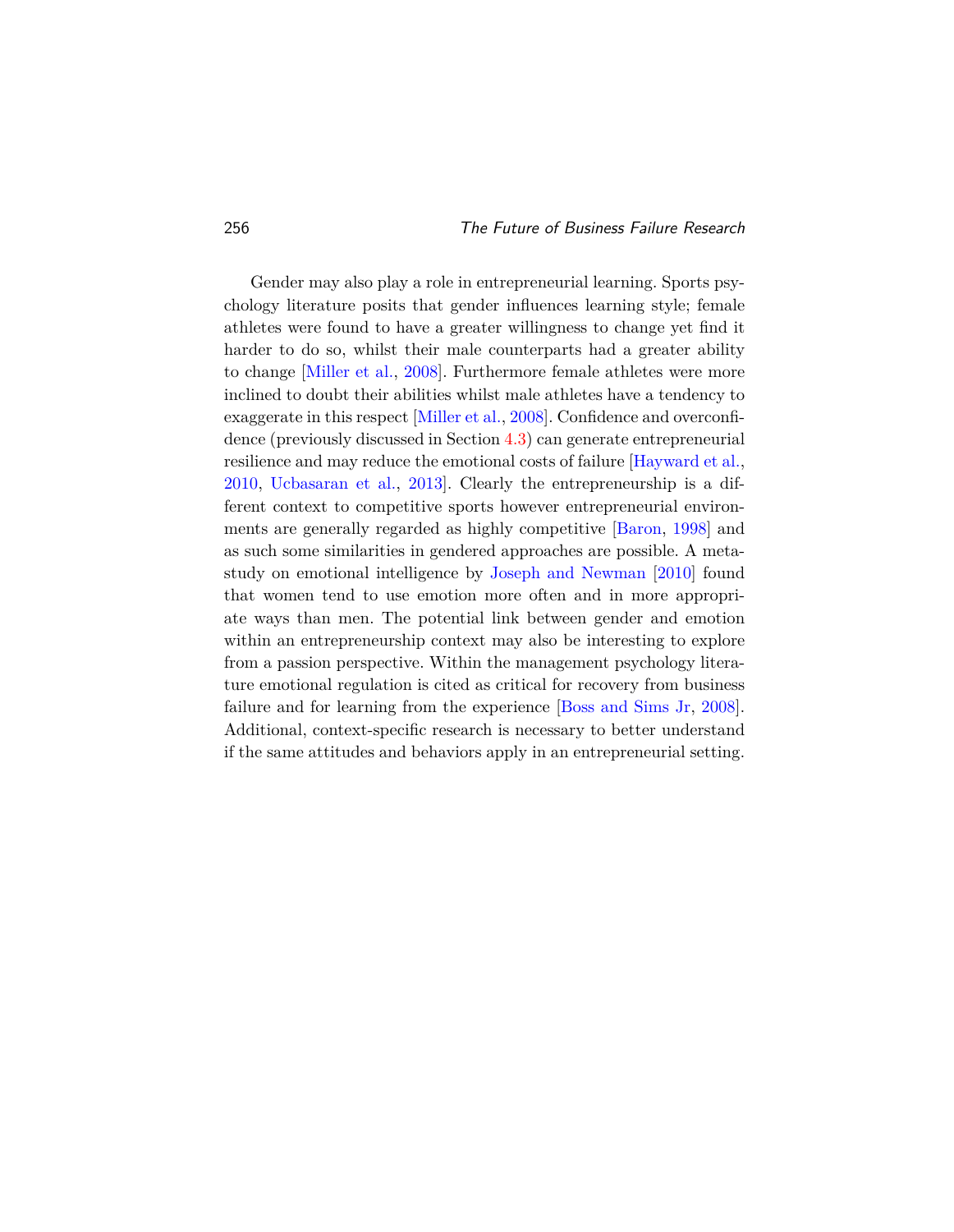Gender may also play a role in entrepreneurial learning. Sports psychology literature posits that gender influences learning style; female athletes were found to have a greater willingness to change yet find it harder to do so, whilst their male counterparts had a greater ability to change [\[Miller et al.,](#page-115-5) [2008\]](#page-115-5). Furthermore female athletes were more inclined to doubt their abilities whilst male athletes have a tendency to exaggerate in this respect [\[Miller et al.,](#page-115-5) [2008\]](#page-115-5). Confidence and overconfidence (previously discussed in Section [4.3\)](#page-53-0) can generate entrepreneurial resilience and may reduce the emotional costs of failure [\[Hayward et al.,](#page-111-3) [2010,](#page-111-3) [Ucbasaran et al.,](#page-122-0) [2013\]](#page-122-0). Clearly the entrepreneurship is a different context to competitive sports however entrepreneurial environments are generally regarded as highly competitive [\[Baron,](#page-102-3) [1998\]](#page-102-3) and as such some similarities in gendered approaches are possible. A metastudy on emotional intelligence by [Joseph and Newman](#page-112-5) [\[2010\]](#page-112-5) found that women tend to use emotion more often and in more appropriate ways than men. The potential link between gender and emotion within an entrepreneurship context may also be interesting to explore from a passion perspective. Within the management psychology literature emotional regulation is cited as critical for recovery from business failure and for learning from the experience [\[Boss and Sims Jr,](#page-104-0) [2008\]](#page-104-0). Additional, context-specific research is necessary to better understand if the same attitudes and behaviors apply in an entrepreneurial setting.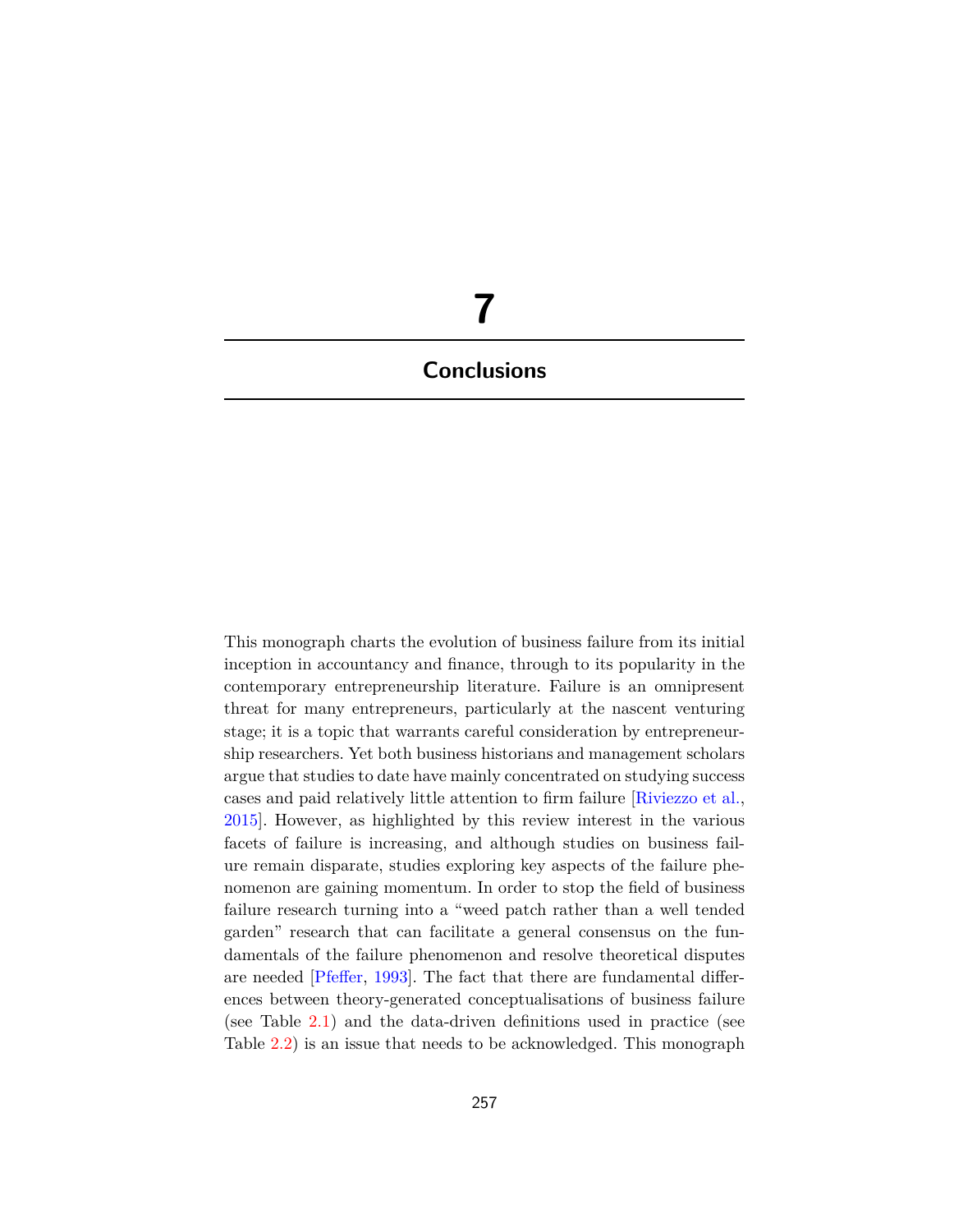# **7**

### **Conclusions**

This monograph charts the evolution of business failure from its initial inception in accountancy and finance, through to its popularity in the contemporary entrepreneurship literature. Failure is an omnipresent threat for many entrepreneurs, particularly at the nascent venturing stage; it is a topic that warrants careful consideration by entrepreneurship researchers. Yet both business historians and management scholars argue that studies to date have mainly concentrated on studying success cases and paid relatively little attention to firm failure [\[Riviezzo et al.,](#page-118-4) [2015\]](#page-118-4). However, as highlighted by this review interest in the various facets of failure is increasing, and although studies on business failure remain disparate, studies exploring key aspects of the failure phenomenon are gaining momentum. In order to stop the field of business failure research turning into a "weed patch rather than a well tended garden" research that can facilitate a general consensus on the fundamentals of the failure phenomenon and resolve theoretical disputes are needed [\[Pfeffer,](#page-117-0) [1993\]](#page-117-0). The fact that there are fundamental differences between theory-generated conceptualisations of business failure (see Table [2.1\)](#page-14-0) and the data-driven definitions used in practice (see Table [2.2\)](#page-16-0) is an issue that needs to be acknowledged. This monograph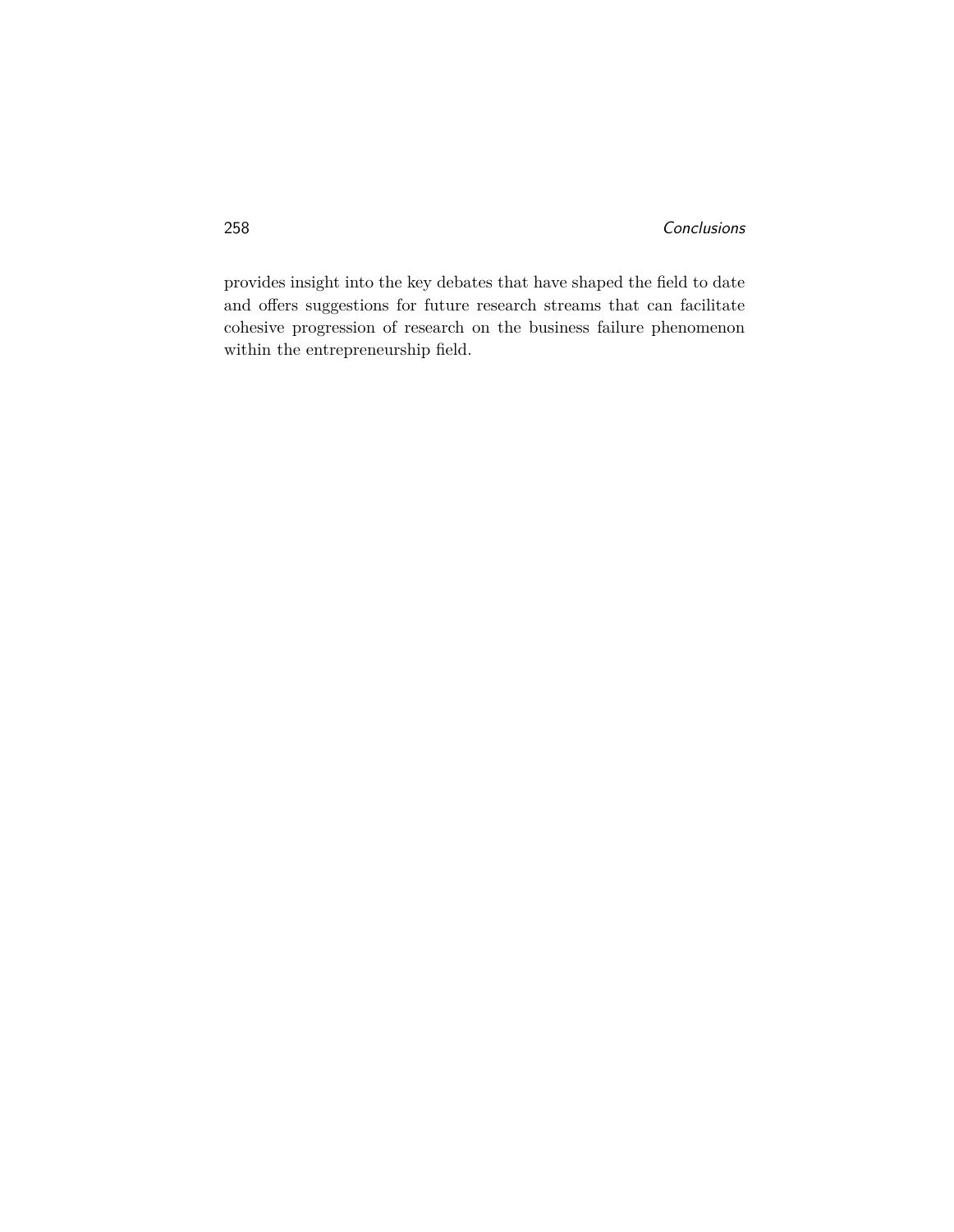provides insight into the key debates that have shaped the field to date and offers suggestions for future research streams that can facilitate cohesive progression of research on the business failure phenomenon within the entrepreneurship field.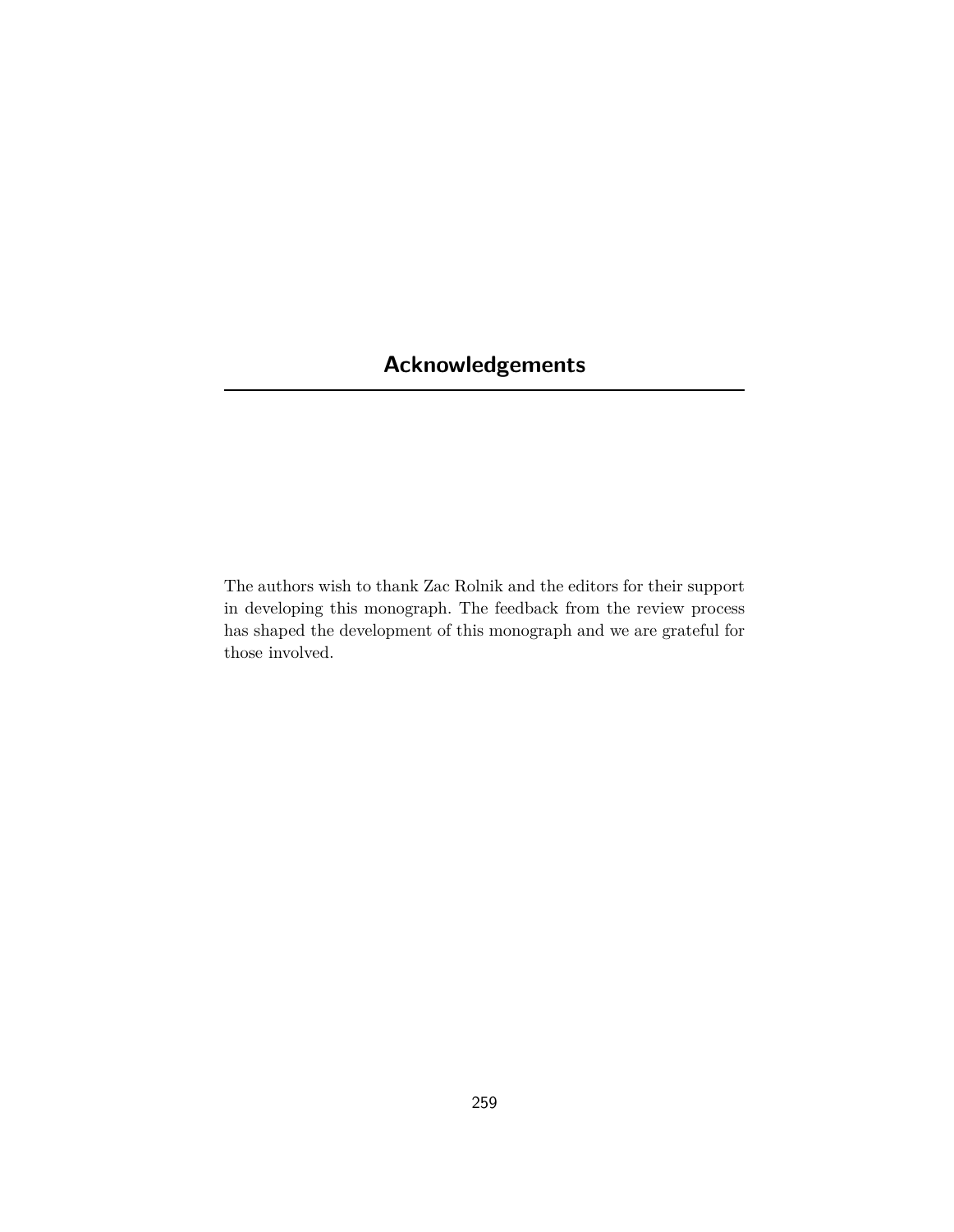## **Acknowledgements**

The authors wish to thank Zac Rolnik and the editors for their support in developing this monograph. The feedback from the review process has shaped the development of this monograph and we are grateful for those involved.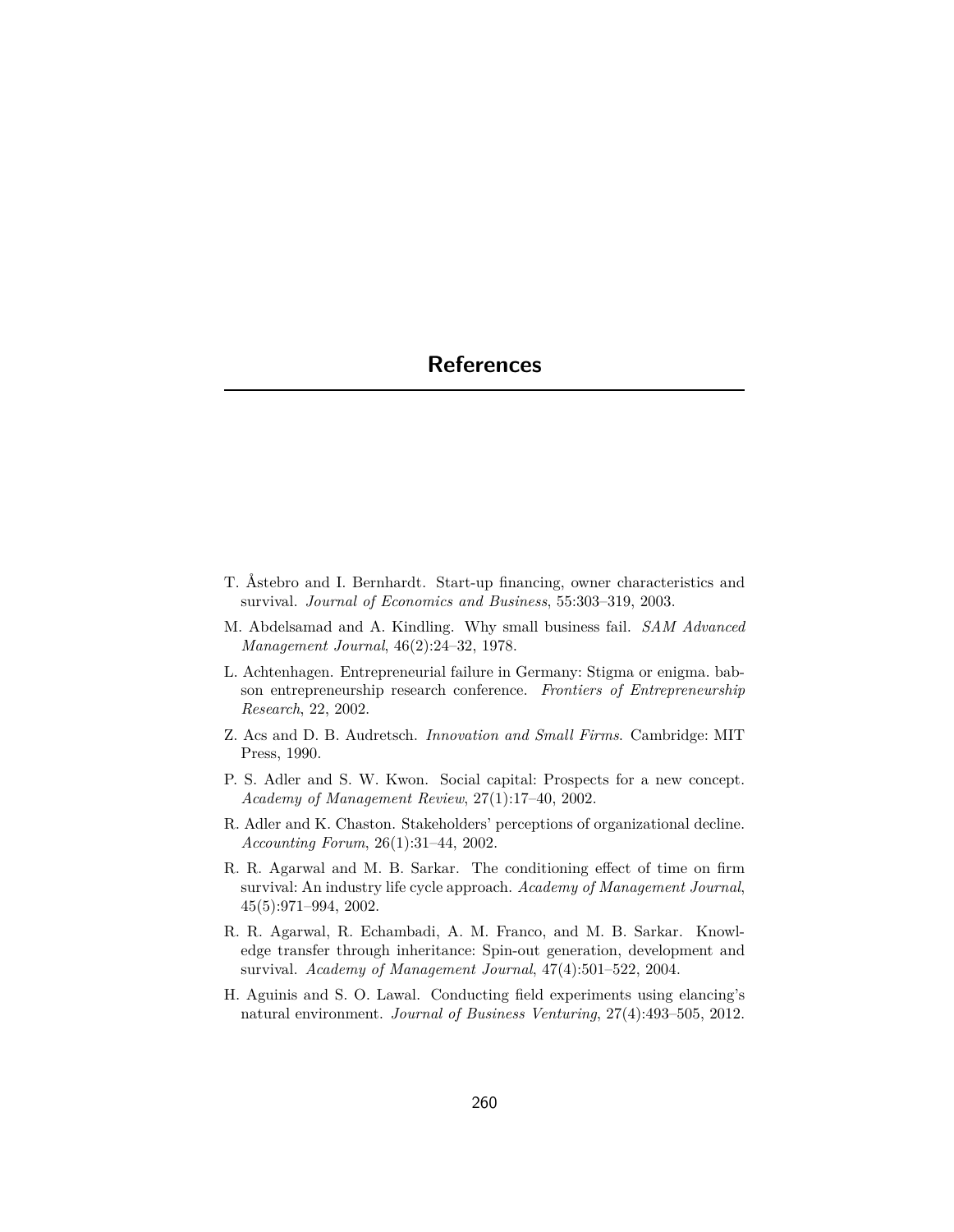- T. Åstebro and I. Bernhardt. Start-up financing, owner characteristics and survival. *Journal of Economics and Business*, 55:303–319, 2003.
- M. Abdelsamad and A. Kindling. Why small business fail. *SAM Advanced Management Journal*, 46(2):24–32, 1978.
- L. Achtenhagen. Entrepreneurial failure in Germany: Stigma or enigma. babson entrepreneurship research conference. *Frontiers of Entrepreneurship Research*, 22, 2002.
- Z. Acs and D. B. Audretsch. *Innovation and Small Firms*. Cambridge: MIT Press, 1990.
- P. S. Adler and S. W. Kwon. Social capital: Prospects for a new concept. *Academy of Management Review*, 27(1):17–40, 2002.
- <span id="page-100-0"></span>R. Adler and K. Chaston. Stakeholders' perceptions of organizational decline. *Accounting Forum*, 26(1):31–44, 2002.
- R. R. Agarwal and M. B. Sarkar. The conditioning effect of time on firm survival: An industry life cycle approach. *Academy of Management Journal*, 45(5):971–994, 2002.
- R. R. Agarwal, R. Echambadi, A. M. Franco, and M. B. Sarkar. Knowledge transfer through inheritance: Spin-out generation, development and survival. *Academy of Management Journal*, 47(4):501–522, 2004.
- <span id="page-100-1"></span>H. Aguinis and S. O. Lawal. Conducting field experiments using elancing's natural environment. *Journal of Business Venturing*, 27(4):493–505, 2012.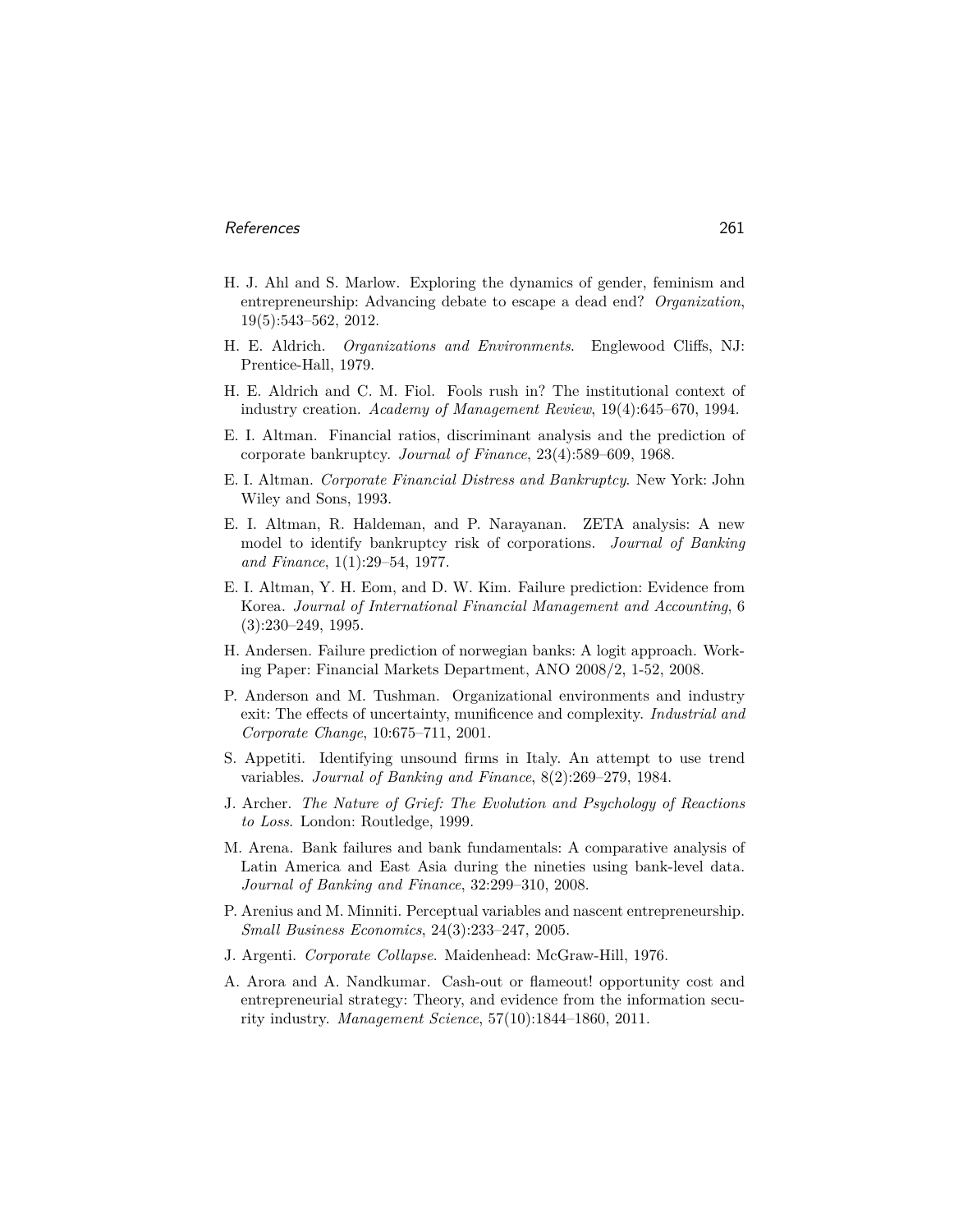- <span id="page-101-1"></span>H. J. Ahl and S. Marlow. Exploring the dynamics of gender, feminism and entrepreneurship: Advancing debate to escape a dead end? *Organization*, 19(5):543–562, 2012.
- H. E. Aldrich. *Organizations and Environments*. Englewood Cliffs, NJ: Prentice-Hall, 1979.
- H. E. Aldrich and C. M. Fiol. Fools rush in? The institutional context of industry creation. *Academy of Management Review*, 19(4):645–670, 1994.
- E. I. Altman. Financial ratios, discriminant analysis and the prediction of corporate bankruptcy. *Journal of Finance*, 23(4):589–609, 1968.
- E. I. Altman. *Corporate Financial Distress and Bankruptcy*. New York: John Wiley and Sons, 1993.
- E. I. Altman, R. Haldeman, and P. Narayanan. ZETA analysis: A new model to identify bankruptcy risk of corporations. *Journal of Banking and Finance*, 1(1):29–54, 1977.
- E. I. Altman, Y. H. Eom, and D. W. Kim. Failure prediction: Evidence from Korea. *Journal of International Financial Management and Accounting*, 6 (3):230–249, 1995.
- H. Andersen. Failure prediction of norwegian banks: A logit approach. Working Paper: Financial Markets Department, ANO 2008/2, 1-52, 2008.
- P. Anderson and M. Tushman. Organizational environments and industry exit: The effects of uncertainty, munificence and complexity. *Industrial and Corporate Change*, 10:675–711, 2001.
- S. Appetiti. Identifying unsound firms in Italy. An attempt to use trend variables. *Journal of Banking and Finance*, 8(2):269–279, 1984.
- J. Archer. *The Nature of Grief: The Evolution and Psychology of Reactions to Loss*. London: Routledge, 1999.
- M. Arena. Bank failures and bank fundamentals: A comparative analysis of Latin America and East Asia during the nineties using bank-level data. *Journal of Banking and Finance*, 32:299–310, 2008.
- P. Arenius and M. Minniti. Perceptual variables and nascent entrepreneurship. *Small Business Economics*, 24(3):233–247, 2005.
- J. Argenti. *Corporate Collapse*. Maidenhead: McGraw-Hill, 1976.
- <span id="page-101-0"></span>A. Arora and A. Nandkumar. Cash-out or flameout! opportunity cost and entrepreneurial strategy: Theory, and evidence from the information security industry. *Management Science*, 57(10):1844–1860, 2011.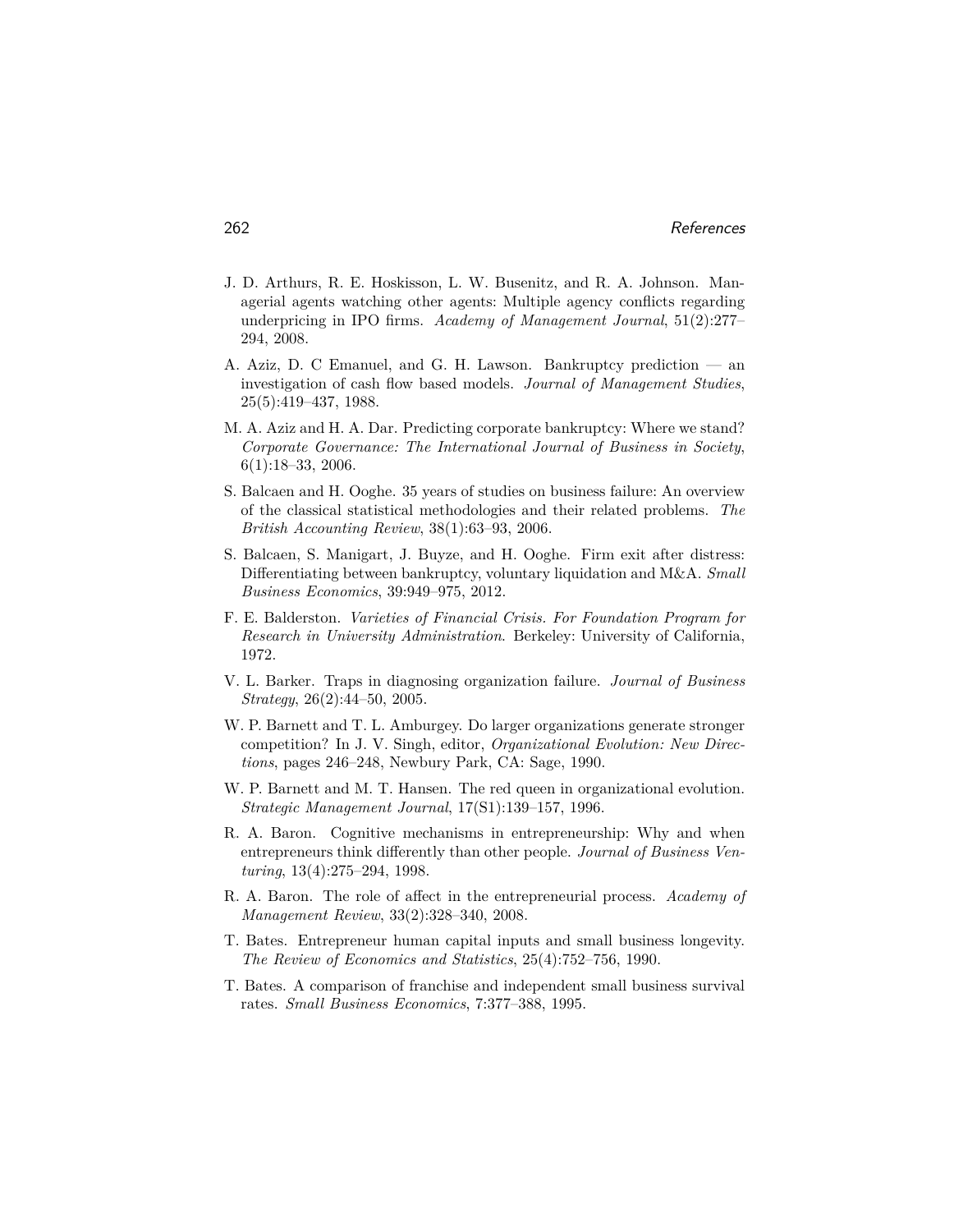- J. D. Arthurs, R. E. Hoskisson, L. W. Busenitz, and R. A. Johnson. Managerial agents watching other agents: Multiple agency conflicts regarding underpricing in IPO firms. *Academy of Management Journal*, 51(2):277– 294, 2008.
- A. Aziz, D. C Emanuel, and G. H. Lawson. Bankruptcy prediction an investigation of cash flow based models. *Journal of Management Studies*, 25(5):419–437, 1988.
- <span id="page-102-0"></span>M. A. Aziz and H. A. Dar. Predicting corporate bankruptcy: Where we stand? *Corporate Governance: The International Journal of Business in Society*, 6(1):18–33, 2006.
- S. Balcaen and H. Ooghe. 35 years of studies on business failure: An overview of the classical statistical methodologies and their related problems. *The British Accounting Review*, 38(1):63–93, 2006.
- S. Balcaen, S. Manigart, J. Buyze, and H. Ooghe. Firm exit after distress: Differentiating between bankruptcy, voluntary liquidation and M&A. *Small Business Economics*, 39:949–975, 2012.
- F. E. Balderston. *Varieties of Financial Crisis. For Foundation Program for Research in University Administration*. Berkeley: University of California, 1972.
- V. L. Barker. Traps in diagnosing organization failure. *Journal of Business Strategy*, 26(2):44–50, 2005.
- <span id="page-102-1"></span>W. P. Barnett and T. L. Amburgey. Do larger organizations generate stronger competition? In J. V. Singh, editor, *Organizational Evolution: New Directions*, pages 246–248, Newbury Park, CA: Sage, 1990.
- W. P. Barnett and M. T. Hansen. The red queen in organizational evolution. *Strategic Management Journal*, 17(S1):139–157, 1996.
- <span id="page-102-3"></span>R. A. Baron. Cognitive mechanisms in entrepreneurship: Why and when entrepreneurs think differently than other people. *Journal of Business Venturing*, 13(4):275–294, 1998.
- <span id="page-102-2"></span>R. A. Baron. The role of affect in the entrepreneurial process. *Academy of Management Review*, 33(2):328–340, 2008.
- T. Bates. Entrepreneur human capital inputs and small business longevity. *The Review of Economics and Statistics*, 25(4):752–756, 1990.
- T. Bates. A comparison of franchise and independent small business survival rates. *Small Business Economics*, 7:377–388, 1995.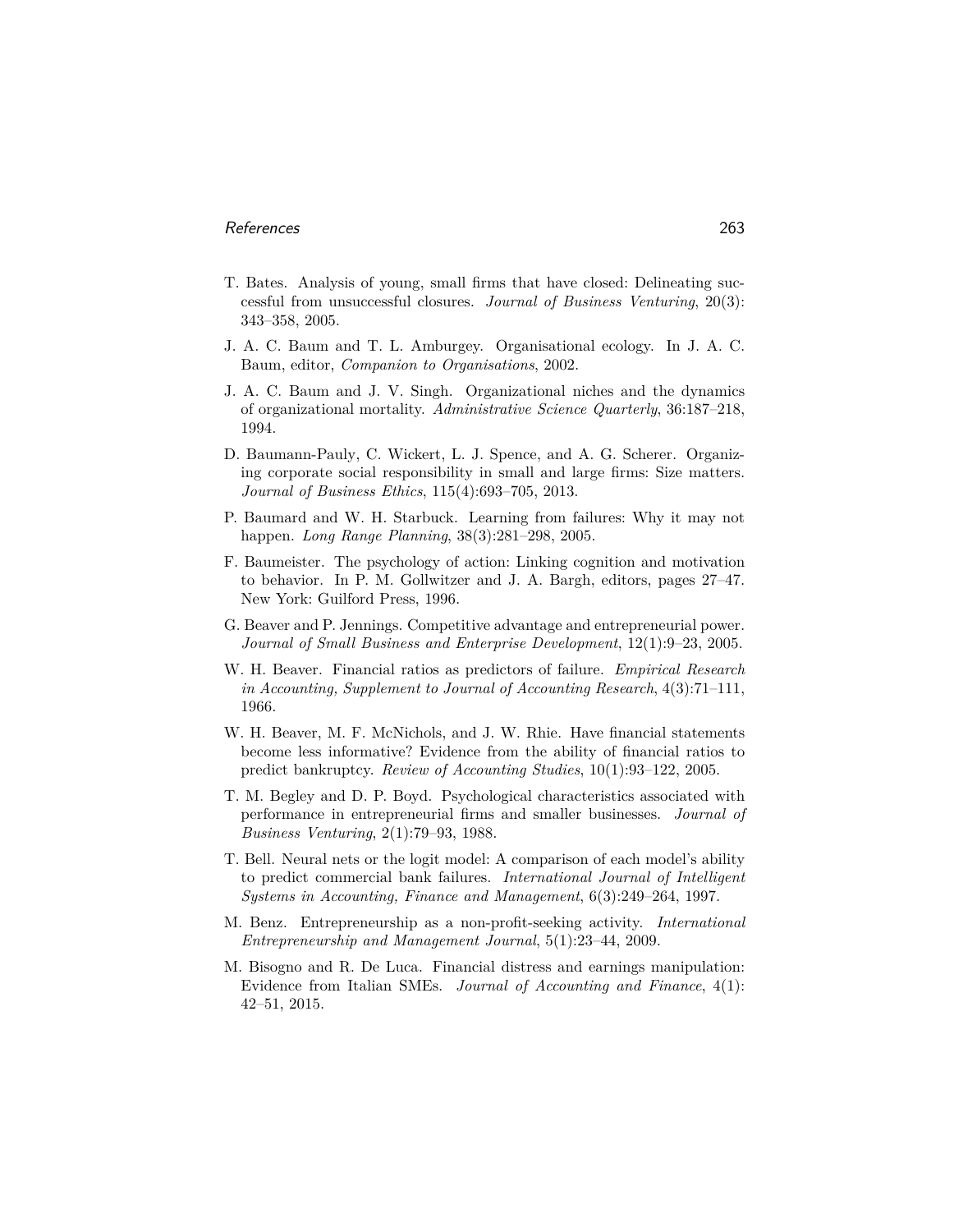- T. Bates. Analysis of young, small firms that have closed: Delineating successful from unsuccessful closures. *Journal of Business Venturing*, 20(3): 343–358, 2005.
- J. A. C. Baum and T. L. Amburgey. Organisational ecology. In J. A. C. Baum, editor, *Companion to Organisations*, 2002.
- J. A. C. Baum and J. V. Singh. Organizational niches and the dynamics of organizational mortality. *Administrative Science Quarterly*, 36:187–218, 1994.
- D. Baumann-Pauly, C. Wickert, L. J. Spence, and A. G. Scherer. Organizing corporate social responsibility in small and large firms: Size matters. *Journal of Business Ethics*, 115(4):693–705, 2013.
- P. Baumard and W. H. Starbuck. Learning from failures: Why it may not happen. *Long Range Planning*, 38(3):281–298, 2005.
- F. Baumeister. The psychology of action: Linking cognition and motivation to behavior. In P. M. Gollwitzer and J. A. Bargh, editors, pages 27–47. New York: Guilford Press, 1996.
- G. Beaver and P. Jennings. Competitive advantage and entrepreneurial power. *Journal of Small Business and Enterprise Development*, 12(1):9–23, 2005.
- W. H. Beaver. Financial ratios as predictors of failure. *Empirical Research in Accounting, Supplement to Journal of Accounting Research*, 4(3):71–111, 1966.
- W. H. Beaver, M. F. McNichols, and J. W. Rhie. Have financial statements become less informative? Evidence from the ability of financial ratios to predict bankruptcy. *Review of Accounting Studies*, 10(1):93–122, 2005.
- <span id="page-103-0"></span>T. M. Begley and D. P. Boyd. Psychological characteristics associated with performance in entrepreneurial firms and smaller businesses. *Journal of Business Venturing*, 2(1):79–93, 1988.
- T. Bell. Neural nets or the logit model: A comparison of each model's ability to predict commercial bank failures. *International Journal of Intelligent Systems in Accounting, Finance and Management*, 6(3):249–264, 1997.
- M. Benz. Entrepreneurship as a non-profit-seeking activity. *International Entrepreneurship and Management Journal*, 5(1):23–44, 2009.
- M. Bisogno and R. De Luca. Financial distress and earnings manipulation: Evidence from Italian SMEs. *Journal of Accounting and Finance*, 4(1): 42–51, 2015.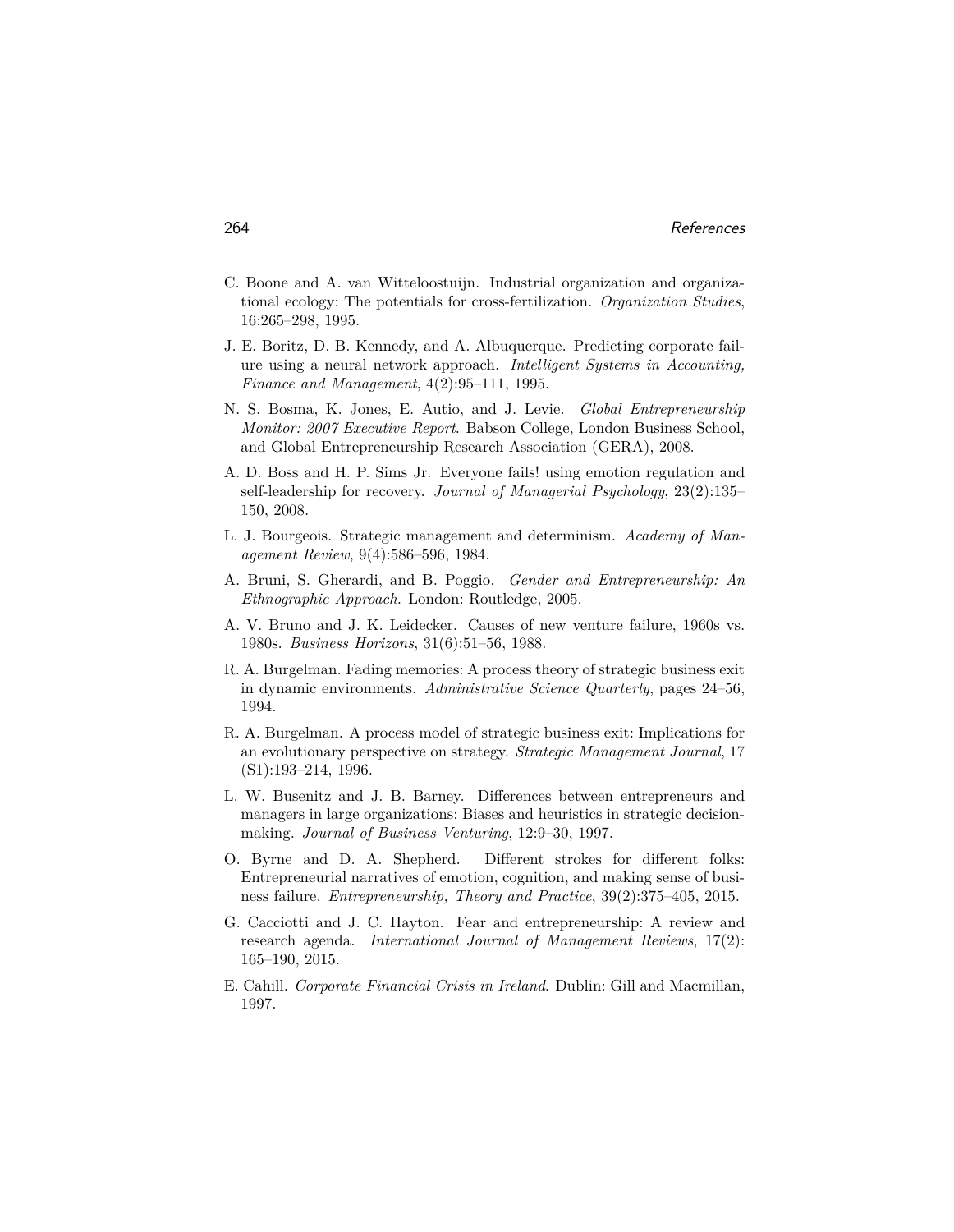- C. Boone and A. van Witteloostuijn. Industrial organization and organizational ecology: The potentials for cross-fertilization. *Organization Studies*, 16:265–298, 1995.
- J. E. Boritz, D. B. Kennedy, and A. Albuquerque. Predicting corporate failure using a neural network approach. *Intelligent Systems in Accounting, Finance and Management*, 4(2):95–111, 1995.
- N. S. Bosma, K. Jones, E. Autio, and J. Levie. *Global Entrepreneurship Monitor: 2007 Executive Report*. Babson College, London Business School, and Global Entrepreneurship Research Association (GERA), 2008.
- <span id="page-104-0"></span>A. D. Boss and H. P. Sims Jr. Everyone fails! using emotion regulation and self-leadership for recovery. *Journal of Managerial Psychology*, 23(2):135– 150, 2008.
- L. J. Bourgeois. Strategic management and determinism. *Academy of Management Review*, 9(4):586–596, 1984.
- <span id="page-104-5"></span>A. Bruni, S. Gherardi, and B. Poggio. *Gender and Entrepreneurship: An Ethnographic Approach*. London: Routledge, 2005.
- A. V. Bruno and J. K. Leidecker. Causes of new venture failure, 1960s vs. 1980s. *Business Horizons*, 31(6):51–56, 1988.
- R. A. Burgelman. Fading memories: A process theory of strategic business exit in dynamic environments. *Administrative Science Quarterly*, pages 24–56, 1994.
- <span id="page-104-2"></span>R. A. Burgelman. A process model of strategic business exit: Implications for an evolutionary perspective on strategy. *Strategic Management Journal*, 17 (S1):193–214, 1996.
- <span id="page-104-3"></span>L. W. Busenitz and J. B. Barney. Differences between entrepreneurs and managers in large organizations: Biases and heuristics in strategic decisionmaking. *Journal of Business Venturing*, 12:9–30, 1997.
- <span id="page-104-1"></span>O. Byrne and D. A. Shepherd. Different strokes for different folks: Entrepreneurial narratives of emotion, cognition, and making sense of business failure. *Entrepreneurship, Theory and Practice*, 39(2):375–405, 2015.
- <span id="page-104-4"></span>G. Cacciotti and J. C. Hayton. Fear and entrepreneurship: A review and research agenda. *International Journal of Management Reviews*, 17(2): 165–190, 2015.
- E. Cahill. *Corporate Financial Crisis in Ireland*. Dublin: Gill and Macmillan, 1997.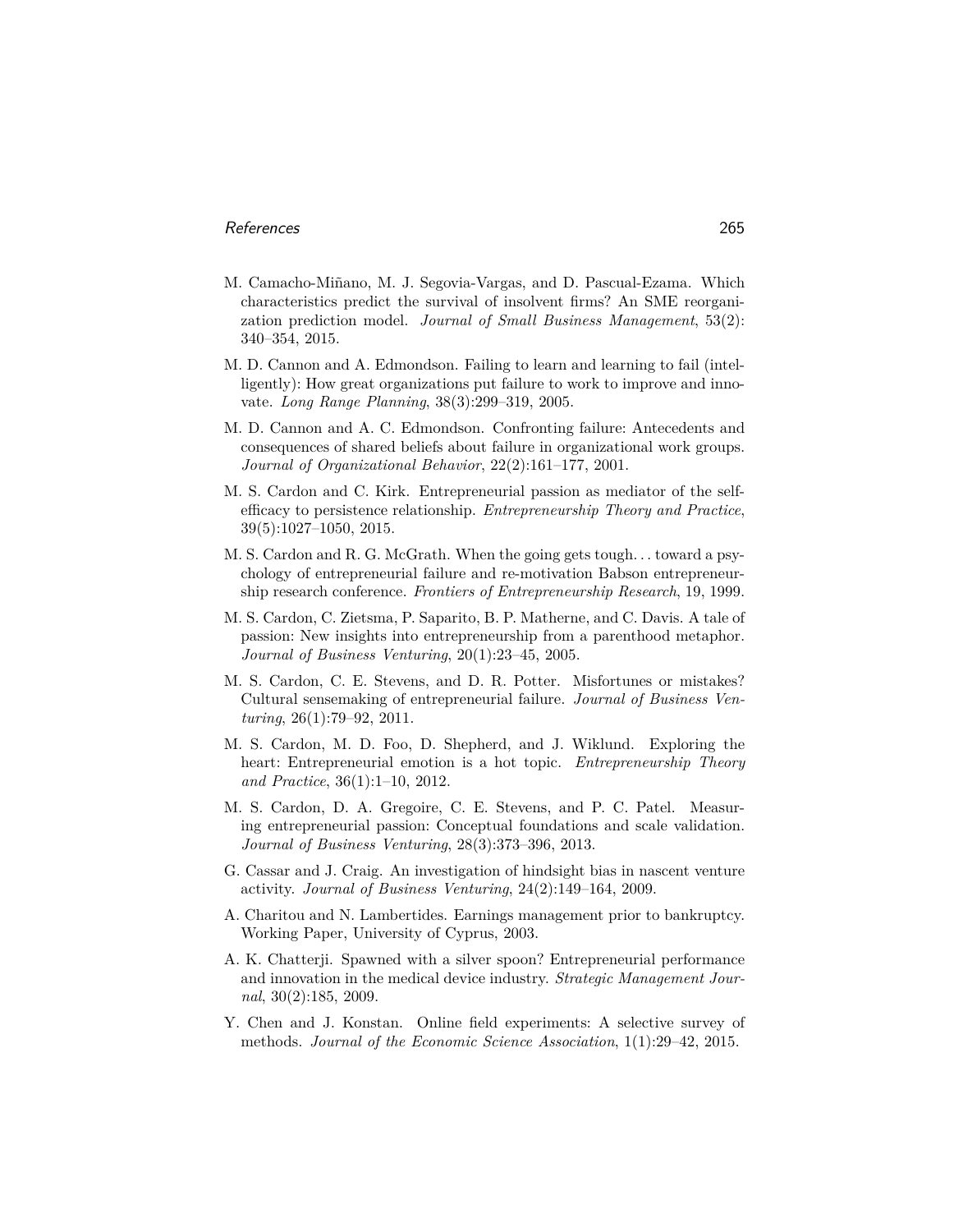- M. Camacho-Miñano, M. J. Segovia-Vargas, and D. Pascual-Ezama. Which characteristics predict the survival of insolvent firms? An SME reorganization prediction model. *Journal of Small Business Management*, 53(2): 340–354, 2015.
- <span id="page-105-3"></span>M. D. Cannon and A. Edmondson. Failing to learn and learning to fail (intelligently): How great organizations put failure to work to improve and innovate. *Long Range Planning*, 38(3):299–319, 2005.
- M. D. Cannon and A. C. Edmondson. Confronting failure: Antecedents and consequences of shared beliefs about failure in organizational work groups. *Journal of Organizational Behavior*, 22(2):161–177, 2001.
- <span id="page-105-5"></span>M. S. Cardon and C. Kirk. Entrepreneurial passion as mediator of the selfefficacy to persistence relationship. *Entrepreneurship Theory and Practice*, 39(5):1027–1050, 2015.
- M. S. Cardon and R. G. McGrath. When the going gets tough*. . .* toward a psychology of entrepreneurial failure and re-motivation Babson entrepreneurship research conference. *Frontiers of Entrepreneurship Research*, 19, 1999.
- <span id="page-105-6"></span>M. S. Cardon, C. Zietsma, P. Saparito, B. P. Matherne, and C. Davis. A tale of passion: New insights into entrepreneurship from a parenthood metaphor. *Journal of Business Venturing*, 20(1):23–45, 2005.
- <span id="page-105-2"></span>M. S. Cardon, C. E. Stevens, and D. R. Potter. Misfortunes or mistakes? Cultural sensemaking of entrepreneurial failure. *Journal of Business Venturing*, 26(1):79–92, 2011.
- M. S. Cardon, M. D. Foo, D. Shepherd, and J. Wiklund. Exploring the heart: Entrepreneurial emotion is a hot topic. *Entrepreneurship Theory and Practice*, 36(1):1–10, 2012.
- <span id="page-105-4"></span>M. S. Cardon, D. A. Gregoire, C. E. Stevens, and P. C. Patel. Measuring entrepreneurial passion: Conceptual foundations and scale validation. *Journal of Business Venturing*, 28(3):373–396, 2013.
- <span id="page-105-0"></span>G. Cassar and J. Craig. An investigation of hindsight bias in nascent venture activity. *Journal of Business Venturing*, 24(2):149–164, 2009.
- A. Charitou and N. Lambertides. Earnings management prior to bankruptcy. Working Paper, University of Cyprus, 2003.
- A. K. Chatterji. Spawned with a silver spoon? Entrepreneurial performance and innovation in the medical device industry. *Strategic Management Journal*, 30(2):185, 2009.
- <span id="page-105-1"></span>Y. Chen and J. Konstan. Online field experiments: A selective survey of methods. *Journal of the Economic Science Association*, 1(1):29–42, 2015.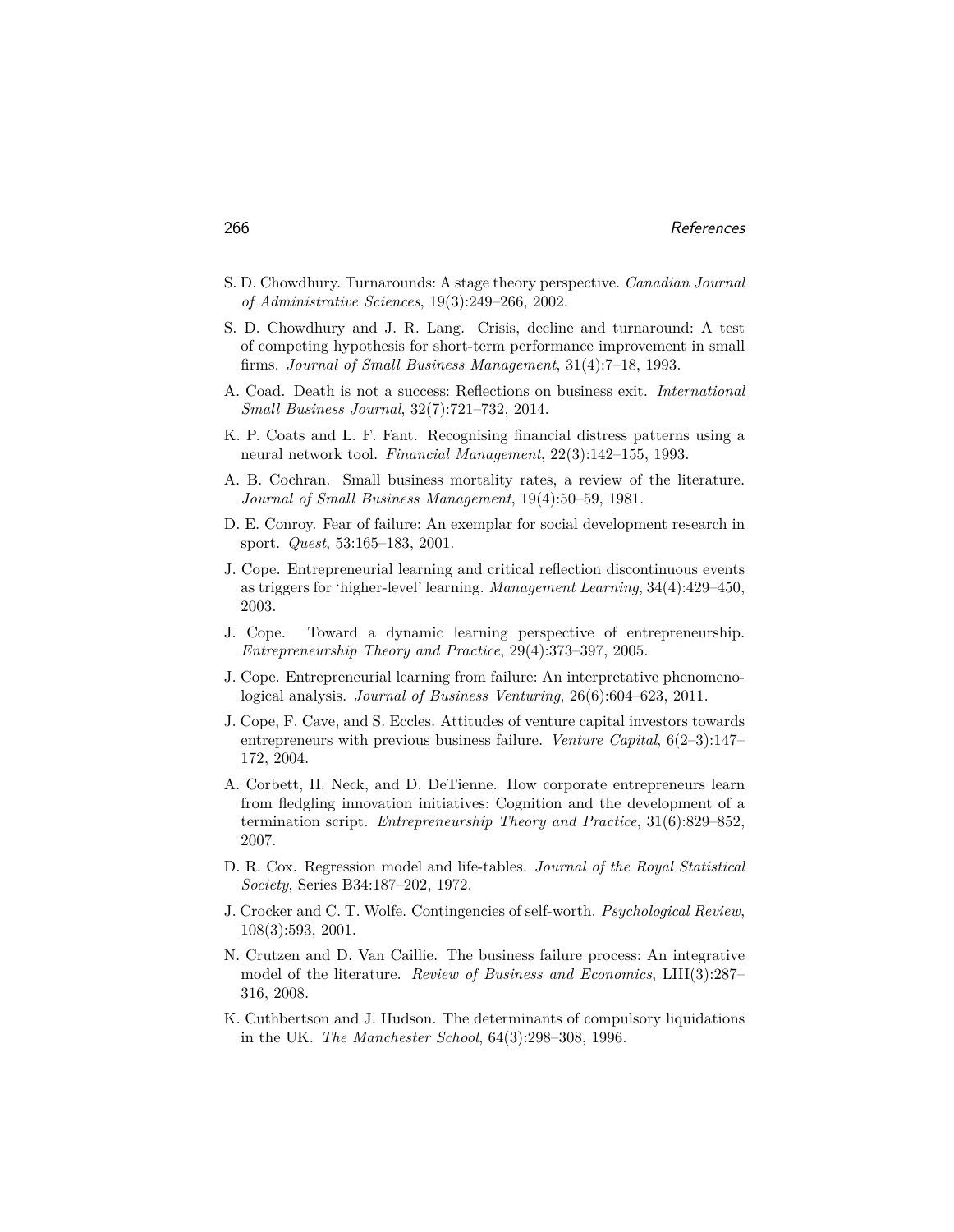- S. D. Chowdhury. Turnarounds: A stage theory perspective. *Canadian Journal of Administrative Sciences*, 19(3):249–266, 2002.
- S. D. Chowdhury and J. R. Lang. Crisis, decline and turnaround: A test of competing hypothesis for short-term performance improvement in small firms. *Journal of Small Business Management*, 31(4):7–18, 1993.
- A. Coad. Death is not a success: Reflections on business exit. *International Small Business Journal*, 32(7):721–732, 2014.
- K. P. Coats and L. F. Fant. Recognising financial distress patterns using a neural network tool. *Financial Management*, 22(3):142–155, 1993.
- A. B. Cochran. Small business mortality rates, a review of the literature. *Journal of Small Business Management*, 19(4):50–59, 1981.
- D. E. Conroy. Fear of failure: An exemplar for social development research in sport. *Quest*, 53:165–183, 2001.
- J. Cope. Entrepreneurial learning and critical reflection discontinuous events as triggers for 'higher-level' learning. *Management Learning*, 34(4):429–450, 2003.
- J. Cope. Toward a dynamic learning perspective of entrepreneurship. *Entrepreneurship Theory and Practice*, 29(4):373–397, 2005.
- <span id="page-106-1"></span>J. Cope. Entrepreneurial learning from failure: An interpretative phenomenological analysis. *Journal of Business Venturing*, 26(6):604–623, 2011.
- <span id="page-106-0"></span>J. Cope, F. Cave, and S. Eccles. Attitudes of venture capital investors towards entrepreneurs with previous business failure. *Venture Capital*, 6(2–3):147– 172, 2004.
- A. Corbett, H. Neck, and D. DeTienne. How corporate entrepreneurs learn from fledgling innovation initiatives: Cognition and the development of a termination script. *Entrepreneurship Theory and Practice*, 31(6):829–852, 2007.
- D. R. Cox. Regression model and life-tables. *Journal of the Royal Statistical Society*, Series B34:187–202, 1972.
- <span id="page-106-2"></span>J. Crocker and C. T. Wolfe. Contingencies of self-worth. *Psychological Review*, 108(3):593, 2001.
- <span id="page-106-3"></span>N. Crutzen and D. Van Caillie. The business failure process: An integrative model of the literature. *Review of Business and Economics*, LIII(3):287– 316, 2008.
- K. Cuthbertson and J. Hudson. The determinants of compulsory liquidations in the UK. *The Manchester School*, 64(3):298–308, 1996.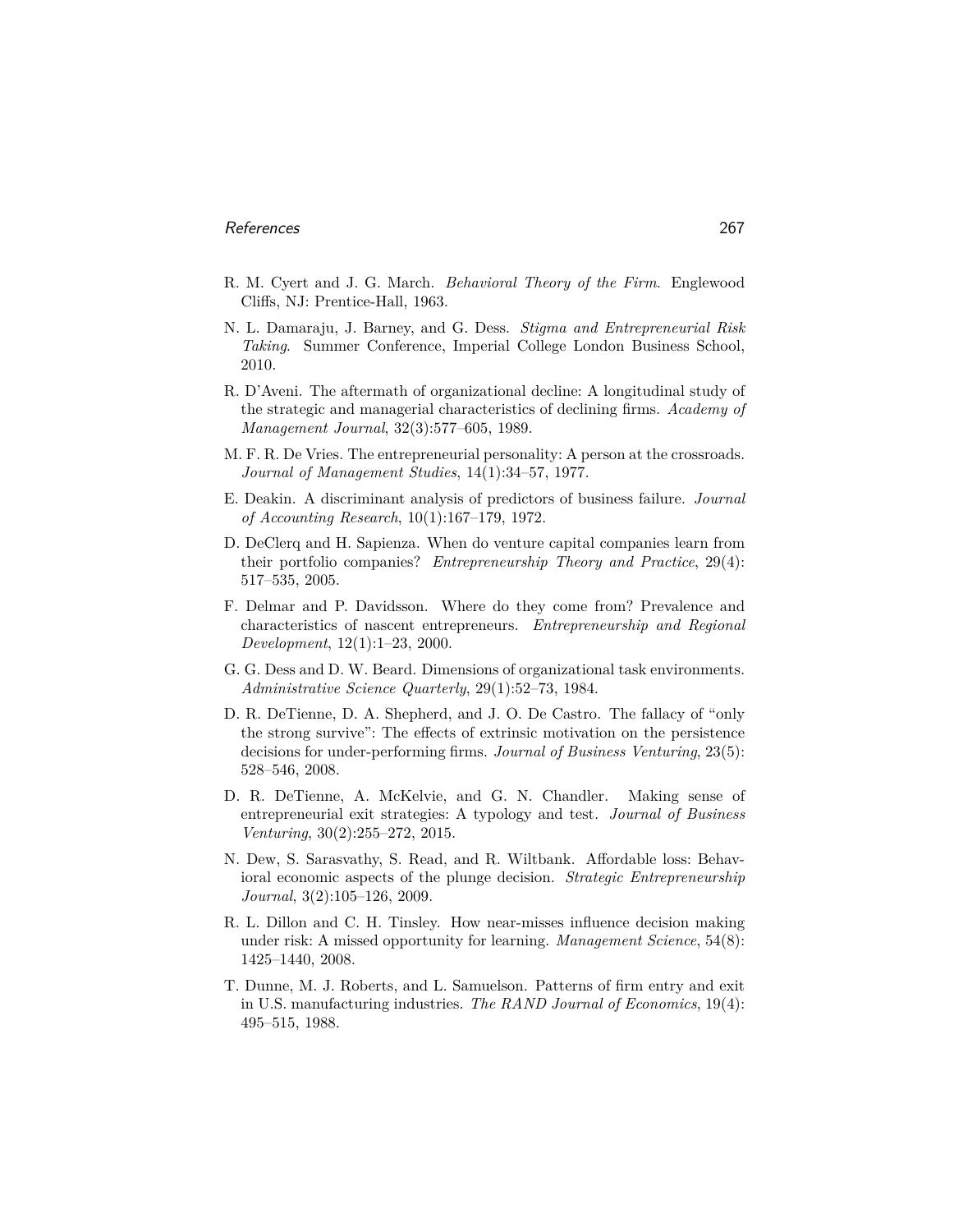- R. M. Cyert and J. G. March. *Behavioral Theory of the Firm*. Englewood Cliffs, NJ: Prentice-Hall, 1963.
- N. L. Damaraju, J. Barney, and G. Dess. *Stigma and Entrepreneurial Risk Taking*. Summer Conference, Imperial College London Business School, 2010.
- R. D'Aveni. The aftermath of organizational decline: A longitudinal study of the strategic and managerial characteristics of declining firms. *Academy of Management Journal*, 32(3):577–605, 1989.
- <span id="page-107-1"></span>M. F. R. De Vries. The entrepreneurial personality: A person at the crossroads. *Journal of Management Studies*, 14(1):34–57, 1977.
- E. Deakin. A discriminant analysis of predictors of business failure. *Journal of Accounting Research*, 10(1):167–179, 1972.
- D. DeClerq and H. Sapienza. When do venture capital companies learn from their portfolio companies? *Entrepreneurship Theory and Practice*, 29(4): 517–535, 2005.
- <span id="page-107-2"></span>F. Delmar and P. Davidsson. Where do they come from? Prevalence and characteristics of nascent entrepreneurs. *Entrepreneurship and Regional Development*, 12(1):1–23, 2000.
- G. G. Dess and D. W. Beard. Dimensions of organizational task environments. *Administrative Science Quarterly*, 29(1):52–73, 1984.
- <span id="page-107-3"></span>D. R. DeTienne, D. A. Shepherd, and J. O. De Castro. The fallacy of "only the strong survive": The effects of extrinsic motivation on the persistence decisions for under-performing firms. *Journal of Business Venturing*, 23(5): 528–546, 2008.
- D. R. DeTienne, A. McKelvie, and G. N. Chandler. Making sense of entrepreneurial exit strategies: A typology and test. *Journal of Business Venturing*, 30(2):255–272, 2015.
- <span id="page-107-0"></span>N. Dew, S. Sarasvathy, S. Read, and R. Wiltbank. Affordable loss: Behavioral economic aspects of the plunge decision. *Strategic Entrepreneurship Journal*, 3(2):105–126, 2009.
- R. L. Dillon and C. H. Tinsley. How near-misses influence decision making under risk: A missed opportunity for learning. *Management Science*, 54(8): 1425–1440, 2008.
- T. Dunne, M. J. Roberts, and L. Samuelson. Patterns of firm entry and exit in U.S. manufacturing industries. *The RAND Journal of Economics*, 19(4): 495–515, 1988.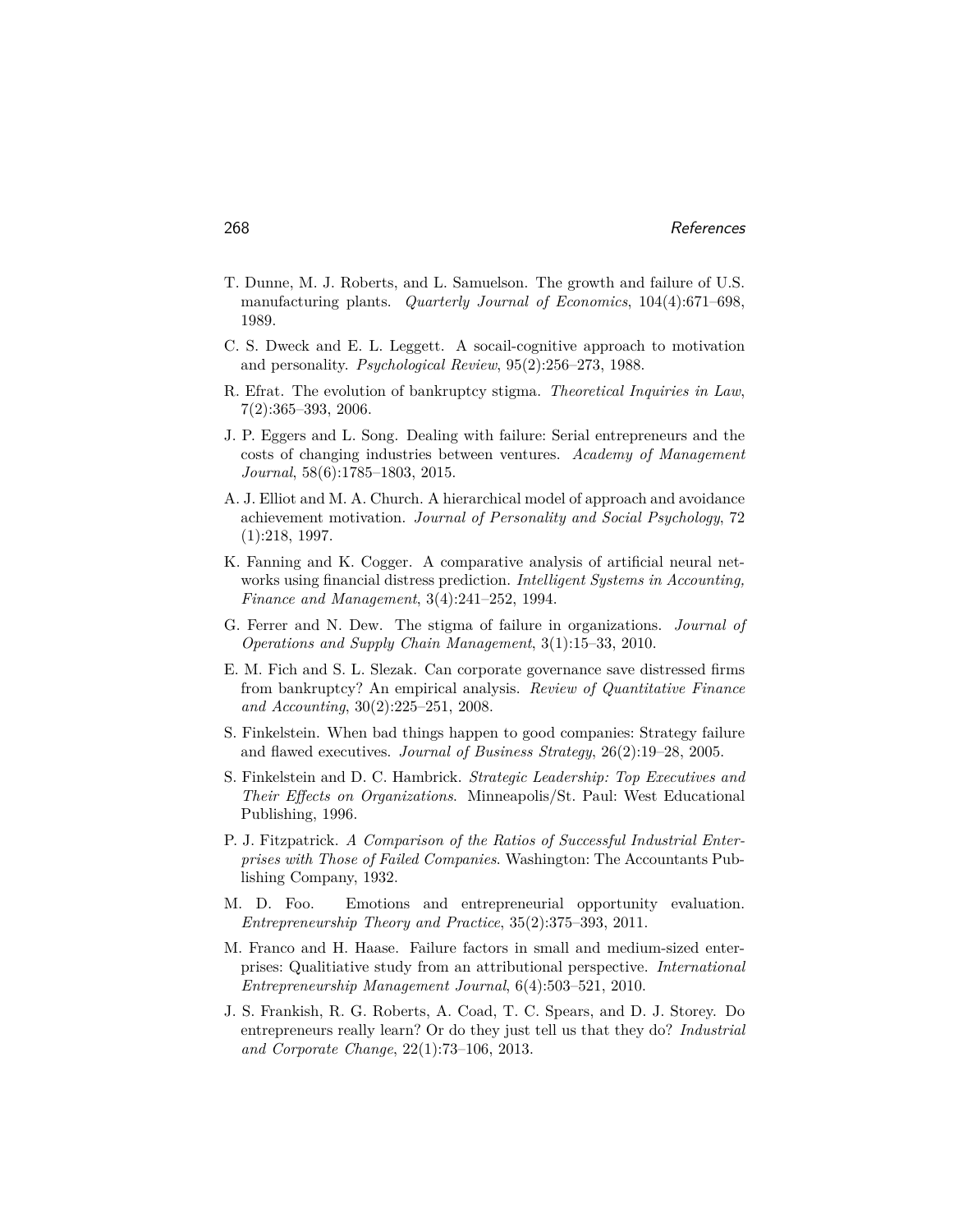- T. Dunne, M. J. Roberts, and L. Samuelson. The growth and failure of U.S. manufacturing plants. *Quarterly Journal of Economics*, 104(4):671–698, 1989.
- C. S. Dweck and E. L. Leggett. A socail-cognitive approach to motivation and personality. *Psychological Review*, 95(2):256–273, 1988.
- R. Efrat. The evolution of bankruptcy stigma. *Theoretical Inquiries in Law*, 7(2):365–393, 2006.
- J. P. Eggers and L. Song. Dealing with failure: Serial entrepreneurs and the costs of changing industries between ventures. *Academy of Management Journal*, 58(6):1785–1803, 2015.
- A. J. Elliot and M. A. Church. A hierarchical model of approach and avoidance achievement motivation. *Journal of Personality and Social Psychology*, 72 (1):218, 1997.
- K. Fanning and K. Cogger. A comparative analysis of artificial neural networks using financial distress prediction. *Intelligent Systems in Accounting, Finance and Management*, 3(4):241–252, 1994.
- G. Ferrer and N. Dew. The stigma of failure in organizations. *Journal of Operations and Supply Chain Management*, 3(1):15–33, 2010.
- E. M. Fich and S. L. Slezak. Can corporate governance save distressed firms from bankruptcy? An empirical analysis. *Review of Quantitative Finance and Accounting*, 30(2):225–251, 2008.
- S. Finkelstein. When bad things happen to good companies: Strategy failure and flawed executives. *Journal of Business Strategy*, 26(2):19–28, 2005.
- S. Finkelstein and D. C. Hambrick. *Strategic Leadership: Top Executives and Their Effects on Organizations*. Minneapolis/St. Paul: West Educational Publishing, 1996.
- P. J. Fitzpatrick. *A Comparison of the Ratios of Successful Industrial Enterprises with Those of Failed Companies*. Washington: The Accountants Publishing Company, 1932.
- M. D. Foo. Emotions and entrepreneurial opportunity evaluation. *Entrepreneurship Theory and Practice*, 35(2):375–393, 2011.
- M. Franco and H. Haase. Failure factors in small and medium-sized enterprises: Qualitiative study from an attributional perspective. *International Entrepreneurship Management Journal*, 6(4):503–521, 2010.
- J. S. Frankish, R. G. Roberts, A. Coad, T. C. Spears, and D. J. Storey. Do entrepreneurs really learn? Or do they just tell us that they do? *Industrial and Corporate Change*, 22(1):73–106, 2013.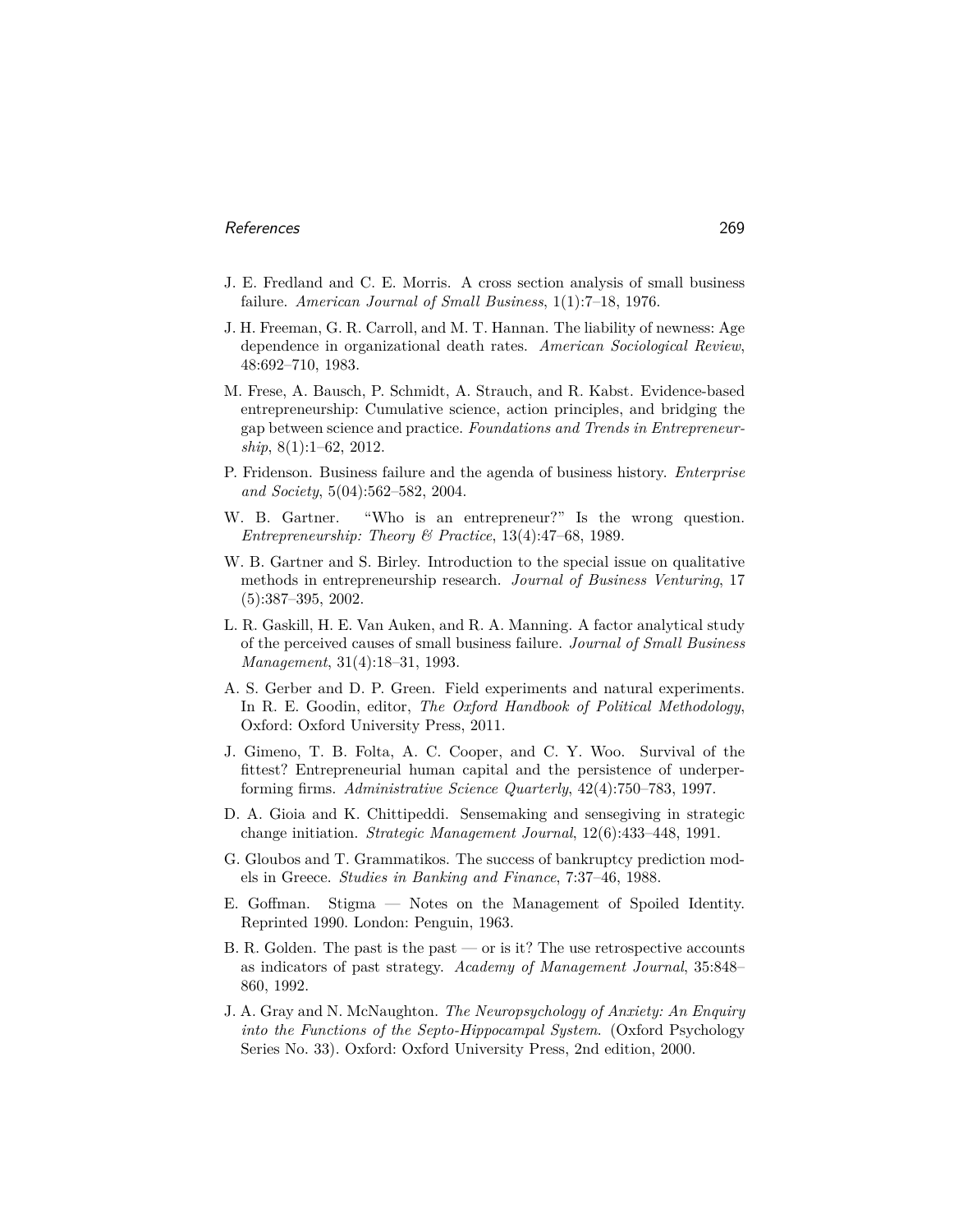- J. E. Fredland and C. E. Morris. A cross section analysis of small business failure. *American Journal of Small Business*, 1(1):7–18, 1976.
- J. H. Freeman, G. R. Carroll, and M. T. Hannan. The liability of newness: Age dependence in organizational death rates. *American Sociological Review*, 48:692–710, 1983.
- M. Frese, A. Bausch, P. Schmidt, A. Strauch, and R. Kabst. Evidence-based entrepreneurship: Cumulative science, action principles, and bridging the gap between science and practice. *Foundations and Trends in Entrepreneurship*, 8(1):1–62, 2012.
- P. Fridenson. Business failure and the agenda of business history. *Enterprise and Society*, 5(04):562–582, 2004.
- W. B. Gartner. "Who is an entrepreneur?" Is the wrong question. *Entrepreneurship: Theory & Practice*, 13(4):47–68, 1989.
- W. B. Gartner and S. Birley. Introduction to the special issue on qualitative methods in entrepreneurship research. *Journal of Business Venturing*, 17 (5):387–395, 2002.
- L. R. Gaskill, H. E. Van Auken, and R. A. Manning. A factor analytical study of the perceived causes of small business failure. *Journal of Small Business Management*, 31(4):18–31, 1993.
- A. S. Gerber and D. P. Green. Field experiments and natural experiments. In R. E. Goodin, editor, *The Oxford Handbook of Political Methodology*, Oxford: Oxford University Press, 2011.
- J. Gimeno, T. B. Folta, A. C. Cooper, and C. Y. Woo. Survival of the fittest? Entrepreneurial human capital and the persistence of underperforming firms. *Administrative Science Quarterly*, 42(4):750–783, 1997.
- D. A. Gioia and K. Chittipeddi. Sensemaking and sensegiving in strategic change initiation. *Strategic Management Journal*, 12(6):433–448, 1991.
- G. Gloubos and T. Grammatikos. The success of bankruptcy prediction models in Greece. *Studies in Banking and Finance*, 7:37–46, 1988.
- E. Goffman. Stigma Notes on the Management of Spoiled Identity. Reprinted 1990. London: Penguin, 1963.
- B. R. Golden. The past is the past or is it? The use retrospective accounts as indicators of past strategy. *Academy of Management Journal*, 35:848– 860, 1992.
- J. A. Gray and N. McNaughton. *The Neuropsychology of Anxiety: An Enquiry into the Functions of the Septo-Hippocampal System*. (Oxford Psychology Series No. 33). Oxford: Oxford University Press, 2nd edition, 2000.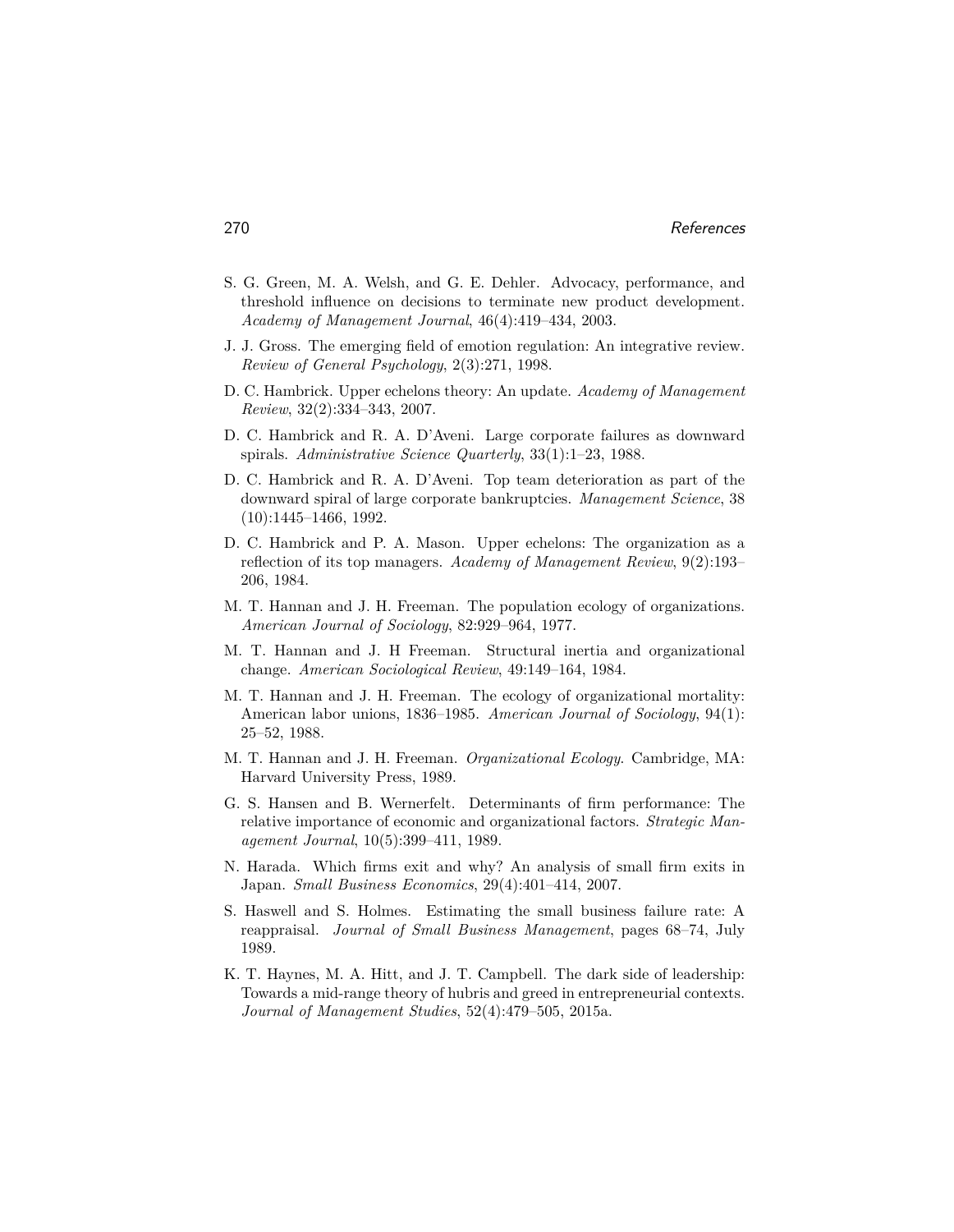- S. G. Green, M. A. Welsh, and G. E. Dehler. Advocacy, performance, and threshold influence on decisions to terminate new product development. *Academy of Management Journal*, 46(4):419–434, 2003.
- J. J. Gross. The emerging field of emotion regulation: An integrative review. *Review of General Psychology*, 2(3):271, 1998.
- D. C. Hambrick. Upper echelons theory: An update. *Academy of Management Review*, 32(2):334–343, 2007.
- D. C. Hambrick and R. A. D'Aveni. Large corporate failures as downward spirals. *Administrative Science Quarterly*, 33(1):1–23, 1988.
- D. C. Hambrick and R. A. D'Aveni. Top team deterioration as part of the downward spiral of large corporate bankruptcies. *Management Science*, 38 (10):1445–1466, 1992.
- D. C. Hambrick and P. A. Mason. Upper echelons: The organization as a reflection of its top managers. *Academy of Management Review*, 9(2):193– 206, 1984.
- M. T. Hannan and J. H. Freeman. The population ecology of organizations. *American Journal of Sociology*, 82:929–964, 1977.
- M. T. Hannan and J. H Freeman. Structural inertia and organizational change. *American Sociological Review*, 49:149–164, 1984.
- M. T. Hannan and J. H. Freeman. The ecology of organizational mortality: American labor unions, 1836–1985. *American Journal of Sociology*, 94(1): 25–52, 1988.
- M. T. Hannan and J. H. Freeman. *Organizational Ecology*. Cambridge, MA: Harvard University Press, 1989.
- G. S. Hansen and B. Wernerfelt. Determinants of firm performance: The relative importance of economic and organizational factors. *Strategic Management Journal*, 10(5):399–411, 1989.
- N. Harada. Which firms exit and why? An analysis of small firm exits in Japan. *Small Business Economics*, 29(4):401–414, 2007.
- S. Haswell and S. Holmes. Estimating the small business failure rate: A reappraisal. *Journal of Small Business Management*, pages 68–74, July 1989.
- K. T. Haynes, M. A. Hitt, and J. T. Campbell. The dark side of leadership: Towards a mid-range theory of hubris and greed in entrepreneurial contexts. *Journal of Management Studies*, 52(4):479–505, 2015a.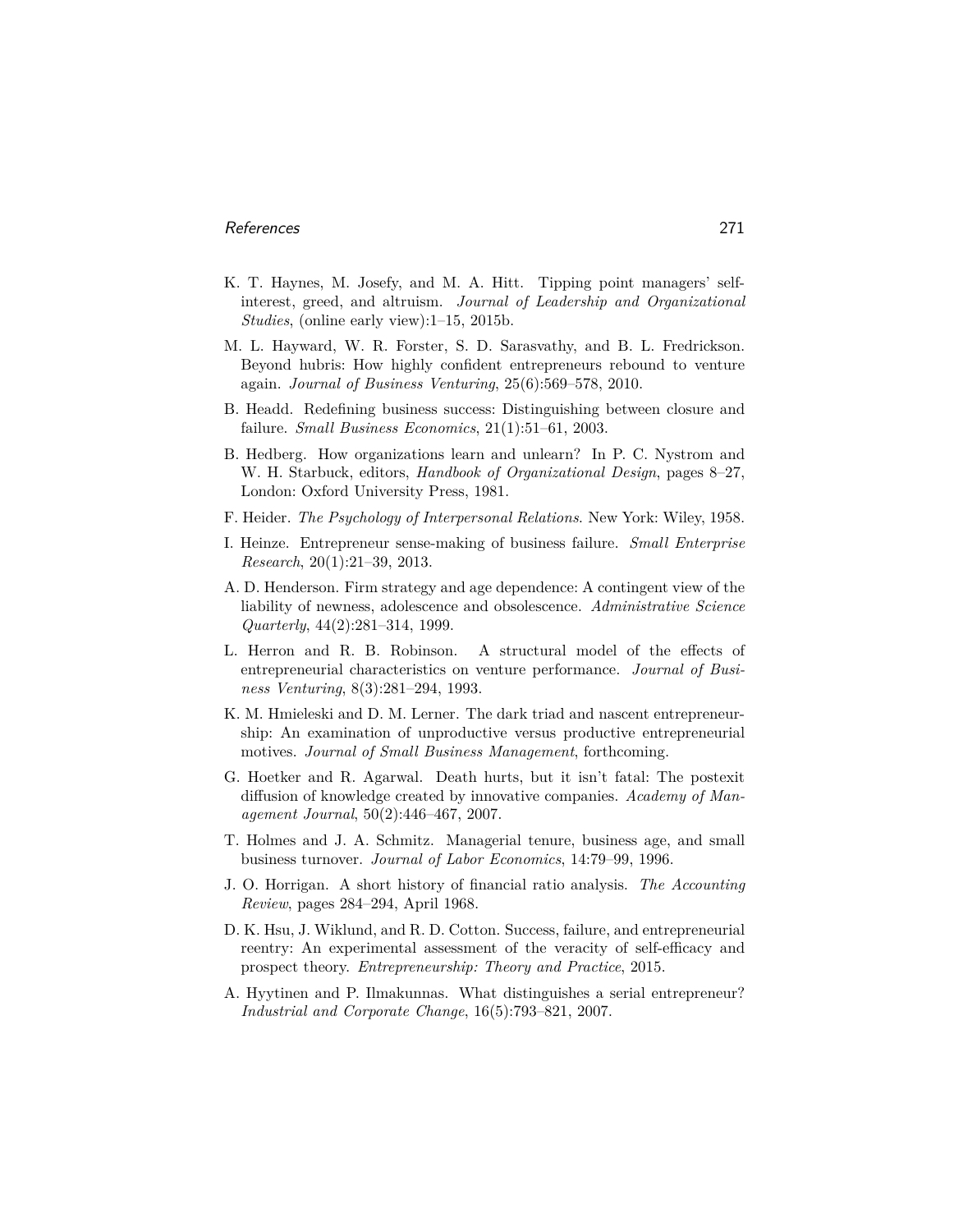- K. T. Haynes, M. Josefy, and M. A. Hitt. Tipping point managers' selfinterest, greed, and altruism. *Journal of Leadership and Organizational Studies*, (online early view):1–15, 2015b.
- M. L. Hayward, W. R. Forster, S. D. Sarasvathy, and B. L. Fredrickson. Beyond hubris: How highly confident entrepreneurs rebound to venture again. *Journal of Business Venturing*, 25(6):569–578, 2010.
- B. Headd. Redefining business success: Distinguishing between closure and failure. *Small Business Economics*, 21(1):51–61, 2003.
- B. Hedberg. How organizations learn and unlearn? In P. C. Nystrom and W. H. Starbuck, editors, *Handbook of Organizational Design*, pages 8–27, London: Oxford University Press, 1981.
- F. Heider. *The Psychology of Interpersonal Relations*. New York: Wiley, 1958.
- I. Heinze. Entrepreneur sense-making of business failure. *Small Enterprise Research*, 20(1):21–39, 2013.
- A. D. Henderson. Firm strategy and age dependence: A contingent view of the liability of newness, adolescence and obsolescence. *Administrative Science Quarterly*, 44(2):281–314, 1999.
- L. Herron and R. B. Robinson. A structural model of the effects of entrepreneurial characteristics on venture performance. *Journal of Business Venturing*, 8(3):281–294, 1993.
- K. M. Hmieleski and D. M. Lerner. The dark triad and nascent entrepreneurship: An examination of unproductive versus productive entrepreneurial motives. *Journal of Small Business Management*, forthcoming.
- G. Hoetker and R. Agarwal. Death hurts, but it isn't fatal: The postexit diffusion of knowledge created by innovative companies. *Academy of Management Journal*, 50(2):446–467, 2007.
- T. Holmes and J. A. Schmitz. Managerial tenure, business age, and small business turnover. *Journal of Labor Economics*, 14:79–99, 1996.
- J. O. Horrigan. A short history of financial ratio analysis. *The Accounting Review*, pages 284–294, April 1968.
- D. K. Hsu, J. Wiklund, and R. D. Cotton. Success, failure, and entrepreneurial reentry: An experimental assessment of the veracity of self-efficacy and prospect theory. *Entrepreneurship: Theory and Practice*, 2015.
- A. Hyytinen and P. Ilmakunnas. What distinguishes a serial entrepreneur? *Industrial and Corporate Change*, 16(5):793–821, 2007.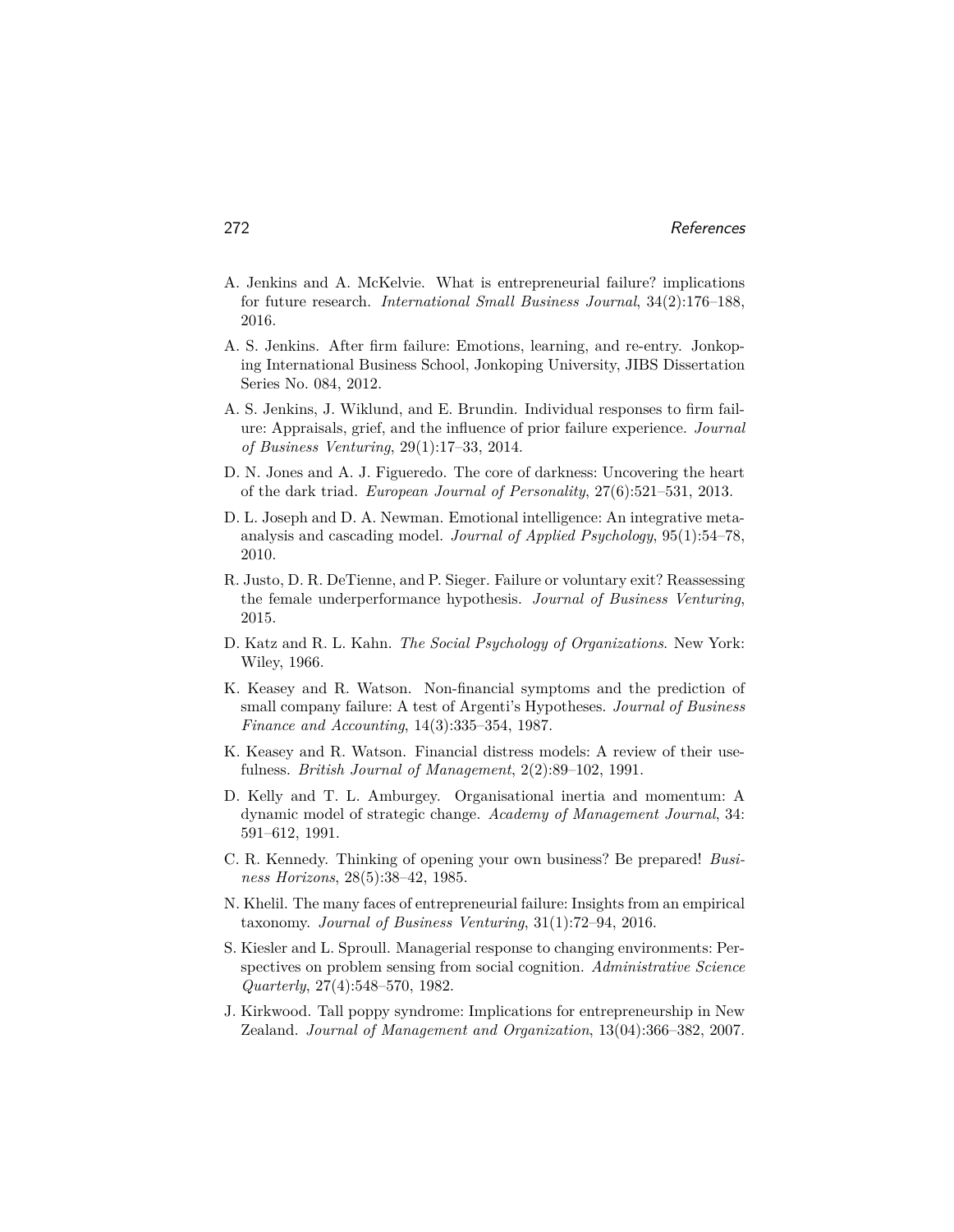- A. Jenkins and A. McKelvie. What is entrepreneurial failure? implications for future research. *International Small Business Journal*, 34(2):176–188, 2016.
- A. S. Jenkins. After firm failure: Emotions, learning, and re-entry. Jonkoping International Business School, Jonkoping University, JIBS Dissertation Series No. 084, 2012.
- A. S. Jenkins, J. Wiklund, and E. Brundin. Individual responses to firm failure: Appraisals, grief, and the influence of prior failure experience. *Journal of Business Venturing*, 29(1):17–33, 2014.
- D. N. Jones and A. J. Figueredo. The core of darkness: Uncovering the heart of the dark triad. *European Journal of Personality*, 27(6):521–531, 2013.
- D. L. Joseph and D. A. Newman. Emotional intelligence: An integrative metaanalysis and cascading model. *Journal of Applied Psychology*, 95(1):54–78, 2010.
- R. Justo, D. R. DeTienne, and P. Sieger. Failure or voluntary exit? Reassessing the female underperformance hypothesis. *Journal of Business Venturing*, 2015.
- D. Katz and R. L. Kahn. *The Social Psychology of Organizations*. New York: Wiley, 1966.
- K. Keasey and R. Watson. Non-financial symptoms and the prediction of small company failure: A test of Argenti's Hypotheses. *Journal of Business Finance and Accounting*, 14(3):335–354, 1987.
- K. Keasey and R. Watson. Financial distress models: A review of their usefulness. *British Journal of Management*, 2(2):89–102, 1991.
- D. Kelly and T. L. Amburgey. Organisational inertia and momentum: A dynamic model of strategic change. *Academy of Management Journal*, 34: 591–612, 1991.
- C. R. Kennedy. Thinking of opening your own business? Be prepared! *Business Horizons*, 28(5):38–42, 1985.
- N. Khelil. The many faces of entrepreneurial failure: Insights from an empirical taxonomy. *Journal of Business Venturing*, 31(1):72–94, 2016.
- S. Kiesler and L. Sproull. Managerial response to changing environments: Perspectives on problem sensing from social cognition. *Administrative Science Quarterly*, 27(4):548–570, 1982.
- J. Kirkwood. Tall poppy syndrome: Implications for entrepreneurship in New Zealand. *Journal of Management and Organization*, 13(04):366–382, 2007.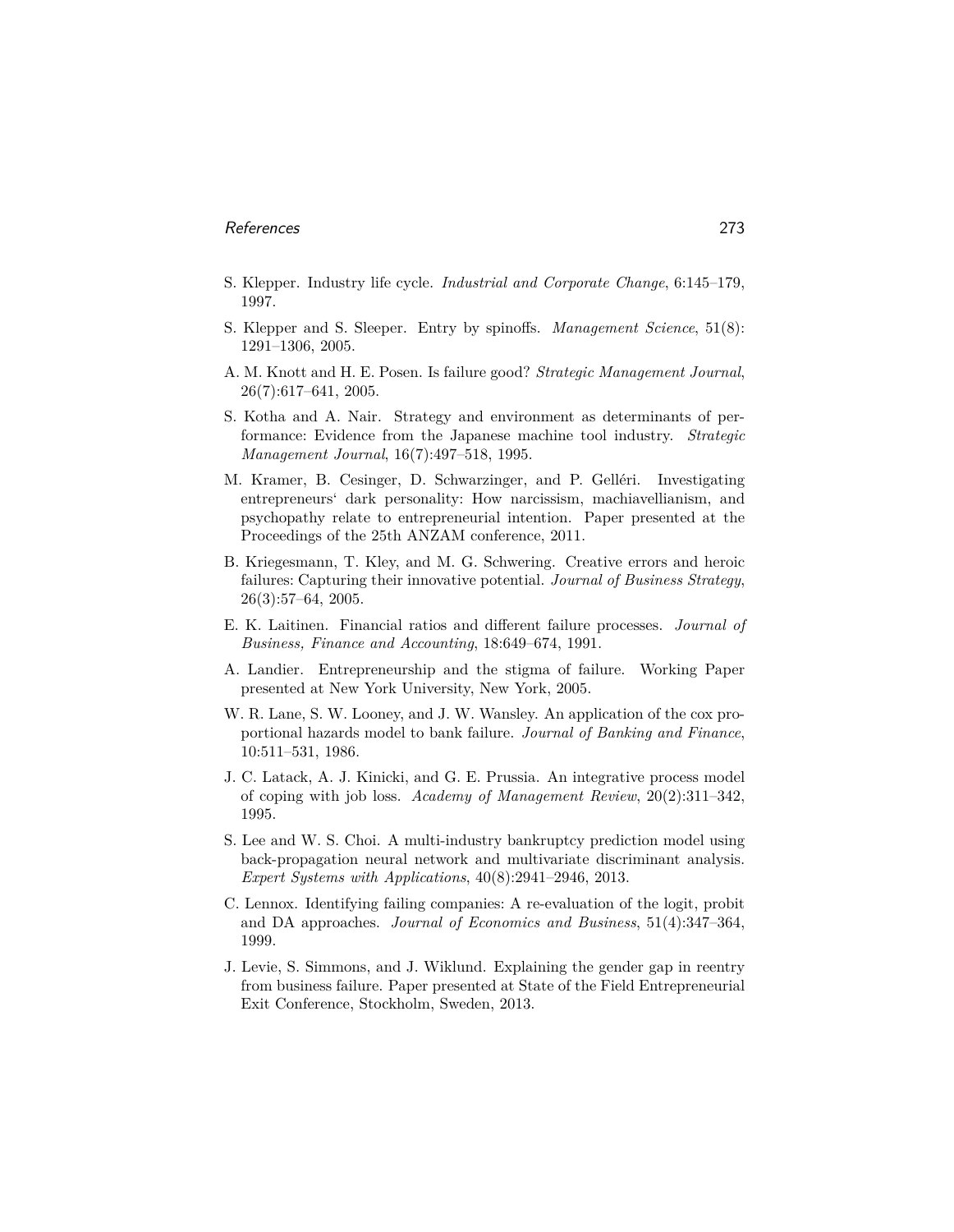- S. Klepper. Industry life cycle. *Industrial and Corporate Change*, 6:145–179, 1997.
- S. Klepper and S. Sleeper. Entry by spinoffs. *Management Science*, 51(8): 1291–1306, 2005.
- A. M. Knott and H. E. Posen. Is failure good? *Strategic Management Journal*, 26(7):617–641, 2005.
- S. Kotha and A. Nair. Strategy and environment as determinants of performance: Evidence from the Japanese machine tool industry. *Strategic Management Journal*, 16(7):497–518, 1995.
- M. Kramer, B. Cesinger, D. Schwarzinger, and P. Gelléri. Investigating entrepreneurs' dark personality: How narcissism, machiavellianism, and psychopathy relate to entrepreneurial intention. Paper presented at the Proceedings of the 25th ANZAM conference, 2011.
- B. Kriegesmann, T. Kley, and M. G. Schwering. Creative errors and heroic failures: Capturing their innovative potential. *Journal of Business Strategy*, 26(3):57–64, 2005.
- E. K. Laitinen. Financial ratios and different failure processes. *Journal of Business, Finance and Accounting*, 18:649–674, 1991.
- A. Landier. Entrepreneurship and the stigma of failure. Working Paper presented at New York University, New York, 2005.
- W. R. Lane, S. W. Looney, and J. W. Wansley. An application of the cox proportional hazards model to bank failure. *Journal of Banking and Finance*, 10:511–531, 1986.
- J. C. Latack, A. J. Kinicki, and G. E. Prussia. An integrative process model of coping with job loss. *Academy of Management Review*, 20(2):311–342, 1995.
- S. Lee and W. S. Choi. A multi-industry bankruptcy prediction model using back-propagation neural network and multivariate discriminant analysis. *Expert Systems with Applications*, 40(8):2941–2946, 2013.
- C. Lennox. Identifying failing companies: A re-evaluation of the logit, probit and DA approaches. *Journal of Economics and Business*, 51(4):347–364, 1999.
- J. Levie, S. Simmons, and J. Wiklund. Explaining the gender gap in reentry from business failure. Paper presented at State of the Field Entrepreneurial Exit Conference, Stockholm, Sweden, 2013.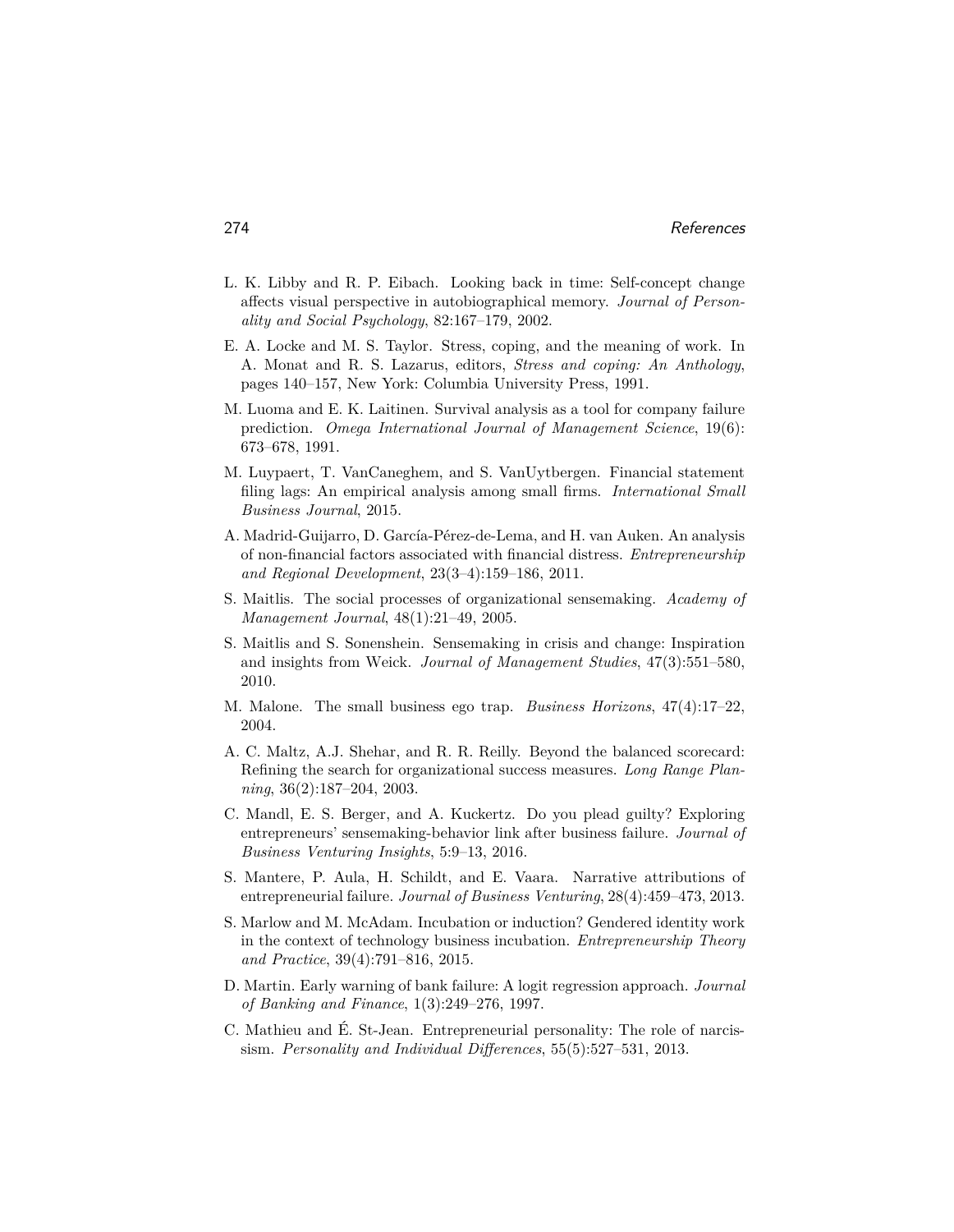- L. K. Libby and R. P. Eibach. Looking back in time: Self-concept change affects visual perspective in autobiographical memory. *Journal of Personality and Social Psychology*, 82:167–179, 2002.
- E. A. Locke and M. S. Taylor. Stress, coping, and the meaning of work. In A. Monat and R. S. Lazarus, editors, *Stress and coping: An Anthology*, pages 140–157, New York: Columbia University Press, 1991.
- M. Luoma and E. K. Laitinen. Survival analysis as a tool for company failure prediction. *Omega International Journal of Management Science*, 19(6): 673–678, 1991.
- M. Luypaert, T. VanCaneghem, and S. VanUytbergen. Financial statement filing lags: An empirical analysis among small firms. *International Small Business Journal*, 2015.
- A. Madrid-Guijarro, D. García-Pérez-de-Lema, and H. van Auken. An analysis of non-financial factors associated with financial distress. *Entrepreneurship and Regional Development*, 23(3–4):159–186, 2011.
- S. Maitlis. The social processes of organizational sensemaking. *Academy of Management Journal*, 48(1):21–49, 2005.
- S. Maitlis and S. Sonenshein. Sensemaking in crisis and change: Inspiration and insights from Weick. *Journal of Management Studies*, 47(3):551–580, 2010.
- M. Malone. The small business ego trap. *Business Horizons*, 47(4):17–22, 2004.
- A. C. Maltz, A.J. Shehar, and R. R. Reilly. Beyond the balanced scorecard: Refining the search for organizational success measures. *Long Range Planning*, 36(2):187–204, 2003.
- C. Mandl, E. S. Berger, and A. Kuckertz. Do you plead guilty? Exploring entrepreneurs' sensemaking-behavior link after business failure. *Journal of Business Venturing Insights*, 5:9–13, 2016.
- S. Mantere, P. Aula, H. Schildt, and E. Vaara. Narrative attributions of entrepreneurial failure. *Journal of Business Venturing*, 28(4):459–473, 2013.
- S. Marlow and M. McAdam. Incubation or induction? Gendered identity work in the context of technology business incubation. *Entrepreneurship Theory and Practice*, 39(4):791–816, 2015.
- D. Martin. Early warning of bank failure: A logit regression approach. *Journal of Banking and Finance*, 1(3):249–276, 1997.
- C. Mathieu and É. St-Jean. Entrepreneurial personality: The role of narcissism. *Personality and Individual Differences*, 55(5):527–531, 2013.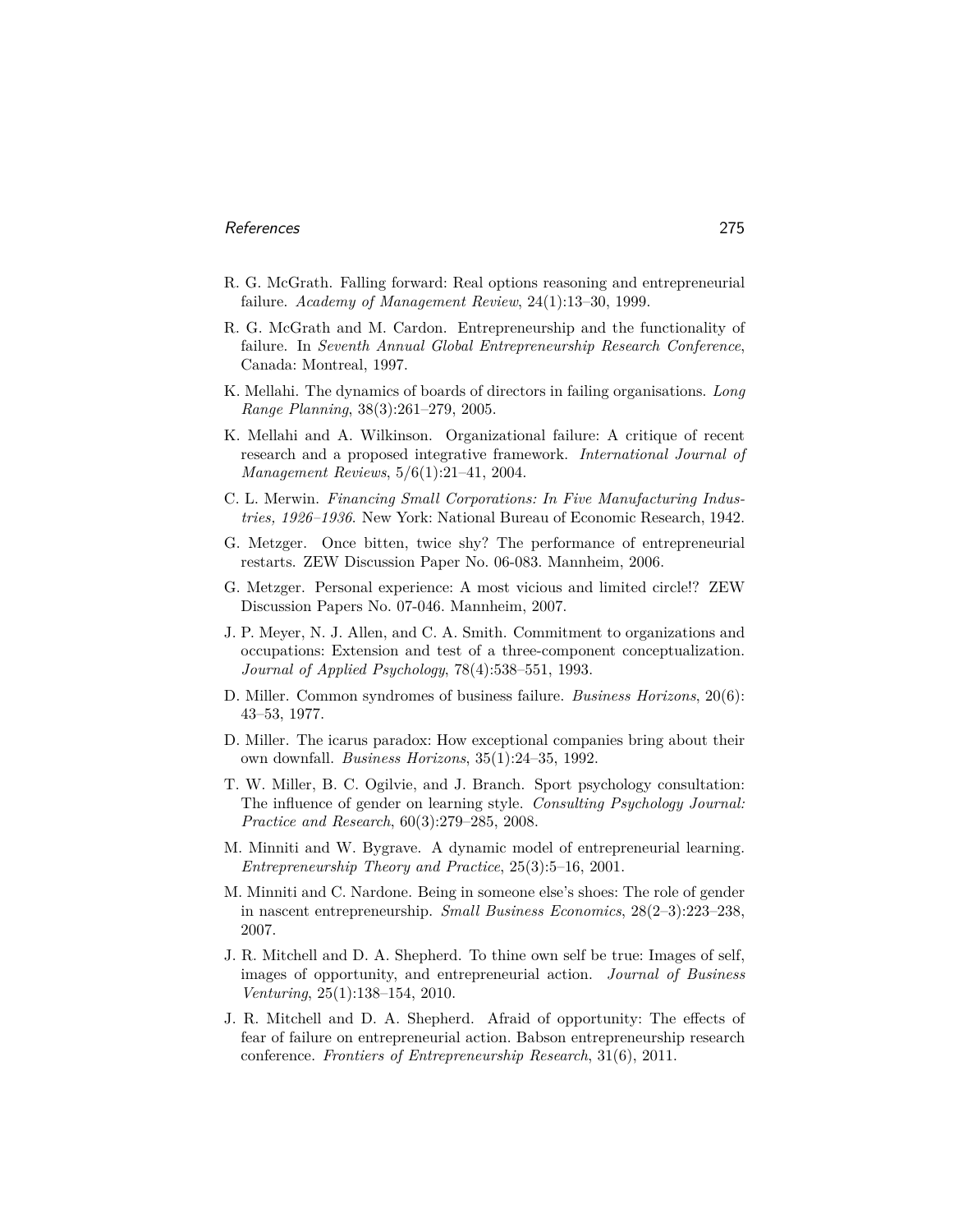- R. G. McGrath. Falling forward: Real options reasoning and entrepreneurial failure. *Academy of Management Review*, 24(1):13–30, 1999.
- R. G. McGrath and M. Cardon. Entrepreneurship and the functionality of failure. In *Seventh Annual Global Entrepreneurship Research Conference*, Canada: Montreal, 1997.
- K. Mellahi. The dynamics of boards of directors in failing organisations. *Long Range Planning*, 38(3):261–279, 2005.
- K. Mellahi and A. Wilkinson. Organizational failure: A critique of recent research and a proposed integrative framework. *International Journal of Management Reviews*, 5/6(1):21–41, 2004.
- C. L. Merwin. *Financing Small Corporations: In Five Manufacturing Industries, 1926–1936*. New York: National Bureau of Economic Research, 1942.
- G. Metzger. Once bitten, twice shy? The performance of entrepreneurial restarts. ZEW Discussion Paper No. 06-083. Mannheim, 2006.
- G. Metzger. Personal experience: A most vicious and limited circle!? ZEW Discussion Papers No. 07-046. Mannheim, 2007.
- J. P. Meyer, N. J. Allen, and C. A. Smith. Commitment to organizations and occupations: Extension and test of a three-component conceptualization. *Journal of Applied Psychology*, 78(4):538–551, 1993.
- D. Miller. Common syndromes of business failure. *Business Horizons*, 20(6): 43–53, 1977.
- D. Miller. The icarus paradox: How exceptional companies bring about their own downfall. *Business Horizons*, 35(1):24–35, 1992.
- T. W. Miller, B. C. Ogilvie, and J. Branch. Sport psychology consultation: The influence of gender on learning style. *Consulting Psychology Journal: Practice and Research*, 60(3):279–285, 2008.
- M. Minniti and W. Bygrave. A dynamic model of entrepreneurial learning. *Entrepreneurship Theory and Practice*, 25(3):5–16, 2001.
- M. Minniti and C. Nardone. Being in someone else's shoes: The role of gender in nascent entrepreneurship. *Small Business Economics*, 28(2–3):223–238, 2007.
- J. R. Mitchell and D. A. Shepherd. To thine own self be true: Images of self, images of opportunity, and entrepreneurial action. *Journal of Business Venturing*, 25(1):138–154, 2010.
- J. R. Mitchell and D. A. Shepherd. Afraid of opportunity: The effects of fear of failure on entrepreneurial action. Babson entrepreneurship research conference. *Frontiers of Entrepreneurship Research*, 31(6), 2011.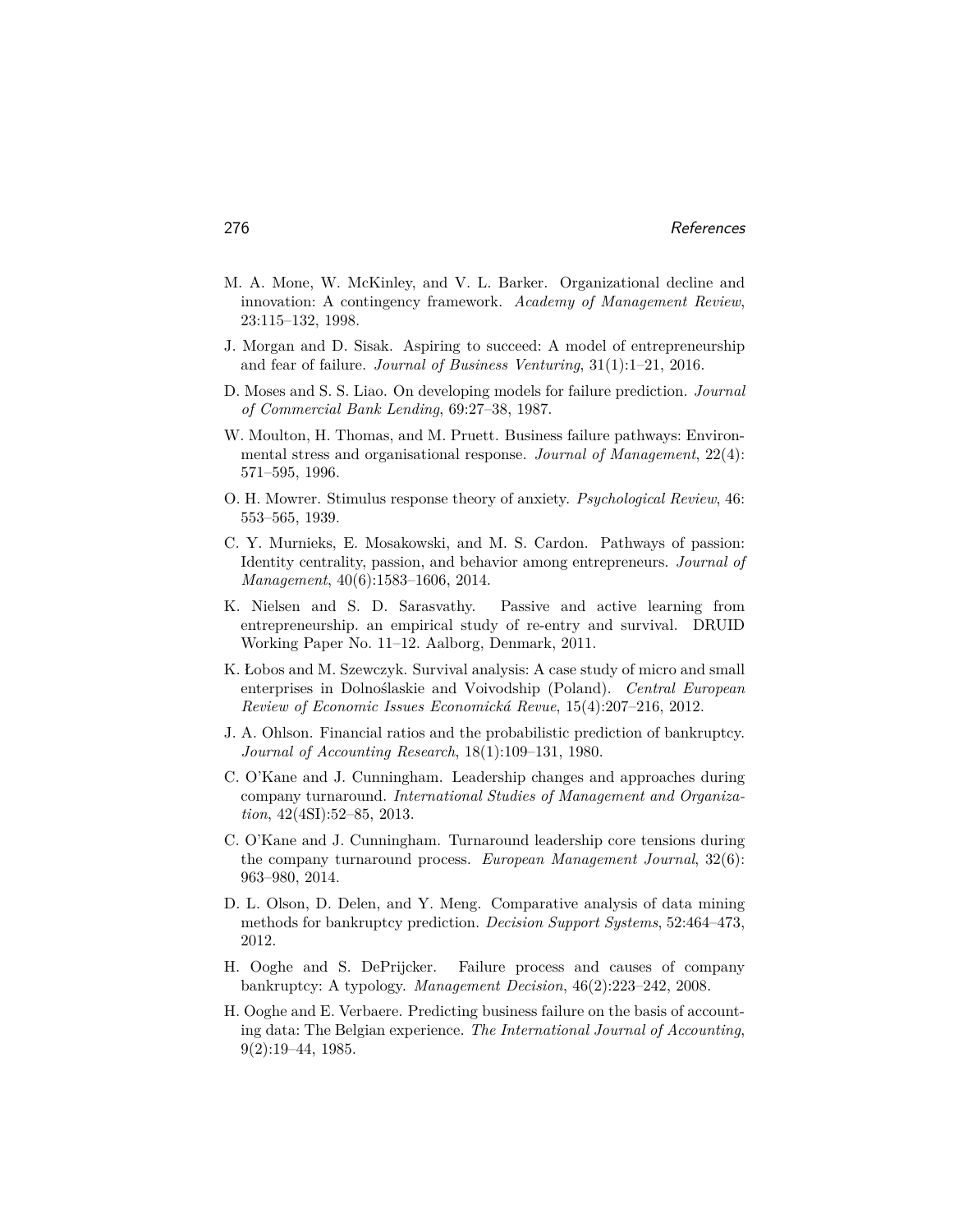- M. A. Mone, W. McKinley, and V. L. Barker. Organizational decline and innovation: A contingency framework. *Academy of Management Review*, 23:115–132, 1998.
- J. Morgan and D. Sisak. Aspiring to succeed: A model of entrepreneurship and fear of failure. *Journal of Business Venturing*, 31(1):1–21, 2016.
- D. Moses and S. S. Liao. On developing models for failure prediction. *Journal of Commercial Bank Lending*, 69:27–38, 1987.
- W. Moulton, H. Thomas, and M. Pruett. Business failure pathways: Environmental stress and organisational response. *Journal of Management*, 22(4): 571–595, 1996.
- O. H. Mowrer. Stimulus response theory of anxiety. *Psychological Review*, 46: 553–565, 1939.
- C. Y. Murnieks, E. Mosakowski, and M. S. Cardon. Pathways of passion: Identity centrality, passion, and behavior among entrepreneurs. *Journal of Management*, 40(6):1583–1606, 2014.
- K. Nielsen and S. D. Sarasvathy. Passive and active learning from entrepreneurship. an empirical study of re-entry and survival. DRUID Working Paper No. 11–12. Aalborg, Denmark, 2011.
- K. Łobos and M. Szewczyk. Survival analysis: A case study of micro and small enterprises in Dolnoślaskie and Voivodship (Poland). *Central European Review of Economic Issues Economická Revue*, 15(4):207–216, 2012.
- J. A. Ohlson. Financial ratios and the probabilistic prediction of bankruptcy. *Journal of Accounting Research*, 18(1):109–131, 1980.
- C. O'Kane and J. Cunningham. Leadership changes and approaches during company turnaround. *International Studies of Management and Organization*, 42(4SI):52–85, 2013.
- C. O'Kane and J. Cunningham. Turnaround leadership core tensions during the company turnaround process. *European Management Journal*, 32(6): 963–980, 2014.
- D. L. Olson, D. Delen, and Y. Meng. Comparative analysis of data mining methods for bankruptcy prediction. *Decision Support Systems*, 52:464–473, 2012.
- H. Ooghe and S. DePrijcker. Failure process and causes of company bankruptcy: A typology. *Management Decision*, 46(2):223–242, 2008.
- H. Ooghe and E. Verbaere. Predicting business failure on the basis of accounting data: The Belgian experience. *The International Journal of Accounting*, 9(2):19–44, 1985.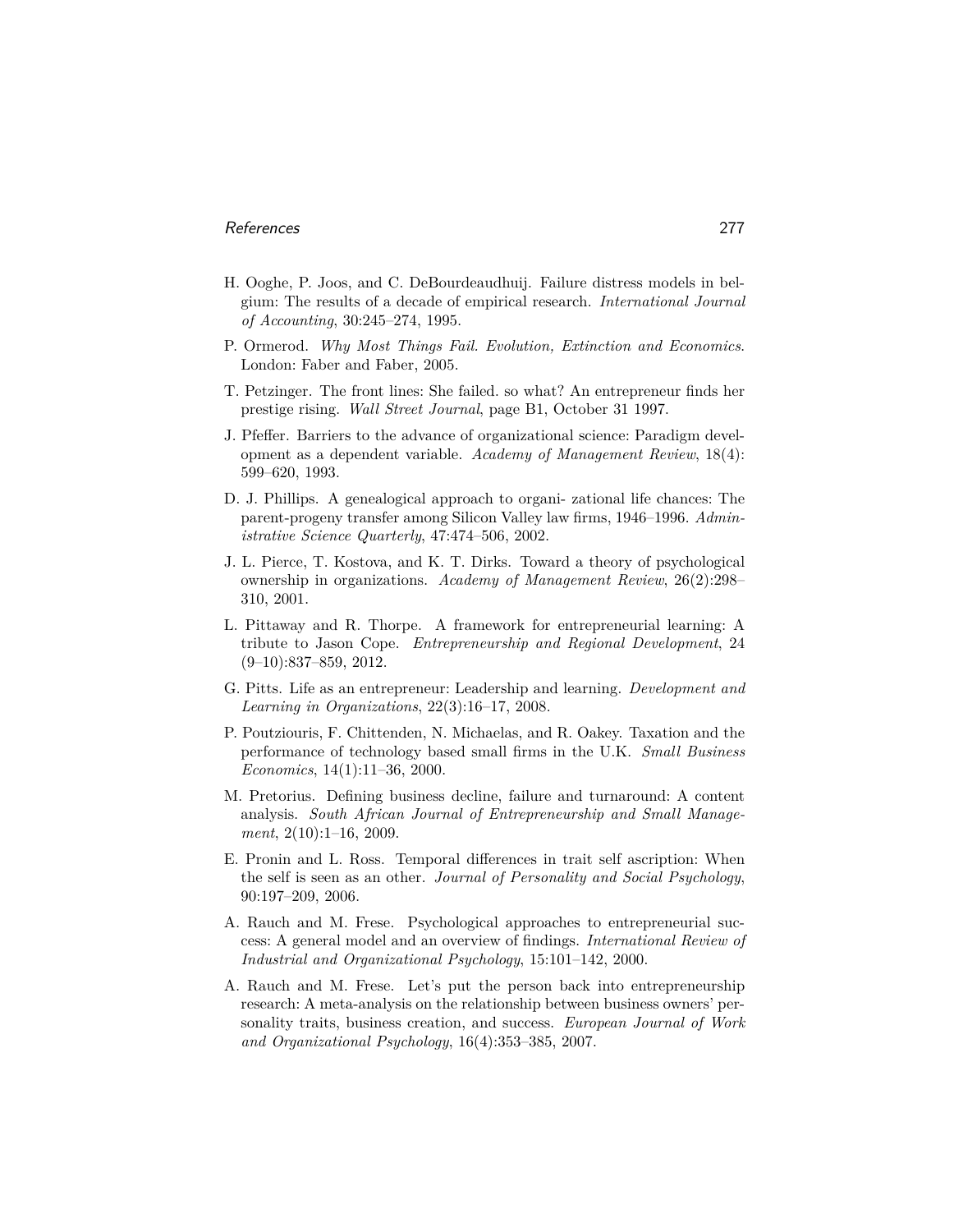- H. Ooghe, P. Joos, and C. DeBourdeaudhuij. Failure distress models in belgium: The results of a decade of empirical research. *International Journal of Accounting*, 30:245–274, 1995.
- P. Ormerod. *Why Most Things Fail. Evolution, Extinction and Economics*. London: Faber and Faber, 2005.
- T. Petzinger. The front lines: She failed. so what? An entrepreneur finds her prestige rising. *Wall Street Journal*, page B1, October 31 1997.
- J. Pfeffer. Barriers to the advance of organizational science: Paradigm development as a dependent variable. *Academy of Management Review*, 18(4): 599–620, 1993.
- D. J. Phillips. A genealogical approach to organi- zational life chances: The parent-progeny transfer among Silicon Valley law firms, 1946–1996. *Administrative Science Quarterly*, 47:474–506, 2002.
- J. L. Pierce, T. Kostova, and K. T. Dirks. Toward a theory of psychological ownership in organizations. *Academy of Management Review*, 26(2):298– 310, 2001.
- L. Pittaway and R. Thorpe. A framework for entrepreneurial learning: A tribute to Jason Cope. *Entrepreneurship and Regional Development*, 24 (9–10):837–859, 2012.
- G. Pitts. Life as an entrepreneur: Leadership and learning. *Development and Learning in Organizations*, 22(3):16–17, 2008.
- P. Poutziouris, F. Chittenden, N. Michaelas, and R. Oakey. Taxation and the performance of technology based small firms in the U.K. *Small Business Economics*, 14(1):11–36, 2000.
- M. Pretorius. Defining business decline, failure and turnaround: A content analysis. *South African Journal of Entrepreneurship and Small Management*, 2(10):1–16, 2009.
- E. Pronin and L. Ross. Temporal differences in trait self ascription: When the self is seen as an other. *Journal of Personality and Social Psychology*, 90:197–209, 2006.
- A. Rauch and M. Frese. Psychological approaches to entrepreneurial success: A general model and an overview of findings. *International Review of Industrial and Organizational Psychology*, 15:101–142, 2000.
- A. Rauch and M. Frese. Let's put the person back into entrepreneurship research: A meta-analysis on the relationship between business owners' personality traits, business creation, and success. *European Journal of Work and Organizational Psychology*, 16(4):353–385, 2007.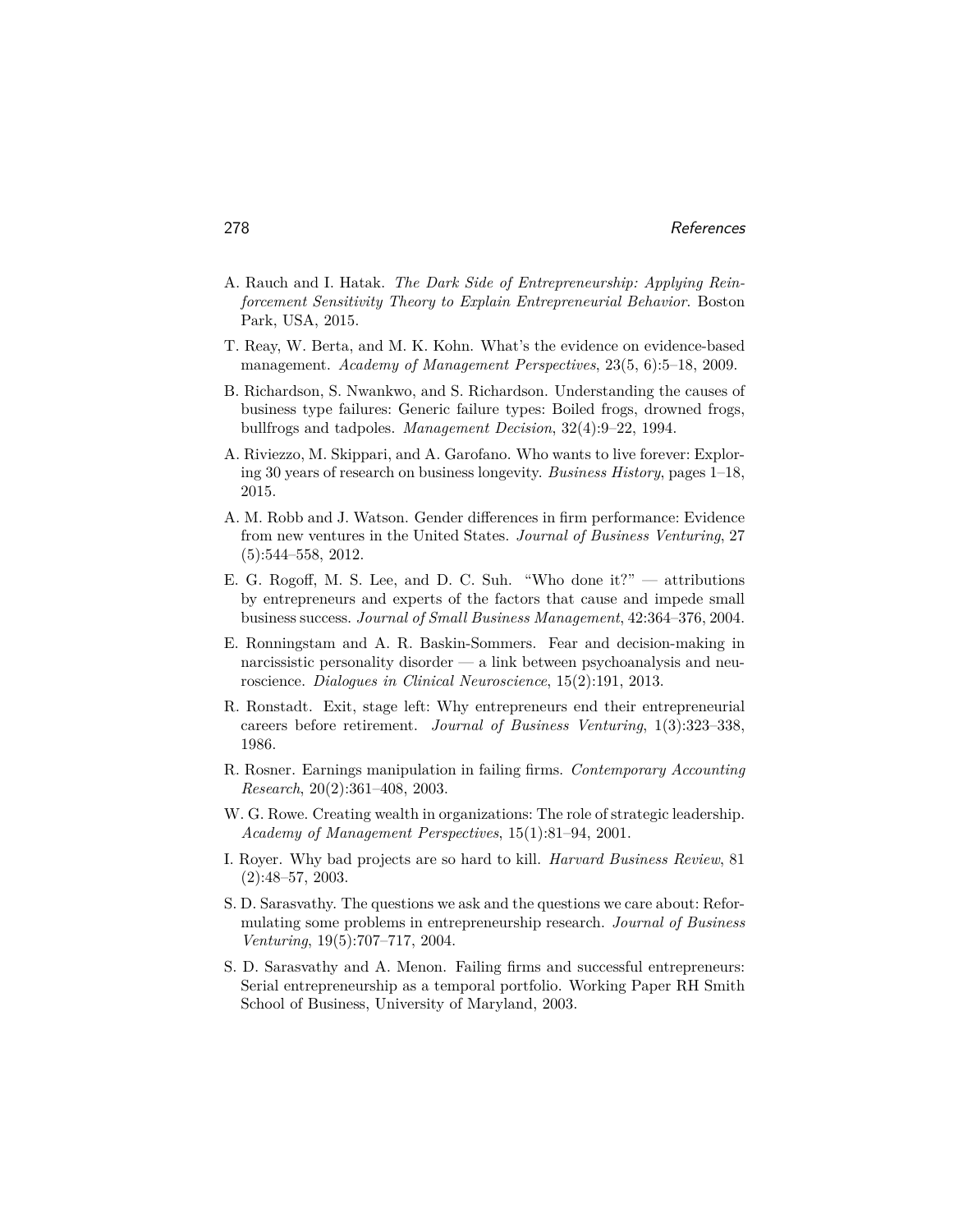- A. Rauch and I. Hatak. *The Dark Side of Entrepreneurship: Applying Reinforcement Sensitivity Theory to Explain Entrepreneurial Behavior*. Boston Park, USA, 2015.
- T. Reay, W. Berta, and M. K. Kohn. What's the evidence on evidence-based management. *Academy of Management Perspectives*, 23(5, 6):5–18, 2009.
- B. Richardson, S. Nwankwo, and S. Richardson. Understanding the causes of business type failures: Generic failure types: Boiled frogs, drowned frogs, bullfrogs and tadpoles. *Management Decision*, 32(4):9–22, 1994.
- A. Riviezzo, M. Skippari, and A. Garofano. Who wants to live forever: Exploring 30 years of research on business longevity. *Business History*, pages 1–18, 2015.
- A. M. Robb and J. Watson. Gender differences in firm performance: Evidence from new ventures in the United States. *Journal of Business Venturing*, 27 (5):544–558, 2012.
- E. G. Rogoff, M. S. Lee, and D. C. Suh. "Who done it?" attributions by entrepreneurs and experts of the factors that cause and impede small business success. *Journal of Small Business Management*, 42:364–376, 2004.
- E. Ronningstam and A. R. Baskin-Sommers. Fear and decision-making in narcissistic personality disorder — a link between psychoanalysis and neuroscience. *Dialogues in Clinical Neuroscience*, 15(2):191, 2013.
- R. Ronstadt. Exit, stage left: Why entrepreneurs end their entrepreneurial careers before retirement. *Journal of Business Venturing*, 1(3):323–338, 1986.
- R. Rosner. Earnings manipulation in failing firms. *Contemporary Accounting Research*, 20(2):361–408, 2003.
- W. G. Rowe. Creating wealth in organizations: The role of strategic leadership. *Academy of Management Perspectives*, 15(1):81–94, 2001.
- I. Royer. Why bad projects are so hard to kill. *Harvard Business Review*, 81 (2):48–57, 2003.
- S. D. Sarasvathy. The questions we ask and the questions we care about: Reformulating some problems in entrepreneurship research. *Journal of Business Venturing*, 19(5):707–717, 2004.
- S. D. Sarasvathy and A. Menon. Failing firms and successful entrepreneurs: Serial entrepreneurship as a temporal portfolio. Working Paper RH Smith School of Business, University of Maryland, 2003.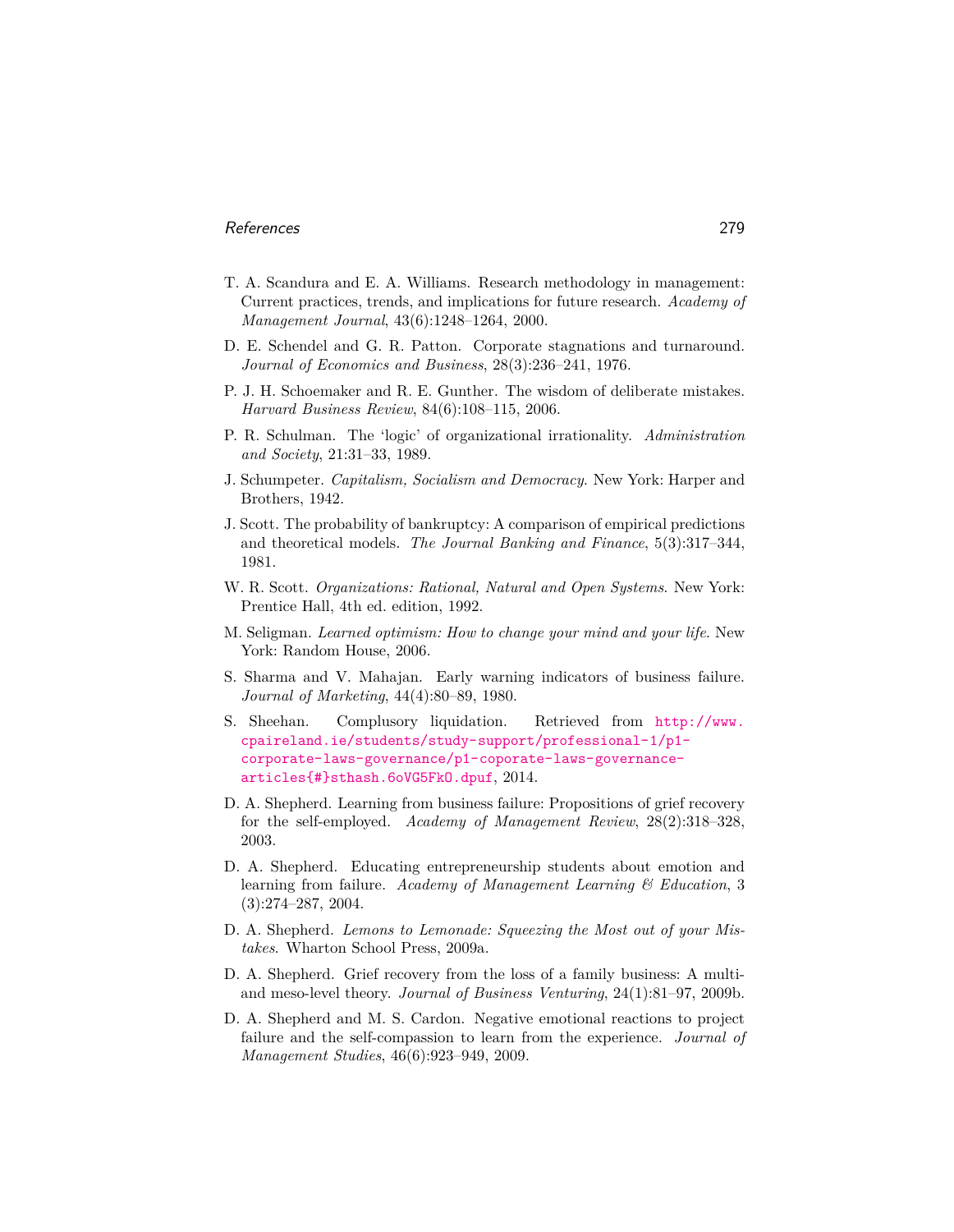- T. A. Scandura and E. A. Williams. Research methodology in management: Current practices, trends, and implications for future research. *Academy of Management Journal*, 43(6):1248–1264, 2000.
- D. E. Schendel and G. R. Patton. Corporate stagnations and turnaround. *Journal of Economics and Business*, 28(3):236–241, 1976.
- P. J. H. Schoemaker and R. E. Gunther. The wisdom of deliberate mistakes. *Harvard Business Review*, 84(6):108–115, 2006.
- P. R. Schulman. The 'logic' of organizational irrationality. *Administration and Society*, 21:31–33, 1989.
- J. Schumpeter. *Capitalism, Socialism and Democracy*. New York: Harper and Brothers, 1942.
- J. Scott. The probability of bankruptcy: A comparison of empirical predictions and theoretical models. *The Journal Banking and Finance*, 5(3):317–344, 1981.
- W. R. Scott. *Organizations: Rational, Natural and Open Systems*. New York: Prentice Hall, 4th ed. edition, 1992.
- M. Seligman. *Learned optimism: How to change your mind and your life*. New York: Random House, 2006.
- S. Sharma and V. Mahajan. Early warning indicators of business failure. *Journal of Marketing*, 44(4):80–89, 1980.
- S. Sheehan. Complusory liquidation. Retrieved from <http://www.> [cpaireland.ie/students/study-support/professional-1/p1](cpaireland.ie/students/study-support/professional-1/p1-corporate-laws-governance/p1-coporate-laws-governance-articles{#}sthash.6oVG5FkO.dpuf) [corporate-laws-governance/p1-coporate-laws-governance](cpaireland.ie/students/study-support/professional-1/p1-corporate-laws-governance/p1-coporate-laws-governance-articles{#}sthash.6oVG5FkO.dpuf)[articles{#}sthash.6oVG5FkO.dpuf](cpaireland.ie/students/study-support/professional-1/p1-corporate-laws-governance/p1-coporate-laws-governance-articles{#}sthash.6oVG5FkO.dpuf), 2014.
- D. A. Shepherd. Learning from business failure: Propositions of grief recovery for the self-employed. *Academy of Management Review*, 28(2):318–328, 2003.
- D. A. Shepherd. Educating entrepreneurship students about emotion and learning from failure. *Academy of Management Learning & Education*, 3 (3):274–287, 2004.
- D. A. Shepherd. *Lemons to Lemonade: Squeezing the Most out of your Mistakes*. Wharton School Press, 2009a.
- D. A. Shepherd. Grief recovery from the loss of a family business: A multiand meso-level theory. *Journal of Business Venturing*, 24(1):81–97, 2009b.
- D. A. Shepherd and M. S. Cardon. Negative emotional reactions to project failure and the self-compassion to learn from the experience. *Journal of Management Studies*, 46(6):923–949, 2009.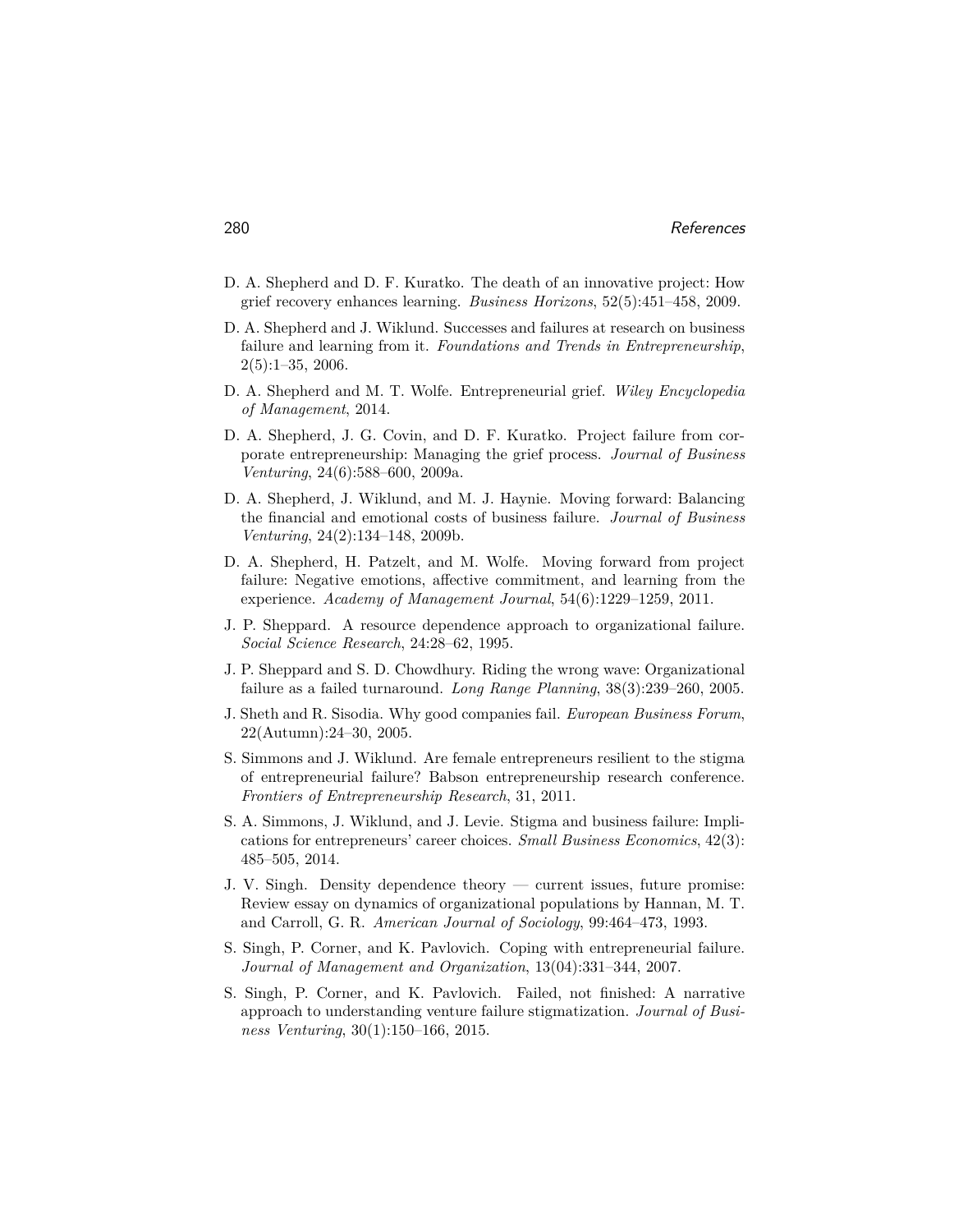- D. A. Shepherd and D. F. Kuratko. The death of an innovative project: How grief recovery enhances learning. *Business Horizons*, 52(5):451–458, 2009.
- D. A. Shepherd and J. Wiklund. Successes and failures at research on business failure and learning from it. *Foundations and Trends in Entrepreneurship*, 2(5):1–35, 2006.
- D. A. Shepherd and M. T. Wolfe. Entrepreneurial grief. *Wiley Encyclopedia of Management*, 2014.
- D. A. Shepherd, J. G. Covin, and D. F. Kuratko. Project failure from corporate entrepreneurship: Managing the grief process. *Journal of Business Venturing*, 24(6):588–600, 2009a.
- D. A. Shepherd, J. Wiklund, and M. J. Haynie. Moving forward: Balancing the financial and emotional costs of business failure. *Journal of Business Venturing*, 24(2):134–148, 2009b.
- D. A. Shepherd, H. Patzelt, and M. Wolfe. Moving forward from project failure: Negative emotions, affective commitment, and learning from the experience. *Academy of Management Journal*, 54(6):1229–1259, 2011.
- J. P. Sheppard. A resource dependence approach to organizational failure. *Social Science Research*, 24:28–62, 1995.
- J. P. Sheppard and S. D. Chowdhury. Riding the wrong wave: Organizational failure as a failed turnaround. *Long Range Planning*, 38(3):239–260, 2005.
- J. Sheth and R. Sisodia. Why good companies fail. *European Business Forum*, 22(Autumn):24–30, 2005.
- S. Simmons and J. Wiklund. Are female entrepreneurs resilient to the stigma of entrepreneurial failure? Babson entrepreneurship research conference. *Frontiers of Entrepreneurship Research*, 31, 2011.
- S. A. Simmons, J. Wiklund, and J. Levie. Stigma and business failure: Implications for entrepreneurs' career choices. *Small Business Economics*, 42(3): 485–505, 2014.
- J. V. Singh. Density dependence theory current issues, future promise: Review essay on dynamics of organizational populations by Hannan, M. T. and Carroll, G. R. *American Journal of Sociology*, 99:464–473, 1993.
- S. Singh, P. Corner, and K. Pavlovich. Coping with entrepreneurial failure. *Journal of Management and Organization*, 13(04):331–344, 2007.
- S. Singh, P. Corner, and K. Pavlovich. Failed, not finished: A narrative approach to understanding venture failure stigmatization. *Journal of Business Venturing*, 30(1):150–166, 2015.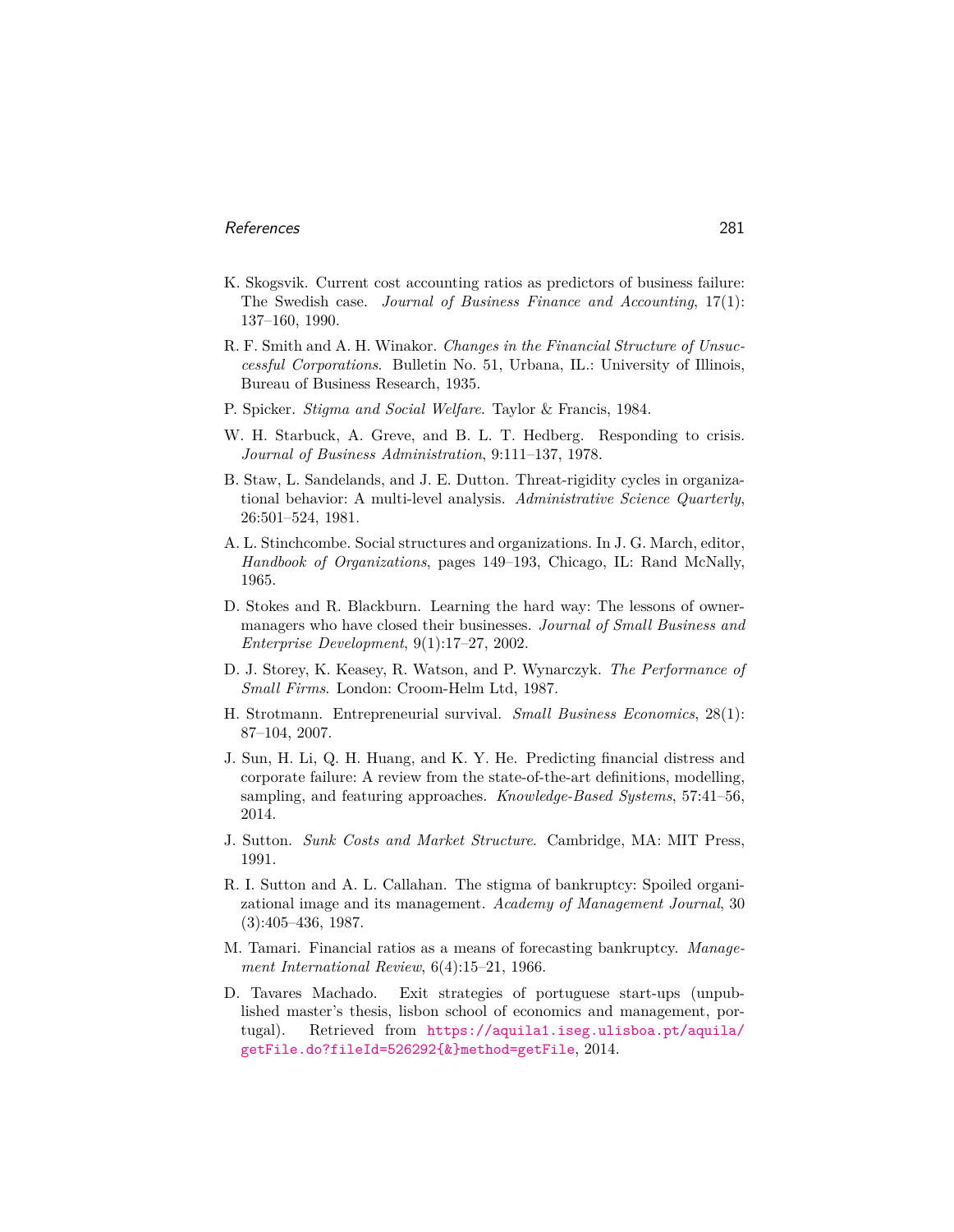- K. Skogsvik. Current cost accounting ratios as predictors of business failure: The Swedish case. *Journal of Business Finance and Accounting*, 17(1): 137–160, 1990.
- R. F. Smith and A. H. Winakor. *Changes in the Financial Structure of Unsuccessful Corporations*. Bulletin No. 51, Urbana, IL.: University of Illinois, Bureau of Business Research, 1935.
- P. Spicker. *Stigma and Social Welfare*. Taylor & Francis, 1984.
- W. H. Starbuck, A. Greve, and B. L. T. Hedberg. Responding to crisis. *Journal of Business Administration*, 9:111–137, 1978.
- B. Staw, L. Sandelands, and J. E. Dutton. Threat-rigidity cycles in organizational behavior: A multi-level analysis. *Administrative Science Quarterly*, 26:501–524, 1981.
- A. L. Stinchcombe. Social structures and organizations. In J. G. March, editor, *Handbook of Organizations*, pages 149–193, Chicago, IL: Rand McNally, 1965.
- D. Stokes and R. Blackburn. Learning the hard way: The lessons of ownermanagers who have closed their businesses. *Journal of Small Business and Enterprise Development*, 9(1):17–27, 2002.
- D. J. Storey, K. Keasey, R. Watson, and P. Wynarczyk. *The Performance of Small Firms*. London: Croom-Helm Ltd, 1987.
- H. Strotmann. Entrepreneurial survival. *Small Business Economics*, 28(1): 87–104, 2007.
- J. Sun, H. Li, Q. H. Huang, and K. Y. He. Predicting financial distress and corporate failure: A review from the state-of-the-art definitions, modelling, sampling, and featuring approaches. *Knowledge-Based Systems*, 57:41–56, 2014.
- J. Sutton. *Sunk Costs and Market Structure*. Cambridge, MA: MIT Press, 1991.
- R. I. Sutton and A. L. Callahan. The stigma of bankruptcy: Spoiled organizational image and its management. *Academy of Management Journal*, 30 (3):405–436, 1987.
- M. Tamari. Financial ratios as a means of forecasting bankruptcy. *Management International Review*, 6(4):15–21, 1966.
- D. Tavares Machado. Exit strategies of portuguese start-ups (unpublished master's thesis, lisbon school of economics and management, portugal). Retrieved from [https://aquila1.iseg.ulisboa.pt/aquila/](https://aquila1.iseg.ulisboa.pt/aquila/getFile.do?fileId=526292{&}method=getFile) [getFile.do?fileId=526292{&}method=getFile](https://aquila1.iseg.ulisboa.pt/aquila/getFile.do?fileId=526292{&}method=getFile), 2014.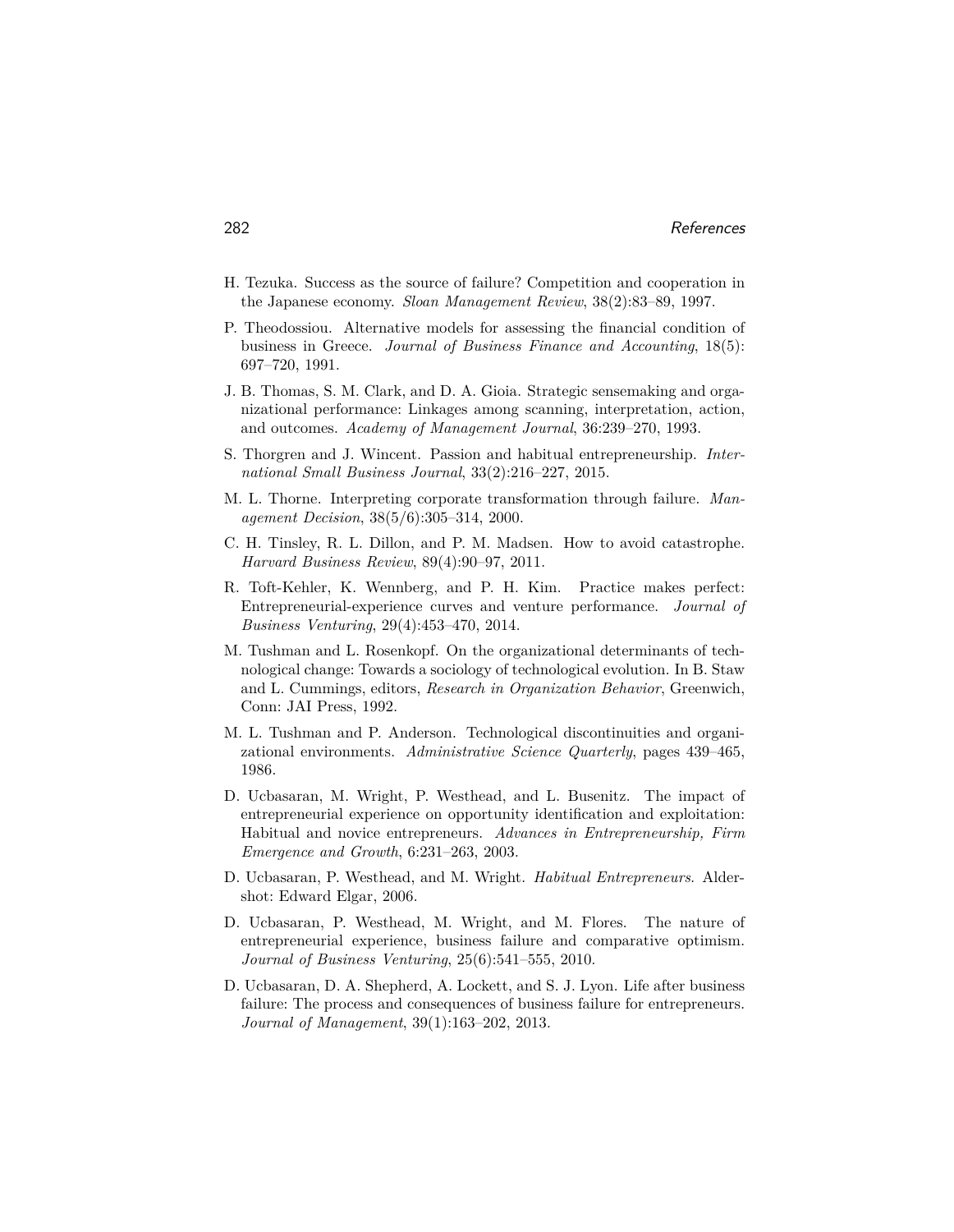- H. Tezuka. Success as the source of failure? Competition and cooperation in the Japanese economy. *Sloan Management Review*, 38(2):83–89, 1997.
- P. Theodossiou. Alternative models for assessing the financial condition of business in Greece. *Journal of Business Finance and Accounting*, 18(5): 697–720, 1991.
- J. B. Thomas, S. M. Clark, and D. A. Gioia. Strategic sensemaking and organizational performance: Linkages among scanning, interpretation, action, and outcomes. *Academy of Management Journal*, 36:239–270, 1993.
- S. Thorgren and J. Wincent. Passion and habitual entrepreneurship. *International Small Business Journal*, 33(2):216–227, 2015.
- M. L. Thorne. Interpreting corporate transformation through failure. *Management Decision*, 38(5/6):305–314, 2000.
- C. H. Tinsley, R. L. Dillon, and P. M. Madsen. How to avoid catastrophe. *Harvard Business Review*, 89(4):90–97, 2011.
- R. Toft-Kehler, K. Wennberg, and P. H. Kim. Practice makes perfect: Entrepreneurial-experience curves and venture performance. *Journal of Business Venturing*, 29(4):453–470, 2014.
- M. Tushman and L. Rosenkopf. On the organizational determinants of technological change: Towards a sociology of technological evolution. In B. Staw and L. Cummings, editors, *Research in Organization Behavior*, Greenwich, Conn: JAI Press, 1992.
- M. L. Tushman and P. Anderson. Technological discontinuities and organizational environments. *Administrative Science Quarterly*, pages 439–465, 1986.
- D. Ucbasaran, M. Wright, P. Westhead, and L. Busenitz. The impact of entrepreneurial experience on opportunity identification and exploitation: Habitual and novice entrepreneurs. *Advances in Entrepreneurship, Firm Emergence and Growth*, 6:231–263, 2003.
- D. Ucbasaran, P. Westhead, and M. Wright. *Habitual Entrepreneurs*. Aldershot: Edward Elgar, 2006.
- D. Ucbasaran, P. Westhead, M. Wright, and M. Flores. The nature of entrepreneurial experience, business failure and comparative optimism. *Journal of Business Venturing*, 25(6):541–555, 2010.
- D. Ucbasaran, D. A. Shepherd, A. Lockett, and S. J. Lyon. Life after business failure: The process and consequences of business failure for entrepreneurs. *Journal of Management*, 39(1):163–202, 2013.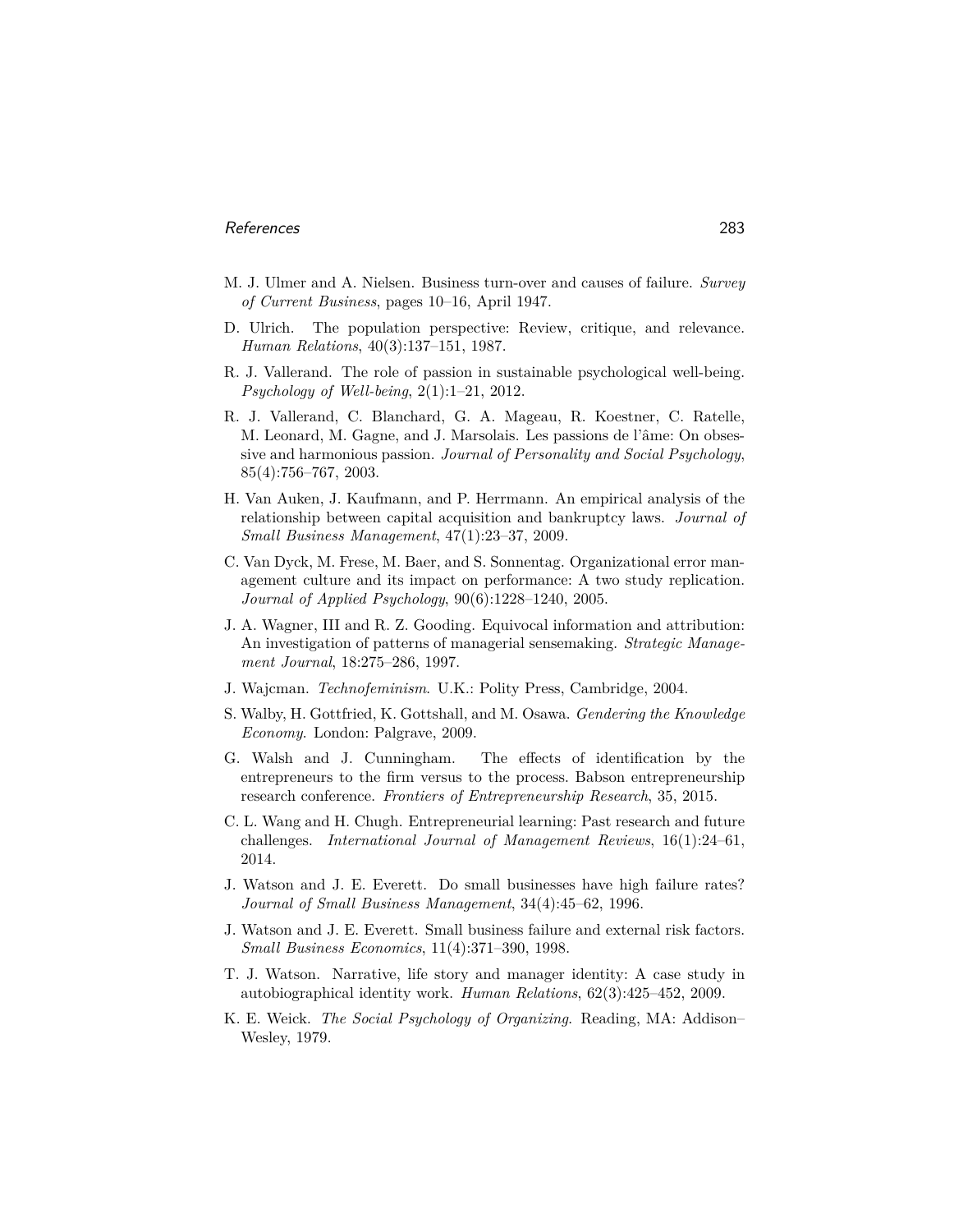- M. J. Ulmer and A. Nielsen. Business turn-over and causes of failure. *Survey of Current Business*, pages 10–16, April 1947.
- D. Ulrich. The population perspective: Review, critique, and relevance. *Human Relations*, 40(3):137–151, 1987.
- R. J. Vallerand. The role of passion in sustainable psychological well-being. *Psychology of Well-being*, 2(1):1–21, 2012.
- R. J. Vallerand, C. Blanchard, G. A. Mageau, R. Koestner, C. Ratelle, M. Leonard, M. Gagne, and J. Marsolais. Les passions de l'âme: On obsessive and harmonious passion. *Journal of Personality and Social Psychology*, 85(4):756–767, 2003.
- H. Van Auken, J. Kaufmann, and P. Herrmann. An empirical analysis of the relationship between capital acquisition and bankruptcy laws. *Journal of Small Business Management*, 47(1):23–37, 2009.
- C. Van Dyck, M. Frese, M. Baer, and S. Sonnentag. Organizational error management culture and its impact on performance: A two study replication. *Journal of Applied Psychology*, 90(6):1228–1240, 2005.
- J. A. Wagner, III and R. Z. Gooding. Equivocal information and attribution: An investigation of patterns of managerial sensemaking. *Strategic Management Journal*, 18:275–286, 1997.
- J. Wajcman. *Technofeminism*. U.K.: Polity Press, Cambridge, 2004.
- S. Walby, H. Gottfried, K. Gottshall, and M. Osawa. *Gendering the Knowledge Economy*. London: Palgrave, 2009.
- G. Walsh and J. Cunningham. The effects of identification by the entrepreneurs to the firm versus to the process. Babson entrepreneurship research conference. *Frontiers of Entrepreneurship Research*, 35, 2015.
- C. L. Wang and H. Chugh. Entrepreneurial learning: Past research and future challenges. *International Journal of Management Reviews*, 16(1):24–61, 2014.
- J. Watson and J. E. Everett. Do small businesses have high failure rates? *Journal of Small Business Management*, 34(4):45–62, 1996.
- J. Watson and J. E. Everett. Small business failure and external risk factors. *Small Business Economics*, 11(4):371–390, 1998.
- T. J. Watson. Narrative, life story and manager identity: A case study in autobiographical identity work. *Human Relations*, 62(3):425–452, 2009.
- K. E. Weick. *The Social Psychology of Organizing*. Reading, MA: Addison– Wesley, 1979.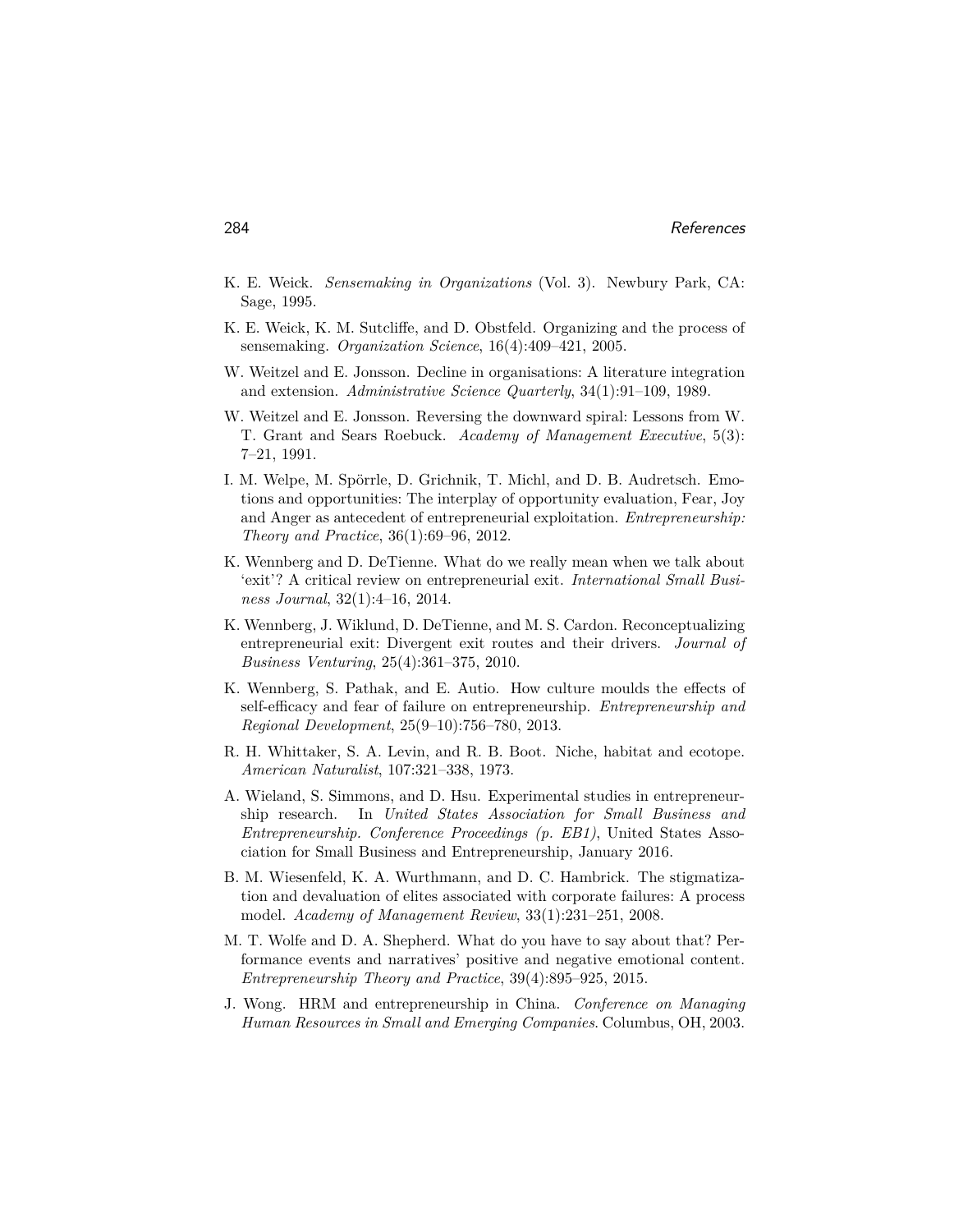- K. E. Weick. *Sensemaking in Organizations* (Vol. 3). Newbury Park, CA: Sage, 1995.
- K. E. Weick, K. M. Sutcliffe, and D. Obstfeld. Organizing and the process of sensemaking. *Organization Science*, 16(4):409–421, 2005.
- W. Weitzel and E. Jonsson. Decline in organisations: A literature integration and extension. *Administrative Science Quarterly*, 34(1):91–109, 1989.
- W. Weitzel and E. Jonsson. Reversing the downward spiral: Lessons from W. T. Grant and Sears Roebuck. *Academy of Management Executive*, 5(3): 7–21, 1991.
- I. M. Welpe, M. Spörrle, D. Grichnik, T. Michl, and D. B. Audretsch. Emotions and opportunities: The interplay of opportunity evaluation, Fear, Joy and Anger as antecedent of entrepreneurial exploitation. *Entrepreneurship: Theory and Practice*, 36(1):69–96, 2012.
- K. Wennberg and D. DeTienne. What do we really mean when we talk about 'exit'? A critical review on entrepreneurial exit. *International Small Business Journal*, 32(1):4–16, 2014.
- K. Wennberg, J. Wiklund, D. DeTienne, and M. S. Cardon. Reconceptualizing entrepreneurial exit: Divergent exit routes and their drivers. *Journal of Business Venturing*, 25(4):361–375, 2010.
- K. Wennberg, S. Pathak, and E. Autio. How culture moulds the effects of self-efficacy and fear of failure on entrepreneurship. *Entrepreneurship and Regional Development*, 25(9–10):756–780, 2013.
- R. H. Whittaker, S. A. Levin, and R. B. Boot. Niche, habitat and ecotope. *American Naturalist*, 107:321–338, 1973.
- A. Wieland, S. Simmons, and D. Hsu. Experimental studies in entrepreneurship research. In *United States Association for Small Business and Entrepreneurship. Conference Proceedings (p. EB1)*, United States Association for Small Business and Entrepreneurship, January 2016.
- B. M. Wiesenfeld, K. A. Wurthmann, and D. C. Hambrick. The stigmatization and devaluation of elites associated with corporate failures: A process model. *Academy of Management Review*, 33(1):231–251, 2008.
- M. T. Wolfe and D. A. Shepherd. What do you have to say about that? Performance events and narratives' positive and negative emotional content. *Entrepreneurship Theory and Practice*, 39(4):895–925, 2015.
- J. Wong. HRM and entrepreneurship in China. *Conference on Managing Human Resources in Small and Emerging Companies*. Columbus, OH, 2003.